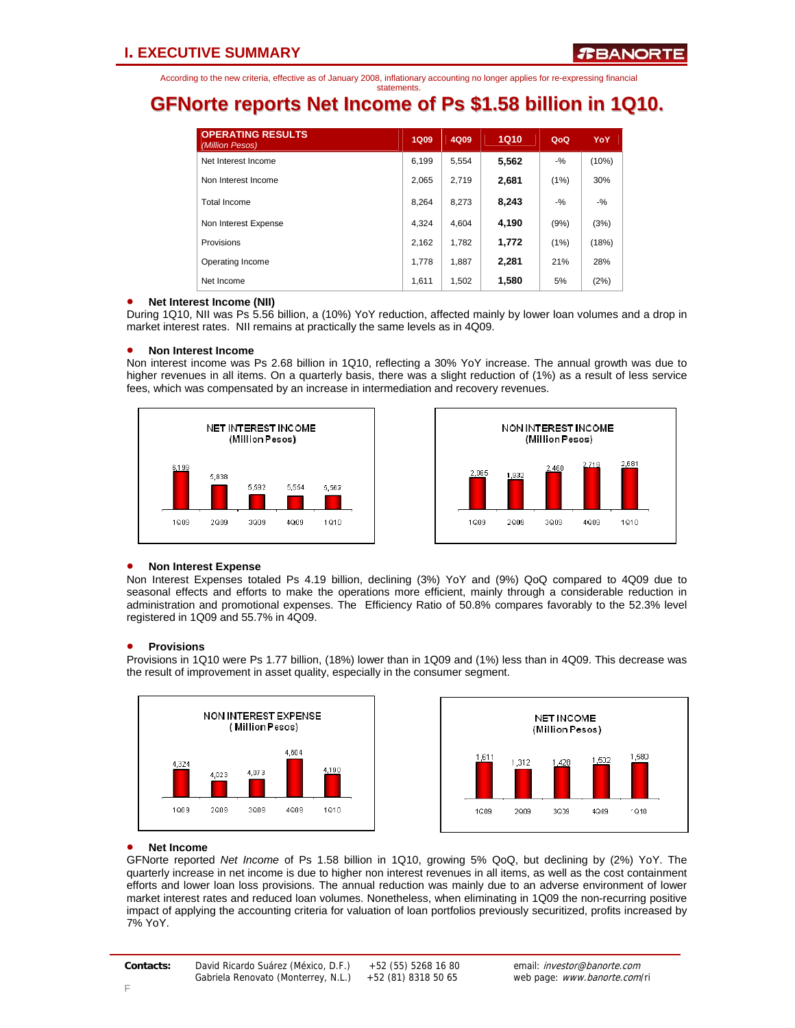## **GFNorte reports Net Income of Ps \$1.58 billion in 1Q10.**

| <b>OPERATING RESULTS</b><br>(Million Pesos) | <b>1Q09</b> | 4Q09  | <b>1Q10</b> | QoQ   | YoY.  |
|---------------------------------------------|-------------|-------|-------------|-------|-------|
| Net Interest Income                         | 6,199       | 5,554 | 5,562       | $-$ % | (10%) |
| Non Interest Income                         | 2.065       | 2.719 | 2,681       | (1%)  | 30%   |
| Total Income                                | 8.264       | 8.273 | 8,243       | $-$ % | $-$ % |
| Non Interest Expense                        | 4.324       | 4.604 | 4,190       | (9%)  | (3%)  |
| Provisions                                  | 2.162       | 1.782 | 1,772       | (1%)  | (18%) |
| Operating Income                            | 1.778       | 1.887 | 2.281       | 21%   | 28%   |
| Net Income                                  | 1.611       | 1,502 | 1,580       | 5%    | (2%)  |

### • **Net Interest Income (NII)**

During 1Q10, NII was Ps 5.56 billion, a (10%) YoY reduction, affected mainly by lower loan volumes and a drop in market interest rates. NII remains at practically the same levels as in 4Q09.

### • **Non Interest Income**

Non interest income was Ps 2.68 billion in 1Q10, reflecting a 30% YoY increase. The annual growth was due to higher revenues in all items. On a quarterly basis, there was a slight reduction of (1%) as a result of less service fees, which was compensated by an increase in intermediation and recovery revenues.





### • **Non Interest Expense**

Non Interest Expenses totaled Ps 4.19 billion, declining (3%) YoY and (9%) QoQ compared to 4Q09 due to seasonal effects and efforts to make the operations more efficient, mainly through a considerable reduction in administration and promotional expenses. The Efficiency Ratio of 50.8% compares favorably to the 52.3% level registered in 1Q09 and 55.7% in 4Q09.

### • **Provisions**

Provisions in 1Q10 were Ps 1.77 billion, (18%) lower than in 1Q09 and (1%) less than in 4Q09. This decrease was the result of improvement in asset quality, especially in the consumer segment.





### • **Net Income**

GFNorte reported *Net Income* of Ps 1.58 billion in 1Q10, growing 5% QoQ, but declining by (2%) YoY. The quarterly increase in net income is due to higher non interest revenues in all items, as well as the cost containment efforts and lower loan loss provisions. The annual reduction was mainly due to an adverse environment of lower market interest rates and reduced loan volumes. Nonetheless, when eliminating in 1Q09 the non-recurring positive impact of applying the accounting criteria for valuation of loan portfolios previously securitized, profits increased by 7% YoY.

F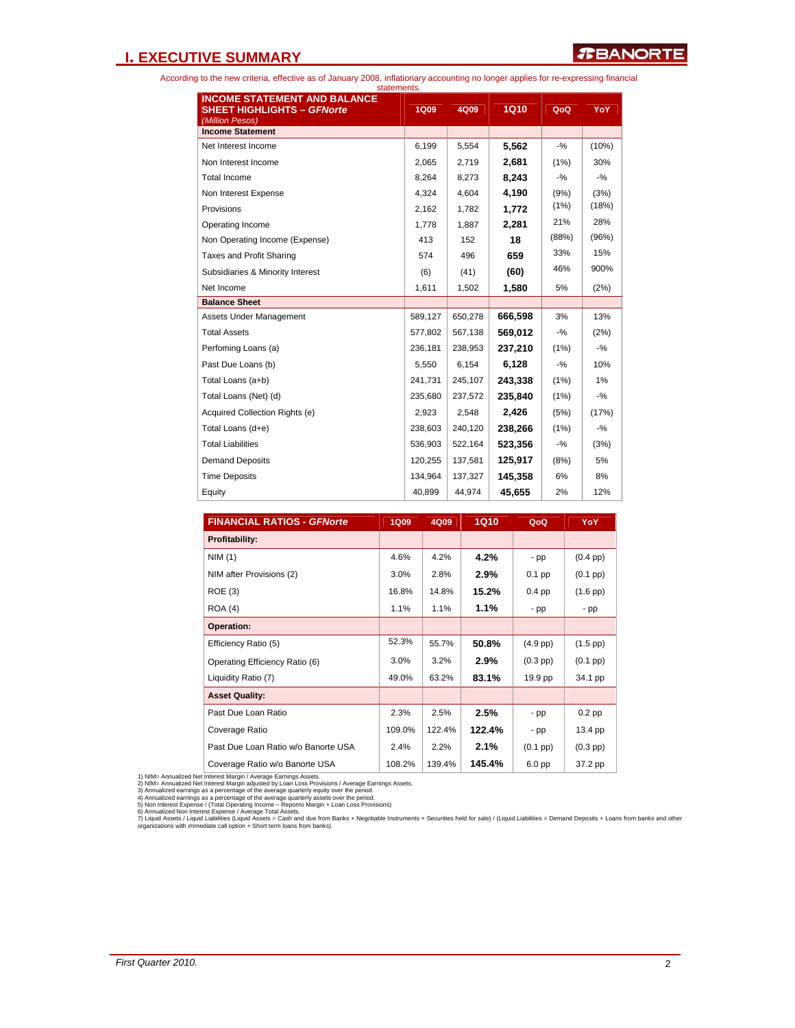### **I. EXECUTIVE SUMMARY**

According to the new criteria, effective as of January 2008, inflationary accounting no longer applies for re-expressing financial

| statements.                                                                                 |             |         |             |        |        |
|---------------------------------------------------------------------------------------------|-------------|---------|-------------|--------|--------|
| <b>INCOME STATEMENT AND BALANCE</b><br><b>SHEET HIGHLIGHTS - GFNorte</b><br>(Million Pesos) | <b>1Q09</b> | 4Q09    | <b>1Q10</b> | QoQ    | YoY .  |
| <b>Income Statement</b>                                                                     |             |         |             |        |        |
| Net Interest Income                                                                         | 6,199       | 5,554   | 5,562       | $-9/6$ | (10%)  |
| Non Interest Income                                                                         | 2,065       | 2,719   | 2,681       | (1%)   | 30%    |
| <b>Total Income</b>                                                                         | 8,264       | 8,273   | 8.243       | $-9/6$ | $-9/6$ |
| Non Interest Expense                                                                        | 4,324       | 4.604   | 4,190       | (9%)   | (3%)   |
| Provisions                                                                                  | 2,162       | 1.782   | 1,772       | (1%)   | (18%)  |
| Operating Income                                                                            | 1,778       | 1,887   | 2,281       | 21%    | 28%    |
| Non Operating Income (Expense)                                                              | 413         | 152     | 18          | (88%)  | (96%)  |
| Taxes and Profit Sharing                                                                    | 574         | 496     | 659         | 33%    | 15%    |
| Subsidiaries & Minority Interest                                                            | (6)         | (41)    | (60)        | 46%    | 900%   |
| Net Income                                                                                  | 1,611       | 1,502   | 1,580       | 5%     | (2%)   |
| <b>Balance Sheet</b>                                                                        |             |         |             |        |        |
| Assets Under Management                                                                     | 589,127     | 650,278 | 666,598     | 3%     | 13%    |
| <b>Total Assets</b>                                                                         | 577,802     | 567,138 | 569,012     | $-9/6$ | (2%)   |
| Perfoming Loans (a)                                                                         | 236,181     | 238,953 | 237.210     | (1%)   | $-9/6$ |
| Past Due Loans (b)                                                                          | 5,550       | 6,154   | 6.128       | $-9/6$ | 10%    |
| Total Loans (a+b)                                                                           | 241,731     | 245,107 | 243,338     | (1%)   | 1%     |
| Total Loans (Net) (d)                                                                       | 235,680     | 237,572 | 235,840     | (1%)   | $-9/6$ |
| Acquired Collection Rights (e)                                                              | 2,923       | 2,548   | 2,426       | (5%)   | (17%)  |
| Total Loans (d+e)                                                                           | 238,603     | 240,120 | 238,266     | (1%)   | $-9/6$ |
| <b>Total Liabilities</b>                                                                    | 536,903     | 522,164 | 523,356     | $-9/6$ | (3%)   |
| <b>Demand Deposits</b>                                                                      | 120,255     | 137,581 | 125,917     | (8%)   | 5%     |
| <b>Time Deposits</b>                                                                        | 134.964     | 137,327 | 145,358     | 6%     | 8%     |
| Equity                                                                                      | 40,899      | 44,974  | 45,655      | 2%     | 12%    |

| <b>FINANCIAL RATIOS - GFNorte</b>   | <b>1Q09</b> | 4Q09   | 1Q10   | QoQ           | YoY                |
|-------------------------------------|-------------|--------|--------|---------------|--------------------|
| <b>Profitability:</b>               |             |        |        |               |                    |
| NIM(1)                              | 4.6%        | 4.2%   | 4.2%   | - pp          | $(0.4 \text{ pp})$ |
| NIM after Provisions (2)            | 3.0%        | 2.8%   | 2.9%   | $0.1$ pp      | $(0.1$ pp $)$      |
| ROE(3)                              | 16.8%       | 14.8%  | 15.2%  | $0.4$ pp      | $(1.6$ pp $)$      |
| <b>ROA</b> (4)                      | 1.1%        | 1.1%   | 1.1%   | - pp          | - pp               |
| Operation:                          |             |        |        |               |                    |
| Efficiency Ratio (5)                | 52.3%       | 55.7%  | 50.8%  | $(4.9$ pp $)$ | $(1.5$ pp $)$      |
| Operating Efficiency Ratio (6)      | 3.0%        | 3.2%   | 2.9%   | $(0.3$ pp)    | $(0.1$ pp $)$      |
| Liquidity Ratio (7)                 | 49.0%       | 63.2%  | 83.1%  | 19.9 pp       | 34.1 pp            |
| <b>Asset Quality:</b>               |             |        |        |               |                    |
| Past Due Loan Ratio                 | 2.3%        | 2.5%   | 2.5%   | - pp          | $0.2$ pp           |
| Coverage Ratio                      | 109.0%      | 122.4% | 122.4% | - pp          | 13.4 pp            |
| Past Due Loan Ratio w/o Banorte USA | 2.4%        | 2.2%   | 2.1%   | $(0.1$ pp $)$ | $(0.3$ pp $)$      |
| Coverage Ratio w/o Banorte USA      | 108.2%      | 139.4% | 145.4% | 6.0 pp        | 37.2 pp            |

1) NIM= Annualized Net Interest Margin / Average Earnings Assets.<br>2) NIM= Annualized Net Interest Margin adjusted by Loan Loos Provisions / Average Earnings Assets.<br>3) Annualized earnings as a percentage of the average qua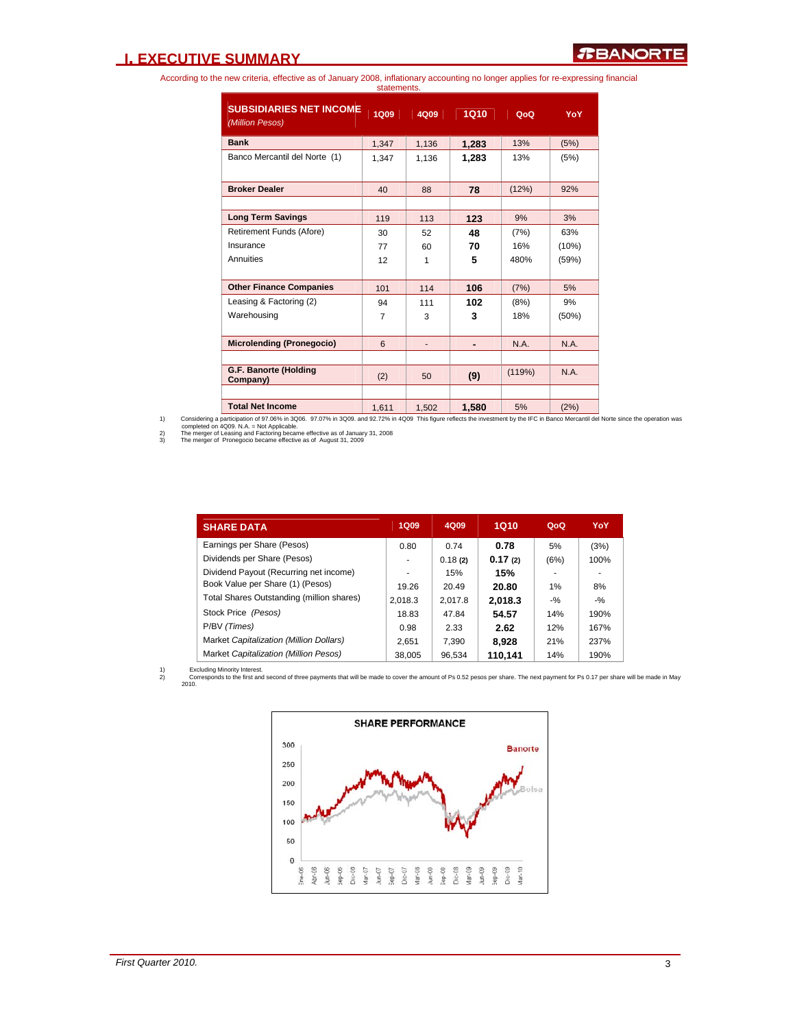### **I. EXECUTIVE SUMMARY**

According to the new criteria, effective as of January 2008, inflationary accounting no longer applies for re-expressing financial statements.

| <b>SUBSIDIARIES NET INCOME</b><br>(Million Pesos) | <b>1Q09</b> | 4Q09  | 1Q10  | QoQ    | YoY   |
|---------------------------------------------------|-------------|-------|-------|--------|-------|
| <b>Bank</b>                                       | 1,347       | 1,136 | 1,283 | 13%    | (5%)  |
| Banco Mercantil del Norte (1)                     | 1,347       | 1,136 | 1,283 | 13%    | (5%)  |
| <b>Broker Dealer</b>                              | 40          | 88    | 78    | (12%)  | 92%   |
|                                                   |             |       |       |        |       |
| <b>Long Term Savings</b>                          | 119         | 113   | 123   | 9%     | 3%    |
| Retirement Funds (Afore)                          | 30          | 52    | 48    | (7%)   | 63%   |
| Insurance                                         | 77          | 60    | 70    | 16%    | (10%) |
| Annuities                                         | 12          | 1     | 5     | 480%   | (59%) |
| <b>Other Finance Companies</b>                    | 101         | 114   | 106   | (7%)   | 5%    |
| Leasing & Factoring (2)                           | 94          | 111   | 102   | (8%)   | 9%    |
| Warehousing                                       | 7           | 3     | 3     | 18%    | (50%) |
| <b>Microlending (Pronegocio)</b>                  | 6           |       |       | N.A.   | N.A.  |
|                                                   |             |       |       |        |       |
| G.F. Banorte (Holding<br>Company)                 | (2)         | 50    | (9)   | (119%) | N.A.  |
|                                                   |             |       |       |        |       |
| <b>Total Net Income</b>                           | 1.611       | 1,502 | 1,580 | 5%     | (2%)  |

1) Considering a participation of 97.06% in 3006. 97.07% in 3009. and 92.72% in 4009 This figure reflects the investment by the IFC in Banco Mercantil del Norte since the operation was<br>2) The merger of Leasing and Factorin

| <b>SHARE DATA</b>                         | <b>1Q09</b> | 4Q09    | 1Q10    | QoQ    | YoY    |
|-------------------------------------------|-------------|---------|---------|--------|--------|
| Earnings per Share (Pesos)                | 0.80        | 0.74    | 0.78    | 5%     | (3%)   |
| Dividends per Share (Pesos)               |             | 0.18(2) | 0.17(2) | (6%)   | 100%   |
| Dividend Payout (Recurring net income)    |             | 15%     | 15%     |        |        |
| Book Value per Share (1) (Pesos)          | 19.26       | 20.49   | 20.80   | 1%     | 8%     |
| Total Shares Outstanding (million shares) | 2,018.3     | 2.017.8 | 2.018.3 | $-9/2$ | $-9/2$ |
| Stock Price (Pesos)                       | 18.83       | 47.84   | 54.57   | 14%    | 190%   |
| P/BV (Times)                              | 0.98        | 2.33    | 2.62    | 12%    | 167%   |
| Market Capitalization (Million Dollars)   | 2.651       | 7.390   | 8.928   | 21%    | 237%   |
| Market Capitalization (Million Pesos)     | 38.005      | 96.534  | 110.141 | 14%    | 190%   |

1) Excluding Minority Interest. 2) Corresponds to the first and second of three payments that will be made to cover the amount of Ps 0.52 pesos per share. The next payment for Ps 0.17 per share will be made in May 2010.

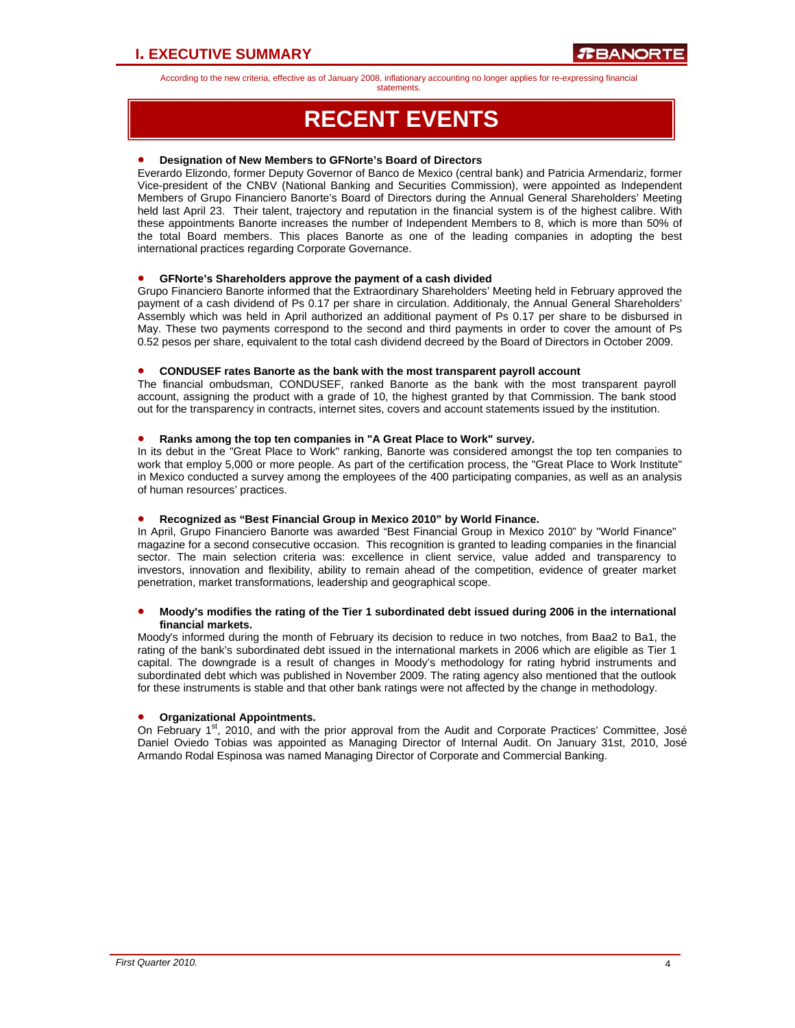statements.

## **RECENT EVENTS**

### • **Designation of New Members to GFNorte's Board of Directors**

Everardo Elizondo, former Deputy Governor of Banco de Mexico (central bank) and Patricia Armendariz, former Vice-president of the CNBV (National Banking and Securities Commission), were appointed as Independent Members of Grupo Financiero Banorte's Board of Directors during the Annual General Shareholders' Meeting held last April 23. Their talent, trajectory and reputation in the financial system is of the highest calibre. With these appointments Banorte increases the number of Independent Members to 8, which is more than 50% of the total Board members. This places Banorte as one of the leading companies in adopting the best international practices regarding Corporate Governance.

### • **GFNorte's Shareholders approve the payment of a cash divided**

Grupo Financiero Banorte informed that the Extraordinary Shareholders' Meeting held in February approved the payment of a cash dividend of Ps 0.17 per share in circulation. Additionaly, the Annual General Shareholders' Assembly which was held in April authorized an additional payment of Ps 0.17 per share to be disbursed in May. These two payments correspond to the second and third payments in order to cover the amount of Ps 0.52 pesos per share, equivalent to the total cash dividend decreed by the Board of Directors in October 2009.

### • **CONDUSEF rates Banorte as the bank with the most transparent payroll account**

The financial ombudsman, CONDUSEF, ranked Banorte as the bank with the most transparent payroll account, assigning the product with a grade of 10, the highest granted by that Commission. The bank stood out for the transparency in contracts, internet sites, covers and account statements issued by the institution.

### • **Ranks among the top ten companies in "A Great Place to Work" survey.**

In its debut in the "Great Place to Work" ranking, Banorte was considered amongst the top ten companies to work that employ 5,000 or more people. As part of the certification process, the "Great Place to Work Institute" in Mexico conducted a survey among the employees of the 400 participating companies, as well as an analysis of human resources' practices.

### • **Recognized as "Best Financial Group in Mexico 2010" by World Finance.**

In April, Grupo Financiero Banorte was awarded "Best Financial Group in Mexico 2010" by "World Finance" magazine for a second consecutive occasion. This recognition is granted to leading companies in the financial sector. The main selection criteria was: excellence in client service, value added and transparency to investors, innovation and flexibility, ability to remain ahead of the competition, evidence of greater market penetration, market transformations, leadership and geographical scope.

### • **Moody's modifies the rating of the Tier 1 subordinated debt issued during 2006 in the international financial markets.**

Moody's informed during the month of February its decision to reduce in two notches, from Baa2 to Ba1, the rating of the bank's subordinated debt issued in the international markets in 2006 which are eligible as Tier 1 capital. The downgrade is a result of changes in Moody's methodology for rating hybrid instruments and subordinated debt which was published in November 2009. The rating agency also mentioned that the outlook for these instruments is stable and that other bank ratings were not affected by the change in methodology.

### • **Organizational Appointments.**

On February  $1<sup>st</sup>$ , 2010, and with the prior approval from the Audit and Corporate Practices' Committee, José Daniel Oviedo Tobias was appointed as Managing Director of Internal Audit. On January 31st, 2010, José Armando Rodal Espinosa was named Managing Director of Corporate and Commercial Banking.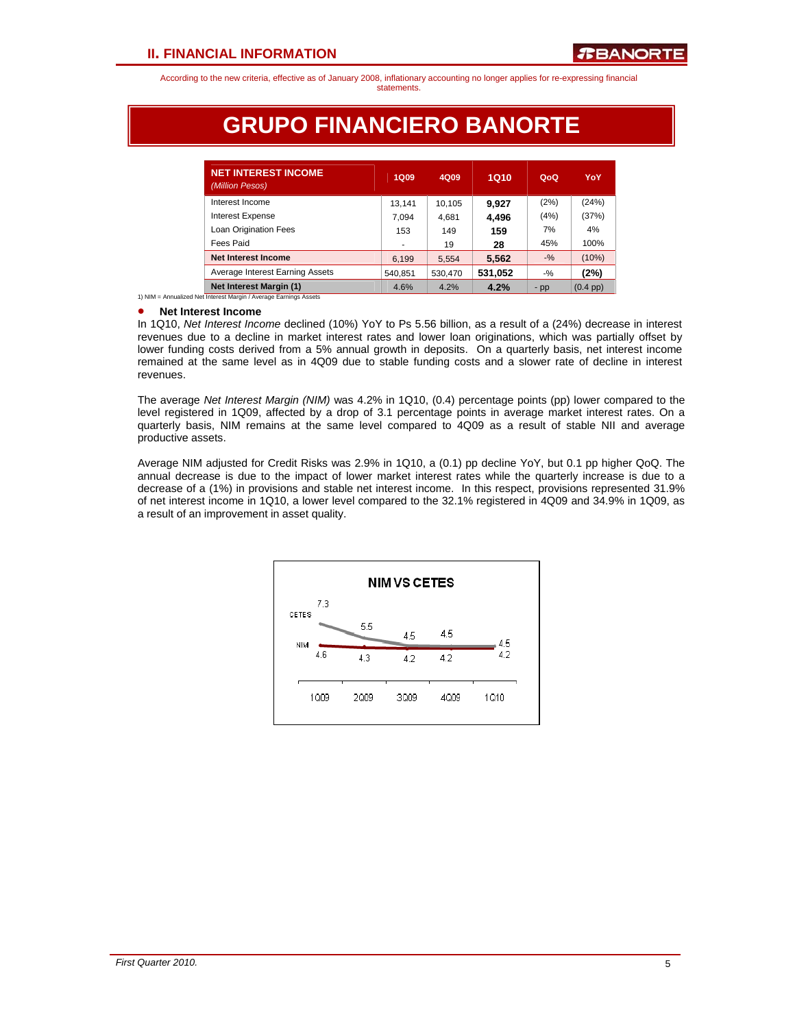## **GRUPO FINANCIERO BANORTE**

| <b>NET INTEREST INCOME</b><br>(Million Pesos) | <b>1Q09</b> | 4Q09    | 1Q10    | QoQ    | YoY           |
|-----------------------------------------------|-------------|---------|---------|--------|---------------|
| Interest Income                               | 13.141      | 10.105  | 9.927   | (2%)   | (24%)         |
| <b>Interest Expense</b>                       | 7.094       | 4,681   | 4,496   | (4%)   | (37%)         |
| <b>Loan Origination Fees</b>                  | 153         | 149     | 159     | 7%     | 4%            |
| Fees Paid                                     | ۰           | 19      | 28      | 45%    | 100%          |
| Net Interest Income                           | 6,199       | 5,554   | 5,562   | $-$ %  | (10%)         |
| Average Interest Earning Assets               | 540,851     | 530,470 | 531,052 | $-9/6$ | (2%)          |
| Net Interest Margin (1)                       | 4.6%        | 4.2%    | 4.2%    | $-pp$  | $(0.4$ pp $)$ |

1) NIM = Annualized Net Interest Margin / Average Earnings Assets

#### • **Net Interest Income**

In 1Q10, *Net Interest Income* declined (10%) YoY to Ps 5.56 billion, as a result of a (24%) decrease in interest revenues due to a decline in market interest rates and lower loan originations, which was partially offset by lower funding costs derived from a 5% annual growth in deposits. On a quarterly basis, net interest income remained at the same level as in 4Q09 due to stable funding costs and a slower rate of decline in interest revenues.

The average *Net Interest Margin (NIM)* was 4.2% in 1Q10, (0.4) percentage points (pp) lower compared to the level registered in 1Q09, affected by a drop of 3.1 percentage points in average market interest rates. On a quarterly basis, NIM remains at the same level compared to 4Q09 as a result of stable NII and average productive assets.

Average NIM adjusted for Credit Risks was 2.9% in 1Q10, a (0.1) pp decline YoY, but 0.1 pp higher QoQ. The annual decrease is due to the impact of lower market interest rates while the quarterly increase is due to a decrease of a (1%) in provisions and stable net interest income. In this respect, provisions represented 31.9% of net interest income in 1Q10, a lower level compared to the 32.1% registered in 4Q09 and 34.9% in 1Q09, as a result of an improvement in asset quality.

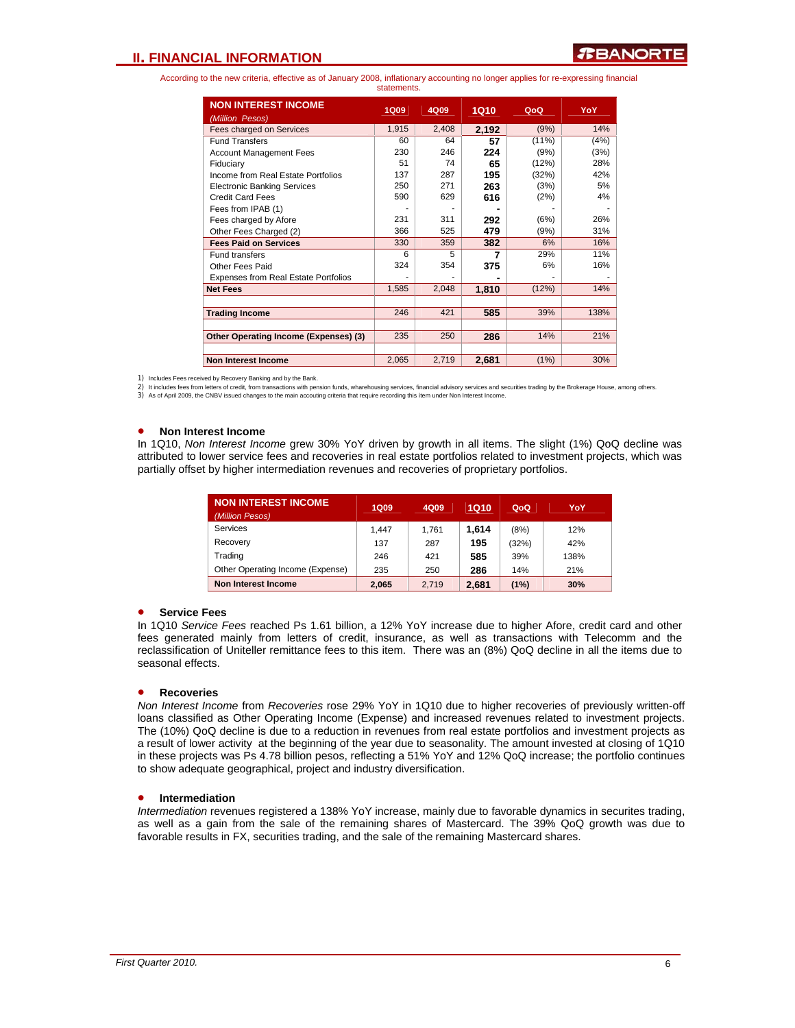### **II. FINANCIAL INFORMATION**

According to the new criteria, effective as of January 2008, inflationary accounting no longer applies for re-expressing financial statements.

| <b>NON INTEREST INCOME</b><br>(Million Pesos) | <b>1Q09</b> | 4Q09  | 1Q10  | QoQ      | YoY  |
|-----------------------------------------------|-------------|-------|-------|----------|------|
| Fees charged on Services                      | 1,915       | 2,408 | 2,192 | (9%)     | 14%  |
| <b>Fund Transfers</b>                         | 60          | 64    | 57    | $(11\%)$ | (4%) |
| <b>Account Management Fees</b>                | 230         | 246   | 224   | (9%)     | (3%) |
| Fiduciary                                     | 51          | 74    | 65    | (12%)    | 28%  |
| Income from Real Estate Portfolios            | 137         | 287   | 195   | (32%)    | 42%  |
| <b>Electronic Banking Services</b>            | 250         | 271   | 263   | (3%)     | 5%   |
| <b>Credit Card Fees</b>                       | 590         | 629   | 616   | (2%)     | 4%   |
| Fees from IPAB (1)                            |             |       |       |          |      |
| Fees charged by Afore                         | 231         | 311   | 292   | (6%)     | 26%  |
| Other Fees Charged (2)                        | 366         | 525   | 479   | (9%)     | 31%  |
| <b>Fees Paid on Services</b>                  | 330         | 359   | 382   | 6%       | 16%  |
| <b>Fund transfers</b>                         | 6           | 5     | 7     | 29%      | 11%  |
| Other Fees Paid                               | 324         | 354   | 375   | 6%       | 16%  |
| <b>Expenses from Real Estate Portfolios</b>   |             |       |       |          |      |
| <b>Net Fees</b>                               | 1,585       | 2,048 | 1,810 | (12%)    | 14%  |
|                                               |             |       |       |          |      |
| <b>Trading Income</b>                         | 246         | 421   | 585   | 39%      | 138% |
|                                               |             |       |       |          |      |
| Other Operating Income (Expenses) (3)         | 235         | 250   | 286   | 14%      | 21%  |
|                                               |             |       |       |          |      |
| Non Interest Income                           | 2,065       | 2,719 | 2,681 | (1%)     | 30%  |

1) Includes Fees received by Recovery Banking and by the Bank.

2) It includes fees from letters of credit, from transactions with pension funds, wharehousing services, financial advisory services and securities trading by the Brokerage House, among others.

3) As of April 2009, the CNBV issued changes to the main accouting criteria that require recording this ítem under Non Interest Income.

#### • **Non Interest Income**

In 1Q10, *Non Interest Income* grew 30% YoY driven by growth in all items. The slight (1%) QoQ decline was attributed to lower service fees and recoveries in real estate portfolios related to investment projects, which was partially offset by higher intermediation revenues and recoveries of proprietary portfolios.

| <b>NON INTEREST INCOME</b><br>(Million Pesos) | 1Q09  | 4Q09  | 1Q10  | QoQ   | YoY  |
|-----------------------------------------------|-------|-------|-------|-------|------|
| Services                                      | 1.447 | 1.761 | 1.614 | (8%)  | 12%  |
| Recovery                                      | 137   | 287   | 195   | (32%) | 42%  |
| Trading                                       | 246   | 421   | 585   | 39%   | 138% |
| Other Operating Income (Expense)              | 235   | 250   | 286   | 14%   | 21%  |
| Non Interest Income                           | 2.065 | 2.719 | 2.681 | (1%)  | 30%  |

#### • **Service Fees**

In 1Q10 *Service Fees* reached Ps 1.61 billion, a 12% YoY increase due to higher Afore, credit card and other fees generated mainly from letters of credit, insurance, as well as transactions with Telecomm and the reclassification of Uniteller remittance fees to this item. There was an (8%) QoQ decline in all the items due to seasonal effects.

### • **Recoveries**

*Non Interest Income* from *Recoveries* rose 29% YoY in 1Q10 due to higher recoveries of previously written-off loans classified as Other Operating Income (Expense) and increased revenues related to investment projects. The (10%) QoQ decline is due to a reduction in revenues from real estate portfolios and investment projects as a result of lower activity at the beginning of the year due to seasonality. The amount invested at closing of 1Q10 in these projects was Ps 4.78 billion pesos, reflecting a 51% YoY and 12% QoQ increase; the portfolio continues to show adequate geographical, project and industry diversification.

### • **Intermediation**

*Intermediation* revenues registered a 138% YoY increase, mainly due to favorable dynamics in securites trading, as well as a gain from the sale of the remaining shares of Mastercard. The 39% QoQ growth was due to favorable results in FX, securities trading, and the sale of the remaining Mastercard shares.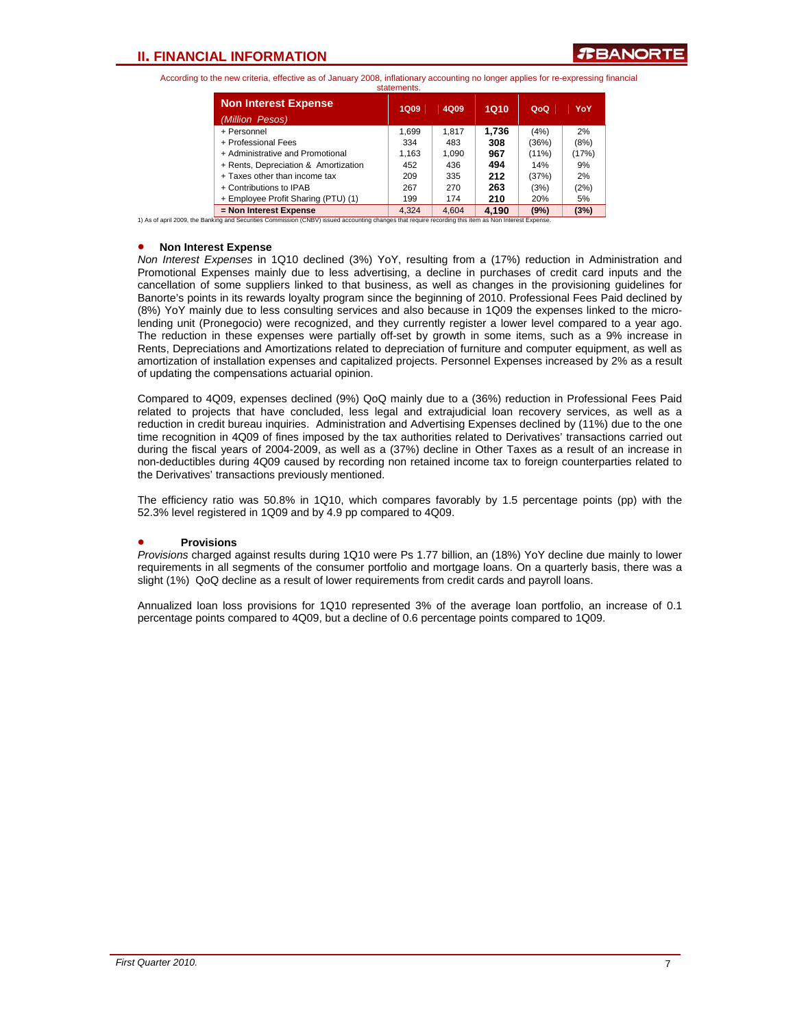|                                                | statements. |       |       |          |       |
|------------------------------------------------|-------------|-------|-------|----------|-------|
| <b>Non Interest Expense</b><br>(Million Pesos) | 1Q09        | 4Q09  | 1Q10  | QoQ      | YoY   |
| + Personnel                                    | 1.699       | 1.817 | 1.736 | (4%)     | 2%    |
| + Professional Fees                            | 334         | 483   | 308   | (36%)    | (8%)  |
| + Administrative and Promotional               | 1.163       | 1.090 | 967   | $(11\%)$ | (17%) |
| + Rents, Depreciation & Amortization           | 452         | 436   | 494   | 14%      | 9%    |
| + Taxes other than income tax                  | 209         | 335   | 212   | (37%)    | 2%    |
| + Contributions to IPAB                        | 267         | 270   | 263   | (3%)     | (2%)  |
| + Employee Profit Sharing (PTU) (1)            | 199         | 174   | 210   | 20%      | 5%    |
| = Non Interest Expense                         | 4.324       | 4.604 | 4.190 | (9%)     | (3%)  |

1) As of april 2009, the Banking and Securities Commission (CNBV) issued accounting changes that require recording this ítem as Non Interest Expense.

#### • **Non Interest Expense**

*Non Interest Expenses* in 1Q10 declined (3%) YoY, resulting from a (17%) reduction in Administration and Promotional Expenses mainly due to less advertising, a decline in purchases of credit card inputs and the cancellation of some suppliers linked to that business, as well as changes in the provisioning guidelines for Banorte's points in its rewards loyalty program since the beginning of 2010. Professional Fees Paid declined by (8%) YoY mainly due to less consulting services and also because in 1Q09 the expenses linked to the microlending unit (Pronegocio) were recognized, and they currently register a lower level compared to a year ago. The reduction in these expenses were partially off-set by growth in some items, such as a 9% increase in Rents, Depreciations and Amortizations related to depreciation of furniture and computer equipment, as well as amortization of installation expenses and capitalized projects. Personnel Expenses increased by 2% as a result of updating the compensations actuarial opinion.

Compared to 4Q09, expenses declined (9%) QoQ mainly due to a (36%) reduction in Professional Fees Paid related to projects that have concluded, less legal and extrajudicial loan recovery services, as well as a reduction in credit bureau inquiries. Administration and Advertising Expenses declined by (11%) due to the one time recognition in 4Q09 of fines imposed by the tax authorities related to Derivatives' transactions carried out during the fiscal years of 2004-2009, as well as a (37%) decline in Other Taxes as a result of an increase in non-deductibles during 4Q09 caused by recording non retained income tax to foreign counterparties related to the Derivatives' transactions previously mentioned.

The efficiency ratio was 50.8% in 1Q10, which compares favorably by 1.5 percentage points (pp) with the 52.3% level registered in 1Q09 and by 4.9 pp compared to 4Q09.

### • **Provisions**

*Provisions* charged against results during 1Q10 were Ps 1.77 billion, an (18%) YoY decline due mainly to lower requirements in all segments of the consumer portfolio and mortgage loans. On a quarterly basis, there was a slight (1%) QoQ decline as a result of lower requirements from credit cards and payroll loans.

Annualized loan loss provisions for 1Q10 represented 3% of the average loan portfolio, an increase of 0.1 percentage points compared to 4Q09, but a decline of 0.6 percentage points compared to 1Q09.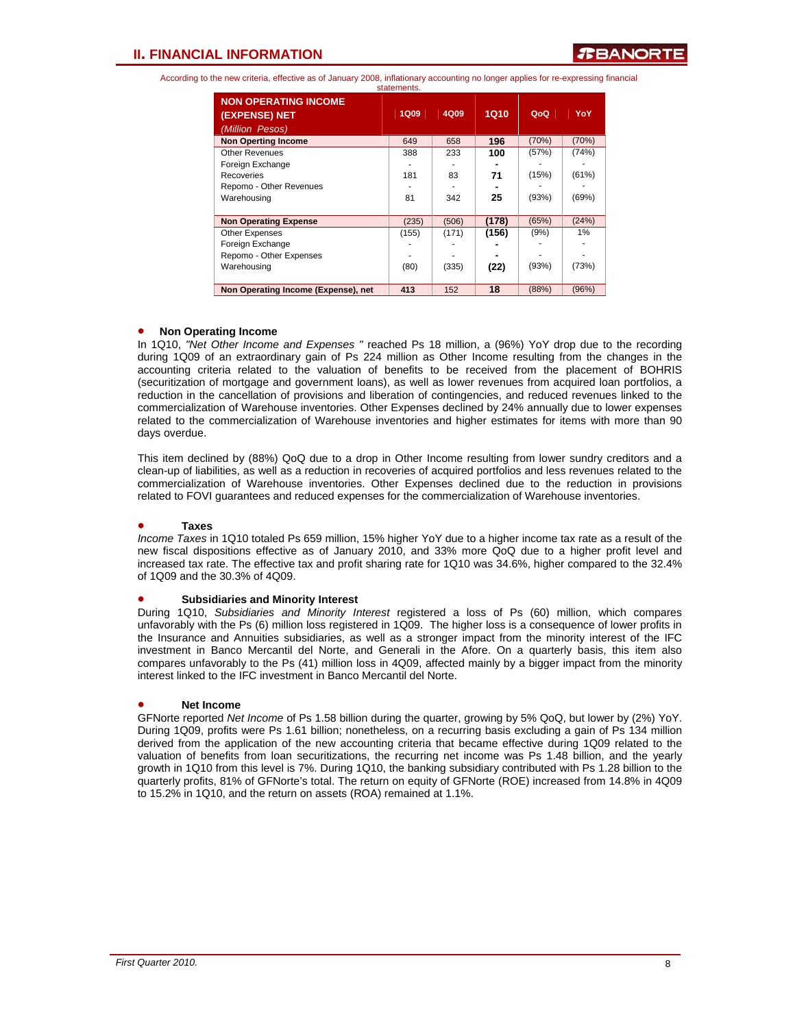|                                              | statements. |       |       |       |       |
|----------------------------------------------|-------------|-------|-------|-------|-------|
| <b>NON OPERATING INCOME</b><br>(EXPENSE) NET | <b>1Q09</b> | 4Q09  | 1Q10  | QoQ   | YoY   |
| (Million Pesos)                              |             |       |       |       |       |
| <b>Non Operting Income</b>                   | 649         | 658   | 196   | (70%) | (70%) |
| <b>Other Revenues</b>                        | 388         | 233   | 100   | (57%) | (74%) |
| Foreign Exchange                             |             |       |       |       |       |
| Recoveries                                   | 181         | 83    | 71    | (15%) | (61%) |
| Repomo - Other Revenues                      |             |       |       |       |       |
| Warehousing                                  | 81          | 342   | 25    | (93%) | (69%) |
|                                              |             |       |       |       |       |
| <b>Non Operating Expense</b>                 | (235)       | (506) | (178) | (65%) | (24%) |
| <b>Other Expenses</b>                        | (155)       | (171) | (156) | (9%)  | 1%    |
| Foreign Exchange                             |             |       |       |       |       |
| Repomo - Other Expenses                      |             |       |       |       |       |
| Warehousing                                  | (80)        | (335) | (22)  | (93%) | (73%) |
|                                              |             |       |       |       |       |
| Non Operating Income (Expense), net          | 413         | 152   | 18    | (88%) | (96%) |

#### • **Non Operating Income**

In 1Q10, *"Net Other Income and Expenses "* reached Ps 18 million, a (96%) YoY drop due to the recording during 1Q09 of an extraordinary gain of Ps 224 million as Other Income resulting from the changes in the accounting criteria related to the valuation of benefits to be received from the placement of BOHRIS (securitization of mortgage and government loans), as well as lower revenues from acquired loan portfolios, a reduction in the cancellation of provisions and liberation of contingencies, and reduced revenues linked to the commercialization of Warehouse inventories. Other Expenses declined by 24% annually due to lower expenses related to the commercialization of Warehouse inventories and higher estimates for items with more than 90 days overdue.

This item declined by (88%) QoQ due to a drop in Other Income resulting from lower sundry creditors and a clean-up of liabilities, as well as a reduction in recoveries of acquired portfolios and less revenues related to the commercialization of Warehouse inventories. Other Expenses declined due to the reduction in provisions related to FOVI guarantees and reduced expenses for the commercialization of Warehouse inventories.

#### • **Taxes**

*Income Taxes* in 1Q10 totaled Ps 659 million, 15% higher YoY due to a higher income tax rate as a result of the new fiscal dispositions effective as of January 2010, and 33% more QoQ due to a higher profit level and increased tax rate. The effective tax and profit sharing rate for 1Q10 was 34.6%, higher compared to the 32.4% of 1Q09 and the 30.3% of 4Q09.

#### • **Subsidiaries and Minority Interest**

During 1Q10, *Subsidiaries and Minority Interest* registered a loss of Ps (60) million, which compares unfavorably with the Ps (6) million loss registered in 1Q09. The higher loss is a consequence of lower profits in the Insurance and Annuities subsidiaries, as well as a stronger impact from the minority interest of the IFC investment in Banco Mercantil del Norte, and Generali in the Afore. On a quarterly basis, this item also compares unfavorably to the Ps (41) million loss in 4Q09, affected mainly by a bigger impact from the minority interest linked to the IFC investment in Banco Mercantil del Norte.

### • **Net Income**

GFNorte reported *Net Income* of Ps 1.58 billion during the quarter, growing by 5% QoQ, but lower by (2%) YoY. During 1Q09, profits were Ps 1.61 billion; nonetheless, on a recurring basis excluding a gain of Ps 134 million derived from the application of the new accounting criteria that became effective during 1Q09 related to the valuation of benefits from loan securitizations, the recurring net income was Ps 1.48 billion, and the yearly growth in 1Q10 from this level is 7%. During 1Q10, the banking subsidiary contributed with Ps 1.28 billion to the quarterly profits, 81% of GFNorte's total. The return on equity of GFNorte (ROE) increased from 14.8% in 4Q09 to 15.2% in 1Q10, and the return on assets (ROA) remained at 1.1%.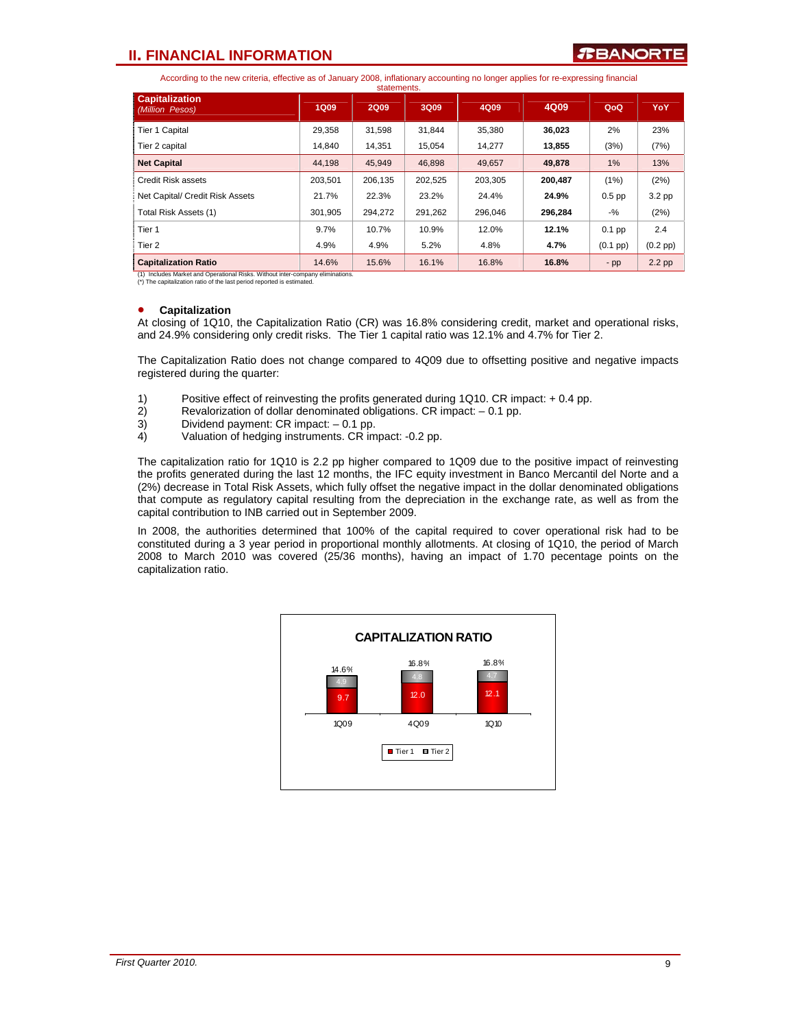### **II. FINANCIAL INFORMATION**

According to the new criteria, effective as of January 2008, inflationary accounting no longer applies for re-expressing financial

|                                          |             | statements. |         |         |         |                    |               |
|------------------------------------------|-------------|-------------|---------|---------|---------|--------------------|---------------|
| <b>Capitalization</b><br>(Million Pesos) | <b>1Q09</b> | <b>2Q09</b> | 3Q09    | 4Q09    | 4Q09    | QoQ                | <b>YoY</b>    |
| Tier 1 Capital                           | 29,358      | 31,598      | 31.844  | 35,380  | 36,023  | 2%                 | 23%           |
| Tier 2 capital                           | 14.840      | 14.351      | 15.054  | 14.277  | 13,855  | (3%)               | (7%)          |
| <b>Net Capital</b>                       | 44.198      | 45,949      | 46,898  | 49.657  | 49,878  | 1%                 | 13%           |
| Credit Risk assets                       | 203.501     | 206.135     | 202.525 | 203.305 | 200.487 | (1%)               | (2%)          |
| Net Capital/ Credit Risk Assets          | 21.7%       | 22.3%       | 23.2%   | 24.4%   | 24.9%   | $0.5$ pp           | 3.2 pp        |
| Total Risk Assets (1)                    | 301.905     | 294.272     | 291.262 | 296.046 | 296.284 | $-$ %              | (2%)          |
| Tier 1                                   | 9.7%        | 10.7%       | 10.9%   | 12.0%   | 12.1%   | $0.1$ pp           | 2.4           |
| Tier <sub>2</sub>                        | 4.9%        | 4.9%        | 5.2%    | 4.8%    | 4.7%    | $(0.1 \text{ pp})$ | $(0.2$ pp $)$ |
| <b>Capitalization Ratio</b>              | 14.6%       | 15.6%       | 16.1%   | 16.8%   | 16.8%   | $-pp$              | $2.2$ pp      |

Includes Market and Operational Risks. Without inter-company (\*) The capitalization ratio of the last period reported is estimated.

### • **Capitalization**

At closing of 1Q10, the Capitalization Ratio (CR) was 16.8% considering credit, market and operational risks, and 24.9% considering only credit risks. The Tier 1 capital ratio was 12.1% and 4.7% for Tier 2.

The Capitalization Ratio does not change compared to 4Q09 due to offsetting positive and negative impacts registered during the quarter:

- 1) Positive effect of reinvesting the profits generated during 1Q10. CR impact: + 0.4 pp.
- 2) Revalorization of dollar denominated obligations. CR impact: 0.1 pp.
- 3) Dividend payment: CR impact: -0.1 pp.<br>4) Valuation of hedging instruments. CR im
- Valuation of hedging instruments. CR impact: -0.2 pp.

The capitalization ratio for 1Q10 is 2.2 pp higher compared to 1Q09 due to the positive impact of reinvesting the profits generated during the last 12 months, the IFC equity investment in Banco Mercantil del Norte and a (2%) decrease in Total Risk Assets, which fully offset the negative impact in the dollar denominated obligations that compute as regulatory capital resulting from the depreciation in the exchange rate, as well as from the capital contribution to INB carried out in September 2009.

In 2008, the authorities determined that 100% of the capital required to cover operational risk had to be constituted during a 3 year period in proportional monthly allotments. At closing of 1Q10, the period of March 2008 to March 2010 was covered (25/36 months), having an impact of 1.70 pecentage points on the capitalization ratio.

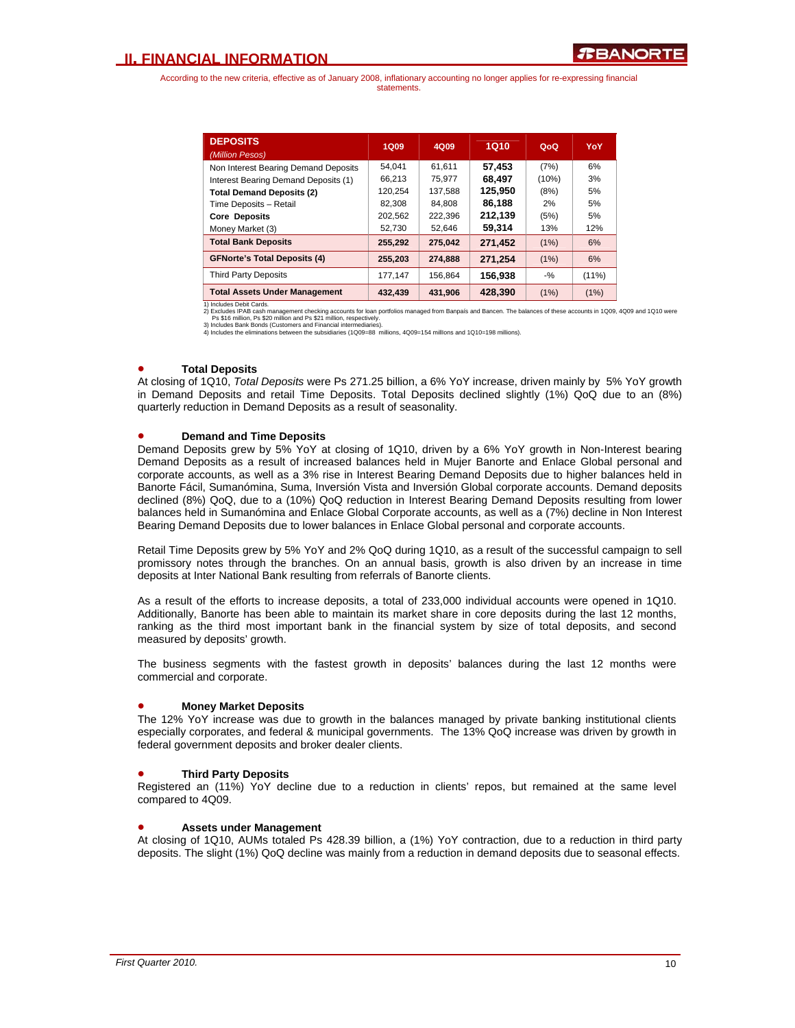| <b>DEPOSITS</b><br>(Million Pesos)   | 1Q09    | 4Q09    | 1Q10    | QoQ   | YoY      |
|--------------------------------------|---------|---------|---------|-------|----------|
| Non Interest Bearing Demand Deposits | 54.041  | 61.611  | 57.453  | (7%)  | 6%       |
| Interest Bearing Demand Deposits (1) | 66,213  | 75.977  | 68.497  | (10%) | 3%       |
| <b>Total Demand Deposits (2)</b>     | 120.254 | 137.588 | 125.950 | (8%)  | 5%       |
| Time Deposits - Retail               | 82,308  | 84.808  | 86.188  | 2%    | 5%       |
| <b>Core Deposits</b>                 | 202.562 | 222.396 | 212.139 | (5%)  | 5%       |
| Money Market (3)                     | 52,730  | 52,646  | 59,314  | 13%   | 12%      |
| <b>Total Bank Deposits</b>           | 255,292 | 275.042 | 271.452 | (1%)  | 6%       |
| <b>GFNorte's Total Deposits (4)</b>  | 255,203 | 274,888 | 271.254 | (1%)  | 6%       |
| <b>Third Party Deposits</b>          | 177,147 | 156.864 | 156,938 | $-$ % | $(11\%)$ |
| <b>Total Assets Under Management</b> | 432.439 | 431.906 | 428.390 | (1%)  | (1%)     |

1) Includes Debit Cards.<br>2) Excludes IPAB cash management checking accounts for loan portfolios managed from Banpaís and Bancen. The balances of these accounts in 1Q09, 4Q09 and 1Q10 were<br>Ps \$16 million, Ps \$20 million and

### • **Total Deposits**

At closing of 1Q10, *Total Deposits* were Ps 271.25 billion, a 6% YoY increase, driven mainly by 5% YoY growth in Demand Deposits and retail Time Deposits. Total Deposits declined slightly (1%) QoQ due to an (8%) quarterly reduction in Demand Deposits as a result of seasonality.

### • **Demand and Time Deposits**

Demand Deposits grew by 5% YoY at closing of 1Q10, driven by a 6% YoY growth in Non-Interest bearing Demand Deposits as a result of increased balances held in Mujer Banorte and Enlace Global personal and corporate accounts, as well as a 3% rise in Interest Bearing Demand Deposits due to higher balances held in Banorte Fácil, Sumanómina, Suma, Inversión Vista and Inversión Global corporate accounts. Demand deposits declined (8%) QoQ, due to a (10%) QoQ reduction in Interest Bearing Demand Deposits resulting from lower balances held in Sumanómina and Enlace Global Corporate accounts, as well as a (7%) decline in Non Interest Bearing Demand Deposits due to lower balances in Enlace Global personal and corporate accounts.

Retail Time Deposits grew by 5% YoY and 2% QoQ during 1Q10, as a result of the successful campaign to sell promissory notes through the branches. On an annual basis, growth is also driven by an increase in time deposits at Inter National Bank resulting from referrals of Banorte clients.

As a result of the efforts to increase deposits, a total of 233,000 individual accounts were opened in 1Q10. Additionally, Banorte has been able to maintain its market share in core deposits during the last 12 months, ranking as the third most important bank in the financial system by size of total deposits, and second measured by deposits' growth.

The business segments with the fastest growth in deposits' balances during the last 12 months were commercial and corporate.

### • **Money Market Deposits**

The 12% YoY increase was due to growth in the balances managed by private banking institutional clients especially corporates, and federal & municipal governments. The 13% QoQ increase was driven by growth in federal government deposits and broker dealer clients.

### • **Third Party Deposits**

Registered an (11%) YoY decline due to a reduction in clients' repos, but remained at the same level compared to 4Q09.

### • **Assets under Management**

At closing of 1Q10, AUMs totaled Ps 428.39 billion, a (1%) YoY contraction, due to a reduction in third party deposits. The slight (1%) QoQ decline was mainly from a reduction in demand deposits due to seasonal effects.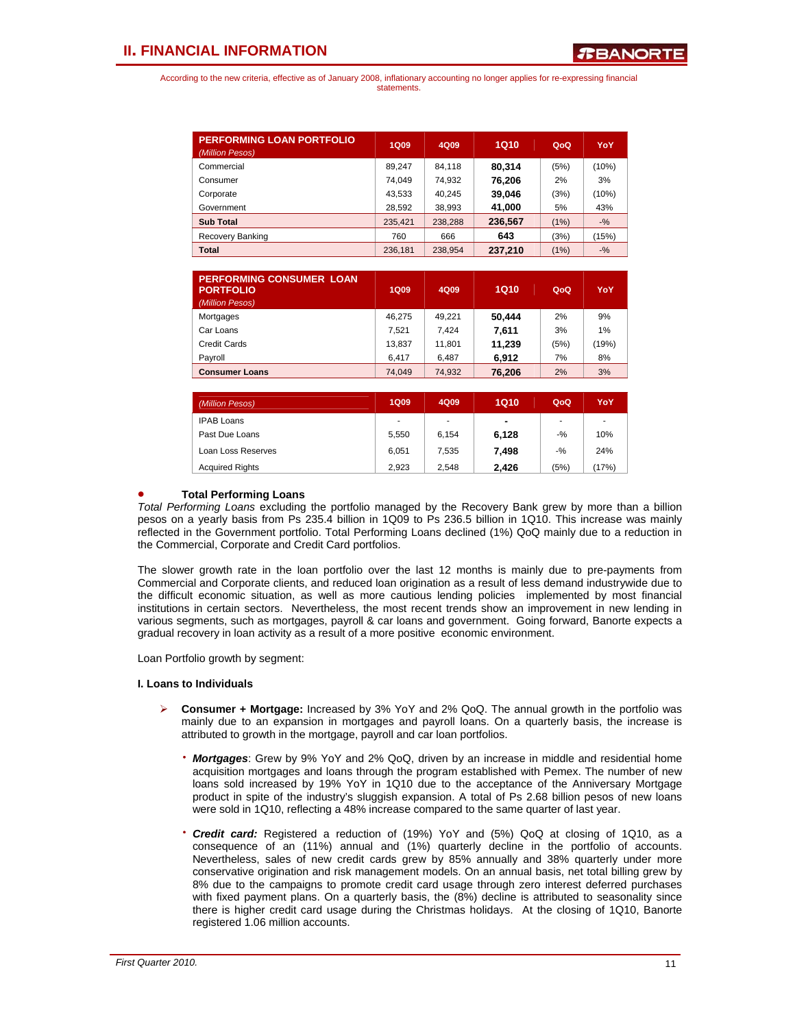| <b>PERFORMING LOAN PORTFOLIO</b><br>(Million Pesos) | <b>1Q09</b> | 4Q09    | <b>1Q10</b> | QoQ  | YoY    |
|-----------------------------------------------------|-------------|---------|-------------|------|--------|
| Commercial                                          | 89.247      | 84.118  | 80.314      | (5%) | (10%)  |
| Consumer                                            | 74.049      | 74.932  | 76,206      | 2%   | 3%     |
| Corporate                                           | 43,533      | 40.245  | 39.046      | (3%) | (10%)  |
| Government                                          | 28,592      | 38,993  | 41,000      | 5%   | 43%    |
| <b>Sub Total</b>                                    | 235.421     | 238.288 | 236,567     | (1%) | $-9/6$ |
| Recovery Banking                                    | 760         | 666     | 643         | (3%) | (15%)  |
| Total                                               | 236.181     | 238.954 | 237.210     | (1%) | $-9/6$ |

| <b>PERFORMING CONSUMER LOAN</b><br><b>PORTFOLIO</b><br>(Million Pesos) | <b>1Q09</b> | 4Q09   | 1Q10   | QoQ  | YoY   |
|------------------------------------------------------------------------|-------------|--------|--------|------|-------|
| Mortgages                                                              | 46.275      | 49.221 | 50.444 | 2%   | 9%    |
| Car Loans                                                              | 7.521       | 7.424  | 7.611  | 3%   | 1%    |
| Credit Cards                                                           | 13,837      | 11,801 | 11,239 | (5%) | (19%) |
| Payroll                                                                | 6.417       | 6.487  | 6.912  | 7%   | 8%    |
| <b>Consumer Loans</b>                                                  | 74,049      | 74,932 | 76,206 | 2%   | 3%    |
|                                                                        |             |        |        |      |       |

| (Million Pesos)        | <b>1Q09</b>              | 4Q09  | <b>1Q10</b> | QoQ    | YoY   |
|------------------------|--------------------------|-------|-------------|--------|-------|
| <b>IPAB Loans</b>      | $\overline{\phantom{a}}$ | ٠     | ۰           | ٠      | ۰.    |
| Past Due Loans         | 5.550                    | 6.154 | 6,128       | $-$ %  | 10%   |
| Loan Loss Reserves     | 6.051                    | 7.535 | 7.498       | $-9/6$ | 24%   |
| <b>Acquired Rights</b> | 2.923                    | 2.548 | 2.426       | (5%)   | (17%) |

### • **Total Performing Loans**

*Total Performing Loans* excluding the portfolio managed by the Recovery Bank grew by more than a billion pesos on a yearly basis from Ps 235.4 billion in 1Q09 to Ps 236.5 billion in 1Q10. This increase was mainly reflected in the Government portfolio. Total Performing Loans declined (1%) QoQ mainly due to a reduction in the Commercial, Corporate and Credit Card portfolios.

The slower growth rate in the loan portfolio over the last 12 months is mainly due to pre-payments from Commercial and Corporate clients, and reduced loan origination as a result of less demand industrywide due to the difficult economic situation, as well as more cautious lending policies implemented by most financial institutions in certain sectors. Nevertheless, the most recent trends show an improvement in new lending in various segments, such as mortgages, payroll & car loans and government. Going forward, Banorte expects a gradual recovery in loan activity as a result of a more positive economic environment.

Loan Portfolio growth by segment:

### **I. Loans to Individuals**

- ¾ **Consumer + Mortgage:** Increased by 3% YoY and 2% QoQ. The annual growth in the portfolio was mainly due to an expansion in mortgages and payroll loans. On a quarterly basis, the increase is attributed to growth in the mortgage, payroll and car loan portfolios.
	- ⋅ *Mortgages*: Grew by 9% YoY and 2% QoQ, driven by an increase in middle and residential home acquisition mortgages and loans through the program established with Pemex. The number of new loans sold increased by 19% YoY in 1Q10 due to the acceptance of the Anniversary Mortgage product in spite of the industry's sluggish expansion. A total of Ps 2.68 billion pesos of new loans were sold in 1Q10, reflecting a 48% increase compared to the same quarter of last year.
	- **Credit card:** Registered a reduction of (19%) YoY and (5%) QoQ at closing of 1Q10, as a consequence of an (11%) annual and (1%) quarterly decline in the portfolio of accounts. Nevertheless, sales of new credit cards grew by 85% annually and 38% quarterly under more conservative origination and risk management models. On an annual basis, net total billing grew by 8% due to the campaigns to promote credit card usage through zero interest deferred purchases with fixed payment plans. On a quarterly basis, the (8%) decline is attributed to seasonality since there is higher credit card usage during the Christmas holidays. At the closing of 1Q10, Banorte registered 1.06 million accounts.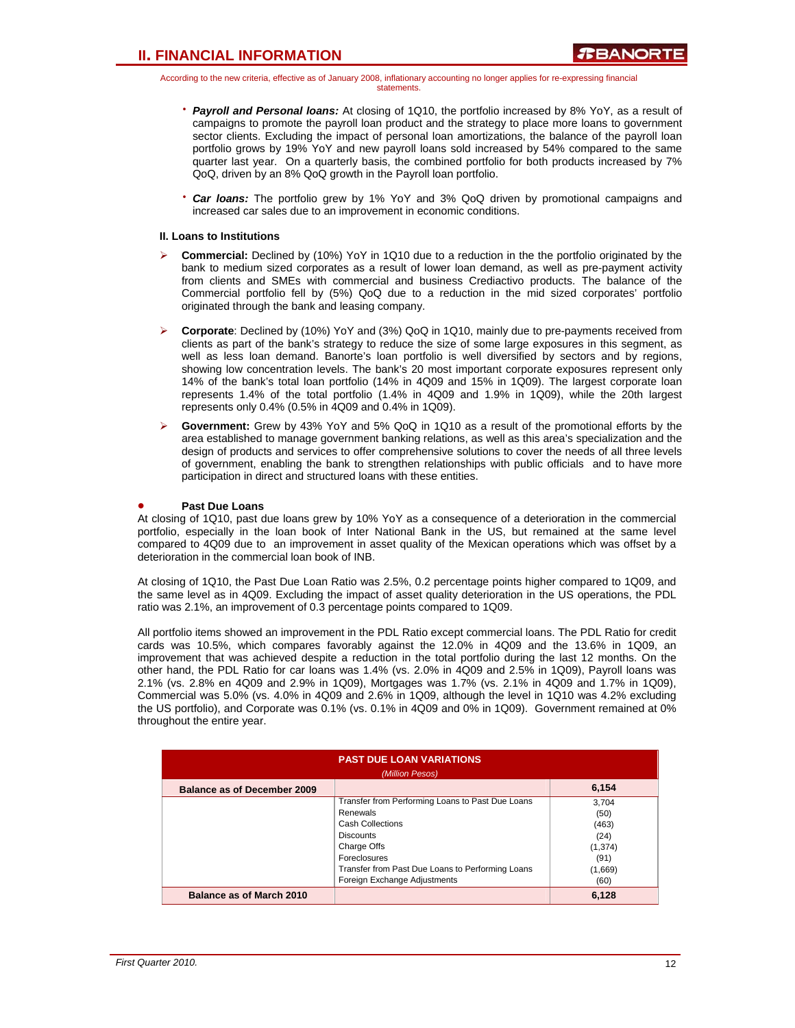- ⋅ *Payroll and Personal loans:* At closing of 1Q10, the portfolio increased by 8% YoY, as a result of campaigns to promote the payroll loan product and the strategy to place more loans to government sector clients. Excluding the impact of personal loan amortizations, the balance of the payroll loan portfolio grows by 19% YoY and new payroll loans sold increased by 54% compared to the same quarter last year. On a quarterly basis, the combined portfolio for both products increased by 7% QoQ, driven by an 8% QoQ growth in the Payroll loan portfolio.
- **Car loans:** The portfolio grew by 1% YoY and 3% QoQ driven by promotional campaigns and increased car sales due to an improvement in economic conditions.

### **II. Loans to Institutions**

- ¾ **Commercial:** Declined by (10%) YoY in 1Q10 due to a reduction in the the portfolio originated by the bank to medium sized corporates as a result of lower loan demand, as well as pre-payment activity from clients and SMEs with commercial and business Crediactivo products. The balance of the Commercial portfolio fell by (5%) QoQ due to a reduction in the mid sized corporates' portfolio originated through the bank and leasing company.
- ¾ **Corporate**: Declined by (10%) YoY and (3%) QoQ in 1Q10, mainly due to pre-payments received from clients as part of the bank's strategy to reduce the size of some large exposures in this segment, as well as less loan demand. Banorte's loan portfolio is well diversified by sectors and by regions, showing low concentration levels. The bank's 20 most important corporate exposures represent only 14% of the bank's total loan portfolio (14% in 4Q09 and 15% in 1Q09). The largest corporate loan represents 1.4% of the total portfolio (1.4% in 4Q09 and 1.9% in 1Q09), while the 20th largest represents only 0.4% (0.5% in 4Q09 and 0.4% in 1Q09).
- ¾ **Government:** Grew by 43% YoY and 5% QoQ in 1Q10 as a result of the promotional efforts by the area established to manage government banking relations, as well as this area's specialization and the design of products and services to offer comprehensive solutions to cover the needs of all three levels of government, enabling the bank to strengthen relationships with public officials and to have more participation in direct and structured loans with these entities.

### • **Past Due Loans**

At closing of 1Q10, past due loans grew by 10% YoY as a consequence of a deterioration in the commercial portfolio, especially in the loan book of Inter National Bank in the US, but remained at the same level compared to 4Q09 due to an improvement in asset quality of the Mexican operations which was offset by a deterioration in the commercial loan book of INB.

At closing of 1Q10, the Past Due Loan Ratio was 2.5%, 0.2 percentage points higher compared to 1Q09, and the same level as in 4Q09. Excluding the impact of asset quality deterioration in the US operations, the PDL ratio was 2.1%, an improvement of 0.3 percentage points compared to 1Q09.

All portfolio items showed an improvement in the PDL Ratio except commercial loans. The PDL Ratio for credit cards was 10.5%, which compares favorably against the 12.0% in 4Q09 and the 13.6% in 1Q09, an improvement that was achieved despite a reduction in the total portfolio during the last 12 months. On the other hand, the PDL Ratio for car loans was 1.4% (vs. 2.0% in 4Q09 and 2.5% in 1Q09), Payroll loans was 2.1% (vs. 2.8% en 4Q09 and 2.9% in 1Q09), Mortgages was 1.7% (vs. 2.1% in 4Q09 and 1.7% in 1Q09), Commercial was 5.0% (vs. 4.0% in 4Q09 and 2.6% in 1Q09, although the level in 1Q10 was 4.2% excluding the US portfolio), and Corporate was 0.1% (vs. 0.1% in 4Q09 and 0% in 1Q09). Government remained at 0% throughout the entire year.

| <b>PAST DUE LOAN VARIATIONS</b><br>(Million Pesos) |                                                  |          |  |  |  |
|----------------------------------------------------|--------------------------------------------------|----------|--|--|--|
| <b>Balance as of December 2009</b>                 |                                                  | 6,154    |  |  |  |
|                                                    | Transfer from Performing Loans to Past Due Loans | 3.704    |  |  |  |
|                                                    | Renewals                                         | (50)     |  |  |  |
|                                                    | <b>Cash Collections</b>                          | (463)    |  |  |  |
|                                                    | <b>Discounts</b>                                 | (24)     |  |  |  |
|                                                    | Charge Offs                                      | (1, 374) |  |  |  |
|                                                    | Foreclosures                                     | (91)     |  |  |  |
|                                                    | Transfer from Past Due Loans to Performing Loans | (1,669)  |  |  |  |
|                                                    | Foreign Exchange Adjustments                     | (60)     |  |  |  |
| Balance as of March 2010                           |                                                  | 6,128    |  |  |  |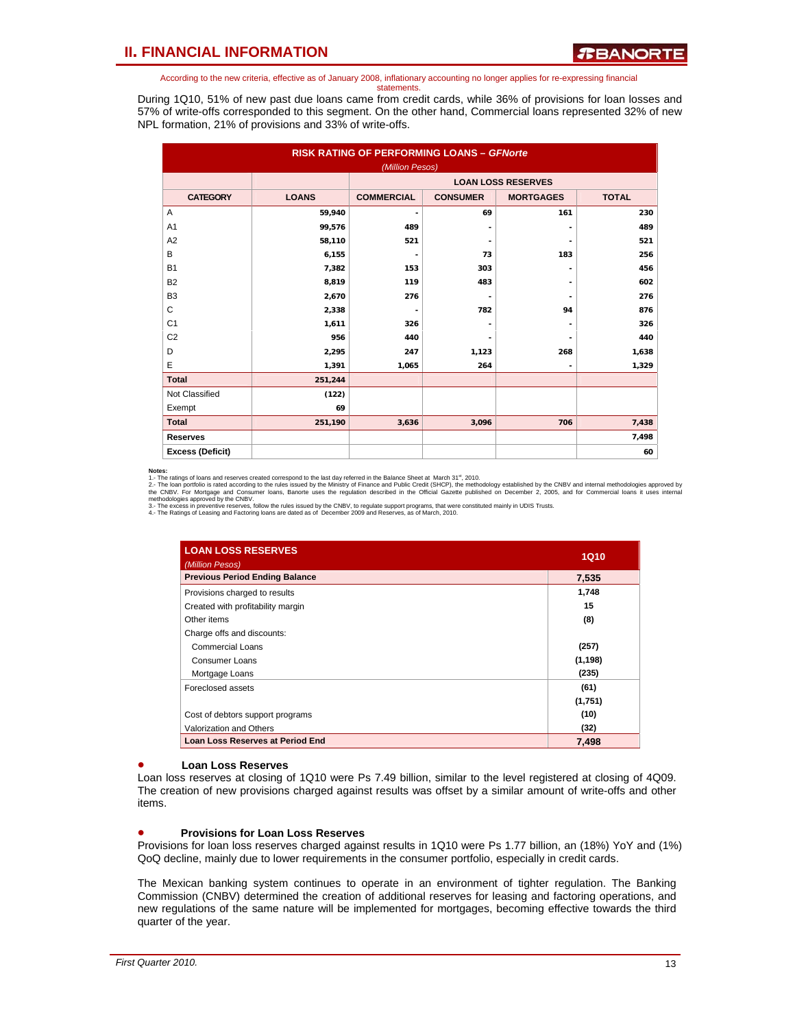During 1Q10, 51% of new past due loans came from credit cards, while 36% of provisions for loan losses and 57% of write-offs corresponded to this segment. On the other hand, Commercial loans represented 32% of new NPL formation, 21% of provisions and 33% of write-offs.

| <b>RISK RATING OF PERFORMING LOANS - GFNorte</b> |              |                          |                          |                           |              |  |  |  |
|--------------------------------------------------|--------------|--------------------------|--------------------------|---------------------------|--------------|--|--|--|
|                                                  |              | (Million Pesos)          |                          |                           |              |  |  |  |
|                                                  |              |                          |                          | <b>LOAN LOSS RESERVES</b> |              |  |  |  |
| <b>CATEGORY</b>                                  | <b>LOANS</b> | <b>COMMERCIAL</b>        | <b>CONSUMER</b>          | <b>MORTGAGES</b>          | <b>TOTAL</b> |  |  |  |
| Α                                                | 59,940       |                          | 69                       | 161                       | 230          |  |  |  |
| A <sub>1</sub>                                   | 99,576       | 489                      |                          |                           | 489          |  |  |  |
| A <sub>2</sub>                                   | 58,110       | 521                      |                          |                           | 521          |  |  |  |
| B                                                | 6,155        | $\overline{\phantom{a}}$ | 73                       | 183                       | 256          |  |  |  |
| <b>B1</b>                                        | 7,382        | 153                      | 303                      |                           | 456          |  |  |  |
| B <sub>2</sub>                                   | 8,819        | 119                      | 483                      |                           | 602          |  |  |  |
| B <sub>3</sub>                                   | 2,670        | 276                      | $\overline{\phantom{a}}$ |                           | 276          |  |  |  |
| C                                                | 2,338        |                          | 782                      | 94                        | 876          |  |  |  |
| C <sub>1</sub>                                   | 1,611        | 326                      |                          |                           | 326          |  |  |  |
| C <sub>2</sub>                                   | 956          | 440                      |                          |                           | 440          |  |  |  |
| D                                                | 2,295        | 247                      | 1,123                    | 268                       | 1,638        |  |  |  |
| Е                                                | 1,391        | 1,065                    | 264                      |                           | 1,329        |  |  |  |
| <b>Total</b>                                     | 251,244      |                          |                          |                           |              |  |  |  |
| Not Classified                                   | (122)        |                          |                          |                           |              |  |  |  |
| Exempt                                           | 69           |                          |                          |                           |              |  |  |  |
| <b>Total</b>                                     | 251,190      | 3,636                    | 3,096                    | 706                       | 7,438        |  |  |  |
| <b>Reserves</b>                                  |              |                          |                          |                           | 7,498        |  |  |  |
| <b>Excess (Deficit)</b>                          |              |                          |                          |                           | 60           |  |  |  |

**Notes:**<br>1.- The ratings of loans and reserves created correspond to the last day referred in the Balance Sheet at March 31<sup>\*</sup>, 2010.<br>2.- The ratings of loans and reserves created correspond to the last day referred in the

| <b>LOAN LOSS RESERVES</b><br>(Million Pesos) | <b>1Q10</b> |
|----------------------------------------------|-------------|
| <b>Previous Period Ending Balance</b>        | 7,535       |
| Provisions charged to results                | 1,748       |
| Created with profitability margin            | 15          |
| Other items                                  | (8)         |
| Charge offs and discounts:                   |             |
| Commercial Loans                             | (257)       |
| Consumer Loans                               | (1, 198)    |
| Mortgage Loans                               | (235)       |
| Foreclosed assets                            | (61)        |
|                                              | (1,751)     |
| Cost of debtors support programs             | (10)        |
| Valorization and Others                      | (32)        |
| <b>Loan Loss Reserves at Period End</b>      | 7,498       |

#### • **Loan Loss Reserves**

Loan loss reserves at closing of 1Q10 were Ps 7.49 billion, similar to the level registered at closing of 4Q09. The creation of new provisions charged against results was offset by a similar amount of write-offs and other items.

#### • **Provisions for Loan Loss Reserves**

Provisions for loan loss reserves charged against results in 1Q10 were Ps 1.77 billion, an (18%) YoY and (1%) QoQ decline, mainly due to lower requirements in the consumer portfolio, especially in credit cards.

The Mexican banking system continues to operate in an environment of tighter regulation. The Banking Commission (CNBV) determined the creation of additional reserves for leasing and factoring operations, and new regulations of the same nature will be implemented for mortgages, becoming effective towards the third quarter of the year.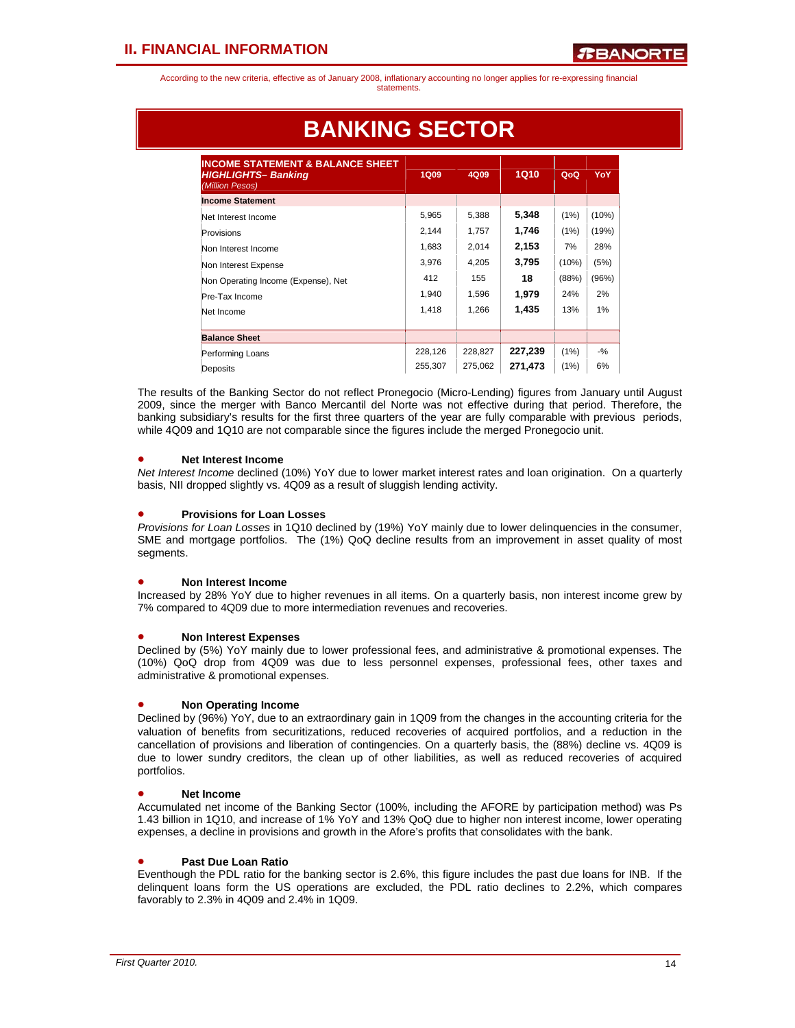| INCOME STATEMENT & BALANCE SHEET<br><b>HIGHLIGHTS-Banking</b><br>(Million Pesos) | <b>1Q09</b> | 4Q09    | 1Q10    | QoQ   | <b>YoY</b> |
|----------------------------------------------------------------------------------|-------------|---------|---------|-------|------------|
| <b>Income Statement</b>                                                          |             |         |         |       |            |
| Net Interest Income                                                              | 5,965       | 5,388   | 5,348   | (1%)  | (10%)      |
| Provisions                                                                       | 2.144       | 1.757   | 1,746   | (1%)  | (19%)      |
| Non Interest Income                                                              | 1,683       | 2,014   | 2,153   | 7%    | 28%        |
| Non Interest Expense                                                             | 3,976       | 4,205   | 3,795   | (10%) | (5%)       |
| Non Operating Income (Expense), Net                                              | 412         | 155     | 18      | (88%) | (96%)      |
| Pre-Tax Income                                                                   | 1,940       | 1,596   | 1,979   | 24%   | 2%         |
| Net Income                                                                       | 1,418       | 1,266   | 1,435   | 13%   | 1%         |
| <b>Balance Sheet</b>                                                             |             |         |         |       |            |
| Performing Loans                                                                 | 228,126     | 228,827 | 227,239 | (1%)  | $-9/2$     |
| Deposits                                                                         | 255,307     | 275,062 | 271,473 | (1%)  | 6%         |

## **BANKING SECTOR**

The results of the Banking Sector do not reflect Pronegocio (Micro-Lending) figures from January until August 2009, since the merger with Banco Mercantil del Norte was not effective during that period. Therefore, the banking subsidiary's results for the first three quarters of the year are fully comparable with previous periods, while 4Q09 and 1Q10 are not comparable since the figures include the merged Pronegocio unit.

### • **Net Interest Income**

*Net Interest Income* declined (10%) YoY due to lower market interest rates and loan origination. On a quarterly basis, NII dropped slightly vs. 4Q09 as a result of sluggish lending activity.

### • **Provisions for Loan Losses**

*Provisions for Loan Losses* in 1Q10 declined by (19%) YoY mainly due to lower delinquencies in the consumer, SME and mortgage portfolios. The (1%) QoQ decline results from an improvement in asset quality of most segments.

### • **Non Interest Income**

Increased by 28% YoY due to higher revenues in all items. On a quarterly basis, non interest income grew by 7% compared to 4Q09 due to more intermediation revenues and recoveries.

### • **Non Interest Expenses**

Declined by (5%) YoY mainly due to lower professional fees, and administrative & promotional expenses. The (10%) QoQ drop from 4Q09 was due to less personnel expenses, professional fees, other taxes and administrative & promotional expenses.

### • **Non Operating Income**

Declined by (96%) YoY, due to an extraordinary gain in 1Q09 from the changes in the accounting criteria for the valuation of benefits from securitizations, reduced recoveries of acquired portfolios, and a reduction in the cancellation of provisions and liberation of contingencies. On a quarterly basis, the (88%) decline vs. 4Q09 is due to lower sundry creditors, the clean up of other liabilities, as well as reduced recoveries of acquired portfolios.

### • **Net Income**

Accumulated net income of the Banking Sector (100%, including the AFORE by participation method) was Ps 1.43 billion in 1Q10, and increase of 1% YoY and 13% QoQ due to higher non interest income, lower operating expenses, a decline in provisions and growth in the Afore's profits that consolidates with the bank.

### • **Past Due Loan Ratio**

Eventhough the PDL ratio for the banking sector is 2.6%, this figure includes the past due loans for INB. If the delinquent loans form the US operations are excluded, the PDL ratio declines to 2.2%, which compares favorably to 2.3% in 4Q09 and 2.4% in 1Q09.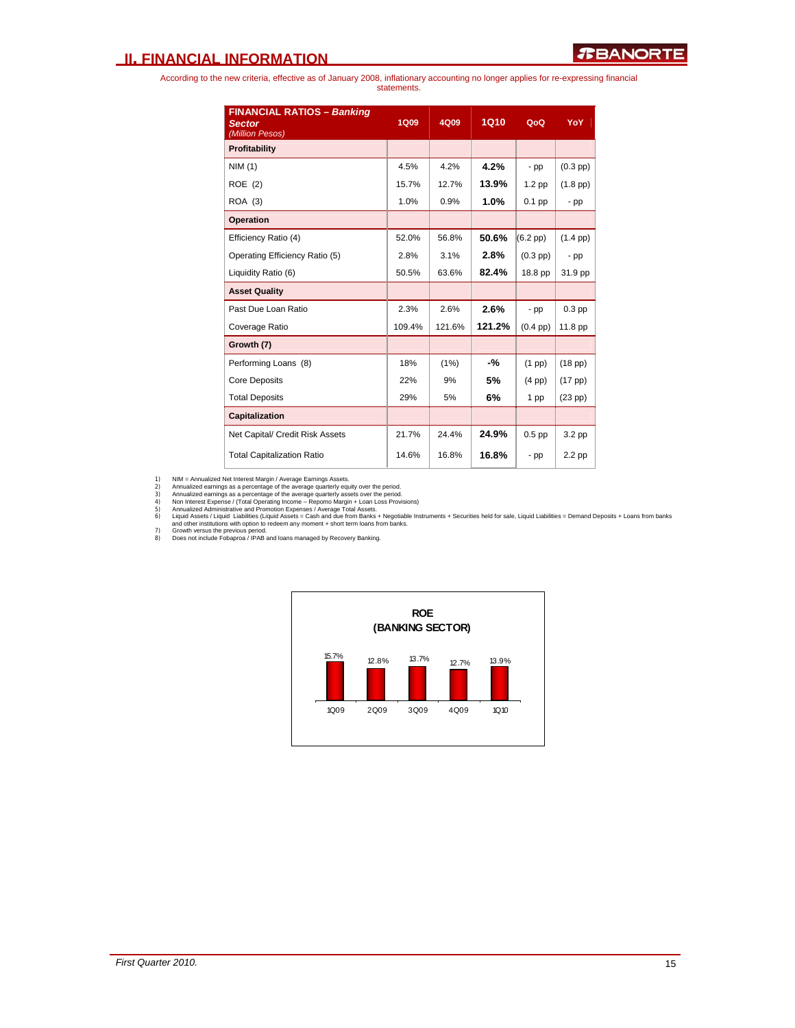### **II. FINANCIAL INFORMATION**

According to the new criteria, effective as of January 2008, inflationary accounting no longer applies for re-expressing financial statements.

| <b>FINANCIAL RATIOS - Banking</b><br><b>Sector</b> | <b>1Q09</b> | 4Q09   | <b>1Q10</b> | QoQ                | YoY               |
|----------------------------------------------------|-------------|--------|-------------|--------------------|-------------------|
| (Million Pesos)                                    |             |        |             |                    |                   |
| <b>Profitability</b>                               |             |        |             |                    |                   |
| NIM(1)                                             | 4.5%        | 4.2%   | 4.2%        | $-pp$              | $(0.3$ pp $)$     |
| ROE (2)                                            | 15.7%       | 12.7%  | 13.9%       | 1.2 <sub>pp</sub>  | $(1.8$ pp)        |
| <b>ROA</b> (3)                                     | 1.0%        | 0.9%   | 1.0%        | $0.1$ pp           | - pp              |
| <b>Operation</b>                                   |             |        |             |                    |                   |
| Efficiency Ratio (4)                               | 52.0%       | 56.8%  | 50.6%       | $(6.2 \text{ pp})$ | $(1.4~\text{pp})$ |
| Operating Efficiency Ratio (5)                     | 2.8%        | 3.1%   | 2.8%        | $(0.3$ pp $)$      | $-pp$             |
| Liquidity Ratio (6)                                | 50.5%       | 63.6%  | 82.4%       | 18.8 pp            | 31.9 pp           |
| <b>Asset Quality</b>                               |             |        |             |                    |                   |
| Past Due Loan Ratio                                | 2.3%        | 2.6%   | 2.6%        | - pp               | $0.3$ pp          |
| Coverage Ratio                                     | 109.4%      | 121.6% | 121.2%      | $(0.4$ pp $)$      | 11.8 pp           |
| Growth (7)                                         |             |        |             |                    |                   |
| Performing Loans (8)                               | 18%         | (1%)   | -%          | $(1$ pp $)$        | $(18$ pp $)$      |
| <b>Core Deposits</b>                               | 22%         | 9%     | 5%          | $(4 \text{ pp})$   | $(17$ pp $)$      |
| <b>Total Deposits</b>                              | 29%         | 5%     | 6%          | 1 pp               | $(23$ pp $)$      |
| Capitalization                                     |             |        |             |                    |                   |
| Net Capital/ Credit Risk Assets                    | 21.7%       | 24.4%  | 24.9%       | $0.5$ pp           | 3.2 <sub>pp</sub> |
| <b>Total Capitalization Ratio</b>                  | 14.6%       | 16.8%  | 16.8%       | - pp               | 2.2 pp            |

1) NIM = Annualized aernings as a percentage of the average quarterly equity over the period.<br>2) Annualized earnings as a percentage of the average quarterly equity over the period.<br>3) Annualized earnings as a percentage o



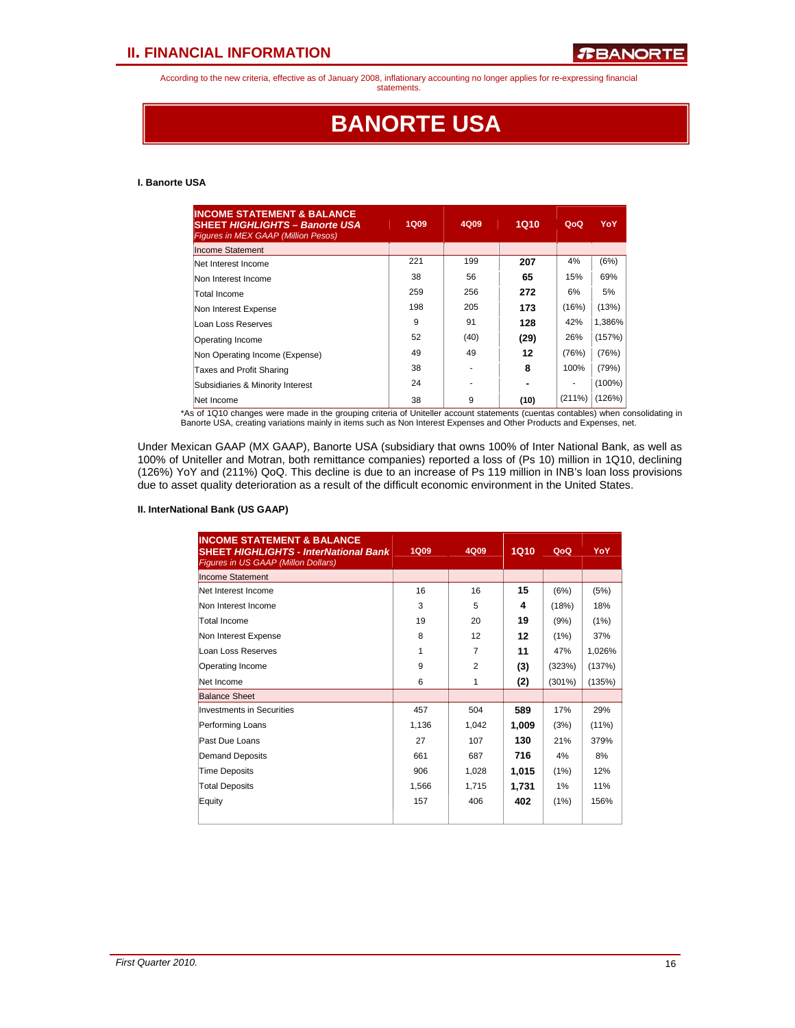### **II. FINANCIAL INFORMATION**

According to the new criteria, effective as of January 2008, inflationary accounting no longer applies for re-expressing financial

statements.

## **BANORTE USA**

### **I. Banorte USA**

| <b>INCOME STATEMENT &amp; BALANCE</b><br><b>SHEET HIGHLIGHTS - Banorte USA</b><br><b>Figures in MEX GAAP (Million Pesos)</b> | <b>1Q09</b> | 4Q09 | <b>1Q10</b> | QoQ    | <b>YoY</b> |
|------------------------------------------------------------------------------------------------------------------------------|-------------|------|-------------|--------|------------|
| <b>Income Statement</b>                                                                                                      |             |      |             |        |            |
| Net Interest Income                                                                                                          | 221         | 199  | 207         | 4%     | (6%)       |
| Non Interest Income                                                                                                          | 38          | 56   | 65          | 15%    | 69%        |
| Total Income                                                                                                                 | 259         | 256  | 272         | 6%     | 5%         |
| Non Interest Expense                                                                                                         | 198         | 205  | 173         | (16%)  | (13%)      |
| Loan Loss Reserves                                                                                                           | 9           | 91   | 128         | 42%    | 1,386%     |
| Operating Income                                                                                                             | 52          | (40) | (29)        | 26%    | (157%)     |
| Non Operating Income (Expense)                                                                                               | 49          | 49   | 12          | (76%)  | (76%)      |
| Taxes and Profit Sharing                                                                                                     | 38          |      | 8           | 100%   | (79%)      |
| Subsidiaries & Minority Interest                                                                                             | 24          |      |             | ۰      | $(100\%)$  |
| Net Income                                                                                                                   | 38          | 9    | (10)        | (211%) | (126%)     |

\*As of 1Q10 changes were made in the grouping criteria of Uniteller account statements (cuentas contables) when consolidating in<br>Banorte USA, creating variations mainly in items such as Non Interest Expenses and Other Prod

Under Mexican GAAP (MX GAAP), Banorte USA (subsidiary that owns 100% of Inter National Bank, as well as 100% of Uniteller and Motran, both remittance companies) reported a loss of (Ps 10) million in 1Q10, declining (126%) YoY and (211%) QoQ. This decline is due to an increase of Ps 119 million in INB's loan loss provisions due to asset quality deterioration as a result of the difficult economic environment in the United States.

#### **II. InterNational Bank (US GAAP)**

| <b>INCOME STATEMENT &amp; BALANCE</b><br><b>SHEET HIGHLIGHTS - InterNational Bank</b><br>Figures in US GAAP (Millon Dollars) | <b>1Q09</b> | 4Q09           | <b>1Q10</b> | QoQ       | YoY      |
|------------------------------------------------------------------------------------------------------------------------------|-------------|----------------|-------------|-----------|----------|
| <b>Income Statement</b>                                                                                                      |             |                |             |           |          |
| Net Interest Income                                                                                                          | 16          | 16             | 15          | (6%)      | (5%)     |
| Non Interest Income                                                                                                          | 3           | 5              | 4           | (18%)     | 18%      |
| Total Income                                                                                                                 | 19          | 20             | 19          | (9%)      | (1%)     |
| Non Interest Expense                                                                                                         | 8           | 12             | 12          | (1%)      | 37%      |
| Loan Loss Reserves                                                                                                           | 1           | 7              | 11          | 47%       | 1,026%   |
| Operating Income                                                                                                             | 9           | $\overline{2}$ | (3)         | (323%)    | (137%)   |
| Net Income                                                                                                                   | 6           | 1              | (2)         | $(301\%)$ | (135%)   |
| <b>Balance Sheet</b>                                                                                                         |             |                |             |           |          |
| <b>Investments in Securities</b>                                                                                             | 457         | 504            | 589         | 17%       | 29%      |
| Performing Loans                                                                                                             | 1,136       | 1,042          | 1,009       | (3%)      | $(11\%)$ |
| Past Due Loans                                                                                                               | 27          | 107            | 130         | 21%       | 379%     |
| <b>Demand Deposits</b>                                                                                                       | 661         | 687            | 716         | 4%        | 8%       |
| <b>Time Deposits</b>                                                                                                         | 906         | 1,028          | 1,015       | (1%)      | 12%      |
| <b>Total Deposits</b>                                                                                                        | 1,566       | 1,715          | 1,731       | 1%        | 11%      |
| Equity                                                                                                                       | 157         | 406            | 402         | (1%)      | 156%     |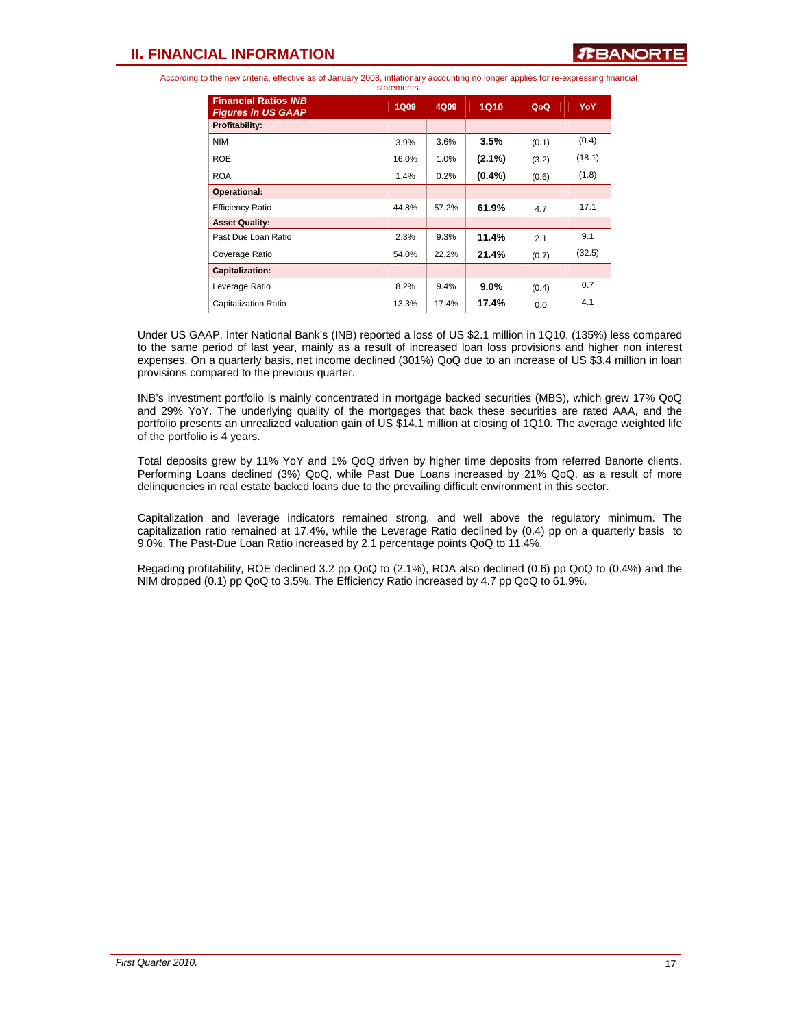| statements.                                              |             |       |           |       |        |  |
|----------------------------------------------------------|-------------|-------|-----------|-------|--------|--|
| <b>Financial Ratios INB</b><br><b>Figures in US GAAP</b> | <b>1Q09</b> | 4Q09  | 1Q10      | QoQ   | YoY    |  |
| Profitability:                                           |             |       |           |       |        |  |
| <b>NIM</b>                                               | 3.9%        | 3.6%  | 3.5%      | (0.1) | (0.4)  |  |
| <b>ROE</b>                                               | 16.0%       | 1.0%  | $(2.1\%)$ | (3.2) | (18.1) |  |
| <b>ROA</b>                                               | 1.4%        | 0.2%  | $(0.4\%)$ | (0.6) | (1.8)  |  |
| <b>Operational:</b>                                      |             |       |           |       |        |  |
| <b>Efficiency Ratio</b>                                  | 44.8%       | 57.2% | 61.9%     | 4.7   | 17.1   |  |
| <b>Asset Quality:</b>                                    |             |       |           |       |        |  |
| Past Due Loan Ratio                                      | 2.3%        | 9.3%  | 11.4%     | 2.1   | 9.1    |  |
| Coverage Ratio                                           | 54.0%       | 22.2% | 21.4%     | (0.7) | (32.5) |  |
| Capitalization:                                          |             |       |           |       |        |  |
| Leverage Ratio                                           | 8.2%        | 9.4%  | 9.0%      | (0.4) | 0.7    |  |
| <b>Capitalization Ratio</b>                              | 13.3%       | 17.4% | 17.4%     | 0.0   | 4.1    |  |

Under US GAAP, Inter National Bank's (INB) reported a loss of US \$2.1 million in 1Q10, (135%) less compared to the same period of last year, mainly as a result of increased loan loss provisions and higher non interest expenses. On a quarterly basis, net income declined (301%) QoQ due to an increase of US \$3.4 million in loan provisions compared to the previous quarter.

INB's investment portfolio is mainly concentrated in mortgage backed securities (MBS), which grew 17% QoQ and 29% YoY. The underlying quality of the mortgages that back these securities are rated AAA, and the portfolio presents an unrealized valuation gain of US \$14.1 million at closing of 1Q10. The average weighted life of the portfolio is 4 years.

Total deposits grew by 11% YoY and 1% QoQ driven by higher time deposits from referred Banorte clients. Performing Loans declined (3%) QoQ, while Past Due Loans increased by 21% QoQ, as a result of more delinquencies in real estate backed loans due to the prevailing difficult environment in this sector.

Capitalization and leverage indicators remained strong, and well above the regulatory minimum. The capitalization ratio remained at 17.4%, while the Leverage Ratio declined by (0.4) pp on a quarterly basis to 9.0%. The Past-Due Loan Ratio increased by 2.1 percentage points QoQ to 11.4%.

Regading profitability, ROE declined 3.2 pp QoQ to (2.1%), ROA also declined (0.6) pp QoQ to (0.4%) and the NIM dropped (0.1) pp QoQ to 3.5%. The Efficiency Ratio increased by 4.7 pp QoQ to 61.9%.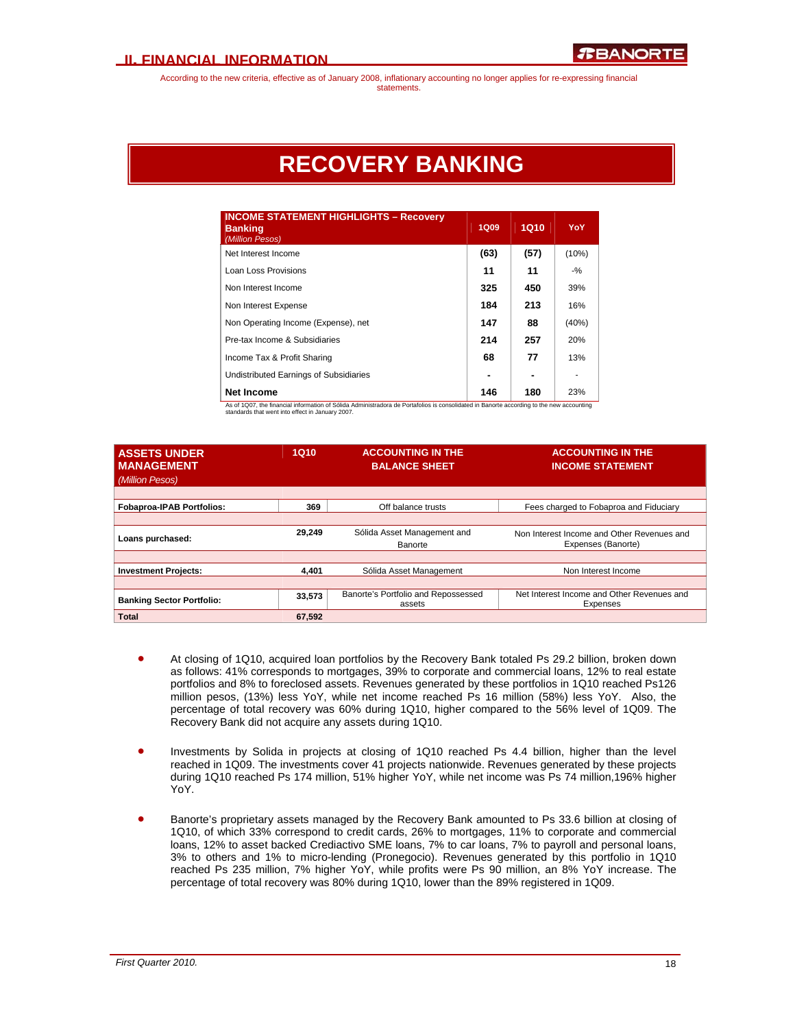## **RECOVERY BANKING**

| <b>INCOME STATEMENT HIGHLIGHTS - Recovery</b><br><b>Banking</b><br>(Million Pesos) | <b>1Q09</b> | <b>1Q10</b> | <b>YoY</b> |
|------------------------------------------------------------------------------------|-------------|-------------|------------|
| Net Interest Income                                                                | (63)        | (57)        | (10%)      |
| Loan Loss Provisions                                                               | 11          | 11          | $-$ %      |
| Non Interest Income                                                                | 325         | 450         | 39%        |
| Non Interest Expense                                                               | 184         | 213         | 16%        |
| Non Operating Income (Expense), net                                                | 147         | 88          | (40%)      |
| Pre-tax Income & Subsidiaries                                                      | 214         | 257         | 20%        |
| Income Tax & Profit Sharing                                                        | 68          | 77          | 13%        |
| Undistributed Earnings of Subsidiaries                                             |             |             |            |
| <b>Net Income</b>                                                                  | 146         | 180         | 23%        |

As of 1Q07, the financial information of Sólida Administradora de Portafolios is consolidated in Banorte according to the new accounting standards that went into effect in January 2007.

| <b>ASSETS UNDER</b><br><b>MANAGEMENT</b><br>(Million Pesos) | <b>1Q10</b> | <b>ACCOUNTING IN THE</b><br><b>BALANCE SHEET</b> | <b>ACCOUNTING IN THE</b><br><b>INCOME STATEMENT</b>              |
|-------------------------------------------------------------|-------------|--------------------------------------------------|------------------------------------------------------------------|
| <b>Fobaproa-IPAB Portfolios:</b>                            | 369         | Off balance trusts                               | Fees charged to Fobaproa and Fiduciary                           |
| Loans purchased:                                            | 29,249      | Sólida Asset Management and<br>Banorte           | Non Interest Income and Other Revenues and<br>Expenses (Banorte) |
|                                                             |             |                                                  |                                                                  |
| <b>Investment Projects:</b>                                 | 4.401       | Sólida Asset Management                          | Non Interest Income                                              |
|                                                             |             |                                                  |                                                                  |
| <b>Banking Sector Portfolio:</b>                            | 33,573      | Banorte's Portfolio and Repossessed<br>assets    | Net Interest Income and Other Revenues and<br>Expenses           |
| <b>Total</b>                                                | 67.592      |                                                  |                                                                  |

- At closing of 1Q10, acquired loan portfolios by the Recovery Bank totaled Ps 29.2 billion, broken down as follows: 41% corresponds to mortgages, 39% to corporate and commercial loans, 12% to real estate portfolios and 8% to foreclosed assets. Revenues generated by these portfolios in 1Q10 reached Ps126 million pesos, (13%) less YoY, while net income reached Ps 16 million (58%) less YoY. Also, the percentage of total recovery was 60% during 1Q10, higher compared to the 56% level of 1Q09. The Recovery Bank did not acquire any assets during 1Q10.
- Investments by Solida in projects at closing of 1Q10 reached Ps 4.4 billion, higher than the level reached in 1Q09. The investments cover 41 projects nationwide. Revenues generated by these projects during 1Q10 reached Ps 174 million, 51% higher YoY, while net income was Ps 74 million,196% higher YoY.
- Banorte's proprietary assets managed by the Recovery Bank amounted to Ps 33.6 billion at closing of 1Q10, of which 33% correspond to credit cards, 26% to mortgages, 11% to corporate and commercial loans, 12% to asset backed Crediactivo SME loans, 7% to car loans, 7% to payroll and personal loans, 3% to others and 1% to micro-lending (Pronegocio). Revenues generated by this portfolio in 1Q10 reached Ps 235 million, 7% higher YoY, while profits were Ps 90 million, an 8% YoY increase. The percentage of total recovery was 80% during 1Q10, lower than the 89% registered in 1Q09.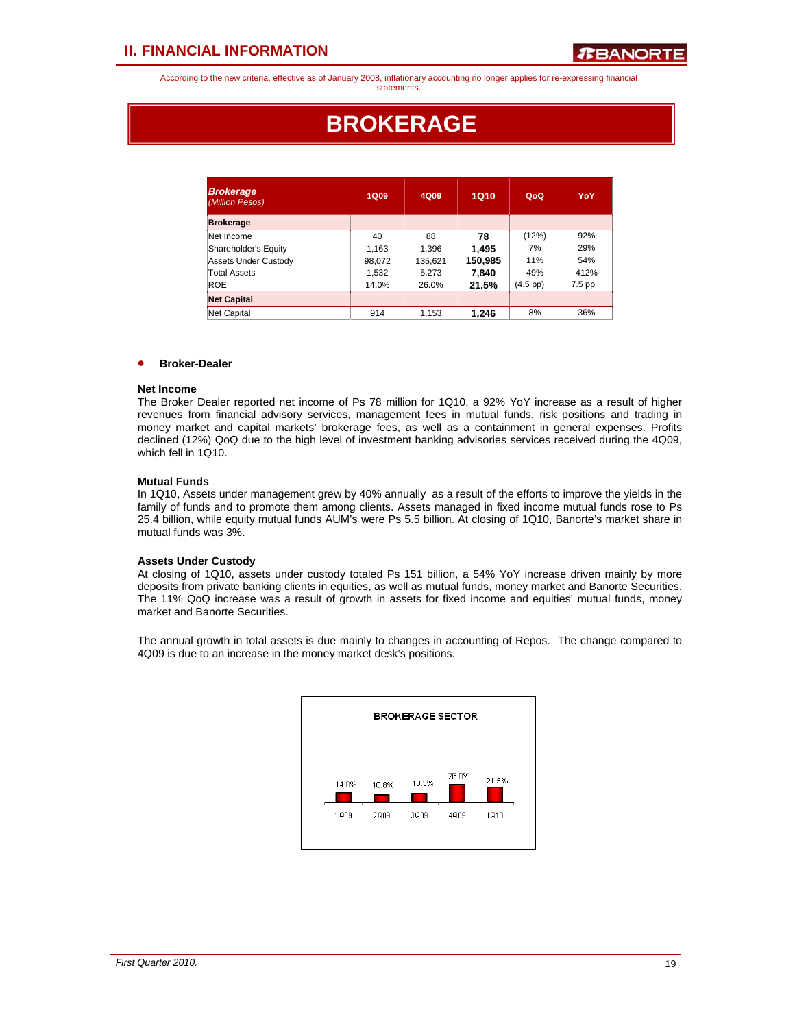## **BROKERAGE**

| <b>Brokerage</b><br>(Million Pesos) | <b>1Q09</b> | 1Q10<br>4Q09 |         | QoQ      | YoY    |
|-------------------------------------|-------------|--------------|---------|----------|--------|
| <b>Brokerage</b>                    |             |              |         |          |        |
| Net Income                          | 40          | 88           | 78      | (12%)    | 92%    |
| Shareholder's Equity                | 1.163       | 1.396        | 1.495   | 7%       | 29%    |
| Assets Under Custody                | 98,072      | 135,621      | 150,985 | 11%      | 54%    |
| <b>Total Assets</b>                 | 1,532       | 5,273        | 7,840   | 49%      | 412%   |
| <b>ROE</b>                          | 14.0%       | 26.0%        | 21.5%   | (4.5 pp) | 7.5 pp |
| <b>Net Capital</b>                  |             |              |         |          |        |
| Net Capital                         | 914         | 1,153        | 1,246   | 8%       | 36%    |

### • **Broker-Dealer**

### **Net Income**

The Broker Dealer reported net income of Ps 78 million for 1Q10, a 92% YoY increase as a result of higher revenues from financial advisory services, management fees in mutual funds, risk positions and trading in money market and capital markets' brokerage fees, as well as a containment in general expenses. Profits declined (12%) QoQ due to the high level of investment banking advisories services received during the 4Q09, which fell in 1Q10.

### **Mutual Funds**

In 1Q10, Assets under management grew by 40% annually as a result of the efforts to improve the yields in the family of funds and to promote them among clients. Assets managed in fixed income mutual funds rose to Ps 25.4 billion, while equity mutual funds AUM's were Ps 5.5 billion. At closing of 1Q10, Banorte's market share in mutual funds was 3%.

### **Assets Under Custody**

At closing of 1Q10, assets under custody totaled Ps 151 billion, a 54% YoY increase driven mainly by more deposits from private banking clients in equities, as well as mutual funds, money market and Banorte Securities. The 11% QoQ increase was a result of growth in assets for fixed income and equities' mutual funds, money market and Banorte Securities.

The annual growth in total assets is due mainly to changes in accounting of Repos. The change compared to 4Q09 is due to an increase in the money market desk's positions.

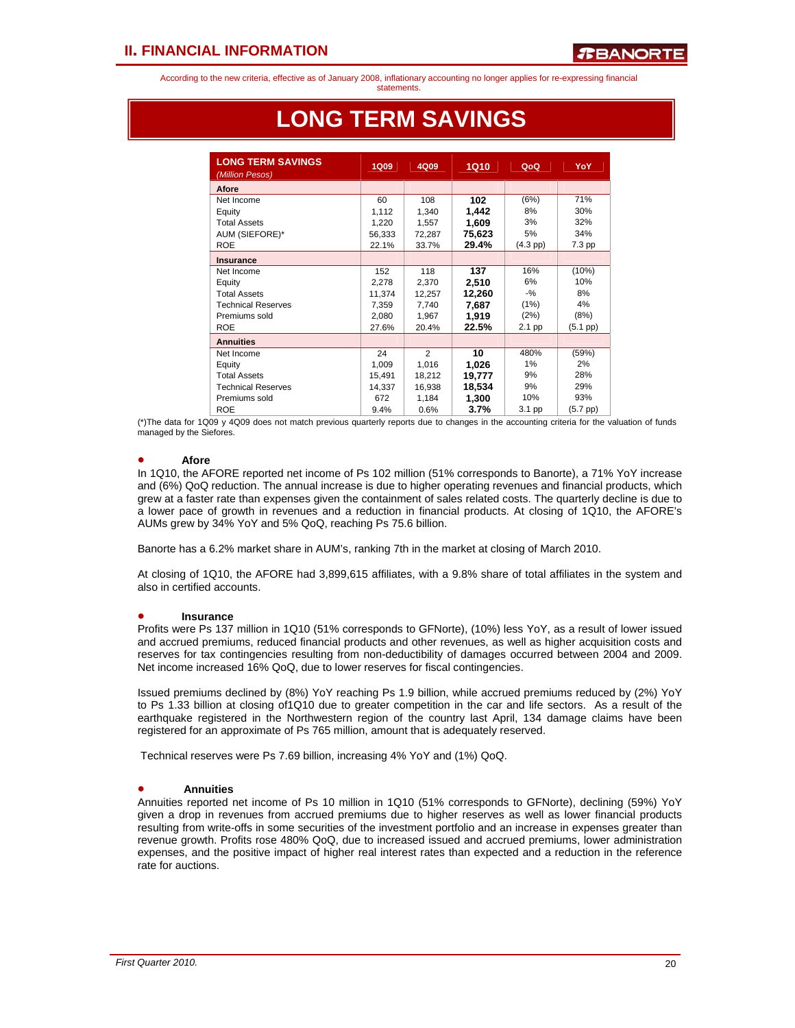statements.

| <b>LONG TERM SAVINGS</b><br>(Million Pesos) | <b>1Q09</b> | 4Q09           | <b>1Q10</b> | QoQ        | YoY           |
|---------------------------------------------|-------------|----------------|-------------|------------|---------------|
| Afore                                       |             |                |             |            |               |
| Net Income                                  | 60          | 108            | 102         | (6%)       | 71%           |
| Equity                                      | 1,112       | 1,340          | 1,442       | 8%         | 30%           |
| <b>Total Assets</b>                         | 1,220       | 1,557          | 1,609       | 3%         | 32%           |
| AUM (SIEFORE)*                              | 56,333      | 72,287         | 75,623      | 5%         | 34%           |
| <b>ROE</b>                                  | 22.1%       | 33.7%          | 29.4%       | $(4.3$ pp) | 7.3 pp        |
| Insurance                                   |             |                |             |            |               |
| Net Income                                  | 152         | 118            | 137         | 16%        | (10%)         |
| Equity                                      | 2,278       | 2,370          | 2,510       | 6%         | 10%           |
| <b>Total Assets</b>                         | 11.374      | 12,257         | 12,260      | $-9/6$     | 8%            |
| <b>Technical Reserves</b>                   | 7,359       | 7,740          | 7.687       | (1%)       | 4%            |
| Premiums sold                               | 2.080       | 1.967          | 1.919       | (2%)       | (8%)          |
| <b>ROE</b>                                  | 27.6%       | 20.4%          | 22.5%       | 2.1 pp     | (5.1~pp)      |
| <b>Annuities</b>                            |             |                |             |            |               |
| Net Income                                  | 24          | $\mathfrak{p}$ | 10          | 480%       | (59%)         |
| Equity                                      | 1,009       | 1,016          | 1,026       | 1%         | 2%            |
| <b>Total Assets</b>                         | 15,491      | 18,212         | 19,777      | 9%         | 28%           |
| <b>Technical Reserves</b>                   | 14,337      | 16,938         | 18,534      | 9%         | 29%           |
| Premiums sold                               | 672         | 1,184          | 1,300       | 10%        | 93%           |
| <b>ROE</b>                                  | 9.4%        | 0.6%           | 3.7%        | 3.1 pp     | $(5.7$ pp $)$ |

## **LONG TERM SAVINGS**

(\*)The data for 1Q09 y 4Q09 does not match previous quarterly reports due to changes in the accounting criteria for the valuation of funds managed by the Siefores.

### • **Afore**

l

In 1Q10, the AFORE reported net income of Ps 102 million (51% corresponds to Banorte), a 71% YoY increase and (6%) QoQ reduction. The annual increase is due to higher operating revenues and financial products, which grew at a faster rate than expenses given the containment of sales related costs. The quarterly decline is due to a lower pace of growth in revenues and a reduction in financial products. At closing of 1Q10, the AFORE's AUMs grew by 34% YoY and 5% QoQ, reaching Ps 75.6 billion.

Banorte has a 6.2% market share in AUM's, ranking 7th in the market at closing of March 2010.

At closing of 1Q10, the AFORE had 3,899,615 affiliates, with a 9.8% share of total affiliates in the system and also in certified accounts.

### • **Insurance**

Profits were Ps 137 million in 1Q10 (51% corresponds to GFNorte), (10%) less YoY, as a result of lower issued and accrued premiums, reduced financial products and other revenues, as well as higher acquisition costs and reserves for tax contingencies resulting from non-deductibility of damages occurred between 2004 and 2009. Net income increased 16% QoQ, due to lower reserves for fiscal contingencies.

Issued premiums declined by (8%) YoY reaching Ps 1.9 billion, while accrued premiums reduced by (2%) YoY to Ps 1.33 billion at closing of1Q10 due to greater competition in the car and life sectors. As a result of the earthquake registered in the Northwestern region of the country last April, 134 damage claims have been registered for an approximate of Ps 765 million, amount that is adequately reserved.

Technical reserves were Ps 7.69 billion, increasing 4% YoY and (1%) QoQ.

### • **Annuities**

Annuities reported net income of Ps 10 million in 1Q10 (51% corresponds to GFNorte), declining (59%) YoY given a drop in revenues from accrued premiums due to higher reserves as well as lower financial products resulting from write-offs in some securities of the investment portfolio and an increase in expenses greater than revenue growth. Profits rose 480% QoQ, due to increased issued and accrued premiums, lower administration expenses, and the positive impact of higher real interest rates than expected and a reduction in the reference rate for auctions.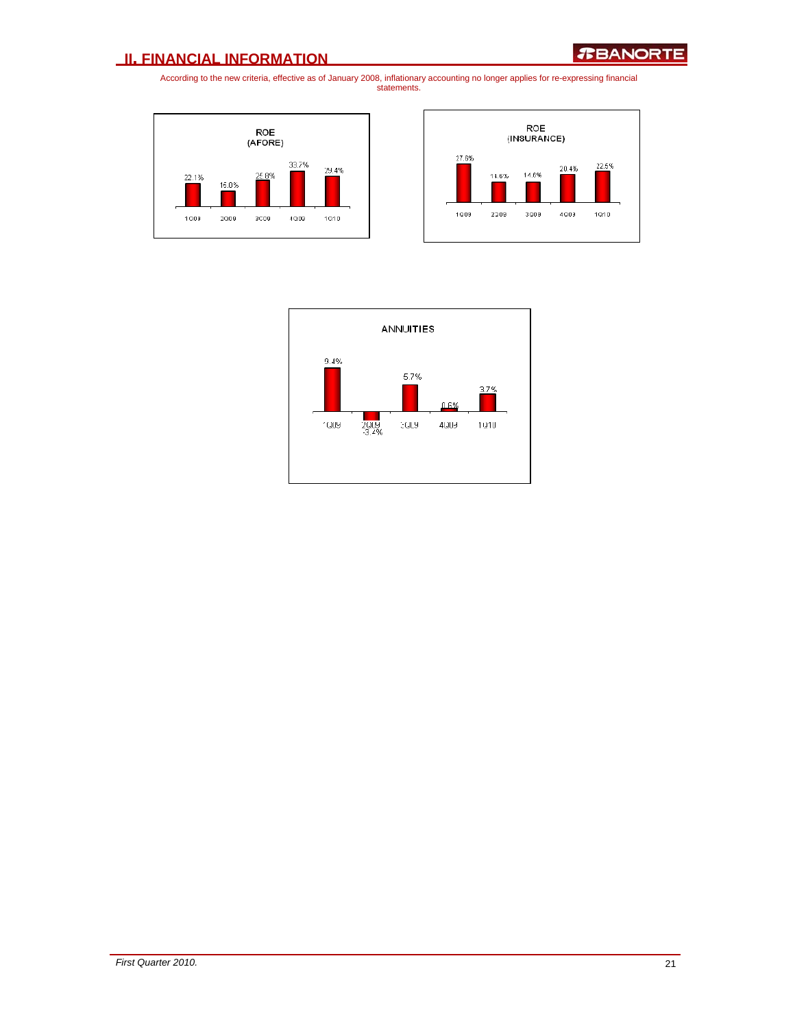### **II. FINANCIAL INFORMATION**





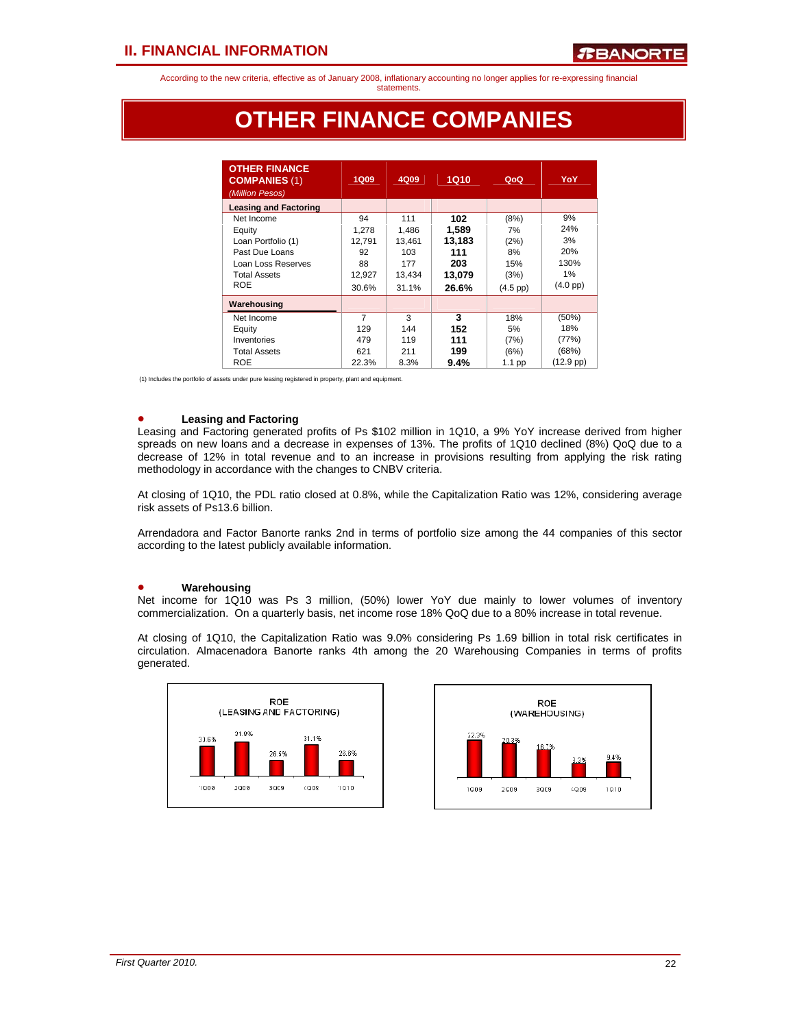statements.

## **OTHER FINANCE COMPANIES**

| <b>OTHER FINANCE</b><br><b>COMPANIES (1)</b><br>(Million Pesos) | <b>1Q09</b> | 4Q09   | 1Q10   | QoQ                | YoY                 |
|-----------------------------------------------------------------|-------------|--------|--------|--------------------|---------------------|
| <b>Leasing and Factoring</b>                                    |             |        |        |                    |                     |
| Net Income                                                      | 94          | 111    | 102    | (8%)               | 9%                  |
| Equity                                                          | 1,278       | 1,486  | 1.589  | 7%                 | 24%                 |
| Loan Portfolio (1)                                              | 12,791      | 13,461 | 13,183 | (2%)               | 3%                  |
| Past Due Loans                                                  | 92          | 103    | 111    | 8%                 | 20%                 |
| Loan Loss Reserves                                              | 88          | 177    | 203    | 15%                | 130%                |
| <b>Total Assets</b>                                             | 12,927      | 13.434 | 13,079 | (3%)               | 1%                  |
| <b>ROE</b>                                                      | 30.6%       | 31.1%  | 26.6%  | $(4.5 \text{ pp})$ | $(4.0 \text{ pp})$  |
| Warehousing                                                     |             |        |        |                    |                     |
| Net Income                                                      | 7           | 3      | 3      | 18%                | (50%)               |
| Equity                                                          | 129         | 144    | 152    | 5%                 | 18%                 |
| Inventories                                                     | 479         | 119    | 111    | (7%)               | (77%)               |
| <b>Total Assets</b>                                             | 621         | 211    | 199    | (6%)               | (68%)               |
| <b>ROE</b>                                                      | 22.3%       | 8.3%   | 9.4%   | $1.1$ pp           | $(12.9 \text{ pp})$ |

(1) Includes the portfolio of assets under pure leasing registered in property, plant and equipment.

### • **Leasing and Factoring**

Leasing and Factoring generated profits of Ps \$102 million in 1Q10, a 9% YoY increase derived from higher spreads on new loans and a decrease in expenses of 13%. The profits of 1Q10 declined (8%) QoQ due to a decrease of 12% in total revenue and to an increase in provisions resulting from applying the risk rating methodology in accordance with the changes to CNBV criteria.

At closing of 1Q10, the PDL ratio closed at 0.8%, while the Capitalization Ratio was 12%, considering average risk assets of Ps13.6 billion.

Arrendadora and Factor Banorte ranks 2nd in terms of portfolio size among the 44 companies of this sector according to the latest publicly available information.

### • **Warehousing**

Net income for 1Q10 was Ps 3 million, (50%) lower YoY due mainly to lower volumes of inventory commercialization. On a quarterly basis, net income rose 18% QoQ due to a 80% increase in total revenue.

At closing of 1Q10, the Capitalization Ratio was 9.0% considering Ps 1.69 billion in total risk certificates in circulation. Almacenadora Banorte ranks 4th among the 20 Warehousing Companies in terms of profits generated.



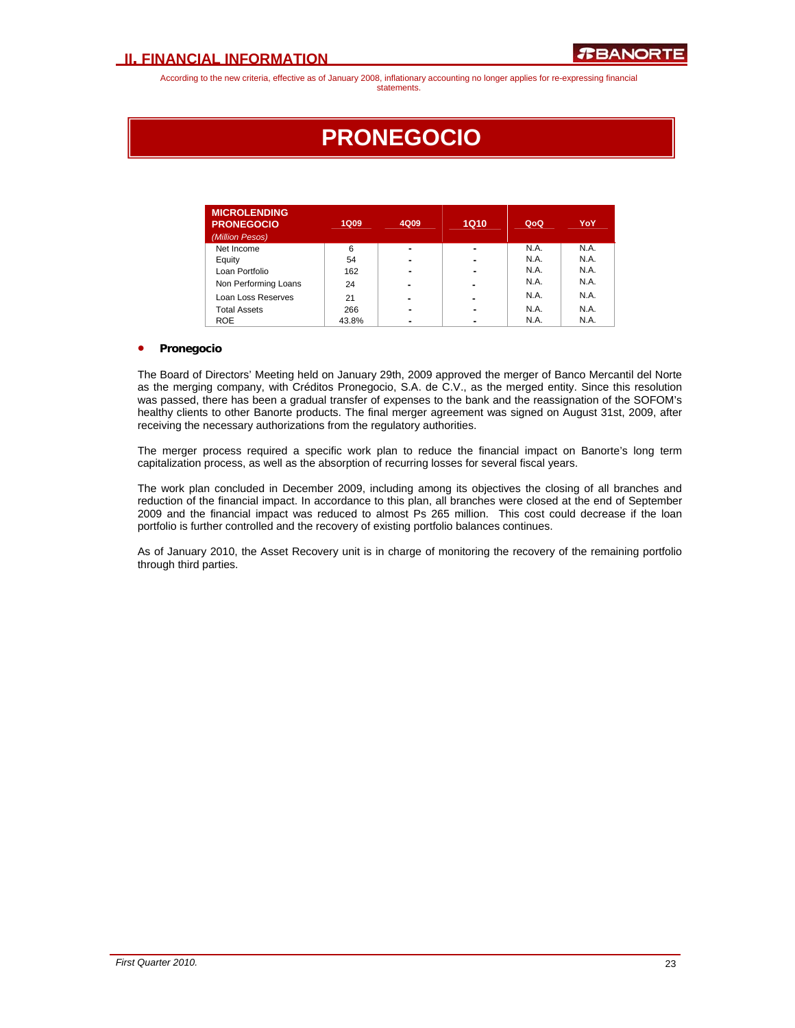## **PRONEGOCIO**

| <b>MICROLENDING</b><br><b>PRONEGOCIO</b><br>(Million Pesos) | <b>1Q09</b> | 4Q09                     | <b>1Q10</b>    | QoQ  | YoY  |
|-------------------------------------------------------------|-------------|--------------------------|----------------|------|------|
| Net Income                                                  | 6           | $\blacksquare$           |                | N.A. | N.A. |
| Equity                                                      | 54          | $\overline{\phantom{0}}$ |                | N.A. | N.A. |
| Loan Portfolio                                              | 162         | $\blacksquare$           |                | N.A. | N.A. |
| Non Performing Loans                                        | 24          | $\blacksquare$           | -              | N.A. | N.A. |
| Loan Loss Reserves                                          | 21          | $\blacksquare$           |                | N.A. | N.A. |
| <b>Total Assets</b>                                         | 266         | $\blacksquare$           | $\blacksquare$ | N.A. | N.A. |
| <b>ROE</b>                                                  | 43.8%       | $\blacksquare$           |                | N.A. | N.A. |

### • **Pronegocio**

The Board of Directors' Meeting held on January 29th, 2009 approved the merger of Banco Mercantil del Norte as the merging company, with Créditos Pronegocio, S.A. de C.V., as the merged entity. Since this resolution was passed, there has been a gradual transfer of expenses to the bank and the reassignation of the SOFOM's healthy clients to other Banorte products. The final merger agreement was signed on August 31st, 2009, after receiving the necessary authorizations from the regulatory authorities.

The merger process required a specific work plan to reduce the financial impact on Banorte's long term capitalization process, as well as the absorption of recurring losses for several fiscal years.

The work plan concluded in December 2009, including among its objectives the closing of all branches and reduction of the financial impact. In accordance to this plan, all branches were closed at the end of September 2009 and the financial impact was reduced to almost Ps 265 million. This cost could decrease if the loan portfolio is further controlled and the recovery of existing portfolio balances continues.

As of January 2010, the Asset Recovery unit is in charge of monitoring the recovery of the remaining portfolio through third parties.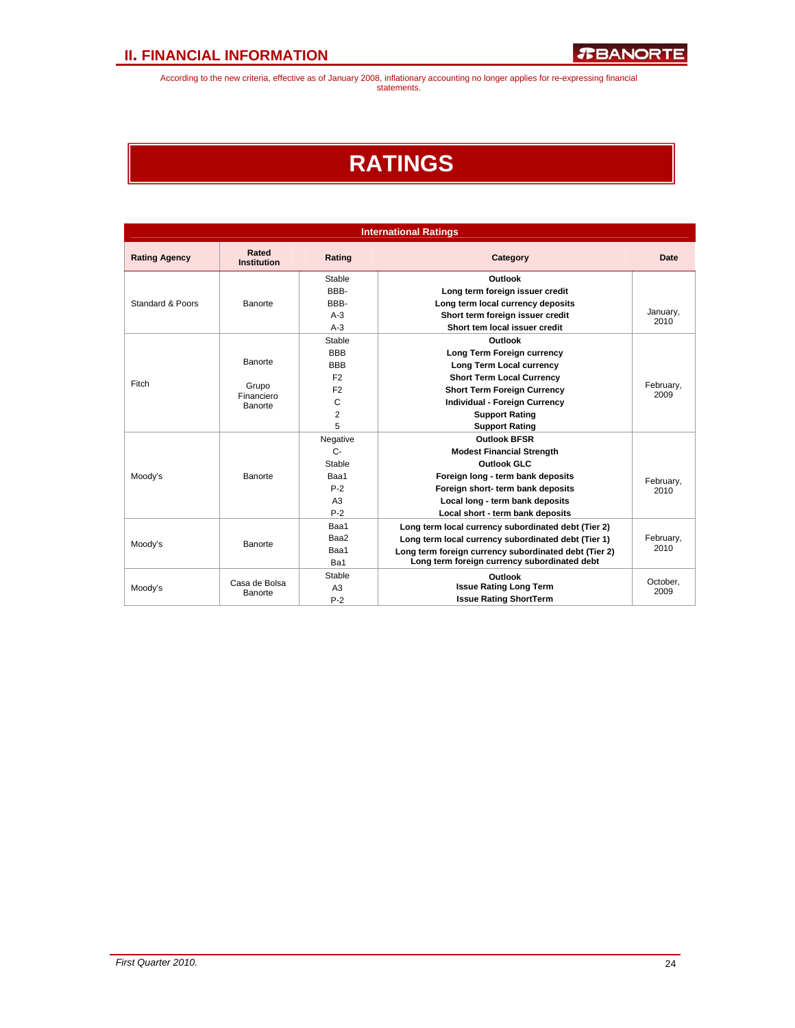## **RATINGS**

| <b>International Ratings</b> |                                |                                           |                                                       |                  |  |  |  |
|------------------------------|--------------------------------|-------------------------------------------|-------------------------------------------------------|------------------|--|--|--|
| <b>Rating Agency</b>         | Rated<br><b>Institution</b>    | Rating                                    | Category                                              | Date             |  |  |  |
|                              |                                | Stable                                    | Outlook                                               |                  |  |  |  |
| Standard & Poors             |                                | <b>BBB-</b>                               | Long term foreign issuer credit                       |                  |  |  |  |
|                              | Banorte                        | BBB-                                      | Long term local currency deposits                     |                  |  |  |  |
|                              |                                | $A-3$                                     | Short term foreign issuer credit                      | January,<br>2010 |  |  |  |
|                              |                                | $A-3$                                     | Short tem local issuer credit                         |                  |  |  |  |
|                              |                                | Stable                                    | Outlook                                               |                  |  |  |  |
|                              |                                | <b>BBB</b>                                | Long Term Foreign currency                            |                  |  |  |  |
|                              | Banorte                        | <b>BBB</b>                                | Long Term Local currency                              |                  |  |  |  |
| Fitch                        | Grupo<br>Financiero<br>Banorte | F <sub>2</sub>                            | <b>Short Term Local Currency</b>                      | February,        |  |  |  |
|                              |                                | F <sub>2</sub>                            | <b>Short Term Foreign Currency</b>                    |                  |  |  |  |
|                              |                                | C<br><b>Individual - Foreign Currency</b> |                                                       | 2009             |  |  |  |
|                              |                                | $\overline{2}$<br><b>Support Rating</b>   |                                                       |                  |  |  |  |
|                              |                                | 5                                         | <b>Support Rating</b>                                 |                  |  |  |  |
|                              | Negative                       |                                           | <b>Outlook BFSR</b>                                   |                  |  |  |  |
|                              |                                | $C -$                                     | <b>Modest Financial Strength</b>                      |                  |  |  |  |
|                              |                                | Stable                                    | <b>Outlook GLC</b>                                    |                  |  |  |  |
| Moody's                      | Banorte                        | Baa1                                      | Foreign long - term bank deposits                     | February,        |  |  |  |
|                              |                                | $P-2$                                     | Foreign short- term bank deposits                     | 2010             |  |  |  |
|                              |                                | A <sub>3</sub>                            | Local long - term bank deposits                       |                  |  |  |  |
|                              |                                | $P-2$                                     | Local short - term bank deposits                      |                  |  |  |  |
|                              |                                | Baa1                                      | Long term local currency subordinated debt (Tier 2)   |                  |  |  |  |
|                              |                                | Baa2                                      | Long term local currency subordinated debt (Tier 1)   | February,        |  |  |  |
| Moody's                      | <b>Banorte</b>                 | Baa1                                      | Long term foreign currency subordinated debt (Tier 2) | 2010             |  |  |  |
|                              |                                | Ba1                                       | Long term foreign currency subordinated debt          |                  |  |  |  |
|                              |                                | Stable                                    | Outlook                                               |                  |  |  |  |
| Moody's                      | Casa de Bolsa                  | A <sub>3</sub>                            | <b>Issue Rating Long Term</b>                         | October,<br>2009 |  |  |  |
|                              | <b>Banorte</b>                 | $P-2$                                     | <b>Issue Rating ShortTerm</b>                         |                  |  |  |  |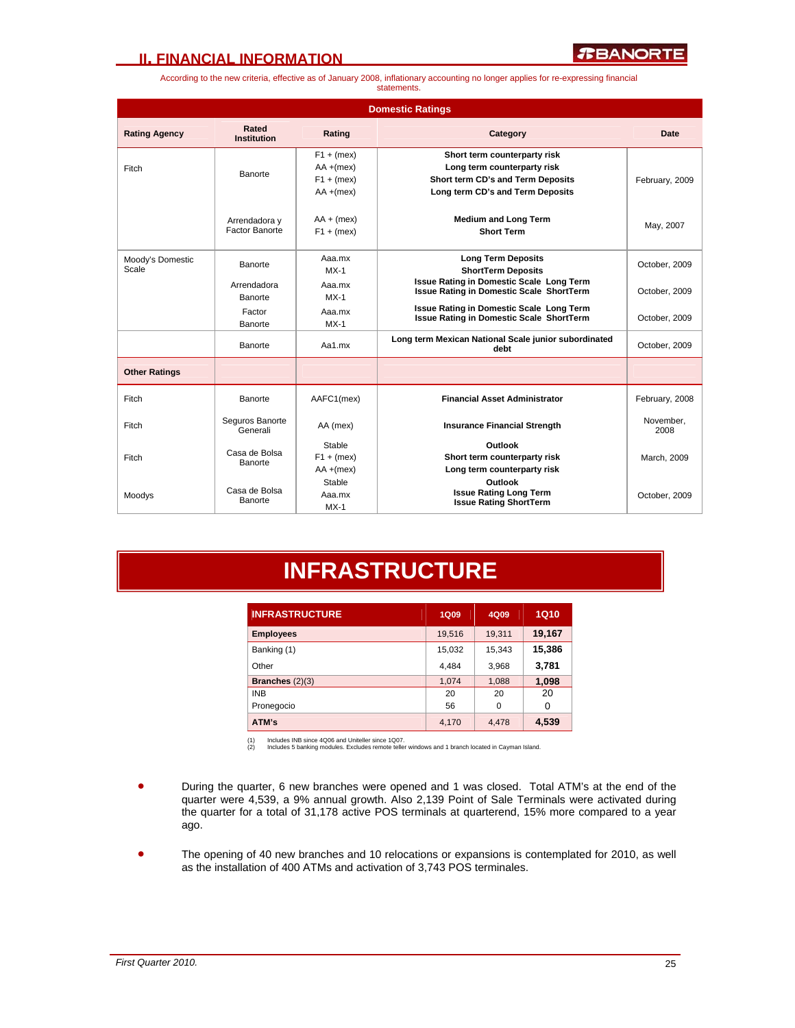### **II. FINANCIAL INFORMATION**

*R***BANORTE** 

According to the new criteria, effective as of January 2008, inflationary accounting no longer applies for re-expressing financial statements.

|                           | <b>Domestic Ratings</b>         |                                                              |                                                                                                                                      |                   |  |  |  |  |
|---------------------------|---------------------------------|--------------------------------------------------------------|--------------------------------------------------------------------------------------------------------------------------------------|-------------------|--|--|--|--|
| <b>Rating Agency</b>      | Rated<br><b>Institution</b>     | Rating                                                       | Category                                                                                                                             | Date              |  |  |  |  |
| Fitch                     | Banorte                         | $F1 + (mex)$<br>$AA + (mex)$<br>$F1 + (mex)$<br>$AA + (mex)$ | Short term counterparty risk<br>Long term counterparty risk<br>Short term CD's and Term Deposits<br>Long term CD's and Term Deposits | February, 2009    |  |  |  |  |
|                           | Arrendadora y<br>Factor Banorte | $AA + (mex)$<br>$F1 + (mex)$                                 | <b>Medium and Long Term</b><br><b>Short Term</b>                                                                                     | May, 2007         |  |  |  |  |
| Moody's Domestic<br>Scale | Banorte                         | Aaa.mx<br>$MX-1$                                             | <b>Long Term Deposits</b><br><b>ShortTerm Deposits</b>                                                                               | October, 2009     |  |  |  |  |
|                           | Arrendadora<br>Banorte          | Aaa.mx<br>$MX-1$                                             | <b>Issue Rating in Domestic Scale Long Term</b><br><b>Issue Rating in Domestic Scale ShortTerm</b>                                   | October, 2009     |  |  |  |  |
|                           | Factor<br>Banorte               | Aaa.mx<br>$MX-1$                                             | Issue Rating in Domestic Scale Long Term<br><b>Issue Rating in Domestic Scale ShortTerm</b>                                          | October, 2009     |  |  |  |  |
|                           | Banorte                         | Aa1.mx                                                       | Long term Mexican National Scale junior subordinated<br>debt                                                                         | October, 2009     |  |  |  |  |
| <b>Other Ratings</b>      |                                 |                                                              |                                                                                                                                      |                   |  |  |  |  |
| Fitch                     | Banorte                         | AAFC1(mex)                                                   | <b>Financial Asset Administrator</b>                                                                                                 | February, 2008    |  |  |  |  |
| Fitch                     | Seguros Banorte<br>Generali     | AA (mex)                                                     | <b>Insurance Financial Strength</b>                                                                                                  | November.<br>2008 |  |  |  |  |
| Fitch                     | Casa de Bolsa<br>Banorte        | Stable<br>$F1 + (mex)$<br>$AA + (mex)$                       | Outlook<br>Short term counterparty risk<br>Long term counterparty risk                                                               | March, 2009       |  |  |  |  |
| Moodys                    | Casa de Bolsa<br>Banorte        | Stable<br>Aaa.mx<br>$MX-1$                                   | Outlook<br><b>Issue Rating Long Term</b><br><b>Issue Rating ShortTerm</b>                                                            | October, 2009     |  |  |  |  |

## **INFRASTRUCTURE**

| <b>INFRASTRUCTURE</b> | <b>1Q09</b> | 4Q09        | <b>1Q10</b> |
|-----------------------|-------------|-------------|-------------|
| <b>Employees</b>      | 19,516      | 19,311      | 19,167      |
| Banking (1)           | 15,032      | 15,343      | 15,386      |
| Other                 | 4,484       | 3,968       | 3,781       |
| Branches $(2)(3)$     | 1,074       | 1,088       | 1,098       |
| <b>INB</b>            | 20          | 20          | 20          |
| Pronegocio            | 56          | $\mathbf 0$ | 0           |
| ATM's                 | 4.170       | 4,478       | 4,539       |

(1) Includes INB since 4Q06 and Uniteller since 1Q07. (2) Includes 5 banking modules. Excludes remote teller windows and 1 branch located in Cayman Island.

- During the quarter, 6 new branches were opened and 1 was closed. Total ATM's at the end of the quarter were 4,539, a 9% annual growth. Also 2,139 Point of Sale Terminals were activated during the quarter for a total of 31,178 active POS terminals at quarterend, 15% more compared to a year ago.
- The opening of 40 new branches and 10 relocations or expansions is contemplated for 2010, as well as the installation of 400 ATMs and activation of 3,743 POS terminales.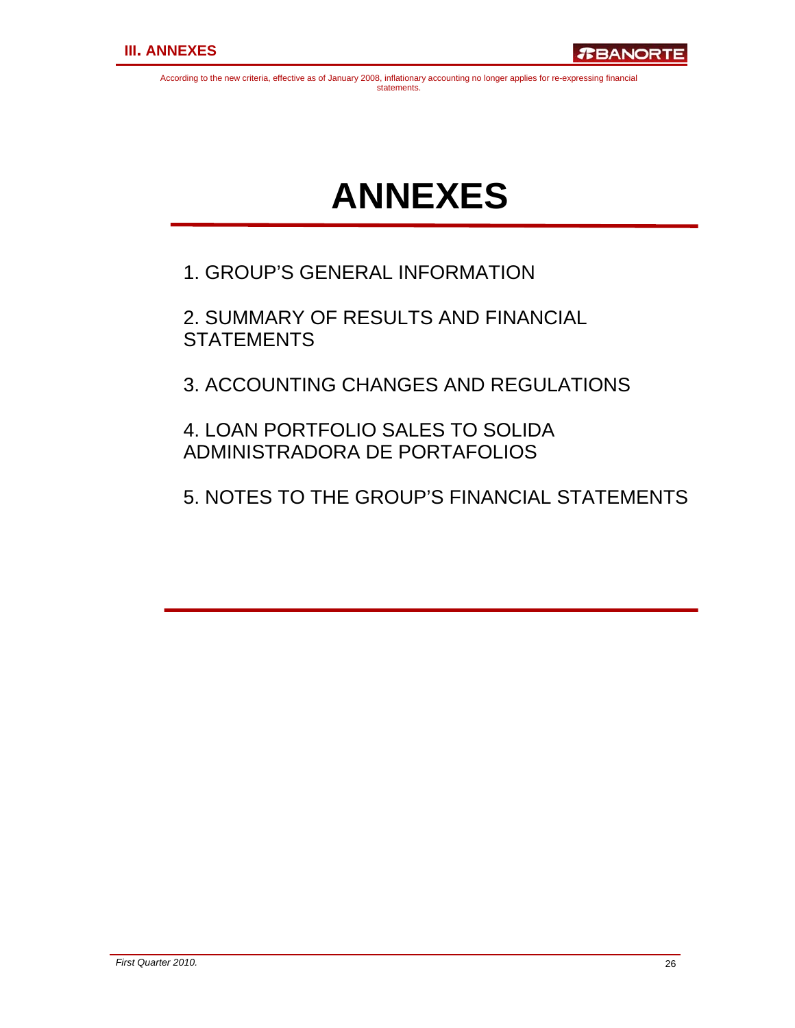# **ANNEXES**

1. GROUP'S GENERAL INFORMATION

2. SUMMARY OF RESULTS AND FINANCIAL **STATEMENTS** 

3. ACCOUNTING CHANGES AND REGULATIONS

4. LOAN PORTFOLIO SALES TO SOLIDA ADMINISTRADORA DE PORTAFOLIOS

5. NOTES TO THE GROUP'S FINANCIAL STATEMENTS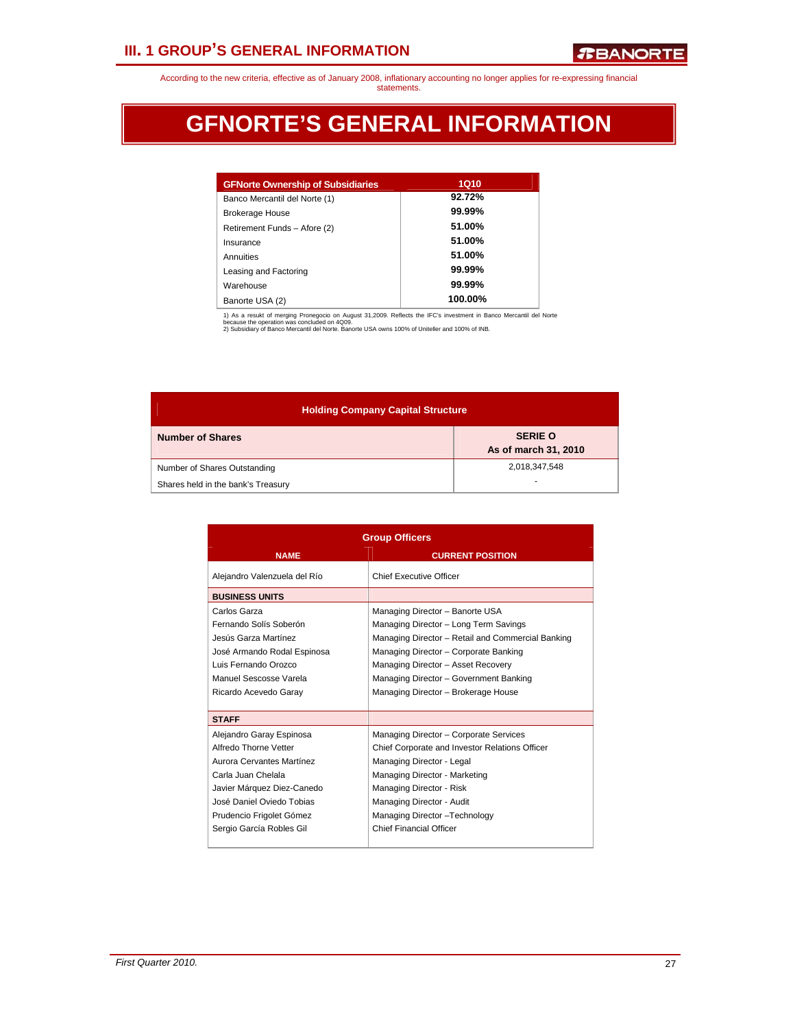## **III. 1 GROUP'S GENERAL INFORMATION**

According to the new criteria, effective as of January 2008, inflationary accounting no longer applies for re-expressing financial statements.

## **GFNORTE'S GENERAL INFORMATION**

| <b>GFNorte Ownership of Subsidiaries</b> | <b>1Q10</b> |
|------------------------------------------|-------------|
| Banco Mercantil del Norte (1)            | 92.72%      |
| <b>Brokerage House</b>                   | 99.99%      |
| Retirement Funds - Afore (2)             | 51.00%      |
| Insurance                                | 51.00%      |
| Annuities                                | 51.00%      |
| Leasing and Factoring                    | 99.99%      |
| Warehouse                                | 99.99%      |
| Banorte USA (2)                          | 100.00%     |

1) As a resukt of merging Pronegocio on August 31,2009. Reflects the IFC's investment in Banco Mercantil del Norte<br>because the operation was concluded on 4Q09.<br>2) Subsidiary of Banco Mercantil del Norte. Banorte USA owns 1

| <b>Holding Company Capital Structure</b> |                                        |  |  |  |  |  |  |
|------------------------------------------|----------------------------------------|--|--|--|--|--|--|
| <b>Number of Shares</b>                  | <b>SERIE O</b><br>As of march 31, 2010 |  |  |  |  |  |  |
| Number of Shares Outstanding             | 2,018,347,548                          |  |  |  |  |  |  |
| Shares held in the bank's Treasury       |                                        |  |  |  |  |  |  |

| <b>Group Officers</b>                                                                                                                                                                                                   |                                                                                                                                                                                                                                                                                               |  |  |  |  |  |
|-------------------------------------------------------------------------------------------------------------------------------------------------------------------------------------------------------------------------|-----------------------------------------------------------------------------------------------------------------------------------------------------------------------------------------------------------------------------------------------------------------------------------------------|--|--|--|--|--|
| <b>NAME</b>                                                                                                                                                                                                             | <b>CURRENT POSITION</b>                                                                                                                                                                                                                                                                       |  |  |  |  |  |
| Alejandro Valenzuela del Río                                                                                                                                                                                            | Chief Executive Officer                                                                                                                                                                                                                                                                       |  |  |  |  |  |
| <b>BUSINESS UNITS</b>                                                                                                                                                                                                   |                                                                                                                                                                                                                                                                                               |  |  |  |  |  |
| Carlos Garza<br>Fernando Solís Soberón<br>Jesús Garza Martínez<br>José Armando Rodal Espinosa<br>Luis Fernando Orozco<br>Manuel Sescosse Varela<br>Ricardo Acevedo Garay                                                | Managing Director - Banorte USA<br>Managing Director - Long Term Savings<br>Managing Director - Retail and Commercial Banking<br>Managing Director - Corporate Banking<br>Managing Director - Asset Recovery<br>Managing Director - Government Banking<br>Managing Director - Brokerage House |  |  |  |  |  |
| <b>STAFF</b>                                                                                                                                                                                                            |                                                                                                                                                                                                                                                                                               |  |  |  |  |  |
| Alejandro Garay Espinosa<br>Alfredo Thorne Vetter<br>Aurora Cervantes Martínez<br>Carla Juan Chelala<br>Javier Márquez Diez-Canedo<br>José Daniel Oviedo Tobias<br>Prudencio Frigolet Gómez<br>Sergio García Robles Gil | Managing Director - Corporate Services<br>Chief Corporate and Investor Relations Officer<br>Managing Director - Legal<br>Managing Director - Marketing<br>Managing Director - Risk<br>Managing Director - Audit<br>Managing Director-Technology<br><b>Chief Financial Officer</b>             |  |  |  |  |  |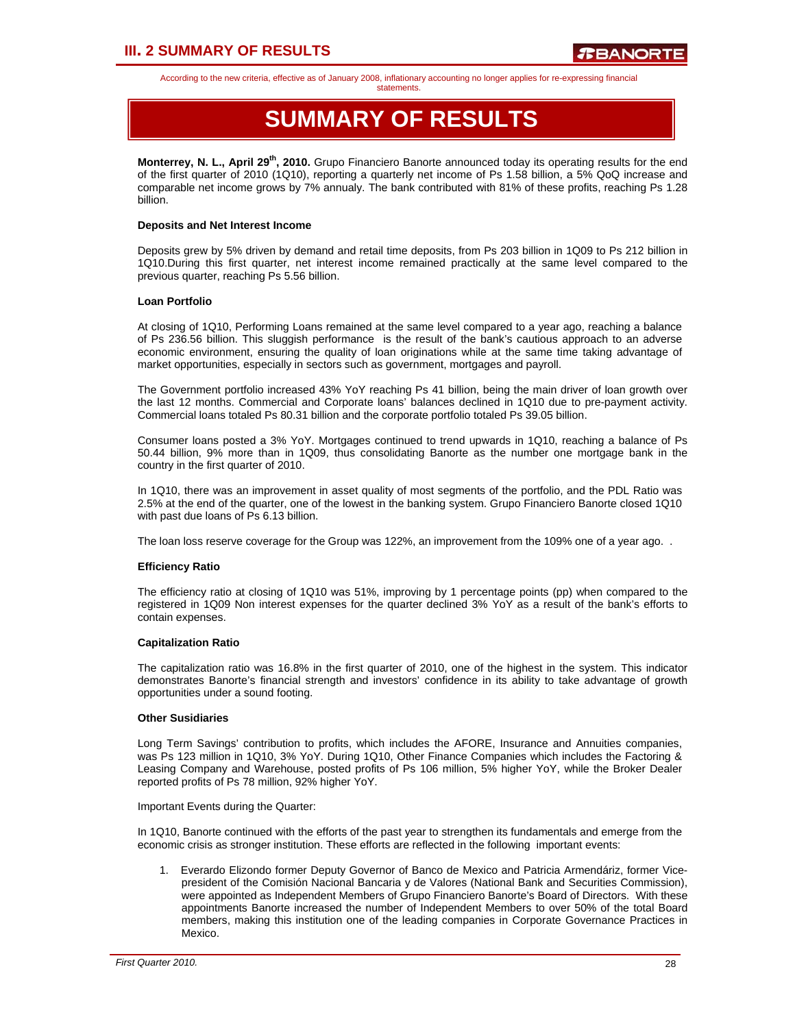## **III. 2 SUMMARY OF RESULTS**

According to the new criteria, effective as of January 2008, inflationary accounting no longer applies for re-expressing financial

#### statements.

## **SUMMARY OF RESULTS**

**Monterrey, N. L., April 29<sup>th</sup>, 2010.** Grupo Financiero Banorte announced today its operating results for the end of the first quarter of 2010 (1Q10), reporting a quarterly net income of Ps 1.58 billion, a 5% QoQ increase and comparable net income grows by 7% annualy. The bank contributed with 81% of these profits, reaching Ps 1.28 billion.

#### **Deposits and Net Interest Income**

Deposits grew by 5% driven by demand and retail time deposits, from Ps 203 billion in 1Q09 to Ps 212 billion in 1Q10.During this first quarter, net interest income remained practically at the same level compared to the previous quarter, reaching Ps 5.56 billion.

### **Loan Portfolio**

At closing of 1Q10, Performing Loans remained at the same level compared to a year ago, reaching a balance of Ps 236.56 billion. This sluggish performance is the result of the bank's cautious approach to an adverse economic environment, ensuring the quality of loan originations while at the same time taking advantage of market opportunities, especially in sectors such as government, mortgages and payroll.

The Government portfolio increased 43% YoY reaching Ps 41 billion, being the main driver of loan growth over the last 12 months. Commercial and Corporate loans' balances declined in 1Q10 due to pre-payment activity. Commercial loans totaled Ps 80.31 billion and the corporate portfolio totaled Ps 39.05 billion.

Consumer loans posted a 3% YoY. Mortgages continued to trend upwards in 1Q10, reaching a balance of Ps 50.44 billion, 9% more than in 1Q09, thus consolidating Banorte as the number one mortgage bank in the country in the first quarter of 2010.

In 1Q10, there was an improvement in asset quality of most segments of the portfolio, and the PDL Ratio was 2.5% at the end of the quarter, one of the lowest in the banking system. Grupo Financiero Banorte closed 1Q10 with past due loans of Ps 6.13 billion.

The loan loss reserve coverage for the Group was 122%, an improvement from the 109% one of a year ago. .

### **Efficiency Ratio**

The efficiency ratio at closing of 1Q10 was 51%, improving by 1 percentage points (pp) when compared to the registered in 1Q09 Non interest expenses for the quarter declined 3% YoY as a result of the bank's efforts to contain expenses.

### **Capitalization Ratio**

The capitalization ratio was 16.8% in the first quarter of 2010, one of the highest in the system. This indicator demonstrates Banorte's financial strength and investors' confidence in its ability to take advantage of growth opportunities under a sound footing.

### **Other Susidiaries**

Long Term Savings' contribution to profits, which includes the AFORE, Insurance and Annuities companies, was Ps 123 million in 1Q10, 3% YoY. During 1Q10, Other Finance Companies which includes the Factoring & Leasing Company and Warehouse, posted profits of Ps 106 million, 5% higher YoY, while the Broker Dealer reported profits of Ps 78 million, 92% higher YoY.

### Important Events during the Quarter:

In 1Q10, Banorte continued with the efforts of the past year to strengthen its fundamentals and emerge from the economic crisis as stronger institution. These efforts are reflected in the following important events:

1. Everardo Elizondo former Deputy Governor of Banco de Mexico and Patricia Armendáriz, former Vicepresident of the Comisión Nacional Bancaria y de Valores (National Bank and Securities Commission), were appointed as Independent Members of Grupo Financiero Banorte's Board of Directors. With these appointments Banorte increased the number of Independent Members to over 50% of the total Board members, making this institution one of the leading companies in Corporate Governance Practices in Mexico.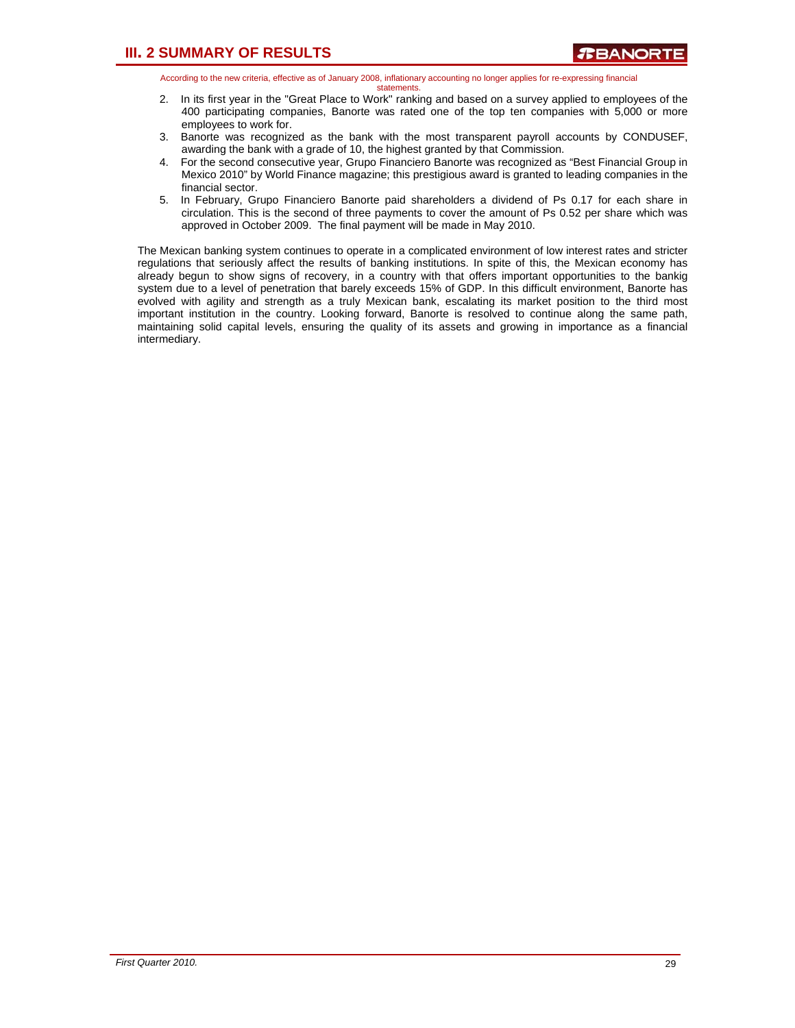- 2. In its first year in the "Great Place to Work" ranking and based on a survey applied to employees of the 400 participating companies, Banorte was rated one of the top ten companies with 5,000 or more employees to work for.
- 3. Banorte was recognized as the bank with the most transparent payroll accounts by CONDUSEF, awarding the bank with a grade of 10, the highest granted by that Commission.
- 4. For the second consecutive year, Grupo Financiero Banorte was recognized as "Best Financial Group in Mexico 2010" by World Finance magazine; this prestigious award is granted to leading companies in the financial sector.
- 5. In February, Grupo Financiero Banorte paid shareholders a dividend of Ps 0.17 for each share in circulation. This is the second of three payments to cover the amount of Ps 0.52 per share which was approved in October 2009. The final payment will be made in May 2010.

The Mexican banking system continues to operate in a complicated environment of low interest rates and stricter regulations that seriously affect the results of banking institutions. In spite of this, the Mexican economy has already begun to show signs of recovery, in a country with that offers important opportunities to the bankig system due to a level of penetration that barely exceeds 15% of GDP. In this difficult environment, Banorte has evolved with agility and strength as a truly Mexican bank, escalating its market position to the third most important institution in the country. Looking forward, Banorte is resolved to continue along the same path, maintaining solid capital levels, ensuring the quality of its assets and growing in importance as a financial intermediary.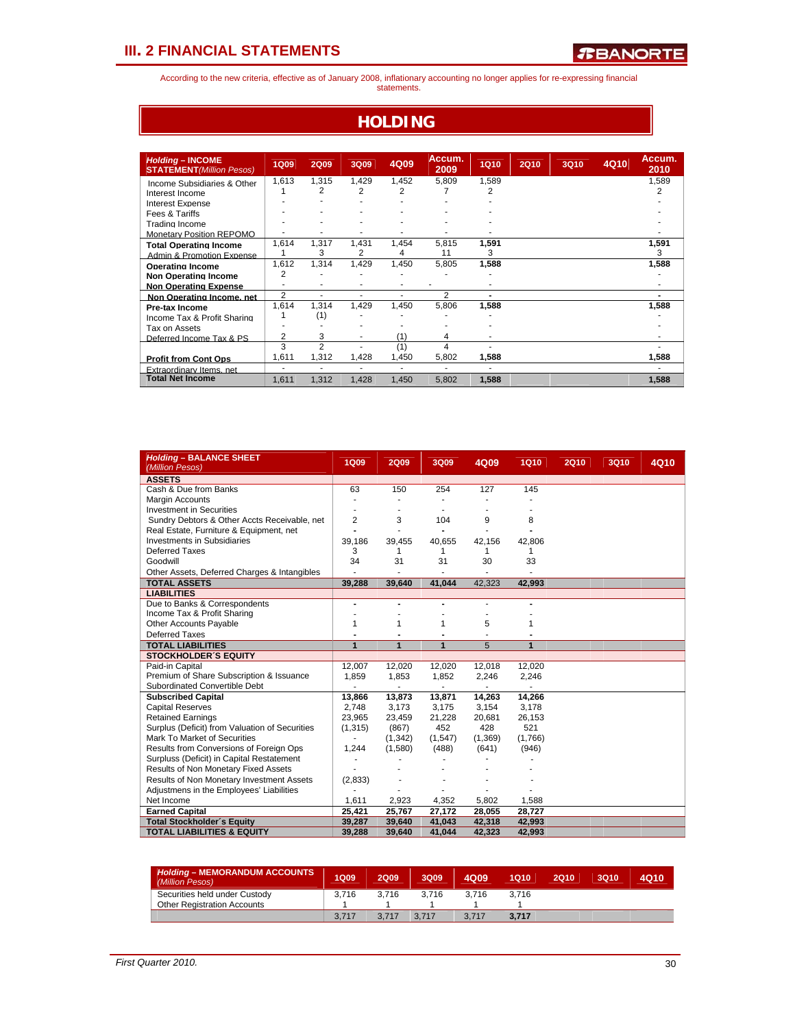According to the new criteria, effective as of January 2008, inflationary accounting no longer applies for re-expressing financial statements.

### **HOLDING**

| <b>Holding - INCOME</b><br><b>STATEMENT</b> (Million Pesos) | <b>1Q09</b>    | <b>2Q09</b>    | 3Q09  | 4Q09  | Accum.<br>2009 | <b>1Q10</b> | <b>2Q10</b> | <b>3Q10</b> | 4Q10 | Accum.<br>2010 |
|-------------------------------------------------------------|----------------|----------------|-------|-------|----------------|-------------|-------------|-------------|------|----------------|
| Income Subsidiaries & Other                                 | 1.613          | 1,315          | 1.429 | 1.452 | 5.809          | 1.589       |             |             |      | 1,589          |
| Interest Income                                             |                | 2              | 2     | 2     |                | 2           |             |             |      | 2              |
| Interest Expense                                            |                |                |       |       |                |             |             |             |      |                |
| Fees & Tariffs                                              |                |                |       |       |                |             |             |             |      |                |
| Trading Income                                              |                |                |       |       |                |             |             |             |      |                |
| <b>Monetary Position REPOMO</b>                             |                | ٠              |       |       |                |             |             |             |      |                |
| <b>Total Operating Income</b>                               | 1,614          | 1,317          | 1,431 | 1.454 | 5.815          | 1,591       |             |             |      | 1,591          |
| Admin & Promotion Expense                                   |                | 3              | 2     | 4     | 11             | 3           |             |             |      | 3              |
| Operating Income                                            | 1,612          | 1.314          | 1.429 | 1.450 | 5.805          | 1,588       |             |             |      | 1,588          |
| <b>Non Operating Income</b>                                 | 2              |                |       |       |                |             |             |             |      |                |
| <b>Non Operating Expense</b>                                |                |                |       |       |                |             |             |             |      |                |
| Non Operating Income, net                                   | $\overline{2}$ | ۰              | ۰     | ٠     | $\overline{2}$ |             |             |             |      |                |
| Pre-tax Income                                              | 1,614          | 1,314          | 1,429 | 1,450 | 5,806          | 1,588       |             |             |      | 1,588          |
| Income Tax & Profit Sharing                                 |                | (1)            |       |       |                |             |             |             |      |                |
| Tax on Assets                                               |                |                |       |       |                |             |             |             |      |                |
| Deferred Income Tax & PS                                    | 2              | 3              | ٠     | (1)   | 4              |             |             |             |      |                |
|                                                             | 3              | $\overline{2}$ |       | (1)   | 4              |             |             |             |      |                |
| <b>Profit from Cont Ops</b>                                 | 1,611          | 1,312          | 1,428 | 1,450 | 5,802          | 1,588       |             |             |      | 1,588          |
| Extraordinary Items net                                     | ٠              | ٠              | ٠     | ٠     | ۰              | ٠           |             |             |      |                |
| <b>Total Net Income</b>                                     | 1.611          | 1,312          | 1,428 | 1,450 | 5,802          | 1,588       |             |             |      | 1,588          |

| <b>Holding - BALANCE SHEET</b><br>(Million Pesos) | <b>1Q09</b>    | <b>2Q09</b>    | 3Q09    | 4Q09                     | <b>1Q10</b>  | <b>2Q10</b> | 3Q10 | 4Q10 |
|---------------------------------------------------|----------------|----------------|---------|--------------------------|--------------|-------------|------|------|
| <b>ASSETS</b>                                     |                |                |         |                          |              |             |      |      |
| Cash & Due from Banks                             | 63             | 150            | 254     | 127                      | 145          |             |      |      |
| Margin Accounts                                   |                |                |         |                          |              |             |      |      |
| <b>Investment in Securities</b>                   |                |                |         |                          |              |             |      |      |
| Sundry Debtors & Other Accts Receivable, net      | $\overline{2}$ | 3              | 104     | 9                        | 8            |             |      |      |
| Real Estate, Furniture & Equipment, net           |                |                |         |                          |              |             |      |      |
| <b>Investments in Subsidiaries</b>                | 39,186         | 39,455         | 40,655  | 42,156                   | 42,806       |             |      |      |
| <b>Deferred Taxes</b>                             | 3              | 1              | 1       | 1                        | 1            |             |      |      |
| Goodwill                                          | 34             | 31             | 31      | 30                       | 33           |             |      |      |
| Other Assets, Deferred Charges & Intangibles      |                |                |         |                          |              |             |      |      |
| <b>TOTAL ASSETS</b>                               | 39.288         | 39.640         | 41.044  | 42.323                   | 42.993       |             |      |      |
| <b>LIABILITIES</b>                                |                |                |         |                          |              |             |      |      |
| Due to Banks & Correspondents                     | ÷              |                |         |                          |              |             |      |      |
| Income Tax & Profit Sharing                       |                |                |         |                          |              |             |      |      |
| Other Accounts Payable                            | 1              | 1              | 1       | 5                        | 1            |             |      |      |
| <b>Deferred Taxes</b>                             |                |                |         |                          |              |             |      |      |
| <b>TOTAL LIABILITIES</b>                          | $\overline{1}$ | $\overline{1}$ | 1       | 5                        | $\mathbf{1}$ |             |      |      |
| <b>STOCKHOLDER'S EQUITY</b>                       |                |                |         |                          |              |             |      |      |
| Paid-in Capital                                   | 12,007         | 12,020         | 12,020  | 12,018                   | 12,020       |             |      |      |
| Premium of Share Subscription & Issuance          | 1.859          | 1,853          | 1,852   | 2,246                    | 2,246        |             |      |      |
| Subordinated Convertible Debt                     |                | ä,             | ä,      | $\overline{\phantom{a}}$ | ä,           |             |      |      |
| <b>Subscribed Capital</b>                         | 13,866         | 13,873         | 13,871  | 14,263                   | 14,266       |             |      |      |
| <b>Capital Reserves</b>                           | 2,748          | 3,173          | 3,175   | 3,154                    | 3,178        |             |      |      |
| <b>Retained Earnings</b>                          | 23,965         | 23,459         | 21,228  | 20,681                   | 26,153       |             |      |      |
| Surplus (Deficit) from Valuation of Securities    | (1, 315)       | (867)          | 452     | 428                      | 521          |             |      |      |
| Mark To Market of Securities                      |                | (1, 342)       | (1,547) | (1,369)                  | (1,766)      |             |      |      |
| Results from Conversions of Foreign Ops           | 1,244          | (1,580)        | (488)   | (641)                    | (946)        |             |      |      |
| Surpluss (Deficit) in Capital Restatement         | ٠              |                |         |                          |              |             |      |      |
| Results of Non Monetary Fixed Assets              |                |                |         |                          |              |             |      |      |
| Results of Non Monetary Investment Assets         | (2,833)        |                |         |                          |              |             |      |      |
| Adjustmens in the Employees' Liabilities          |                |                |         |                          |              |             |      |      |
| Net Income                                        | 1,611          | 2,923          | 4,352   | 5,802                    | 1,588        |             |      |      |
| <b>Earned Capital</b>                             | 25,421         | 25,767         | 27,172  | 28,055                   | 28,727       |             |      |      |
| <b>Total Stockholder's Equity</b>                 | 39,287         | 39,640         | 41,043  | 42,318                   | 42,993       |             |      |      |
| <b>TOTAL LIABILITIES &amp; EQUITY</b>             | 39,288         | 39,640         | 41,044  | 42,323                   | 42,993       |             |      |      |

| <b>Holding - MEMORANDUM ACCOUNTS</b><br>(Million Pesos) | 1Q09  | <b>2Q09</b> | 3009  | 4009  | 1Q10  | 2Q10 | 3Q10 | 4Q10 |
|---------------------------------------------------------|-------|-------------|-------|-------|-------|------|------|------|
| Securities held under Custody                           | 3.716 | 3.716       | 3.716 | 3.716 | 3.716 |      |      |      |
| <b>Other Registration Accounts</b>                      |       |             |       |       |       |      |      |      |
|                                                         | 3.717 | 3.717       | 3.717 | 3.717 | 3.717 |      |      |      |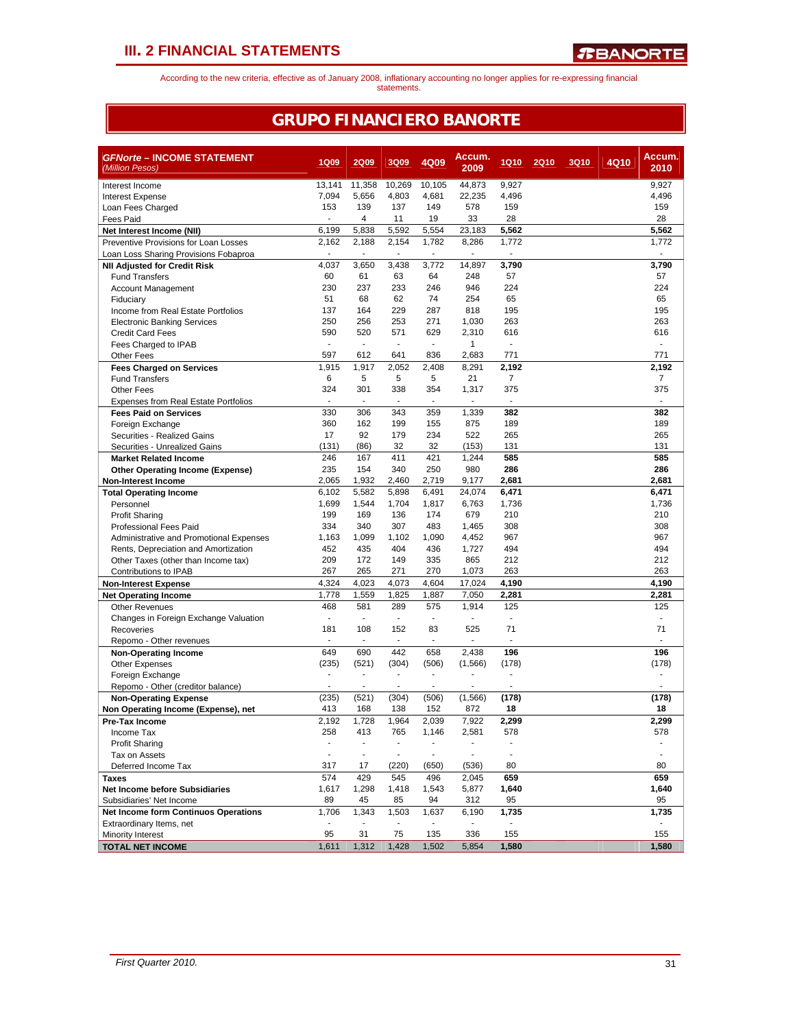According to the new criteria, effective as of January 2008, inflationary accounting no longer applies for re-expressing financial statements.

### **GRUPO FINANCIERO BANORTE**

| <b>GFNorte - INCOME STATEMENT</b><br>(Million Pesos)          | <b>1Q09</b>                     | <b>2Q09</b>    | 3Q09                     | 4Q09           | Accum.<br>2009           | <b>1Q10</b>              | <b>2Q10</b> | <b>3Q10</b> | 4Q10 | Accum.<br>2010 |
|---------------------------------------------------------------|---------------------------------|----------------|--------------------------|----------------|--------------------------|--------------------------|-------------|-------------|------|----------------|
|                                                               |                                 |                |                          |                |                          |                          |             |             |      |                |
| Interest Income                                               | 13,141                          | 11,358         | 10,269                   | 10.105         | 44,873                   | 9,927                    |             |             |      | 9,927          |
| <b>Interest Expense</b>                                       | 7,094<br>153                    | 5,656<br>139   | 4,803<br>137             | 4,681<br>149   | 22,235<br>578            | 4,496<br>159             |             |             |      | 4,496<br>159   |
| Loan Fees Charged<br>Fees Paid                                |                                 | $\overline{4}$ | 11                       | 19             | 33                       | 28                       |             |             |      | 28             |
| Net Interest Income (NII)                                     | 6,199                           | 5,838          | 5,592                    | 5,554          | 23,183                   | 5,562                    |             |             |      | 5,562          |
| Preventive Provisions for Loan Losses                         | 2,162                           | 2,188          | 2,154                    | 1,782          | 8,286                    | 1,772                    |             |             |      | 1,772          |
| Loan Loss Sharing Provisions Fobaproa                         | ÷                               | $\overline{a}$ | ÷,                       | $\blacksquare$ |                          | $\overline{a}$           |             |             |      |                |
| <b>NII Adjusted for Credit Risk</b>                           | 4,037                           | 3,650          | 3,438                    | 3,772          | 14,897                   | 3,790                    |             |             |      | 3,790          |
| <b>Fund Transfers</b>                                         | 60                              | 61             | 63                       | 64             | 248                      | 57                       |             |             |      | 57             |
| <b>Account Management</b>                                     | 230                             | 237            | 233                      | 246            | 946                      | 224                      |             |             |      | 224            |
| Fiduciary                                                     | 51                              | 68             | 62                       | 74             | 254                      | 65                       |             |             |      | 65             |
| Income from Real Estate Portfolios                            | 137                             | 164            | 229                      | 287            | 818                      | 195                      |             |             |      | 195            |
| <b>Electronic Banking Services</b>                            | 250                             | 256            | 253                      | 271            | 1,030                    | 263                      |             |             |      | 263            |
| <b>Credit Card Fees</b>                                       | 590                             | 520            | 571                      | 629            | 2,310                    | 616                      |             |             |      | 616            |
| Fees Charged to IPAB                                          | $\blacksquare$                  | ÷.             | $\blacksquare$           | ÷              | $\mathbf{1}$             | $\sim$                   |             |             |      |                |
| <b>Other Fees</b>                                             | 597                             | 612            | 641                      | 836            | 2,683                    | 771                      |             |             |      | 771            |
| <b>Fees Charged on Services</b>                               | 1,915                           | 1,917          | 2,052                    | 2,408          | 8,291                    | 2,192                    |             |             |      | 2,192          |
| <b>Fund Transfers</b>                                         | 6                               | 5              | 5                        | 5              | 21                       | $\overline{7}$           |             |             |      | $\overline{7}$ |
| <b>Other Fees</b>                                             | 324                             | 301<br>÷       | 338                      | 354            | 1,317                    | 375<br>÷.                |             |             |      | 375            |
| <b>Expenses from Real Estate Portfolios</b>                   | $\overline{\phantom{a}}$        |                | ÷,                       | ÷,             |                          |                          |             |             |      |                |
| <b>Fees Paid on Services</b>                                  | 330                             | 306            | 343                      | 359            | 1,339                    | 382                      |             |             |      | 382            |
| Foreign Exchange                                              | 360<br>17                       | 162<br>92      | 199<br>179               | 155<br>234     | 875<br>522               | 189<br>265               |             |             |      | 189<br>265     |
| Securities - Realized Gains                                   | (131)                           | (86)           | 32                       | 32             | (153)                    | 131                      |             |             |      | 131            |
| Securities - Unrealized Gains<br><b>Market Related Income</b> | 246                             | 167            | 411                      | 421            | 1,244                    | 585                      |             |             |      | 585            |
| <b>Other Operating Income (Expense)</b>                       | 235                             | 154            | 340                      | 250            | 980                      | 286                      |             |             |      | 286            |
| <b>Non-Interest Income</b>                                    | 2,065                           | 1,932          | 2,460                    | 2,719          | 9,177                    | 2,681                    |             |             |      | 2,681          |
| <b>Total Operating Income</b>                                 | 6,102                           | 5,582          | 5.898                    | 6,491          | 24,074                   | 6,471                    |             |             |      | 6,471          |
| Personnel                                                     | 1,699                           | 1,544          | 1,704                    | 1,817          | 6.763                    | 1,736                    |             |             |      | 1,736          |
| <b>Profit Sharing</b>                                         | 199                             | 169            | 136                      | 174            | 679                      | 210                      |             |             |      | 210            |
| <b>Professional Fees Paid</b>                                 | 334                             | 340            | 307                      | 483            | 1,465                    | 308                      |             |             |      | 308            |
| Administrative and Promotional Expenses                       | 1,163                           | 1,099          | 1,102                    | 1,090          | 4,452                    | 967                      |             |             |      | 967            |
| Rents, Depreciation and Amortization                          | 452                             | 435            | 404                      | 436            | 1,727                    | 494                      |             |             |      | 494            |
| Other Taxes (other than Income tax)                           | 209                             | 172            | 149                      | 335            | 865                      | 212                      |             |             |      | 212            |
| Contributions to IPAB                                         | 267                             | 265            | 271                      | 270            | 1,073                    | 263                      |             |             |      | 263            |
| <b>Non-Interest Expense</b>                                   | 4,324                           | 4,023          | 4,073                    | 4,604          | 17,024                   | 4,190                    |             |             |      | 4,190          |
| <b>Net Operating Income</b>                                   | 1,778                           | 1,559          | 1,825                    | 1,887          | 7,050                    | 2,281                    |             |             |      | 2,281          |
| <b>Other Revenues</b>                                         | 468                             | 581            | 289                      | 575            | 1,914                    | 125                      |             |             |      | 125            |
| Changes in Foreign Exchange Valuation                         | $\sim$                          | ÷.             | ÷,                       | $\sim$         |                          | $\sim$                   |             |             |      |                |
| Recoveries                                                    | 181                             | 108            | 152                      | 83             | 525                      | 71                       |             |             |      | 71             |
| Repomo - Other revenues                                       | $\blacksquare$                  | $\blacksquare$ | $\blacksquare$           | $\blacksquare$ | ٠                        | $\blacksquare$           |             |             |      |                |
| <b>Non-Operating Income</b>                                   | 649                             | 690            | 442                      | 658            | 2,438                    | 196                      |             |             |      | 196            |
| <b>Other Expenses</b>                                         | (235)                           | (521)          | (304)                    | (506)          | (1,566)                  | (178)                    |             |             |      | (178)          |
| Foreign Exchange                                              | $\blacksquare$                  | $\blacksquare$ | $\overline{a}$           | $\blacksquare$ |                          | $\overline{\phantom{a}}$ |             |             |      |                |
| Repomo - Other (creditor balance)                             |                                 |                |                          |                |                          |                          |             |             |      |                |
| <b>Non-Operating Expense</b>                                  | (235)                           | (521)          | (304)                    | (506)          | (1, 566)                 | (178)                    |             |             |      | (178)          |
| Non Operating Income (Expense), net                           | 413                             | 168            | 138                      | 152            | 872                      | 18                       |             |             |      | 18             |
| Pre-Tax Income                                                | 2,192                           | 1,728          | 1,964                    | 2,039          | 7,922                    | 2,299                    |             |             |      | 2,299          |
| Income Tax                                                    | 258<br>$\overline{\phantom{a}}$ | 413<br>÷,      | 765<br>$\blacksquare$    | 1,146          | 2,581                    | 578<br>÷,                |             |             |      | 578            |
| <b>Profit Sharing</b><br>Tax on Assets                        | $\overline{\phantom{a}}$        | $\sim$         | $\overline{\phantom{a}}$ | $\sim$         |                          | $\overline{\phantom{a}}$ |             |             |      | ÷,             |
| Deferred Income Tax                                           | 317                             | 17             | (220)                    | (650)          | (536)                    | 80                       |             |             |      | 80             |
| <b>Taxes</b>                                                  | 574                             | 429            | 545                      | 496            | 2,045                    | 659                      |             |             |      | 659            |
| <b>Net Income before Subsidiaries</b>                         | 1,617                           | 1,298          | 1,418                    | 1,543          | 5,877                    | 1,640                    |             |             |      | 1,640          |
| Subsidiaries' Net Income                                      | 89                              | 45             | 85                       | 94             | 312                      | 95                       |             |             |      | 95             |
| Net Income form Continuos Operations                          | 1,706                           | 1,343          | 1,503                    | 1,637          | 6,190                    | 1,735                    |             |             |      | 1,735          |
| Extraordinary Items, net                                      | $\overline{\phantom{a}}$        |                | $\overline{a}$           | $\blacksquare$ | $\overline{\phantom{a}}$ | $\blacksquare$           |             |             |      |                |
| Minority Interest                                             | 95                              | 31             | 75                       | 135            | 336                      | 155                      |             |             |      | 155            |
| <b>TOTAL NET INCOME</b>                                       | 1,611                           | 1,312          | 1,428                    | 1,502          | 5,854                    | 1,580                    |             |             |      | 1,580          |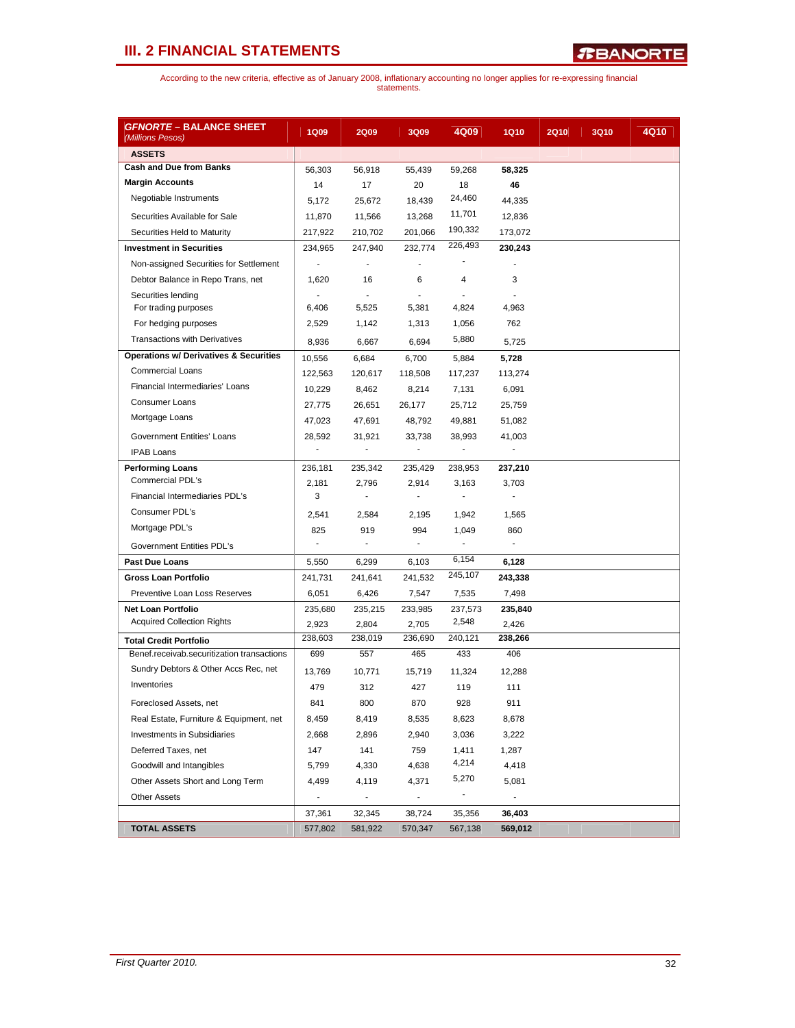| <u> <i>GFNORTE</i> – BALANCE SHEET</u><br>(Millions Pesos) | <b>1Q09</b>    | <b>2Q09</b>              | 3Q09                     | 4Q09           | <b>1Q10</b>              | <b>2Q10</b> | <b>3Q10</b> | 4Q10 |
|------------------------------------------------------------|----------------|--------------------------|--------------------------|----------------|--------------------------|-------------|-------------|------|
| <b>ASSETS</b>                                              |                |                          |                          |                |                          |             |             |      |
| <b>Cash and Due from Banks</b>                             | 56,303         | 56,918                   | 55,439                   | 59,268         | 58,325                   |             |             |      |
| <b>Margin Accounts</b>                                     | 14             | 17                       | 20                       | 18             | 46                       |             |             |      |
| Negotiable Instruments                                     | 5,172          | 25,672                   | 18,439                   | 24,460         | 44,335                   |             |             |      |
| Securities Available for Sale                              | 11,870         | 11,566                   | 13,268                   | 11,701         | 12,836                   |             |             |      |
| Securities Held to Maturity                                | 217,922        | 210,702                  | 201,066                  | 190,332        | 173,072                  |             |             |      |
| <b>Investment in Securities</b>                            | 234,965        | 247,940                  | 232,774                  | 226,493        | 230.243                  |             |             |      |
| Non-assigned Securities for Settlement                     |                |                          |                          |                |                          |             |             |      |
| Debtor Balance in Repo Trans, net                          | 1,620          | 16                       | 6                        | $\overline{4}$ | 3                        |             |             |      |
| Securities lending                                         |                | $\overline{a}$           |                          |                |                          |             |             |      |
| For trading purposes                                       | 6,406          | 5,525                    | 5,381                    | 4,824          | 4,963                    |             |             |      |
| For hedging purposes                                       | 2,529          | 1,142                    | 1,313                    | 1,056          | 762                      |             |             |      |
| <b>Transactions with Derivatives</b>                       | 8,936          | 6,667                    | 6,694                    | 5,880          | 5,725                    |             |             |      |
| <b>Operations w/ Derivatives &amp; Securities</b>          | 10,556         | 6,684                    | 6,700                    | 5,884          | 5,728                    |             |             |      |
| <b>Commercial Loans</b>                                    | 122,563        | 120,617                  | 118,508                  | 117,237        | 113,274                  |             |             |      |
| Financial Intermediaries' Loans                            | 10,229         | 8,462                    | 8,214                    | 7,131          | 6,091                    |             |             |      |
| <b>Consumer Loans</b>                                      | 27,775         | 26,651                   | 26,177                   | 25,712         | 25,759                   |             |             |      |
| Mortgage Loans                                             | 47,023         | 47,691                   | 48,792                   | 49,881         | 51,082                   |             |             |      |
| Government Entities' Loans                                 | 28,592         | 31,921                   | 33,738                   | 38,993         | 41,003                   |             |             |      |
| <b>IPAB Loans</b>                                          | $\frac{1}{2}$  |                          | $\overline{a}$           |                | $\overline{\phantom{a}}$ |             |             |      |
| <b>Performing Loans</b>                                    | 236,181        | 235,342                  | 235,429                  | 238,953        | 237,210                  |             |             |      |
| Commercial PDL's                                           | 2,181          | 2,796                    | 2,914                    | 3,163          | 3,703                    |             |             |      |
| Financial Intermediaries PDL's                             | 3              |                          |                          |                | ÷.                       |             |             |      |
| Consumer PDL's                                             | 2,541          | 2,584                    | 2,195                    | 1,942          | 1,565                    |             |             |      |
| Mortgage PDL's                                             | 825            | 919                      | 994                      | 1,049          | 860                      |             |             |      |
| Government Entities PDL's                                  | $\mathbf{r}$   | ÷.                       | ä,                       |                | ÷.                       |             |             |      |
| <b>Past Due Loans</b>                                      | 5,550          | 6,299                    | 6,103                    | 6,154          | 6,128                    |             |             |      |
| Gross Loan Portfolio                                       | 241,731        | 241,641                  | 241,532                  | 245,107        | 243,338                  |             |             |      |
| Preventive Loan Loss Reserves                              | 6,051          | 6,426                    | 7,547                    | 7,535          | 7,498                    |             |             |      |
| <b>Net Loan Portfolio</b>                                  | 235,680        | 235,215                  | 233,985                  | 237,573        | 235,840                  |             |             |      |
| <b>Acquired Collection Rights</b>                          | 2,923          | 2,804                    | 2,705                    | 2,548          | 2,426                    |             |             |      |
| <b>Total Credit Portfolio</b>                              | 238,603        | 238,019                  | 236,690                  | 240,121        | 238,266                  |             |             |      |
| Benef.receivab.securitization transactions                 | 699            | 557                      | 465                      | 433            | 406                      |             |             |      |
| Sundry Debtors & Other Accs Rec, net                       | 13,769         | 10,771                   | 15,719                   | 11,324         | 12,288                   |             |             |      |
| Inventories                                                | 479            | 312                      | 427                      | 119            | 111                      |             |             |      |
| Foreclosed Assets, net                                     | 841            | 800                      | 870                      | 928            | 911                      |             |             |      |
| Real Estate, Furniture & Equipment, net                    | 8,459          | 8,419                    | 8,535                    | 8,623          | 8,678                    |             |             |      |
| <b>Investments in Subsidiaries</b>                         | 2,668          | 2,896                    | 2,940                    | 3,036          | 3,222                    |             |             |      |
| Deferred Taxes, net                                        | 147            | 141                      | 759                      | 1,411          | 1,287                    |             |             |      |
| Goodwill and Intangibles                                   | 5,799          | 4,330                    | 4,638                    | 4,214          | 4,418                    |             |             |      |
| Other Assets Short and Long Term                           | 4,499          | 4,119                    | 4,371                    | 5,270          | 5,081                    |             |             |      |
| <b>Other Assets</b>                                        | $\blacksquare$ | $\overline{\phantom{a}}$ | $\overline{\phantom{a}}$ | $\blacksquare$ | $\blacksquare$           |             |             |      |
|                                                            | 37,361         | 32,345                   | 38,724                   | 35,356         | 36,403                   |             |             |      |
| <b>TOTAL ASSETS</b>                                        | 577,802        | 581,922                  | 570,347                  | 567,138        | 569,012                  |             |             |      |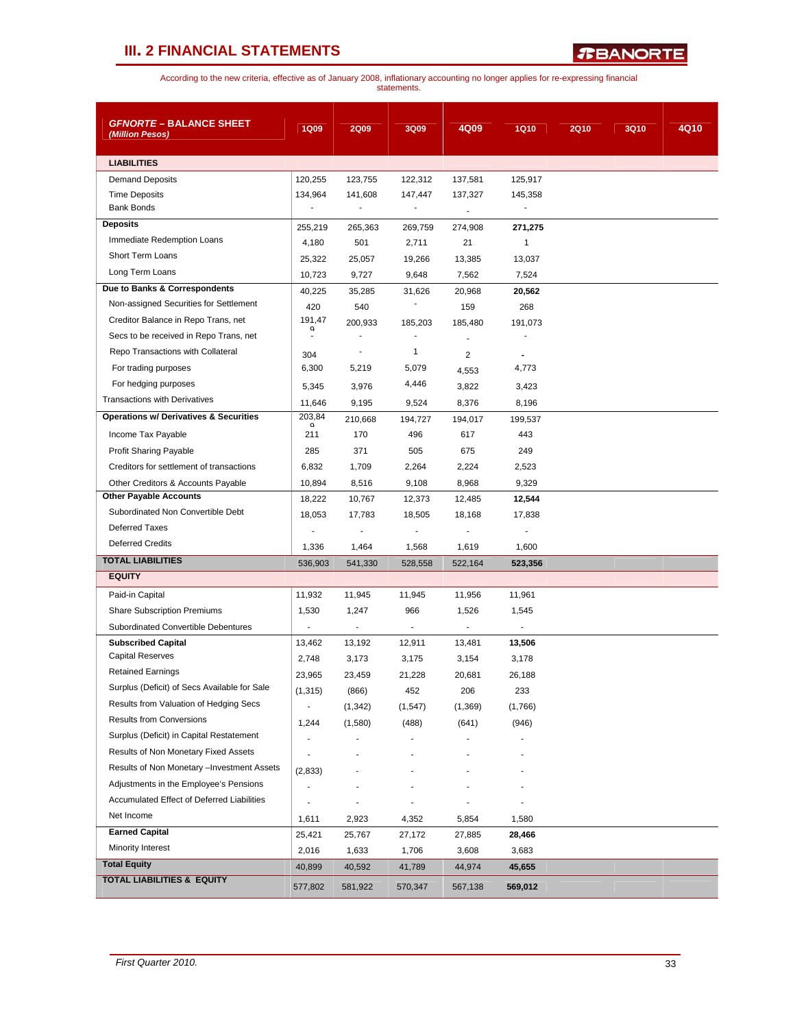*R***BANORTE** 

| <b>GFNORTE - BALANCE SHEET</b>                    |                          |                          |                          |                |                          |             |             |      |
|---------------------------------------------------|--------------------------|--------------------------|--------------------------|----------------|--------------------------|-------------|-------------|------|
| (Million Pesos)                                   | <b>1Q09</b>              | <b>2Q09</b>              | 3Q09                     | 4Q09           | <b>1Q10</b>              | <b>2Q10</b> | <b>3Q10</b> | 4Q10 |
| <b>LIABILITIES</b>                                |                          |                          |                          |                |                          |             |             |      |
| <b>Demand Deposits</b>                            | 120,255                  | 123,755                  | 122,312                  | 137,581        | 125,917                  |             |             |      |
| <b>Time Deposits</b>                              | 134,964                  | 141,608                  | 147,447                  | 137,327        | 145,358                  |             |             |      |
| <b>Bank Bonds</b>                                 | $\blacksquare$           | ÷,                       | $\blacksquare$           | $\blacksquare$ | $\blacksquare$           |             |             |      |
| <b>Deposits</b>                                   | 255,219                  | 265,363                  | 269,759                  | 274,908        | 271,275                  |             |             |      |
| Immediate Redemption Loans                        | 4,180                    | 501                      | 2,711                    | 21             | 1                        |             |             |      |
| <b>Short Term Loans</b>                           | 25,322                   | 25,057                   | 19,266                   | 13,385         | 13,037                   |             |             |      |
| Long Term Loans                                   | 10,723                   | 9,727                    | 9,648                    | 7,562          | 7,524                    |             |             |      |
| Due to Banks & Correspondents                     | 40,225                   | 35,285                   | 31,626                   | 20,968         | 20,562                   |             |             |      |
| Non-assigned Securities for Settlement            | 420                      | 540                      | $\overline{\phantom{m}}$ | 159            | 268                      |             |             |      |
| Creditor Balance in Repo Trans, net               | 191,47<br>a              | 200,933                  | 185,203                  | 185,480        | 191,073                  |             |             |      |
| Secs to be received in Repo Trans, net            |                          |                          | ٠                        |                |                          |             |             |      |
| Repo Transactions with Collateral                 | 304                      |                          | $\mathbf{1}$             | $\overline{c}$ |                          |             |             |      |
| For trading purposes                              | 6,300                    | 5,219                    | 5,079                    | 4,553          | 4,773                    |             |             |      |
| For hedging purposes                              | 5,345                    | 3,976                    | 4,446                    | 3,822          | 3,423                    |             |             |      |
| <b>Transactions with Derivatives</b>              | 11,646                   | 9,195                    | 9,524                    | 8,376          | 8,196                    |             |             |      |
| <b>Operations w/ Derivatives &amp; Securities</b> | 203,84                   | 210,668                  | 194,727                  | 194,017        | 199,537                  |             |             |      |
| Income Tax Payable                                | a<br>211                 | 170                      | 496                      | 617            | 443                      |             |             |      |
| Profit Sharing Payable                            | 285                      | 371                      | 505                      | 675            | 249                      |             |             |      |
| Creditors for settlement of transactions          | 6,832                    | 1,709                    | 2,264                    | 2,224          | 2,523                    |             |             |      |
| Other Creditors & Accounts Payable                | 10,894                   | 8,516                    | 9,108                    | 8,968          | 9,329                    |             |             |      |
| <b>Other Payable Accounts</b>                     | 18,222                   | 10,767                   | 12,373                   | 12,485         | 12,544                   |             |             |      |
| Subordinated Non Convertible Debt                 | 18,053                   | 17,783                   | 18,505                   | 18,168         | 17,838                   |             |             |      |
| <b>Deferred Taxes</b>                             |                          |                          | $\overline{\phantom{a}}$ | $\blacksquare$ |                          |             |             |      |
| <b>Deferred Credits</b>                           | 1,336                    | 1,464                    | 1,568                    | 1,619          | 1,600                    |             |             |      |
| <b>TOTAL LIABILITIES</b>                          | 536,903                  | 541,330                  | 528,558                  | 522,164        | 523,356                  |             |             |      |
| <b>EQUITY</b>                                     |                          |                          |                          |                |                          |             |             |      |
| Paid-in Capital                                   | 11,932                   | 11,945                   | 11,945                   | 11,956         | 11,961                   |             |             |      |
| <b>Share Subscription Premiums</b>                | 1,530                    | 1,247                    | 966                      | 1,526          | 1,545                    |             |             |      |
| Subordinated Convertible Debentures               | $\overline{\phantom{a}}$ | $\overline{\phantom{a}}$ | $\overline{\phantom{a}}$ | $\bullet$      | $\overline{\phantom{a}}$ |             |             |      |
| <b>Subscribed Capital</b>                         | 13,462                   | 13,192                   | 12,911                   | 13,481         | 13,506                   |             |             |      |
| <b>Capital Reserves</b>                           | 2,748                    | 3,173                    | 3,175                    | 3,154          | 3,178                    |             |             |      |
| <b>Retained Earnings</b>                          | 23,965                   | 23,459                   | 21,228                   | 20,681         | 26,188                   |             |             |      |
| Surplus (Deficit) of Secs Available for Sale      | (1, 315)                 | (866)                    | 452                      | 206            | 233                      |             |             |      |
| Results from Valuation of Hedging Secs            | $\blacksquare$           | (1, 342)                 | (1, 547)                 | (1,369)        | (1,766)                  |             |             |      |
| <b>Results from Conversions</b>                   | 1,244                    | (1,580)                  | (488)                    | (641)          | (946)                    |             |             |      |
| Surplus (Deficit) in Capital Restatement          |                          |                          |                          |                |                          |             |             |      |
| Results of Non Monetary Fixed Assets              |                          |                          |                          |                |                          |             |             |      |
| Results of Non Monetary - Investment Assets       | (2,833)                  |                          |                          |                |                          |             |             |      |
| Adjustments in the Employee's Pensions            | $\overline{a}$           |                          |                          |                |                          |             |             |      |
| Accumulated Effect of Deferred Liabilities        |                          |                          |                          |                |                          |             |             |      |
| Net Income                                        | 1,611                    | 2,923                    | 4,352                    | 5,854          | 1,580                    |             |             |      |
| <b>Earned Capital</b>                             | 25,421                   | 25,767                   | 27,172                   | 27,885         | 28,466                   |             |             |      |
| Minority Interest                                 | 2,016                    | 1,633                    | 1,706                    | 3,608          | 3,683                    |             |             |      |
| <b>Total Equity</b>                               | 40,899                   | 40,592                   | 41,789                   | 44,974         | 45,655                   |             |             |      |
| <b>TOTAL LIABILITIES &amp; EQUITY</b>             | 577,802                  | 581,922                  | 570,347                  | 567,138        | 569,012                  |             |             |      |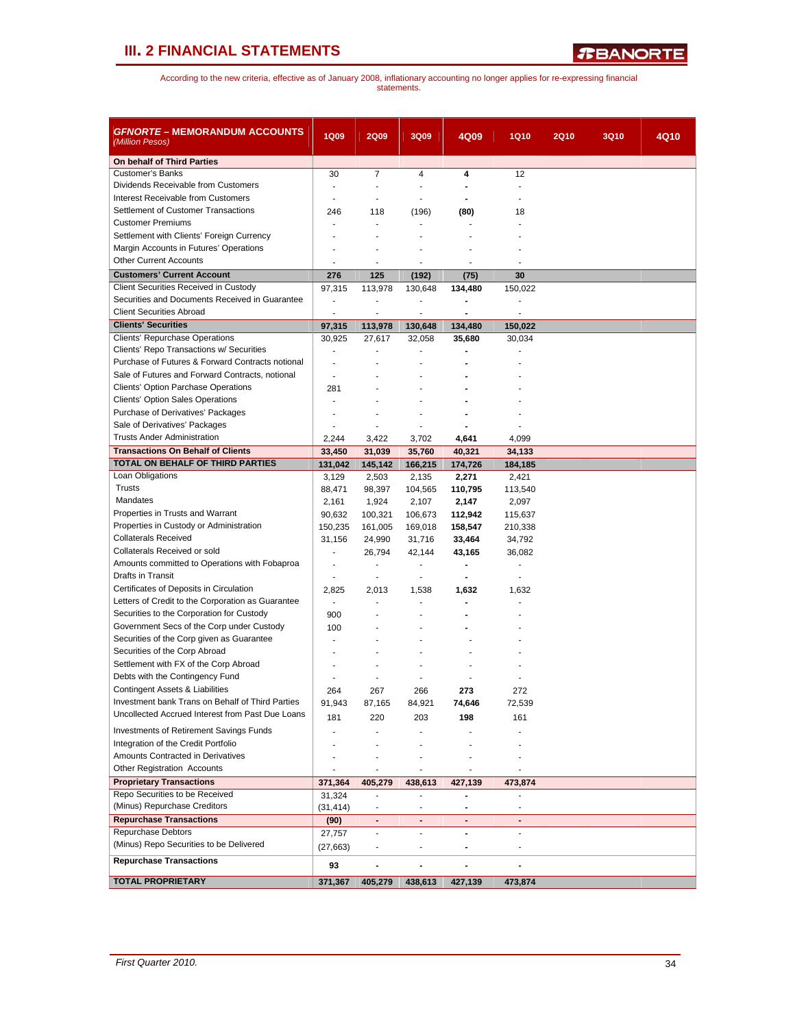| <i>GFNORTE</i> – MEMORANDUM ACCOUNTS<br>(Million Pesos)                               | <b>1Q09</b>              | <b>2Q09</b>                  | 3Q09                     | 4Q09                         | <b>1Q10</b>       | <b>2Q10</b> | <b>3Q10</b> | 4Q10 |
|---------------------------------------------------------------------------------------|--------------------------|------------------------------|--------------------------|------------------------------|-------------------|-------------|-------------|------|
| On behalf of Third Parties                                                            |                          |                              |                          |                              |                   |             |             |      |
| <b>Customer's Banks</b>                                                               | 30                       | $\overline{7}$               | 4                        | 4                            | 12                |             |             |      |
| Dividends Receivable from Customers                                                   |                          |                              |                          |                              |                   |             |             |      |
| Interest Receivable from Customers                                                    |                          |                              |                          | $\blacksquare$               |                   |             |             |      |
| Settlement of Customer Transactions                                                   | 246                      | 118                          | (196)                    | (80)                         | 18                |             |             |      |
| <b>Customer Premiums</b>                                                              |                          | ä,                           |                          |                              |                   |             |             |      |
| Settlement with Clients' Foreign Currency                                             |                          |                              |                          |                              |                   |             |             |      |
| Margin Accounts in Futures' Operations                                                |                          |                              |                          |                              |                   |             |             |      |
| <b>Other Current Accounts</b>                                                         |                          | $\overline{a}$               |                          |                              |                   |             |             |      |
| <b>Customers' Current Account</b>                                                     | 276                      | 125                          | (192)                    | (75)                         | 30                |             |             |      |
| <b>Client Securities Received in Custody</b>                                          | 97,315                   | 113,978                      | 130,648                  | 134,480                      | 150,022           |             |             |      |
| Securities and Documents Received in Guarantee                                        | $\frac{1}{2}$            | $\overline{\phantom{a}}$     | $\overline{a}$           | $\qquad \qquad \blacksquare$ | ä,                |             |             |      |
| <b>Client Securities Abroad</b>                                                       | ÷,                       | $\blacksquare$               | $\overline{\phantom{a}}$ | $\blacksquare$               | ÷                 |             |             |      |
| <b>Clients' Securities</b>                                                            | 97,315                   | 113,978                      | 130,648                  | 134,480                      | 150,022           |             |             |      |
| Clients' Repurchase Operations                                                        | 30,925                   | 27,617                       | 32,058                   | 35,680                       | 30,034            |             |             |      |
| Clients' Repo Transactions w/ Securities                                              |                          |                              |                          |                              |                   |             |             |      |
| Purchase of Futures & Forward Contracts notional                                      | $\overline{a}$           |                              |                          |                              |                   |             |             |      |
| Sale of Futures and Forward Contracts, notional                                       | $\overline{a}$           |                              |                          |                              |                   |             |             |      |
| <b>Clients' Option Parchase Operations</b><br><b>Clients' Option Sales Operations</b> | 281                      |                              |                          |                              |                   |             |             |      |
| Purchase of Derivatives' Packages                                                     |                          |                              |                          |                              |                   |             |             |      |
| Sale of Derivatives' Packages                                                         |                          |                              |                          |                              |                   |             |             |      |
| <b>Trusts Ander Administration</b>                                                    | 2,244                    |                              |                          |                              |                   |             |             |      |
| <b>Transactions On Behalf of Clients</b>                                              |                          | 3,422<br>31,039              | 3,702                    | 4,641                        | 4,099             |             |             |      |
| <b>TOTAL ON BEHALF OF THIRD PARTIES</b>                                               | 33,450<br>131,042        | 145,142                      | 35,760<br>166,215        | 40,321<br>174,726            | 34,133<br>184,185 |             |             |      |
| Loan Obligations                                                                      | 3,129                    | 2,503                        | 2,135                    | 2,271                        | 2,421             |             |             |      |
| Trusts                                                                                | 88,471                   | 98,397                       | 104,565                  | 110,795                      | 113,540           |             |             |      |
| Mandates                                                                              | 2,161                    | 1,924                        | 2,107                    | 2,147                        | 2,097             |             |             |      |
| Properties in Trusts and Warrant                                                      | 90,632                   | 100,321                      | 106,673                  | 112,942                      | 115,637           |             |             |      |
| Properties in Custody or Administration                                               | 150,235                  | 161,005                      | 169,018                  | 158,547                      | 210,338           |             |             |      |
| <b>Collaterals Received</b>                                                           | 31,156                   | 24,990                       | 31,716                   | 33,464                       | 34,792            |             |             |      |
| Collaterals Received or sold                                                          | ÷.                       | 26,794                       | 42,144                   | 43,165                       | 36,082            |             |             |      |
| Amounts committed to Operations with Fobaproa                                         | $\overline{\phantom{a}}$ | ä,                           | $\blacksquare$           | $\blacksquare$               | ÷,                |             |             |      |
| Drafts in Transit                                                                     | $\blacksquare$           | $\overline{\phantom{a}}$     | $\blacksquare$           | $\blacksquare$               | $\blacksquare$    |             |             |      |
| Certificates of Deposits in Circulation                                               | 2,825                    | 2,013                        | 1,538                    | 1,632                        | 1,632             |             |             |      |
| Letters of Credit to the Corporation as Guarantee                                     | $\overline{\phantom{a}}$ | ٠                            |                          | $\blacksquare$               |                   |             |             |      |
| Securities to the Corporation for Custody                                             | 900                      |                              |                          |                              |                   |             |             |      |
| Government Secs of the Corp under Custody                                             | 100                      |                              |                          |                              |                   |             |             |      |
| Securities of the Corp given as Guarantee                                             |                          |                              |                          |                              |                   |             |             |      |
| Securities of the Corp Abroad                                                         |                          |                              |                          |                              |                   |             |             |      |
| Settlement with FX of the Corp Abroad                                                 |                          |                              |                          |                              |                   |             |             |      |
| Debts with the Contingency Fund                                                       |                          |                              |                          |                              |                   |             |             |      |
| <b>Contingent Assets &amp; Liabilities</b>                                            | 264                      | 267                          | 266                      | 273                          | 272               |             |             |      |
| Investment bank Trans on Behalf of Third Parties                                      | 91,943                   | 87,165                       | 84,921                   | 74,646                       | 72,539            |             |             |      |
| Uncollected Accrued Interest from Past Due Loans                                      | 181                      | 220                          | 203                      | 198                          | 161               |             |             |      |
| <b>Investments of Retirement Savings Funds</b>                                        |                          |                              |                          |                              |                   |             |             |      |
| Integration of the Credit Portfolio                                                   |                          |                              |                          |                              |                   |             |             |      |
| Amounts Contracted in Derivatives                                                     |                          |                              |                          |                              |                   |             |             |      |
| <b>Other Registration Accounts</b>                                                    | ٠                        | $\sim$                       | $\blacksquare$           | ٠                            | ٠                 |             |             |      |
| <b>Proprietary Transactions</b>                                                       | 371,364                  | 405,279                      | 438,613                  | 427,139                      | 473,874           |             |             |      |
| Repo Securities to be Received                                                        | 31,324                   |                              |                          |                              |                   |             |             |      |
| (Minus) Repurchase Creditors                                                          | (31,414)                 |                              |                          |                              |                   |             |             |      |
| <b>Repurchase Transactions</b>                                                        | (90)                     | $\blacksquare$               | $\blacksquare$           | ٠                            | $\blacksquare$    |             |             |      |
| Repurchase Debtors                                                                    | 27,757                   | $\blacksquare$               | $\overline{\phantom{a}}$ | $\blacksquare$               | $\sim$            |             |             |      |
| (Minus) Repo Securities to be Delivered                                               | (27, 663)                | $\overline{\phantom{a}}$     |                          | $\blacksquare$               | $\overline{a}$    |             |             |      |
| <b>Repurchase Transactions</b>                                                        | 93                       | $\qquad \qquad \blacksquare$ |                          | $\qquad \qquad \blacksquare$ |                   |             |             |      |
| <b>TOTAL PROPRIETARY</b>                                                              | 371,367                  | 405,279                      | 438,613                  | 427,139                      | 473,874           |             |             |      |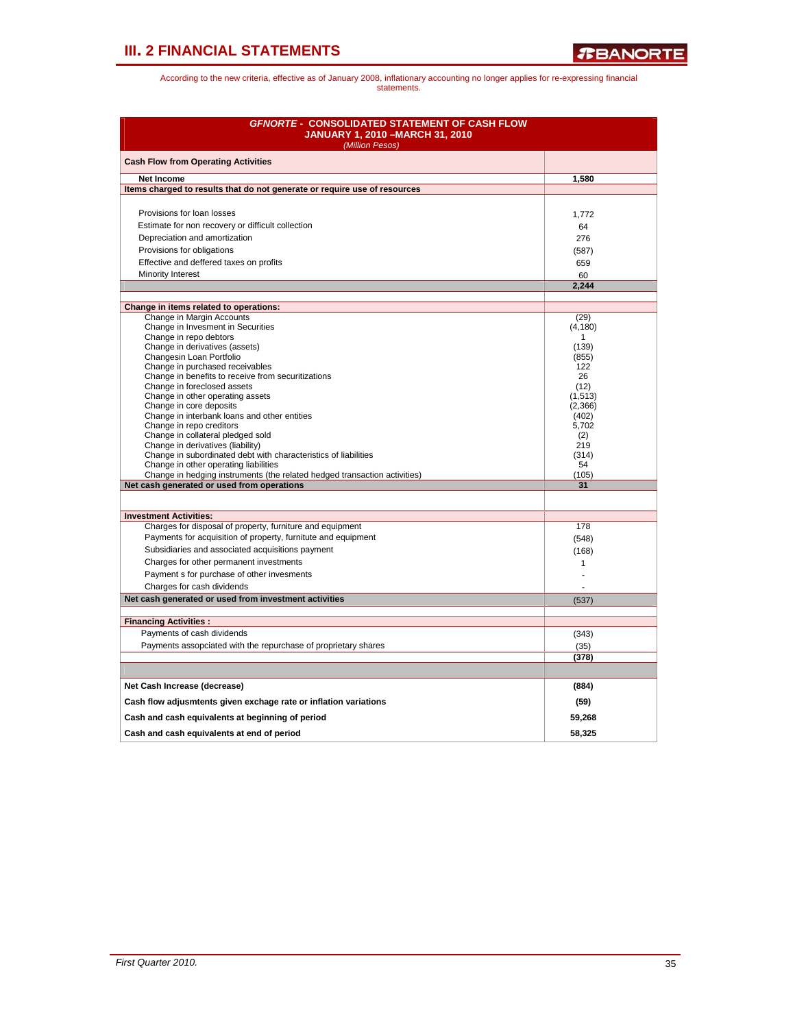| <b>GFNORTE - CONSOLIDATED STATEMENT OF CASH FLOW</b><br><b>JANUARY 1, 2010 - MARCH 31, 2010</b><br>(Million Pesos) |                  |  |  |  |  |  |
|--------------------------------------------------------------------------------------------------------------------|------------------|--|--|--|--|--|
| <b>Cash Flow from Operating Activities</b>                                                                         |                  |  |  |  |  |  |
| <b>Net Income</b>                                                                                                  | 1,580            |  |  |  |  |  |
| Items charged to results that do not generate or require use of resources                                          |                  |  |  |  |  |  |
|                                                                                                                    |                  |  |  |  |  |  |
| Provisions for loan losses                                                                                         | 1,772            |  |  |  |  |  |
| Estimate for non recovery or difficult collection                                                                  | 64               |  |  |  |  |  |
| Depreciation and amortization                                                                                      | 276              |  |  |  |  |  |
| Provisions for obligations                                                                                         | (587)            |  |  |  |  |  |
| Effective and deffered taxes on profits                                                                            | 659              |  |  |  |  |  |
| Minority Interest                                                                                                  | 60               |  |  |  |  |  |
|                                                                                                                    | 2,244            |  |  |  |  |  |
| Change in items related to operations:                                                                             |                  |  |  |  |  |  |
| Change in Margin Accounts                                                                                          | (29)             |  |  |  |  |  |
| Change in Invesment in Securities                                                                                  | (4, 180)         |  |  |  |  |  |
| Change in repo debtors                                                                                             | $\mathbf{1}$     |  |  |  |  |  |
| Change in derivatives (assets)<br>Changesin Loan Portfolio                                                         | (139)<br>(855)   |  |  |  |  |  |
| Change in purchased receivables                                                                                    | 122              |  |  |  |  |  |
| Change in benefits to receive from securitizations                                                                 | 26               |  |  |  |  |  |
| Change in foreclosed assets                                                                                        | (12)             |  |  |  |  |  |
| Change in other operating assets                                                                                   | (1, 513)         |  |  |  |  |  |
| Change in core deposits<br>Change in interbank loans and other entities                                            | (2,366)<br>(402) |  |  |  |  |  |
| Change in repo creditors                                                                                           | 5,702            |  |  |  |  |  |
| Change in collateral pledged sold                                                                                  | (2)              |  |  |  |  |  |
| Change in derivatives (liability)                                                                                  | 219              |  |  |  |  |  |
| Change in subordinated debt with characteristics of liabilities                                                    | (314)<br>54      |  |  |  |  |  |
| Change in other operating liabilities<br>Change in hedging instruments (the related hedged transaction activities) | (105)            |  |  |  |  |  |
| Net cash generated or used from operations                                                                         | 31               |  |  |  |  |  |
|                                                                                                                    |                  |  |  |  |  |  |
| <b>Investment Activities:</b>                                                                                      |                  |  |  |  |  |  |
| Charges for disposal of property, furniture and equipment                                                          | 178              |  |  |  |  |  |
| Payments for acquisition of property, furnitute and equipment                                                      | (548)            |  |  |  |  |  |
| Subsidiaries and associated acquisitions payment                                                                   | (168)            |  |  |  |  |  |
| Charges for other permanent investments                                                                            | $\mathbf{1}$     |  |  |  |  |  |
| Payment s for purchase of other invesments                                                                         | L.               |  |  |  |  |  |
| Charges for cash dividends                                                                                         |                  |  |  |  |  |  |
| Net cash generated or used from investment activities                                                              | (537)            |  |  |  |  |  |
|                                                                                                                    |                  |  |  |  |  |  |
| <b>Financing Activities:</b><br>Payments of cash dividends                                                         |                  |  |  |  |  |  |
|                                                                                                                    | (343)            |  |  |  |  |  |
| Payments assopciated with the repurchase of proprietary shares                                                     | (35)<br>(378)    |  |  |  |  |  |
|                                                                                                                    |                  |  |  |  |  |  |
| Net Cash Increase (decrease)                                                                                       | (884)            |  |  |  |  |  |
| Cash flow adjusmtents given exchage rate or inflation variations                                                   | (59)             |  |  |  |  |  |
| Cash and cash equivalents at beginning of period                                                                   | 59,268           |  |  |  |  |  |
|                                                                                                                    |                  |  |  |  |  |  |
| Cash and cash equivalents at end of period                                                                         | 58.325           |  |  |  |  |  |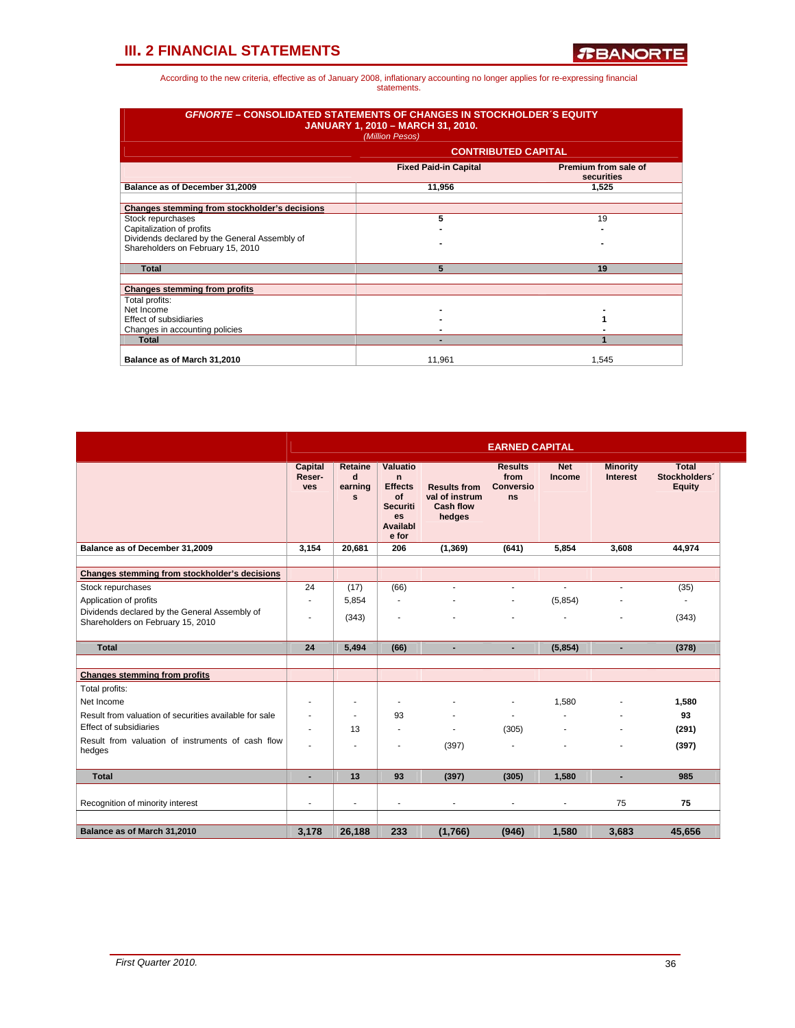| <b>GFNORTE – CONSOLIDATED STATEMENTS OF CHANGES IN STOCKHOLDER S EQUITY</b><br><b>JANUARY 1, 2010 - MARCH 31, 2010.</b><br>(Million Pesos) |                                                                    |       |  |  |  |  |  |  |
|--------------------------------------------------------------------------------------------------------------------------------------------|--------------------------------------------------------------------|-------|--|--|--|--|--|--|
|                                                                                                                                            | <b>CONTRIBUTED CAPITAL</b>                                         |       |  |  |  |  |  |  |
|                                                                                                                                            | Premium from sale of<br><b>Fixed Paid-in Capital</b><br>securities |       |  |  |  |  |  |  |
| Balance as of December 31,2009                                                                                                             | 11,956                                                             | 1.525 |  |  |  |  |  |  |
| Changes stemming from stockholder's decisions                                                                                              |                                                                    |       |  |  |  |  |  |  |
| Stock repurchases                                                                                                                          | 5                                                                  | 19    |  |  |  |  |  |  |
| Capitalization of profits                                                                                                                  |                                                                    |       |  |  |  |  |  |  |
| Dividends declared by the General Assembly of<br>Shareholders on February 15, 2010                                                         |                                                                    |       |  |  |  |  |  |  |
| <b>Total</b>                                                                                                                               | 5                                                                  | 19    |  |  |  |  |  |  |
|                                                                                                                                            |                                                                    |       |  |  |  |  |  |  |
| <b>Changes stemming from profits</b>                                                                                                       |                                                                    |       |  |  |  |  |  |  |
| Total profits:                                                                                                                             |                                                                    |       |  |  |  |  |  |  |
| Net Income                                                                                                                                 |                                                                    |       |  |  |  |  |  |  |
| Effect of subsidiaries                                                                                                                     |                                                                    |       |  |  |  |  |  |  |
| Changes in accounting policies                                                                                                             |                                                                    |       |  |  |  |  |  |  |
| <b>Total</b>                                                                                                                               |                                                                    |       |  |  |  |  |  |  |
| Balance as of March 31,2010                                                                                                                | 11,961                                                             | 1.545 |  |  |  |  |  |  |

|                                                                                    | <b>EARNED CAPITAL</b>           |                                         |                                                                                                      |                                                                     |                                                  |                             |                                    |                                         |  |  |  |
|------------------------------------------------------------------------------------|---------------------------------|-----------------------------------------|------------------------------------------------------------------------------------------------------|---------------------------------------------------------------------|--------------------------------------------------|-----------------------------|------------------------------------|-----------------------------------------|--|--|--|
|                                                                                    | Capital<br>Reser-<br><b>ves</b> | Retaine<br>d<br>earning<br>$\mathbf{s}$ | Valuatio<br>$\mathbf n$<br><b>Effects</b><br>of<br><b>Securiti</b><br><b>es</b><br>Availabl<br>e for | <b>Results from</b><br>val of instrum<br><b>Cash flow</b><br>hedges | <b>Results</b><br>from<br>Conversio<br><b>ns</b> | <b>Net</b><br><b>Income</b> | <b>Minority</b><br><b>Interest</b> | Total<br>Stockholders'<br><b>Equity</b> |  |  |  |
| Balance as of December 31,2009                                                     | 3,154                           | 20,681                                  | 206                                                                                                  | (1, 369)                                                            | (641)                                            | 5,854                       | 3,608                              | 44,974                                  |  |  |  |
| Changes stemming from stockholder's decisions                                      |                                 |                                         |                                                                                                      |                                                                     |                                                  |                             |                                    |                                         |  |  |  |
| Stock repurchases                                                                  | 24                              | (17)                                    | (66)                                                                                                 | $\blacksquare$                                                      | $\overline{\phantom{a}}$                         | $\overline{\phantom{a}}$    | $\blacksquare$                     | (35)                                    |  |  |  |
| Application of profits                                                             | ٠                               | 5,854                                   | ٠                                                                                                    |                                                                     | $\blacksquare$                                   | (5,854)                     |                                    | ٠                                       |  |  |  |
| Dividends declared by the General Assembly of<br>Shareholders on February 15, 2010 | ÷                               | (343)                                   |                                                                                                      |                                                                     |                                                  |                             |                                    | (343)                                   |  |  |  |
| <b>Total</b>                                                                       | 24                              | 5,494                                   | (66)                                                                                                 | ٠                                                                   | ٠                                                | (5,854)                     | ٠                                  | (378)                                   |  |  |  |
| <b>Changes stemming from profits</b>                                               |                                 |                                         |                                                                                                      |                                                                     |                                                  |                             |                                    |                                         |  |  |  |
| Total profits:                                                                     |                                 |                                         |                                                                                                      |                                                                     |                                                  |                             |                                    |                                         |  |  |  |
| Net Income                                                                         | ۰                               | $\overline{\phantom{a}}$                |                                                                                                      |                                                                     | ٠                                                | 1,580                       |                                    | 1,580                                   |  |  |  |
| Result from valuation of securities available for sale                             |                                 | $\blacksquare$                          | 93                                                                                                   |                                                                     | ÷,                                               | $\overline{a}$              | ٠                                  | 93                                      |  |  |  |
| <b>Effect of subsidiaries</b>                                                      | ٠                               | 13                                      | $\blacksquare$                                                                                       | $\overline{\phantom{a}}$                                            | (305)                                            | ۰                           | $\overline{\phantom{a}}$           | (291)                                   |  |  |  |
| Result from valuation of instruments of cash flow<br>hedges                        | ۰                               | ٠                                       |                                                                                                      | (397)                                                               | ٠                                                |                             |                                    | (397)                                   |  |  |  |
| <b>Total</b>                                                                       | ٠                               | 13                                      | 93                                                                                                   | (397)                                                               | (305)                                            | 1.580                       | ٠                                  | 985                                     |  |  |  |
| Recognition of minority interest                                                   |                                 | ٠                                       |                                                                                                      |                                                                     |                                                  | ä,                          | 75                                 | 75                                      |  |  |  |
|                                                                                    |                                 |                                         |                                                                                                      |                                                                     |                                                  |                             |                                    |                                         |  |  |  |
| Balance as of March 31,2010                                                        | 3,178                           | 26,188                                  | 233                                                                                                  | (1,766)                                                             | (946)                                            | 1,580                       | 3,683                              | 45,656                                  |  |  |  |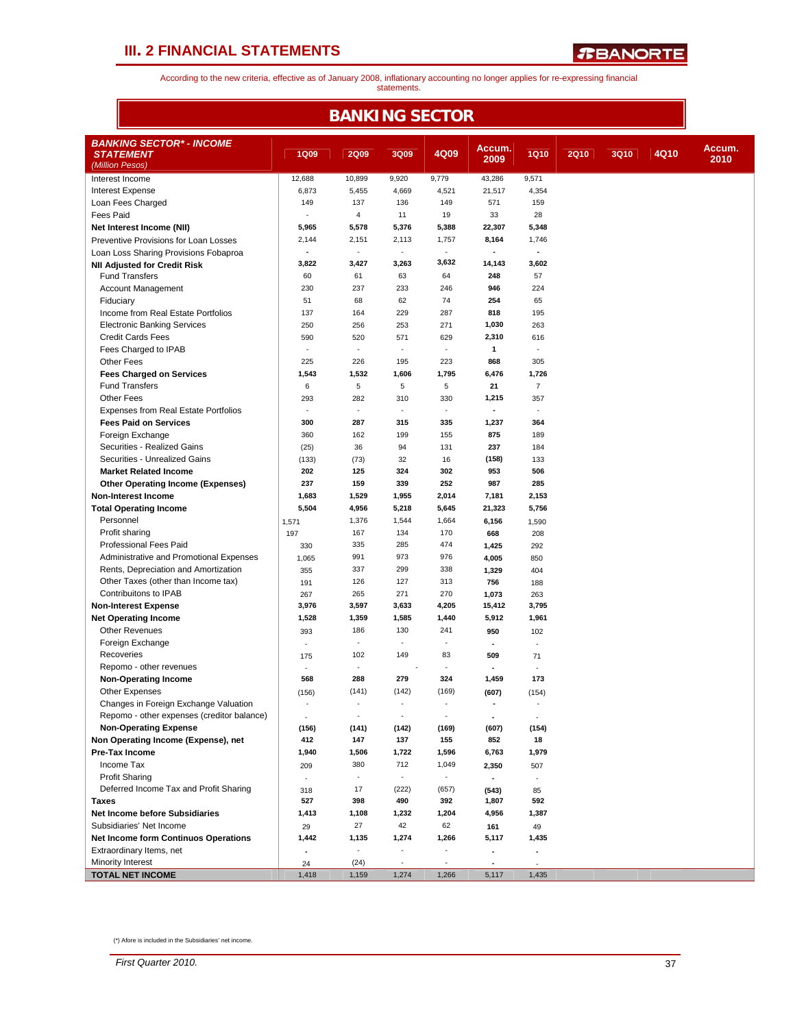F

*R***BANORTE** 

According to the new criteria, effective as of January 2008, inflationary accounting no longer applies for re-expressing financial statements.

|                                                                             |                          | <b>BANKING SECTOR</b>    |                             |                          |                          |                |             |             |      |        |
|-----------------------------------------------------------------------------|--------------------------|--------------------------|-----------------------------|--------------------------|--------------------------|----------------|-------------|-------------|------|--------|
| <b>BANKING SECTOR* - INCOME</b>                                             |                          |                          |                             |                          | Accum.                   |                |             |             |      | Accum. |
| <b>STATEMENT</b><br>(Million Pesos)                                         | <b>1Q09</b>              | <b>2Q09</b>              | 3Q09                        | 4Q09                     | 2009                     | <b>1Q10</b>    | <b>2Q10</b> | <b>3Q10</b> | 4Q10 | 2010   |
| Interest Income                                                             | 12,688                   | 10,899                   | 9,920                       | 9,779                    | 43,286                   | 9,571          |             |             |      |        |
| <b>Interest Expense</b>                                                     | 6,873                    | 5,455                    | 4,669                       | 4,521                    | 21,517                   | 4,354          |             |             |      |        |
| Loan Fees Charged                                                           | 149                      | 137                      | 136                         | 149                      | 571                      | 159            |             |             |      |        |
| <b>Fees Paid</b>                                                            | $\sim$                   | $\overline{4}$           | 11                          | 19                       | 33                       | 28             |             |             |      |        |
| Net Interest Income (NII)                                                   | 5,965                    | 5,578                    | 5,376                       | 5,388                    | 22,307                   | 5,348          |             |             |      |        |
| Preventive Provisions for Loan Losses                                       | 2,144                    | 2,151                    | 2,113                       | 1,757                    | 8,164                    | 1,746          |             |             |      |        |
| Loan Loss Sharing Provisions Fobaproa                                       | $\overline{\phantom{a}}$ | $\overline{\phantom{a}}$ | $\overline{\phantom{a}}$    | $\blacksquare$           | $\blacksquare$           | $\blacksquare$ |             |             |      |        |
| <b>NII Adjusted for Credit Risk</b>                                         | 3,822                    | 3,427                    | 3,263                       | 3,632                    | 14,143                   | 3,602          |             |             |      |        |
| <b>Fund Transfers</b>                                                       | 60                       | 61                       | 63                          | 64                       | 248                      | 57             |             |             |      |        |
| <b>Account Management</b>                                                   | 230                      | 237                      | 233                         | 246                      | 946                      | 224            |             |             |      |        |
| Fiduciary<br>Income from Real Estate Portfolios                             | 51<br>137                | 68<br>164                | 62<br>229                   | 74<br>287                | 254<br>818               | 65<br>195      |             |             |      |        |
| <b>Electronic Banking Services</b>                                          | 250                      | 256                      | 253                         | 271                      | 1,030                    | 263            |             |             |      |        |
| <b>Credit Cards Fees</b>                                                    | 590                      | 520                      | 571                         | 629                      | 2,310                    | 616            |             |             |      |        |
| Fees Charged to IPAB                                                        | ä,                       | $\sim$                   | $\mathcal{L}_{\mathcal{A}}$ | ×.                       | $\mathbf{1}$             | ÷.             |             |             |      |        |
| Other Fees                                                                  | 225                      | 226                      | 195                         | 223                      | 868                      | 305            |             |             |      |        |
| <b>Fees Charged on Services</b>                                             | 1,543                    | 1,532                    | 1,606                       | 1,795                    | 6,476                    | 1,726          |             |             |      |        |
| <b>Fund Transfers</b>                                                       | 6                        | 5                        | 5                           | $\overline{5}$           | 21                       | $\overline{7}$ |             |             |      |        |
| Other Fees                                                                  | 293                      | 282                      | 310                         | 330                      | 1,215                    | 357            |             |             |      |        |
| <b>Expenses from Real Estate Portfolios</b>                                 | ä,                       | $\sim$                   | $\mathcal{L}_{\mathcal{A}}$ | $\bar{z}$                |                          | ×,             |             |             |      |        |
| <b>Fees Paid on Services</b>                                                | 300                      | 287                      | 315                         | 335                      | 1,237                    | 364            |             |             |      |        |
| Foreign Exchange                                                            | 360                      | 162                      | 199                         | 155                      | 875                      | 189            |             |             |      |        |
| Securities - Realized Gains                                                 | (25)                     | 36                       | 94                          | 131                      | 237                      | 184            |             |             |      |        |
| Securities - Unrealized Gains                                               | (133)                    | (73)                     | 32                          | 16                       | (158)                    | 133            |             |             |      |        |
| <b>Market Related Income</b>                                                | 202                      | 125                      | 324                         | 302                      | 953                      | 506            |             |             |      |        |
| <b>Other Operating Income (Expenses)</b>                                    | 237                      | 159                      | 339                         | 252                      | 987                      | 285            |             |             |      |        |
| <b>Non-Interest Income</b>                                                  | 1,683                    | 1,529                    | 1,955                       | 2,014                    | 7,181                    | 2,153          |             |             |      |        |
| <b>Total Operating Income</b>                                               | 5,504                    | 4,956                    | 5,218                       | 5,645                    | 21,323                   | 5,756          |             |             |      |        |
| Personnel                                                                   | 1,571                    | 1,376                    | 1,544                       | 1,664                    | 6,156                    | 1,590          |             |             |      |        |
| Profit sharing                                                              | 197                      | 167                      | 134                         | 170                      | 668                      | 208            |             |             |      |        |
| <b>Professional Fees Paid</b>                                               | 330                      | 335                      | 285                         | 474                      | 1,425                    | 292            |             |             |      |        |
| Administrative and Promotional Expenses                                     | 1,065                    | 991                      | 973<br>299                  | 976                      | 4,005                    | 850            |             |             |      |        |
| Rents, Depreciation and Amortization<br>Other Taxes (other than Income tax) | 355                      | 337<br>126               | 127                         | 338<br>313               | 1,329                    | 404            |             |             |      |        |
| Contribuitons to IPAB                                                       | 191                      | 265                      | 271                         | 270                      | 756                      | 188            |             |             |      |        |
| <b>Non-Interest Expense</b>                                                 | 267<br>3,976             | 3,597                    | 3,633                       | 4,205                    | 1,073<br>15,412          | 263<br>3,795   |             |             |      |        |
| <b>Net Operating Income</b>                                                 | 1,528                    | 1,359                    | 1,585                       | 1,440                    | 5,912                    | 1,961          |             |             |      |        |
| <b>Other Revenues</b>                                                       | 393                      | 186                      | 130                         | 241                      | 950                      | 102            |             |             |      |        |
| Foreign Exchange                                                            | ÷,                       | $\overline{\phantom{a}}$ | $\overline{\phantom{a}}$    | $\blacksquare$           | $\overline{\phantom{a}}$ | ÷,             |             |             |      |        |
| Recoveries                                                                  | 175                      | 102                      | 149                         | 83                       | 509                      | 71             |             |             |      |        |
| Repomo - other revenues                                                     |                          | $\sim$                   |                             |                          |                          |                |             |             |      |        |
| <b>Non-Operating Income</b>                                                 | 568                      | 288                      | 279                         | 324                      | 1,459                    | 173            |             |             |      |        |
| Other Expenses                                                              | (156)                    | (141)                    | (142)                       | (169)                    | (607)                    | (154)          |             |             |      |        |
| Changes in Foreign Exchange Valuation                                       |                          |                          |                             |                          |                          |                |             |             |      |        |
| Repomo - other expenses (creditor balance)                                  | $\sim$                   | $\overline{\phantom{a}}$ | $\overline{\phantom{a}}$    | ÷,                       | $\blacksquare$           | $\sim$         |             |             |      |        |
| <b>Non-Operating Expense</b>                                                | (156)                    | (141)                    | (142)                       | (169)                    | (607)                    | (154)          |             |             |      |        |
| Non Operating Income (Expense), net                                         | 412                      | 147                      | 137                         | 155                      | 852                      | 18             |             |             |      |        |
| <b>Pre-Tax Income</b>                                                       | 1,940                    | 1,506                    | 1,722                       | 1,596                    | 6,763                    | 1,979          |             |             |      |        |
| Income Tax                                                                  | 209                      | 380                      | 712                         | 1,049                    | 2,350                    | 507            |             |             |      |        |
| <b>Profit Sharing</b>                                                       | $\overline{\phantom{a}}$ | $\overline{\phantom{a}}$ | $\overline{\phantom{a}}$    | $\sim$                   | $\blacksquare$           | $\blacksquare$ |             |             |      |        |
| Deferred Income Tax and Profit Sharing<br>Taxes                             | 318                      | 17                       | (222)                       | (657)                    | (543)                    | 85             |             |             |      |        |
| <b>Net Income before Subsidiaries</b>                                       | 527<br>1,413             | 398<br>1,108             | 490<br>1,232                | 392<br>1,204             | 1,807<br>4,956           | 592<br>1,387   |             |             |      |        |
| Subsidiaries' Net Income                                                    | 29                       | 27                       | 42                          | 62                       | 161                      | 49             |             |             |      |        |
| <b>Net Income form Continuos Operations</b>                                 | 1,442                    | 1,135                    | 1,274                       | 1,266                    | 5,117                    | 1,435          |             |             |      |        |
| Extraordinary Items, net                                                    |                          | $\overline{\phantom{a}}$ | $\sim$                      | ä,                       | $\blacksquare$           | $\blacksquare$ |             |             |      |        |
| Minority Interest                                                           | 24                       | (24)                     | $\overline{\phantom{a}}$    | $\overline{\phantom{a}}$ |                          |                |             |             |      |        |
| <b>TOTAL NET INCOME</b>                                                     | 1,418                    | 1,159                    | 1,274                       | 1,266                    | 5,117                    | 1,435          |             |             |      |        |

(\*) Afore is included in the Subsidiaries' net income.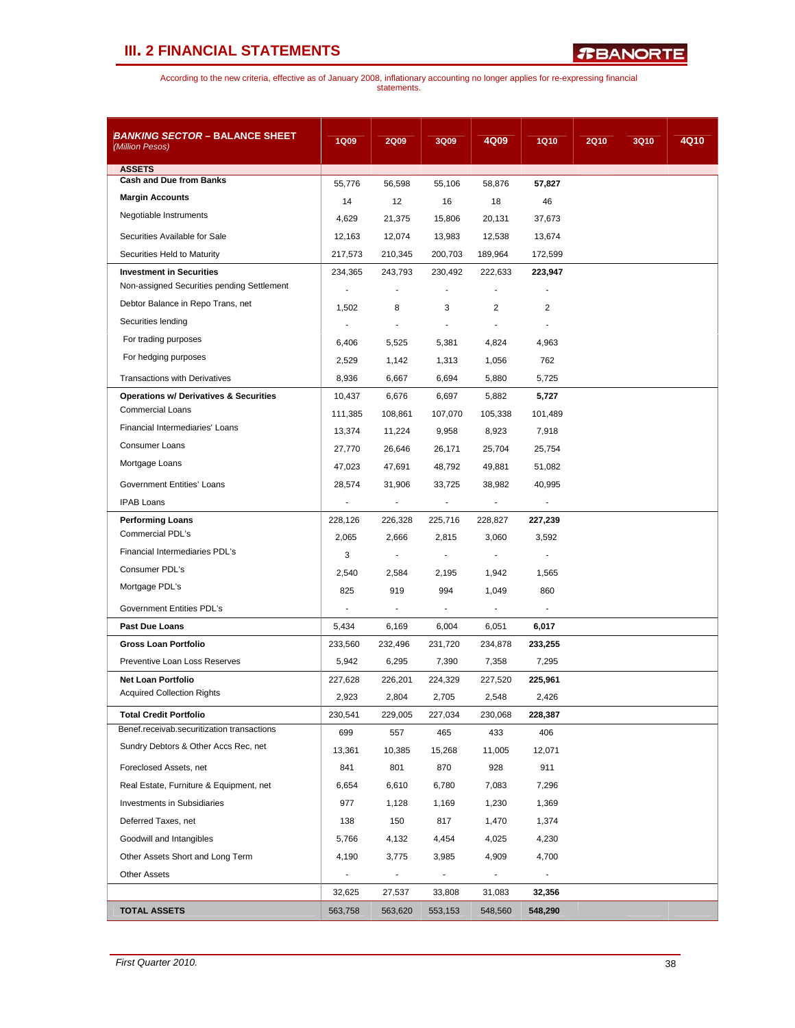*R***BANORTE** 

| <b>BANKING SECTOR - BALANCE SHEET</b><br>(Million Pesos) | <b>1Q09</b>              | <b>2Q09</b>              | 3Q09                     | 4Q09                     | <b>1Q10</b>              | <b>2Q10</b> | <b>3Q10</b> | 4Q10 |
|----------------------------------------------------------|--------------------------|--------------------------|--------------------------|--------------------------|--------------------------|-------------|-------------|------|
| <b>ASSETS</b>                                            |                          |                          |                          |                          |                          |             |             |      |
| <b>Cash and Due from Banks</b>                           | 55,776                   | 56,598                   | 55,106                   | 58,876                   | 57,827                   |             |             |      |
| <b>Margin Accounts</b>                                   | 14                       | 12                       | 16                       | 18                       | 46                       |             |             |      |
| Negotiable Instruments                                   | 4,629                    | 21,375                   | 15,806                   | 20,131                   | 37,673                   |             |             |      |
| Securities Available for Sale                            | 12,163                   | 12,074                   | 13,983                   | 12,538                   | 13,674                   |             |             |      |
| Securities Held to Maturity                              | 217,573                  | 210,345                  | 200,703                  | 189,964                  | 172,599                  |             |             |      |
| <b>Investment in Securities</b>                          | 234,365                  | 243,793                  | 230,492                  | 222,633                  | 223,947                  |             |             |      |
| Non-assigned Securities pending Settlement               | $\blacksquare$           | ٠                        | ٠                        | $\blacksquare$           |                          |             |             |      |
| Debtor Balance in Repo Trans, net                        | 1,502                    | 8                        | 3                        | $\overline{2}$           | $\overline{2}$           |             |             |      |
| Securities lending                                       |                          | $\overline{\phantom{a}}$ | $\overline{\phantom{a}}$ | $\blacksquare$           |                          |             |             |      |
| For trading purposes                                     | 6,406                    | 5,525                    | 5,381                    | 4,824                    | 4,963                    |             |             |      |
| For hedging purposes                                     | 2,529                    | 1,142                    | 1,313                    | 1,056                    | 762                      |             |             |      |
| <b>Transactions with Derivatives</b>                     | 8,936                    | 6,667                    | 6,694                    | 5,880                    | 5,725                    |             |             |      |
| <b>Operations w/ Derivatives &amp; Securities</b>        | 10,437                   | 6,676                    | 6,697                    | 5,882                    | 5,727                    |             |             |      |
| <b>Commercial Loans</b>                                  | 111,385                  | 108,861                  | 107,070                  | 105,338                  | 101,489                  |             |             |      |
| Financial Intermediaries' Loans                          | 13,374                   | 11,224                   | 9,958                    | 8,923                    | 7,918                    |             |             |      |
| <b>Consumer Loans</b>                                    | 27,770                   | 26,646                   | 26,171                   | 25,704                   | 25,754                   |             |             |      |
| Mortgage Loans                                           | 47,023                   | 47,691                   | 48,792                   | 49,881                   | 51,082                   |             |             |      |
| Government Entities' Loans                               | 28,574                   | 31,906                   | 33,725                   | 38,982                   | 40,995                   |             |             |      |
| <b>IPAB Loans</b>                                        |                          | $\overline{\phantom{a}}$ |                          |                          |                          |             |             |      |
| <b>Performing Loans</b>                                  | 228,126                  | 226,328                  | 225,716                  | 228,827                  | 227,239                  |             |             |      |
| Commercial PDL's                                         | 2,065                    | 2,666                    | 2,815                    | 3,060                    | 3,592                    |             |             |      |
| Financial Intermediaries PDL's                           | 3                        | $\overline{\phantom{a}}$ | $\overline{\phantom{a}}$ | $\overline{\phantom{a}}$ |                          |             |             |      |
| Consumer PDL's                                           | 2,540                    | 2,584                    | 2,195                    | 1,942                    | 1,565                    |             |             |      |
| Mortgage PDL's                                           | 825                      | 919                      | 994                      | 1,049                    | 860                      |             |             |      |
| Government Entities PDL's                                |                          |                          |                          |                          |                          |             |             |      |
| <b>Past Due Loans</b>                                    | 5,434                    | 6,169                    | 6,004                    | 6,051                    | 6,017                    |             |             |      |
| <b>Gross Loan Portfolio</b>                              | 233,560                  | 232,496                  | 231,720                  | 234,878                  | 233,255                  |             |             |      |
| Preventive Loan Loss Reserves                            | 5,942                    | 6,295                    | 7,390                    | 7,358                    | 7,295                    |             |             |      |
| <b>Net Loan Portfolio</b>                                | 227,628                  | 226,201                  | 224,329                  | 227,520                  | 225,961                  |             |             |      |
| <b>Acquired Collection Rights</b>                        | 2,923                    | 2,804                    | 2,705                    | 2,548                    | 2,426                    |             |             |      |
| <b>Total Credit Portfolio</b>                            | 230,541                  | 229,005                  | 227,034                  | 230,068                  | 228,387                  |             |             |      |
| Benef.receivab.securitization transactions               | 699                      | 557                      | 465                      | 433                      | 406                      |             |             |      |
| Sundry Debtors & Other Accs Rec, net                     | 13,361                   | 10,385                   | 15,268                   | 11,005                   | 12,071                   |             |             |      |
| Foreclosed Assets, net                                   | 841                      | 801                      | 870                      | 928                      | 911                      |             |             |      |
| Real Estate, Furniture & Equipment, net                  | 6,654                    | 6,610                    | 6,780                    | 7,083                    | 7,296                    |             |             |      |
| Investments in Subsidiaries                              | 977                      | 1,128                    | 1,169                    | 1,230                    | 1,369                    |             |             |      |
| Deferred Taxes, net                                      | 138                      | 150                      | 817                      | 1,470                    | 1,374                    |             |             |      |
| Goodwill and Intangibles                                 | 5,766                    | 4,132                    | 4,454                    | 4,025                    | 4,230                    |             |             |      |
| Other Assets Short and Long Term                         | 4,190                    | 3,775                    | 3,985                    | 4,909                    | 4,700                    |             |             |      |
| <b>Other Assets</b>                                      | $\overline{\phantom{a}}$ | $\blacksquare$           | $\overline{\phantom{a}}$ | $\blacksquare$           | $\overline{\phantom{a}}$ |             |             |      |
|                                                          | 32,625                   | 27,537                   | 33,808                   | 31,083                   | 32,356                   |             |             |      |
| <b>TOTAL ASSETS</b>                                      | 563,758                  | 563,620                  | 553,153                  | 548,560                  | 548,290                  |             |             |      |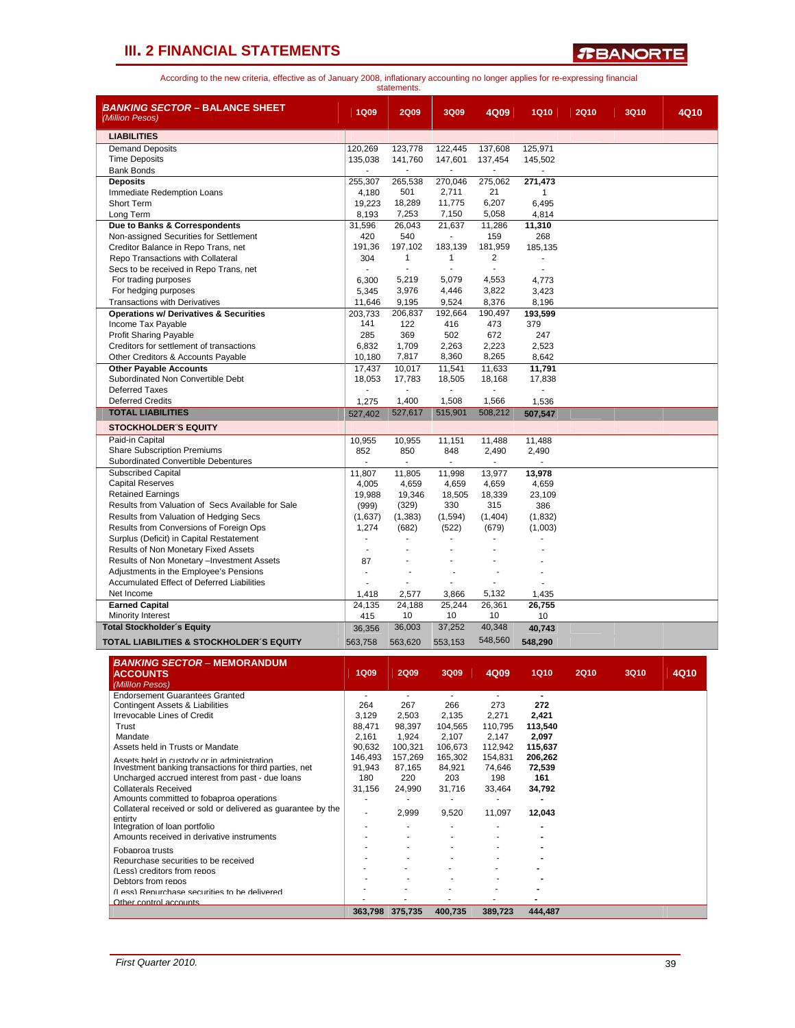*R***BANORTE** 

According to the new criteria, effective as of January 2008, inflationary accounting no longer applies for re-expressing financial statements.

| BANKING SECTOR – BALANCE SHEET<br>(Million Pesos)                                           | <b>1Q09</b>              | <b>2Q09</b>              | 3Q09                     | 4Q09             | <b>1Q10</b>      | <b>2Q10</b> | <b>3Q10</b> | 4Q10 |
|---------------------------------------------------------------------------------------------|--------------------------|--------------------------|--------------------------|------------------|------------------|-------------|-------------|------|
| <b>LIABILITIES</b>                                                                          |                          |                          |                          |                  |                  |             |             |      |
| <b>Demand Deposits</b>                                                                      | 120,269                  | 123,778                  | 122,445                  | 137,608          | 125,971          |             |             |      |
| <b>Time Deposits</b>                                                                        | 135,038                  | 141,760                  | 147,601                  | 137,454          | 145,502          |             |             |      |
| <b>Bank Bonds</b>                                                                           |                          |                          |                          |                  |                  |             |             |      |
| <b>Deposits</b><br>Immediate Redemption Loans                                               | 255,307<br>4,180         | 265,538<br>501           | 270,046<br>2,711         | 275,062<br>21    | 271,473<br>1     |             |             |      |
| Short Term                                                                                  | 19,223                   | 18,289                   | 11,775                   | 6,207            | 6,495            |             |             |      |
| Long Term                                                                                   | 8,193                    | 7,253                    | 7,150                    | 5,058            | 4,814            |             |             |      |
| Due to Banks & Correspondents                                                               | 31,596                   | 26,043                   | 21,637                   | 11,286           | 11,310           |             |             |      |
| Non-assigned Securities for Settlement                                                      | 420                      | 540                      | $\overline{\phantom{a}}$ | 159              | 268              |             |             |      |
| Creditor Balance in Repo Trans, net<br>Repo Transactions with Collateral                    | 191,36<br>304            | 197,102<br>1             | 183,139<br>1             | 181,959<br>2     | 185,135          |             |             |      |
| Secs to be received in Repo Trans, net                                                      |                          | ä,                       |                          | ÷,               |                  |             |             |      |
| For trading purposes                                                                        | 6,300                    | 5,219                    | 5,079                    | 4,553            | 4,773            |             |             |      |
| For hedging purposes                                                                        | 5,345                    | 3,976                    | 4,446                    | 3,822            | 3,423            |             |             |      |
| <b>Transactions with Derivatives</b>                                                        | 11,646                   | 9,195                    | 9,524                    | 8,376            | 8,196            |             |             |      |
| <b>Operations w/ Derivatives &amp; Securities</b>                                           | 203,733                  | 206,837                  | 192,664                  | 190,497          | 193,599          |             |             |      |
| Income Tax Payable<br>Profit Sharing Payable                                                | 141<br>285               | 122<br>369               | 416<br>502               | 473<br>672       | 379<br>247       |             |             |      |
| Creditors for settlement of transactions                                                    | 6,832                    | 1,709                    | 2,263                    | 2,223            | 2,523            |             |             |      |
| Other Creditors & Accounts Payable                                                          | 10,180                   | 7,817                    | 8,360                    | 8,265            | 8,642            |             |             |      |
| <b>Other Payable Accounts</b>                                                               | 17,437                   | 10,017                   | 11,541                   | 11,633           | 11,791           |             |             |      |
| Subordinated Non Convertible Debt                                                           | 18,053                   | 17,783                   | 18,505                   | 18,168           | 17,838           |             |             |      |
| Deferred Taxes                                                                              | $\blacksquare$           | $\overline{\phantom{a}}$ | $\blacksquare$           | $\blacksquare$   |                  |             |             |      |
| <b>Deferred Credits</b><br><b>TOTAL LIABILITIES</b>                                         | 1,275<br>527,402         | 1,400<br>527,617         | 1,508<br>515,901         | 1,566<br>508,212 | 1,536<br>507,547 |             |             |      |
|                                                                                             |                          |                          |                          |                  |                  |             |             |      |
| <b>STOCKHOLDER'S EQUITY</b><br>Paid-in Capital                                              |                          |                          |                          |                  |                  |             |             |      |
| <b>Share Subscription Premiums</b>                                                          | 10,955<br>852            | 10,955<br>850            | 11,151<br>848            | 11,488<br>2,490  | 11,488<br>2,490  |             |             |      |
| Subordinated Convertible Debentures                                                         |                          | ä,                       | ٠                        |                  |                  |             |             |      |
| <b>Subscribed Capital</b>                                                                   | 11,807                   | 11,805                   | 11,998                   | 13,977           | 13,978           |             |             |      |
| <b>Capital Reserves</b>                                                                     | 4,005                    | 4,659                    | 4,659                    | 4,659            | 4,659            |             |             |      |
| <b>Retained Earnings</b>                                                                    | 19,988                   | 19,346                   | 18,505                   | 18,339           | 23,109           |             |             |      |
| Results from Valuation of Secs Available for Sale<br>Results from Valuation of Hedging Secs | (999)<br>(1,637)         | (329)<br>(1, 383)        | 330<br>(1,594)           | 315<br>(1,404)   | 386<br>(1, 832)  |             |             |      |
| Results from Conversions of Foreign Ops                                                     | 1,274                    | (682)                    | (522)                    | (679)            | (1,003)          |             |             |      |
| Surplus (Deficit) in Capital Restatement                                                    |                          |                          |                          |                  |                  |             |             |      |
| Results of Non Monetary Fixed Assets                                                        |                          |                          |                          |                  |                  |             |             |      |
| Results of Non Monetary -Investment Assets                                                  | 87                       |                          |                          |                  |                  |             |             |      |
| Adjustments in the Employee's Pensions                                                      | ÷                        |                          |                          |                  |                  |             |             |      |
| <b>Accumulated Effect of Deferred Liabilities</b><br>Net Income                             | 1,418                    | 2,577                    | 3,866                    | 5,132            | 1,435            |             |             |      |
| <b>Earned Capital</b>                                                                       | 24,135                   | 24,188                   | 25,244                   | 26,361           | 26,755           |             |             |      |
| <b>Minority Interest</b>                                                                    | 415                      | 10                       | 10                       | 10               | 10               |             |             |      |
| <b>Total Stockholder's Equity</b>                                                           | 36,356                   | 36,003                   | 37,252                   | 40,348           | 40,743           |             |             |      |
| TOTAL LIABILITIES & STOCKHOLDER'S EQUITY                                                    | 563,758                  | 563,620                  | 553,153                  | 548,560          | 548,290          |             |             |      |
|                                                                                             |                          |                          |                          |                  |                  |             |             |      |
| <b>BANKING SECTOR - MEMORANDUM</b>                                                          | 1Q09                     | <b>2Q09</b>              | 3Q09                     |                  | <b>1Q10</b>      | <b>2Q10</b> | <b>3Q10</b> | 4Q10 |
| <b>ACCOUNTS</b><br>(Milllon Pesos)                                                          |                          |                          |                          | 4Q09             |                  |             |             |      |
| <b>Endorsement Guarantees Granted</b>                                                       | $\overline{\phantom{a}}$ | $\blacksquare$           | $\blacksquare$           | $\mathbf{r}$     | $\blacksquare$   |             |             |      |
| Contingent Assets & Liabilities                                                             | 264                      | 267                      | 266                      | 273              | 272              |             |             |      |
| Irrevocable Lines of Credit                                                                 | 3,129                    | 2,503                    | 2,135                    | 2,271            | 2,421            |             |             |      |
| Trust<br>Mandate                                                                            | 88,471<br>2,161          | 98,397<br>1,924          | 104,565<br>2,107         | 110,795<br>2,147 | 113,540<br>2,097 |             |             |      |
| Assets held in Trusts or Mandate                                                            | 90.632                   | 100,321                  | 106.673                  | 112,942          | 115,637          |             |             |      |
| Assets held in custody or in administration                                                 | 146,493                  | 157,269                  | 165,302                  | 154,831          | 206,262          |             |             |      |
| Investment banking transactions for third parties, net                                      | 91.943                   | 87,165                   | 84,921                   | 74,646           | 72,539           |             |             |      |
| Uncharged accrued interest from past - due loans<br><b>Collaterals Received</b>             | 180                      | 220                      | 203                      | 198              | 161              |             |             |      |
| Amounts committed to fobaproa operations                                                    | 31,156                   | 24,990                   | 31,716                   | 33,464           | 34,792           |             |             |      |
| Collateral received or sold or delivered as quarantee by the                                |                          | 2,999                    | 9,520                    | 11,097           | 12,043           |             |             |      |
| entirty<br>Integration of loan portfolio                                                    |                          |                          |                          |                  |                  |             |             |      |
| Amounts received in derivative instruments                                                  |                          |                          |                          |                  |                  |             |             |      |
| Fobanroa trusts                                                                             |                          |                          |                          |                  |                  |             |             |      |
| Renurchase securities to be received                                                        |                          |                          |                          |                  |                  |             |             |      |
| (Less) creditors from repos                                                                 |                          |                          |                          |                  |                  |             |             |      |
| Debtors from repos<br>(Less) Renurchase securities to be delivered                          |                          |                          |                          |                  |                  |             |             |      |
| Other control accounts                                                                      |                          |                          |                          |                  |                  |             |             |      |
|                                                                                             |                          | 363,798 375,735          | 400,735                  | 389,723          | 444,487          |             |             |      |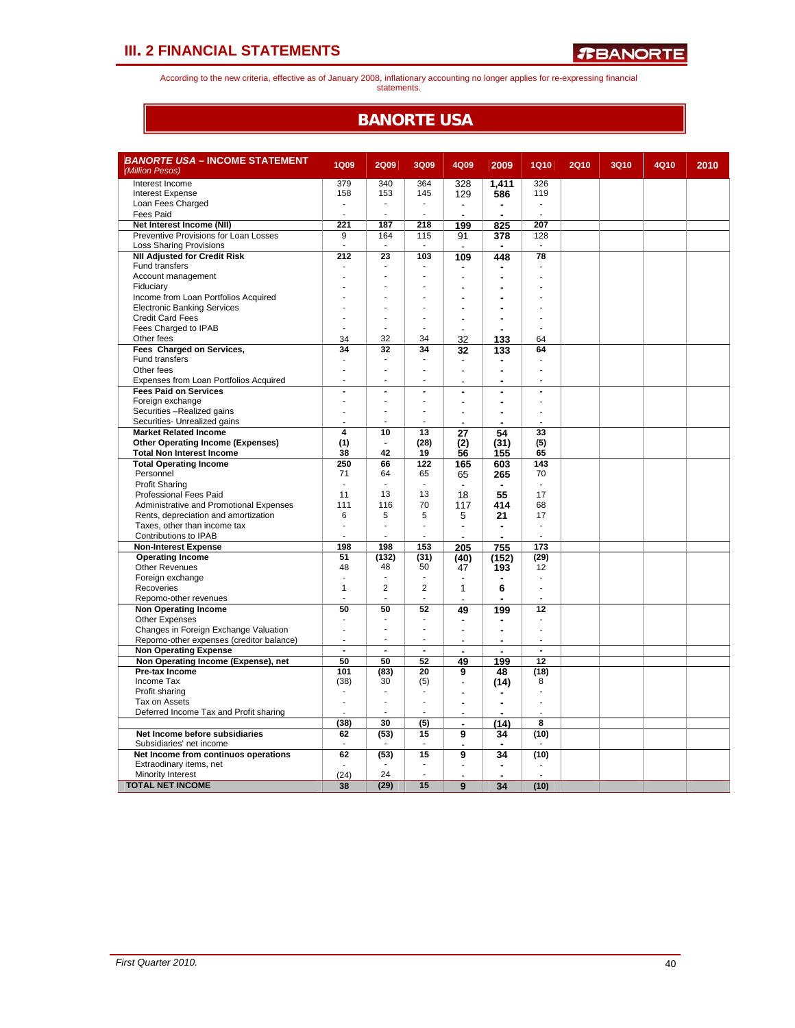According to the new criteria, effective as of January 2008, inflationary accounting no longer applies for re-expressing financial statements.

### **BANORTE USA**

| <i>BANORTE USA –</i> INCOME STATEMENT<br>(Million Pesos)          | <b>1Q09</b>             | <b>2Q09</b>                      | <b>3Q09</b>    | 4Q09                     | 2009           | <b>1Q10</b>    | <b>2Q10</b> | <b>3Q10</b> | 4Q10 | 2010 |
|-------------------------------------------------------------------|-------------------------|----------------------------------|----------------|--------------------------|----------------|----------------|-------------|-------------|------|------|
| Interest Income                                                   | 379                     | 340                              | 364            | 328                      | 1,411          | 326            |             |             |      |      |
| <b>Interest Expense</b>                                           | 158                     | 153                              | 145            | 129                      | 586            | 119            |             |             |      |      |
| Loan Fees Charged                                                 | ä,                      | $\overline{\phantom{a}}$         | ÷,             | $\overline{\phantom{a}}$ | ۰              | ä,             |             |             |      |      |
| Fees Paid                                                         |                         | $\overline{\phantom{a}}$         | ÷,             |                          | ä,             |                |             |             |      |      |
| Net Interest Income (NII)                                         | 221                     | 187                              | 218            | 199                      | 825            | 207            |             |             |      |      |
| Preventive Provisions for Loan Losses                             | 9                       | 164                              | 115            | 91                       | 378            | 128            |             |             |      |      |
| <b>Loss Sharing Provisions</b>                                    | ÷.                      |                                  |                |                          |                |                |             |             |      |      |
| <b>NII Adjusted for Credit Risk</b>                               | 212                     | 23                               | 103            | 109                      | 448            | 78             |             |             |      |      |
| Fund transfers                                                    |                         | $\overline{a}$                   |                |                          |                |                |             |             |      |      |
| Account management                                                |                         |                                  |                |                          |                |                |             |             |      |      |
| Fiduciary                                                         |                         |                                  |                |                          | ۰              |                |             |             |      |      |
| Income from Loan Portfolios Acquired                              |                         |                                  |                |                          |                |                |             |             |      |      |
| <b>Electronic Banking Services</b>                                |                         | ÷                                | ٠              |                          | ÷              |                |             |             |      |      |
| <b>Credit Card Fees</b>                                           |                         | $\overline{\phantom{a}}$         | ÷              |                          | ÷              | ÷              |             |             |      |      |
| Fees Charged to IPAB                                              | ÷                       | $\overline{\phantom{a}}$         |                | $\overline{a}$           | $\blacksquare$ |                |             |             |      |      |
| Other fees                                                        | 34                      | 32                               | 34             | 32                       | 133            | 64             |             |             |      |      |
| Fees Charged on Services,                                         | 34                      | 32                               | 34             | 32                       | 133            | 64             |             |             |      |      |
| Fund transfers                                                    |                         | $\overline{a}$<br>$\overline{a}$ | ÷.             |                          |                | L,             |             |             |      |      |
| Other fees                                                        | ä,                      |                                  |                | $\overline{a}$           | ä,             |                |             |             |      |      |
| Expenses from Loan Portfolios Acquired                            | ÷.                      | ÷                                | ٠              |                          | ÷              | ×.             |             |             |      |      |
| <b>Fees Paid on Services</b>                                      | ä,                      | $\overline{a}$                   | $\overline{a}$ |                          |                | L.             |             |             |      |      |
| Foreign exchange                                                  |                         |                                  |                | L,                       | $\blacksquare$ |                |             |             |      |      |
| Securities -Realized gains                                        |                         |                                  |                |                          | $\blacksquare$ |                |             |             |      |      |
| Securities- Unrealized gains<br><b>Market Related Income</b>      | $\overline{\mathbf{4}}$ |                                  |                |                          |                |                |             |             |      |      |
|                                                                   |                         | 10                               | 13<br>(28)     | 27                       | 54             | 33             |             |             |      |      |
| <b>Other Operating Income (Expenses)</b>                          | (1)<br>38               | 42                               | 19             | (2)                      | (31)           | (5)<br>65      |             |             |      |      |
| <b>Total Non Interest Income</b><br><b>Total Operating Income</b> | 250                     | 66                               | 122            | 56                       | 155            | 143            |             |             |      |      |
| Personnel                                                         | 71                      | 64                               | 65             | 165                      | 603<br>265     | 70             |             |             |      |      |
| <b>Profit Sharing</b>                                             | ÷,                      |                                  | ÷,             | 65                       |                |                |             |             |      |      |
| Professional Fees Paid                                            | 11                      | 13                               | 13             | 18                       | 55             | 17             |             |             |      |      |
| Administrative and Promotional Expenses                           | 111                     | 116                              | 70             | 117                      | 414            | 68             |             |             |      |      |
| Rents, depreciation and amortization                              | 6                       | 5                                | 5              | 5                        | 21             | 17             |             |             |      |      |
| Taxes, other than income tax                                      | ä,                      | $\blacksquare$                   | ä,             | $\overline{a}$           | $\blacksquare$ | ÷,             |             |             |      |      |
| Contributions to IPAB                                             |                         |                                  | ä,             |                          |                |                |             |             |      |      |
| <b>Non-Interest Expense</b>                                       | 198                     | 198                              | 153            | 205                      | 755            | 173            |             |             |      |      |
| <b>Operating Income</b>                                           | 51                      | (132)                            | (31)           | (40)                     | (152)          | (29)           |             |             |      |      |
| <b>Other Revenues</b>                                             | 48                      | 48                               | 50             | 47                       | 193            | 12             |             |             |      |      |
| Foreign exchange                                                  | $\overline{a}$          |                                  | ä,             | $\overline{a}$           |                | ÷              |             |             |      |      |
| Recoveries                                                        | $\mathbf{1}$            | $\overline{2}$                   | $\overline{2}$ | $\mathbf{1}$             | 6              | ÷.             |             |             |      |      |
| Repomo-other revenues                                             |                         |                                  |                |                          |                |                |             |             |      |      |
| Non Operating Income                                              | 50                      | 50                               | 52             | 49                       | 199            | 12             |             |             |      |      |
| <b>Other Expenses</b>                                             | $\overline{a}$          |                                  |                | -                        |                |                |             |             |      |      |
| Changes in Foreign Exchange Valuation                             | ä,                      | $\blacksquare$                   | $\overline{a}$ |                          |                | J.             |             |             |      |      |
| Repomo-other expenses (creditor balance)                          |                         |                                  |                |                          |                |                |             |             |      |      |
| <b>Non Operating Expense</b>                                      | $\overline{a}$          | $\blacksquare$                   | $\blacksquare$ | $\blacksquare$           | $\blacksquare$ | $\blacksquare$ |             |             |      |      |
| Non Operating Income (Expense), net                               | 50                      | 50                               | 52             | 49                       | 199            | 12             |             |             |      |      |
| Pre-tax Income                                                    | 101                     | (83)                             | 20             | 9                        | 48             | (18)           |             |             |      |      |
| Income Tax                                                        | (38)                    | 30                               | (5)            |                          | (14)           | 8              |             |             |      |      |
| Profit sharing                                                    | ÷.                      | $\blacksquare$                   | ٠              |                          |                |                |             |             |      |      |
| Tax on Assets                                                     | L,                      |                                  | ÷,             |                          | ÷              |                |             |             |      |      |
| Deferred Income Tax and Profit sharing                            |                         |                                  |                | $\overline{a}$           |                |                |             |             |      |      |
|                                                                   | (38)                    | 30                               | (5)            |                          | (14)           | 8              |             |             |      |      |
| Net Income before subsidiaries                                    | 62                      | (53)                             | 15             | 9                        | 34             | (10)           |             |             |      |      |
| Subsidiaries' net income                                          |                         |                                  |                |                          |                |                |             |             |      |      |
| Net Income from continuos operations                              | 62                      | (53)                             | 15             | 9                        | 34             | (10)           |             |             |      |      |
| Extraodinary items, net                                           |                         |                                  |                |                          |                |                |             |             |      |      |
| Minority Interest                                                 | (24)                    | 24                               | ä,             | $\overline{a}$           | ٠              |                |             |             |      |      |
| <b>TOTAL NET INCOME</b>                                           | 38                      | (29)                             | 15             | 9                        | 34             | (10)           |             |             |      |      |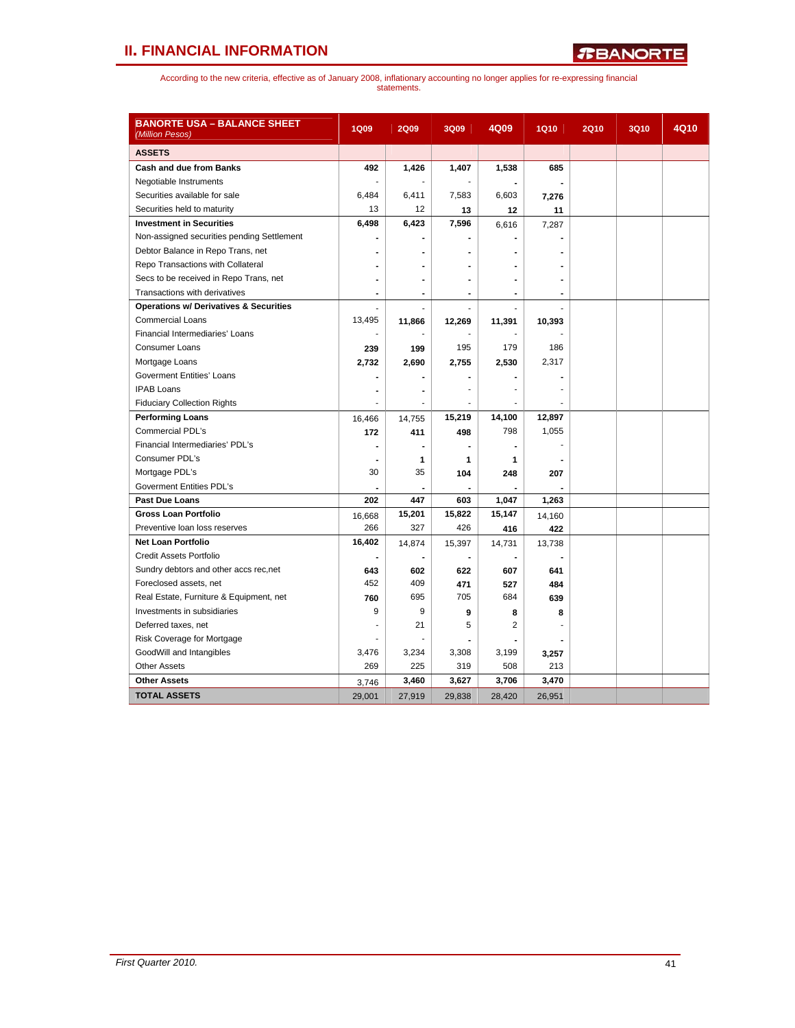# **II. FINANCIAL INFORMATION**

| <b>BANORTE USA – BALANCE SHEET</b><br>(Million Pesos) | <b>1Q09</b>    | <b>2Q09</b>    | 3Q09                     | 4Q09           | <b>1Q10</b>    | <b>2Q10</b> | <b>3Q10</b> | 4Q10 |
|-------------------------------------------------------|----------------|----------------|--------------------------|----------------|----------------|-------------|-------------|------|
| <b>ASSETS</b>                                         |                |                |                          |                |                |             |             |      |
| Cash and due from Banks                               | 492            | 1,426          | 1,407                    | 1,538          | 685            |             |             |      |
| Negotiable Instruments                                |                |                |                          |                |                |             |             |      |
| Securities available for sale                         | 6,484          | 6,411          | 7,583                    | 6,603          | 7,276          |             |             |      |
| Securities held to maturity                           | 13             | 12             | 13                       | 12             | 11             |             |             |      |
| <b>Investment in Securities</b>                       | 6,498          | 6,423          | 7,596                    | 6,616          | 7,287          |             |             |      |
| Non-assigned securities pending Settlement            | $\blacksquare$ |                |                          |                |                |             |             |      |
| Debtor Balance in Repo Trans, net                     |                |                |                          |                |                |             |             |      |
| Repo Transactions with Collateral                     |                |                |                          |                |                |             |             |      |
| Secs to be received in Repo Trans, net                | ۰              | ٠              | ÷                        | ۰              | $\blacksquare$ |             |             |      |
| Transactions with derivatives                         |                | ۰              |                          |                |                |             |             |      |
| <b>Operations w/ Derivatives &amp; Securities</b>     |                | Ĭ.             |                          |                |                |             |             |      |
| <b>Commercial Loans</b>                               | 13,495         | 11,866         | 12,269                   | 11,391         | 10,393         |             |             |      |
| Financial Intermediaries' Loans                       |                |                |                          |                |                |             |             |      |
| <b>Consumer Loans</b>                                 | 239            | 199            | 195                      | 179            | 186            |             |             |      |
| Mortgage Loans                                        | 2,732          | 2,690          | 2,755                    | 2,530          | 2,317          |             |             |      |
| <b>Goverment Entities' Loans</b>                      |                |                |                          |                |                |             |             |      |
| <b>IPAB Loans</b>                                     | ۰              | ٠              | ä,                       |                |                |             |             |      |
| <b>Fiduciary Collection Rights</b>                    |                |                |                          |                |                |             |             |      |
| <b>Performing Loans</b>                               | 16,466         | 14,755         | 15,219                   | 14,100         | 12,897         |             |             |      |
| <b>Commercial PDL's</b>                               | 172            | 411            | 498                      | 798            | 1,055          |             |             |      |
| Financial Intermediaries' PDL's                       | $\blacksquare$ | ٠              | $\overline{a}$           | ۰              |                |             |             |      |
| Consumer PDL's                                        | $\blacksquare$ | 1              | 1                        | 1              |                |             |             |      |
| Mortgage PDL's                                        | 30             | 35             | 104                      | 248            | 207            |             |             |      |
| <b>Goverment Entities PDL's</b>                       |                |                |                          |                |                |             |             |      |
| <b>Past Due Loans</b>                                 | 202            | 447            | 603                      | 1,047          | 1,263          |             |             |      |
| <b>Gross Loan Portfolio</b>                           | 16,668         | 15,201         | 15,822                   | 15,147         | 14,160         |             |             |      |
| Preventive loan loss reserves                         | 266            | 327            | 426                      | 416            | 422            |             |             |      |
| <b>Net Loan Portfolio</b>                             | 16,402         | 14,874         | 15,397                   | 14,731         | 13,738         |             |             |      |
| Credit Assets Portfolio                               | $\blacksquare$ | $\blacksquare$ | $\overline{\phantom{a}}$ | $\blacksquare$ |                |             |             |      |
| Sundry debtors and other accs rec, net                | 643            | 602            | 622                      | 607            | 641            |             |             |      |
| Foreclosed assets, net                                | 452            | 409            | 471                      | 527            | 484            |             |             |      |
| Real Estate, Furniture & Equipment, net               | 760            | 695            | 705                      | 684            | 639            |             |             |      |
| Investments in subsidiaries                           | 9              | 9              | 9                        | 8              | 8              |             |             |      |
| Deferred taxes, net                                   | ٠              | 21             | 5                        | $\overline{2}$ |                |             |             |      |
| Risk Coverage for Mortgage                            |                |                |                          |                |                |             |             |      |
| GoodWill and Intangibles                              | 3,476          | 3,234          | 3,308                    | 3,199          | 3,257          |             |             |      |
| <b>Other Assets</b>                                   | 269            | 225            | 319                      | 508            | 213            |             |             |      |
| <b>Other Assets</b>                                   | 3,746          | 3,460          | 3,627                    | 3,706          | 3,470          |             |             |      |
| <b>TOTAL ASSETS</b>                                   | 29,001         | 27,919         | 29,838                   | 28,420         | 26,951         |             |             |      |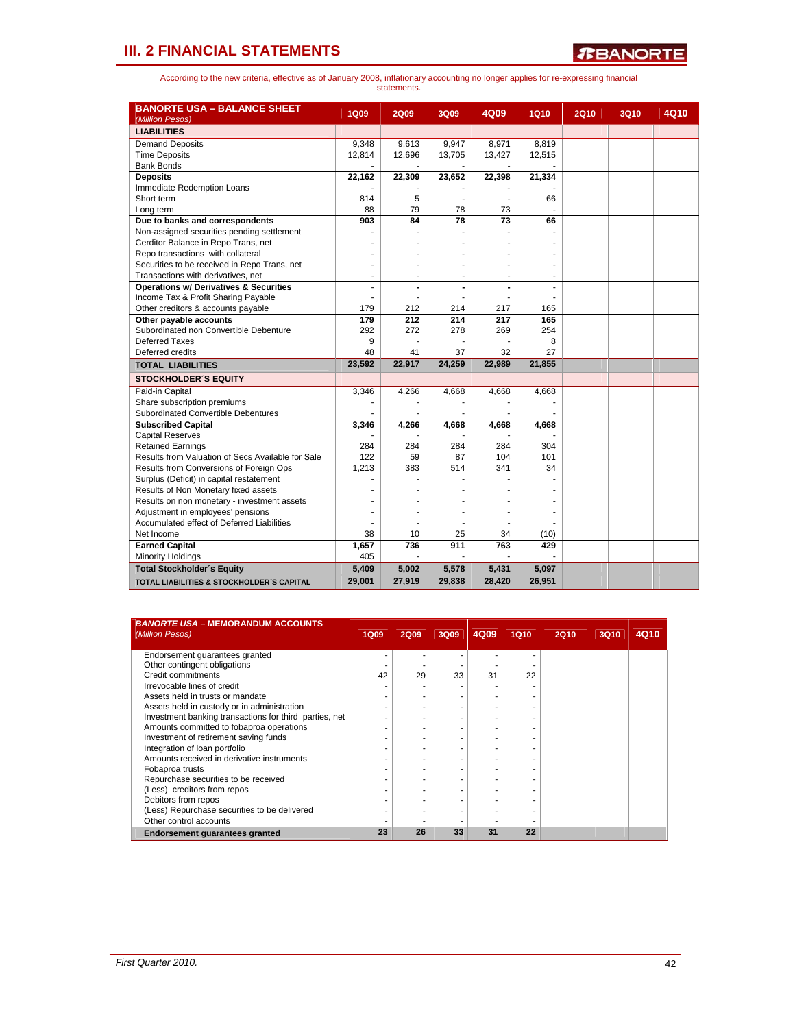| <b>BANORTE USA - BALANCE SHEET</b>                   |              |             |        |        |        |             |      |      |
|------------------------------------------------------|--------------|-------------|--------|--------|--------|-------------|------|------|
| (Million Pesos)                                      | <b>1Q09</b>  | <b>2Q09</b> | 3Q09   | 4Q09   | 1Q10   | <b>2Q10</b> | 3Q10 | 4Q10 |
| <b>LIABILITIES</b>                                   |              |             |        |        |        |             |      |      |
| <b>Demand Deposits</b>                               | 9,348        | 9,613       | 9,947  | 8,971  | 8,819  |             |      |      |
| <b>Time Deposits</b>                                 | 12,814       | 12,696      | 13,705 | 13,427 | 12,515 |             |      |      |
| <b>Bank Bonds</b>                                    |              |             |        |        |        |             |      |      |
| <b>Deposits</b>                                      | 22,162       | 22,309      | 23,652 | 22,398 | 21,334 |             |      |      |
| Immediate Redemption Loans                           |              |             |        |        |        |             |      |      |
| Short term                                           | 814          | 5           |        |        | 66     |             |      |      |
| Long term                                            | 88           | 79          | 78     | 73     |        |             |      |      |
| Due to banks and correspondents                      | 903          | 84          | 78     | 73     | 66     |             |      |      |
| Non-assigned securities pending settlement           |              |             |        |        |        |             |      |      |
| Cerditor Balance in Repo Trans, net                  |              |             |        |        |        |             |      |      |
| Repo transactions with collateral                    |              |             |        |        |        |             |      |      |
| Securities to be received in Repo Trans, net         |              | ÷           | ÷      | ٠      | ٠      |             |      |      |
| Transactions with derivatives, net                   | ٠            |             |        |        | ä,     |             |      |      |
| <b>Operations w/ Derivatives &amp; Securities</b>    |              |             |        |        |        |             |      |      |
| Income Tax & Profit Sharing Payable                  |              |             |        |        |        |             |      |      |
| Other creditors & accounts payable                   | 179          | 212         | 214    | 217    | 165    |             |      |      |
| Other payable accounts                               | 179          | 212         | 214    | 217    | 165    |             |      |      |
| Subordinated non Convertible Debenture               | 292          | 272         | 278    | 269    | 254    |             |      |      |
| Deferred Taxes                                       | 9            |             |        |        | 8      |             |      |      |
| Deferred credits                                     | 48           | 41          | 37     | 32     | 27     |             |      |      |
| <b>TOTAL LIABILITIES</b>                             | 23,592       | 22,917      | 24,259 | 22,989 | 21,855 |             |      |      |
| <b>STOCKHOLDER'S EQUITY</b>                          |              |             |        |        |        |             |      |      |
| Paid-in Capital                                      | 3,346        | 4,266       | 4,668  | 4,668  | 4,668  |             |      |      |
| Share subscription premiums                          |              |             |        |        |        |             |      |      |
| Subordinated Convertible Debentures                  |              |             |        |        |        |             |      |      |
| <b>Subscribed Capital</b>                            | 3,346        | 4,266       | 4,668  | 4,668  | 4,668  |             |      |      |
| <b>Capital Reserves</b>                              |              |             |        |        |        |             |      |      |
| <b>Retained Earnings</b>                             | 284          | 284         | 284    | 284    | 304    |             |      |      |
| Results from Valuation of Secs Available for Sale    | 122          | 59          | 87     | 104    | 101    |             |      |      |
| Results from Conversions of Foreign Ops              | 1,213        | 383         | 514    | 341    | 34     |             |      |      |
| Surplus (Deficit) in capital restatement             |              |             |        |        |        |             |      |      |
| Results of Non Monetary fixed assets                 |              |             |        |        |        |             |      |      |
| Results on non monetary - investment assets          |              |             |        |        |        |             |      |      |
| Adjustment in employees' pensions                    |              |             |        |        |        |             |      |      |
| Accumulated effect of Deferred Liabilities           |              |             |        |        |        |             |      |      |
| Net Income                                           | 38           | 10          | 25     | 34     | (10)   |             |      |      |
| <b>Earned Capital</b><br><b>Minority Holdings</b>    | 1,657<br>405 | 736         | 911    | 763    | 429    |             |      |      |
| <b>Total Stockholder's Equity</b>                    | 5,409        | 5,002       | 5,578  | 5,431  | 5,097  |             |      |      |
|                                                      |              |             |        |        |        |             |      |      |
| <b>TOTAL LIABILITIES &amp; STOCKHOLDER'S CAPITAL</b> | 29,001       | 27,919      | 29,838 | 28,420 | 26,951 |             |      |      |

| <b>BANORTE USA - MEMORANDUM ACCOUNTS</b><br>(Million Pesos) | 1Q09 | <b>2Q09</b> | 3Q09 | 4Q09 | <b>1Q10</b> | <b>2Q10</b> | <b>3Q10</b> | 4Q10 |
|-------------------------------------------------------------|------|-------------|------|------|-------------|-------------|-------------|------|
| Endorsement quarantees granted                              |      |             |      |      |             |             |             |      |
| Other contingent obligations                                |      |             |      |      |             |             |             |      |
| Credit commitments                                          | 42   | 29          | 33   | 31   | 22          |             |             |      |
| Irrevocable lines of credit                                 |      |             |      |      |             |             |             |      |
| Assets held in trusts or mandate                            |      |             |      |      |             |             |             |      |
| Assets held in custody or in administration                 |      |             |      |      |             |             |             |      |
| Investment banking transactions for third parties, net      |      |             |      |      |             |             |             |      |
| Amounts committed to fobaproa operations                    |      |             |      |      |             |             |             |      |
| Investment of retirement saving funds                       |      |             |      |      |             |             |             |      |
| Integration of loan portfolio                               |      |             |      |      |             |             |             |      |
| Amounts received in derivative instruments                  |      |             |      |      |             |             |             |      |
| Fobaproa trusts                                             |      |             |      |      |             |             |             |      |
| Repurchase securities to be received                        |      |             |      |      |             |             |             |      |
| (Less) creditors from repos                                 |      |             |      |      |             |             |             |      |
| Debitors from repos                                         |      |             |      |      |             |             |             |      |
| (Less) Repurchase securities to be delivered                |      |             |      |      |             |             |             |      |
| Other control accounts                                      |      |             |      |      |             |             |             |      |
| Endorsement guarantees granted                              | 23   | 26          | 33   | 31   | 22          |             |             |      |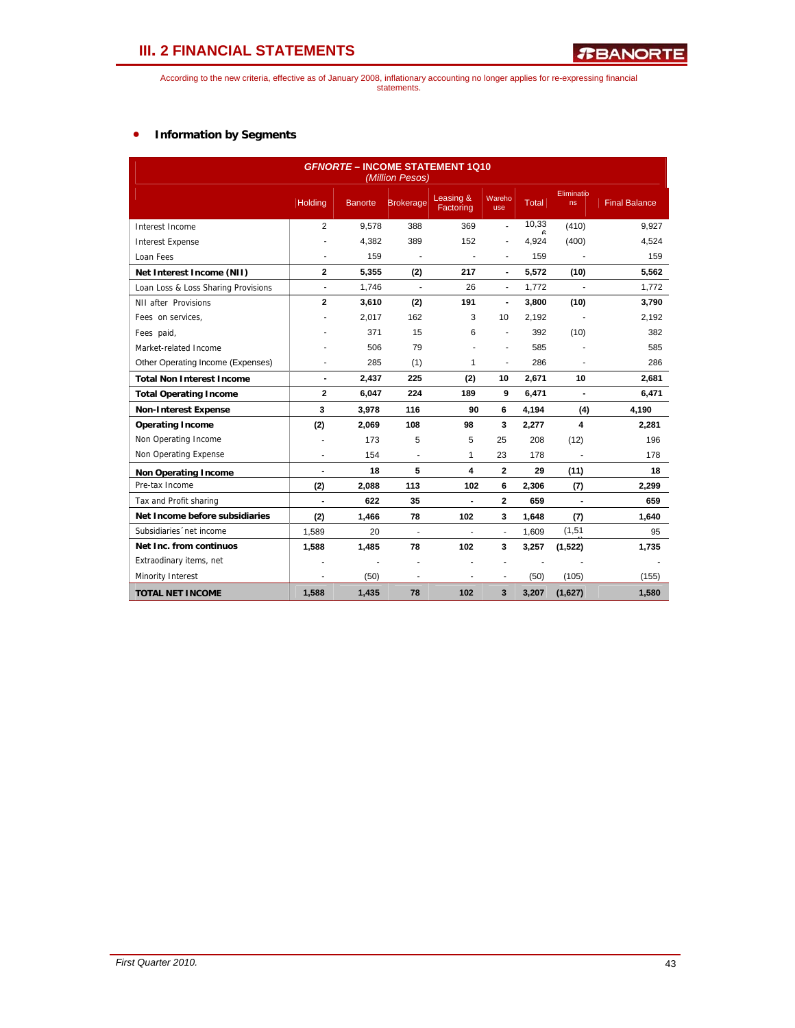According to the new criteria, effective as of January 2008, inflationary accounting no longer applies for re-expressing financial statements.

### • **Information by Segments**

|                                     | <b>GFNORTE - INCOME STATEMENT 1Q10</b><br>(Million Pesos) |                |                  |                          |                          |       |                         |                      |  |  |  |  |  |
|-------------------------------------|-----------------------------------------------------------|----------------|------------------|--------------------------|--------------------------|-------|-------------------------|----------------------|--|--|--|--|--|
|                                     | Holding                                                   | <b>Banorte</b> | <b>Brokerage</b> | Leasing &<br>Factoring   | Wareho<br>use            | Total | Eliminatio<br>ns        | <b>Final Balance</b> |  |  |  |  |  |
| Interest Income                     | 2                                                         | 9,578          | 388              | 369                      | $\overline{a}$           | 10,33 | (410)                   | 9,927                |  |  |  |  |  |
| <b>Interest Expense</b>             |                                                           | 4.382          | 389              | 152                      | ä,                       | 4,924 | (400)                   | 4,524                |  |  |  |  |  |
| Loan Fees                           |                                                           | 159            |                  |                          | $\blacksquare$           | 159   |                         | 159                  |  |  |  |  |  |
| Net Interest Income (NII)           | $\mathbf{2}$                                              | 5,355          | (2)              | 217                      | $\blacksquare$           | 5,572 | (10)                    | 5,562                |  |  |  |  |  |
| Loan Loss & Loss Sharing Provisions | ä,                                                        | 1,746          | ÷,               | 26                       | $\overline{\phantom{a}}$ | 1,772 |                         | 1,772                |  |  |  |  |  |
| NII after Provisions                | $\overline{2}$                                            | 3,610          | (2)              | 191                      | $\blacksquare$           | 3,800 | (10)                    | 3,790                |  |  |  |  |  |
| Fees on services.                   |                                                           | 2,017          | 162              | 3                        | 10                       | 2,192 |                         | 2,192                |  |  |  |  |  |
| Fees paid,                          |                                                           | 371            | 15               | 6                        | ÷,                       | 392   | (10)                    | 382                  |  |  |  |  |  |
| Market-related Income               |                                                           | 506            | 79               |                          | ÷.                       | 585   |                         | 585                  |  |  |  |  |  |
| Other Operating Income (Expenses)   | ä,                                                        | 285            | (1)              | $\mathbf{1}$             | $\blacksquare$           | 286   |                         | 286                  |  |  |  |  |  |
| <b>Total Non Interest Income</b>    | $\blacksquare$                                            | 2,437          | 225              | (2)                      | 10                       | 2,671 | 10                      | 2,681                |  |  |  |  |  |
| <b>Total Operating Income</b>       | $\mathbf{2}$                                              | 6,047          | 224              | 189                      | 9                        | 6,471 | $\blacksquare$          | 6,471                |  |  |  |  |  |
| <b>Non-Interest Expense</b>         | 3                                                         | 3,978          | 116              | 90                       | 6                        | 4.194 | (4)                     | 4,190                |  |  |  |  |  |
| <b>Operating Income</b>             | (2)                                                       | 2,069          | 108              | 98                       | 3                        | 2,277 | $\overline{\mathbf{4}}$ | 2,281                |  |  |  |  |  |
| Non Operating Income                | ä,                                                        | 173            | 5                | 5                        | 25                       | 208   | (12)                    | 196                  |  |  |  |  |  |
| Non Operating Expense               | ÷                                                         | 154            | ä,               | 1                        | 23                       | 178   |                         | 178                  |  |  |  |  |  |
| <b>Non Operating Income</b>         | $\blacksquare$                                            | 18             | 5                | 4                        | $\mathbf{2}$             | 29    | (11)                    | 18                   |  |  |  |  |  |
| Pre-tax Income                      | (2)                                                       | 2,088          | 113              | 102                      | 6                        | 2,306 | (7)                     | 2,299                |  |  |  |  |  |
| Tax and Profit sharing              | $\overline{a}$                                            | 622            | 35               | $\blacksquare$           | $\mathbf{2}$             | 659   |                         | 659                  |  |  |  |  |  |
| Net Income before subsidiaries      | (2)                                                       | 1,466          | 78               | 102                      | 3                        | 1,648 | (7)                     | 1,640                |  |  |  |  |  |
| Subsidiaries 'net income            | 1,589                                                     | 20             | ÷                | ÷.                       | $\blacksquare$           | 1,609 | (1,51)                  | 95                   |  |  |  |  |  |
| Net Inc. from continuos             | 1,588                                                     | 1,485          | 78               | 102                      | 3                        | 3,257 | (1, 522)                | 1,735                |  |  |  |  |  |
| Extraodinary items, net             | ÷                                                         |                | ÷.               |                          | ÷.                       |       |                         |                      |  |  |  |  |  |
| Minority Interest                   | $\overline{\phantom{a}}$                                  | (50)           | $\blacksquare$   | $\overline{\phantom{a}}$ | $\blacksquare$           | (50)  | (105)                   | (155)                |  |  |  |  |  |
| <b>TOTAL NET INCOME</b>             | 1.588                                                     | 1,435          | 78               | 102                      | 3                        | 3,207 | (1,627)                 | 1,580                |  |  |  |  |  |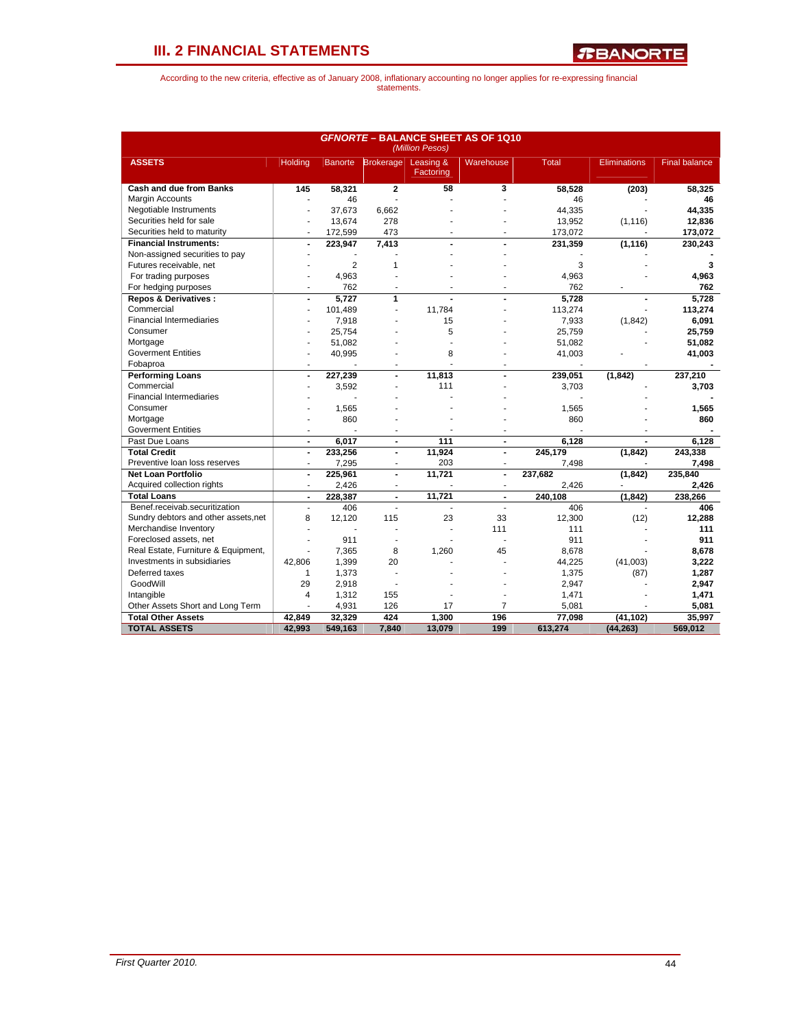*R***BANORTE** 

|                                      |                          |                |                          | (Million Pesos)        | <b>GFNORTE - BALANCE SHEET AS OF 1Q10</b> |              |                     |                      |
|--------------------------------------|--------------------------|----------------|--------------------------|------------------------|-------------------------------------------|--------------|---------------------|----------------------|
| <b>ASSETS</b>                        | Holding                  |                | Banorte Brokerage        | Leasing &<br>Factoring | Warehouse                                 | <b>Total</b> | <b>Eliminations</b> | <b>Final balance</b> |
| <b>Cash and due from Banks</b>       | 145                      | 58.321         | $\overline{2}$           | 58                     | 3                                         | 58,528       | (203)               | 58,325               |
| Margin Accounts                      |                          | 46             |                          |                        |                                           | 46           |                     | 46                   |
| Negotiable Instruments               |                          | 37.673         | 6.662                    |                        |                                           | 44.335       |                     | 44.335               |
| Securities held for sale             | ÷                        | 13,674         | 278                      |                        |                                           | 13,952       | (1, 116)            | 12,836               |
| Securities held to maturity          | ÷                        | 172,599        | 473                      | ٠                      |                                           | 173,072      |                     | 173,072              |
| <b>Financial Instruments:</b>        | L.                       | 223,947        | 7,413                    |                        |                                           | 231,359      | (1, 116)            | 230,243              |
| Non-assigned securities to pay       |                          |                |                          |                        |                                           |              |                     |                      |
| Futures receivable, net              |                          | $\overline{2}$ | 1                        |                        |                                           | 3            |                     | 3                    |
| For trading purposes                 | ÷                        | 4,963          |                          |                        |                                           | 4,963        |                     | 4,963                |
| For hedging purposes                 | ä,                       | 762            |                          |                        |                                           | 762          |                     | 762                  |
| <b>Repos &amp; Derivatives:</b>      | $\overline{a}$           | 5.727          | 1                        |                        |                                           | 5.728        |                     | 5.728                |
| Commercial                           | $\overline{\phantom{a}}$ | 101,489        | $\blacksquare$           | 11.784                 |                                           | 113,274      |                     | 113,274              |
| <b>Financial Intermediaries</b>      |                          | 7,918          |                          | 15                     |                                           | 7,933        | (1, 842)            | 6,091                |
| Consumer                             |                          | 25,754         |                          | 5                      |                                           | 25,759       |                     | 25,759               |
| Mortgage                             |                          | 51,082         |                          |                        |                                           | 51,082       |                     | 51,082               |
| <b>Goverment Entities</b>            |                          | 40,995         |                          | 8                      |                                           | 41,003       |                     | 41,003               |
| Fobaproa                             | ٠                        |                |                          |                        |                                           |              |                     |                      |
| <b>Performing Loans</b>              | $\blacksquare$           | 227,239        | $\overline{\phantom{a}}$ | 11,813                 |                                           | 239,051      | (1, 842)            | 237,210              |
| Commercial                           |                          | 3,592          |                          | 111                    |                                           | 3,703        |                     | 3,703                |
| <b>Financial Intermediaries</b>      |                          |                |                          |                        |                                           |              |                     |                      |
| Consumer                             |                          | 1,565          |                          |                        |                                           | 1,565        |                     | 1,565                |
| Mortgage                             | ٠                        | 860            |                          |                        |                                           | 860          |                     | 860                  |
| <b>Goverment Entities</b>            | ٠                        |                |                          |                        |                                           |              |                     |                      |
| Past Due Loans                       | $\blacksquare$           | 6,017          | $\blacksquare$           | 111                    | $\blacksquare$                            | 6.128        |                     | 6.128                |
| <b>Total Credit</b>                  | $\blacksquare$           | 233,256        | $\blacksquare$           | 11,924                 | $\blacksquare$                            | 245,179      | (1, 842)            | 243,338              |
| Preventive loan loss reserves        | $\overline{a}$           | 7,295          | ٠                        | 203                    | $\sim$                                    | 7,498        |                     | 7,498                |
| <b>Net Loan Portfolio</b>            | $\blacksquare$           | 225,961        | $\blacksquare$           | 11.721                 | $\blacksquare$                            | 237,682      | (1, 842)            | 235,840              |
| Acquired collection rights           | ä,                       | 2,426          |                          |                        | $\blacksquare$                            | 2,426        |                     | 2,426                |
| <b>Total Loans</b>                   | $\blacksquare$           | 228,387        | $\overline{\phantom{a}}$ | 11,721                 |                                           | 240,108      | (1, 842)            | 238,266              |
| Benef.receivab.securitization        | $\blacksquare$           | 406            | ÷                        | J.                     | ÷.                                        | 406          |                     | 406                  |
| Sundry debtors and other assets, net | 8                        | 12,120         | 115                      | 23                     | 33                                        | 12,300       | (12)                | 12,288               |
| Merchandise Inventory                |                          |                |                          | ä,                     | 111                                       | 111          |                     | 111                  |
| Foreclosed assets, net               | ÷.                       | 911            |                          |                        |                                           | 911          |                     | 911                  |
| Real Estate, Furniture & Equipment,  | ä,                       | 7,365          | 8                        | 1,260                  | 45                                        | 8,678        |                     | 8,678                |
| Investments in subsidiaries          | 42,806                   | 1,399          | 20                       |                        |                                           | 44,225       | (41,003)            | 3,222                |
| Deferred taxes                       | $\mathbf{1}$             | 1,373          |                          |                        |                                           | 1,375        | (87)                | 1,287                |
| GoodWill                             | 29                       | 2,918          | ÷.                       |                        |                                           | 2,947        |                     | 2,947                |
| Intangible                           | 4                        | 1,312          | 155                      |                        |                                           | 1,471        |                     | 1,471                |
| Other Assets Short and Long Term     |                          | 4,931          | 126                      | 17                     | $\overline{7}$                            | 5,081        |                     | 5,081                |
| <b>Total Other Assets</b>            | 42.849                   | 32.329         | 424                      | 1.300                  | 196                                       | 77,098       | (41,102)            | 35.997               |
| <b>TOTAL ASSETS</b>                  | 42,993                   | 549,163        | 7.840                    | 13,079                 | 199                                       | 613,274      | (44, 263)           | 569,012              |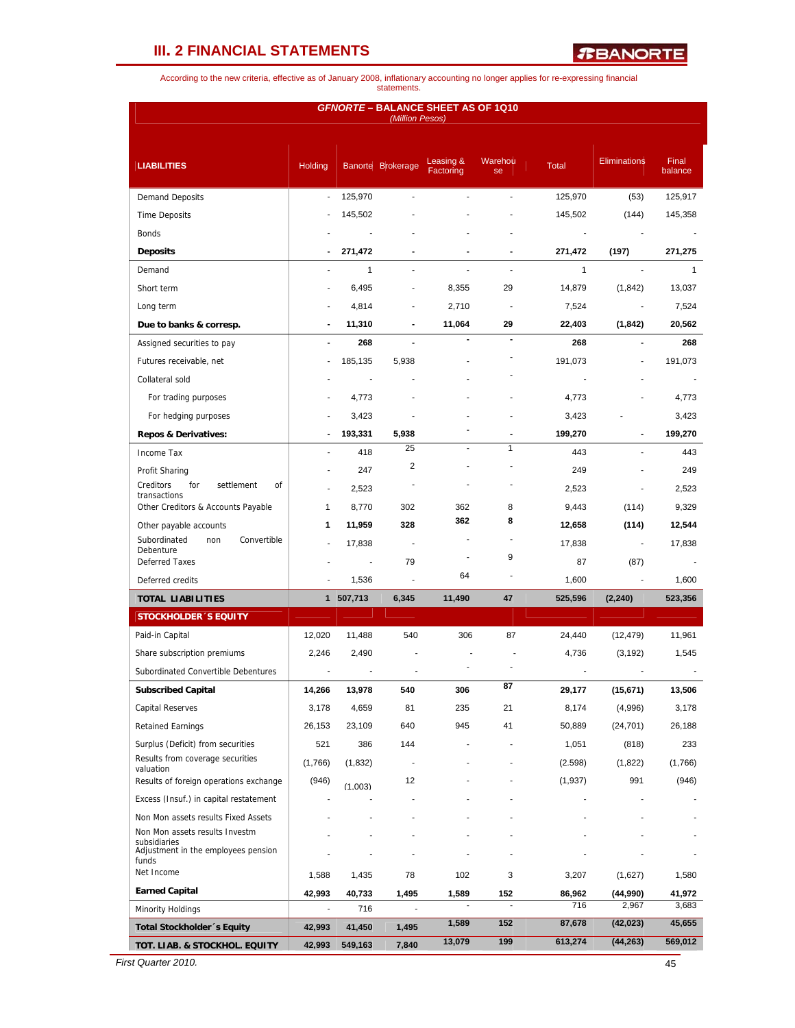*R***BANORTE** 

According to the new criteria, effective as of January 2008, inflationary accounting no longer applies for re-expressing financial statements.

|                                                              |         |           | (Million Pesos)   | <b>GFNORTE - BALANCE SHEET AS OF 1Q10</b> |                          |              |                     |                  |
|--------------------------------------------------------------|---------|-----------|-------------------|-------------------------------------------|--------------------------|--------------|---------------------|------------------|
| <b>LIABILITIES</b>                                           | Holding |           | Banorte Brokerage | Leasing &<br>Factoring                    | Warehou<br>se            | <b>Total</b> | <b>Eliminations</b> | Final<br>balance |
| <b>Demand Deposits</b>                                       | ÷.      | 125,970   |                   |                                           |                          | 125,970      | (53)                | 125,917          |
| <b>Time Deposits</b>                                         |         | 145,502   |                   |                                           |                          | 145,502      | (144)               | 145,358          |
| Bonds                                                        |         |           |                   |                                           |                          | ÷,           |                     |                  |
| <b>Deposits</b>                                              |         | 271,472   |                   |                                           |                          | 271,472      | (197)               | 271,275          |
| Demand                                                       |         | 1         |                   |                                           |                          | 1            |                     | $\mathbf{1}$     |
| Short term                                                   |         | 6,495     |                   | 8,355                                     | 29                       | 14,879       | (1, 842)            | 13,037           |
| Long term                                                    |         | 4,814     |                   | 2,710                                     | $\overline{\phantom{a}}$ | 7,524        |                     | 7,524            |
| Due to banks & corresp.                                      |         | 11,310    |                   | 11,064                                    | 29                       | 22,403       | (1, 842)            | 20,562           |
| Assigned securities to pay                                   |         | 268       |                   |                                           |                          | 268          |                     | 268              |
| Futures receivable, net                                      |         | 185,135   | 5,938             |                                           |                          | 191,073      |                     | 191,073          |
| Collateral sold                                              |         |           |                   |                                           |                          |              |                     |                  |
| For trading purposes                                         |         | 4,773     |                   |                                           |                          | 4,773        |                     | 4,773            |
| For hedging purposes                                         |         | 3,423     |                   |                                           |                          | 3,423        |                     | 3,423            |
| <b>Repos &amp; Derivatives:</b>                              |         | 193,331   | 5,938             |                                           |                          | 199,270      |                     | 199,270          |
|                                                              |         |           | 25                |                                           | 1                        | 443          |                     | 443              |
| Income Tax                                                   |         | 418       | 2                 |                                           |                          |              |                     |                  |
| Profit Sharing<br>Creditors<br>for<br>settlement<br>οf       |         | 247       |                   |                                           |                          | 249          |                     | 249              |
| transactions                                                 | ÷       | 2,523     |                   |                                           |                          | 2,523        |                     | 2,523            |
| Other Creditors & Accounts Payable                           | 1       | 8,770     | 302               | 362<br>362                                | 8<br>8                   | 9,443        | (114)               | 9,329            |
| Other payable accounts<br>Subordinated<br>Convertible<br>non | 1       | 11,959    | 328               |                                           |                          | 12,658       | (114)               | 12,544           |
| Debenture                                                    |         | 17,838    | $\blacksquare$    | ٠                                         | 9                        | 17,838       | $\blacksquare$      | 17,838           |
| <b>Deferred Taxes</b>                                        |         | $\sim$    | 79                | 64                                        |                          | 87           | (87)                |                  |
| Deferred credits                                             |         | 1,536     | L.                |                                           |                          | 1,600        |                     | 1,600            |
| <b>TOTAL LIABILITIES</b>                                     |         | 1 507,713 | 6,345             | 11,490                                    | 47                       | 525,596      | (2, 240)            | 523,356          |
| <b>STOCKHOLDER 'S EQUITY</b>                                 |         |           |                   |                                           |                          |              |                     |                  |
| Paid-in Capital                                              | 12,020  | 11,488    | 540               | 306                                       | 87                       | 24,440       | (12, 479)           | 11,961           |
| Share subscription premiums                                  | 2,246   | 2,490     |                   |                                           |                          | 4,736        | (3, 192)            | 1,545            |
| Subordinated Convertible Debentures                          |         |           |                   |                                           |                          |              |                     |                  |
| <b>Subscribed Capital</b>                                    | 14,266  | 13,978    | 540               | 306                                       | 87                       | 29,177       | (15, 671)           | 13,506           |
| <b>Capital Reserves</b>                                      | 3,178   | 4,659     | 81                | 235                                       | 21                       | 8,174        | (4,996)             | 3,178            |
| <b>Retained Earnings</b>                                     | 26,153  | 23,109    | 640               | 945                                       | 41                       | 50,889       | (24, 701)           | 26,188           |
| Surplus (Deficit) from securities                            | 521     | 386       | 144               |                                           |                          | 1,051        | (818)               | 233              |
| Results from coverage securities<br>valuation                | (1,766) | (1,832)   |                   |                                           |                          | (2.598)      | (1,822)             | (1,766)          |
| Results of foreign operations exchange                       | (946)   | (1,003)   | 12                |                                           |                          | (1,937)      | 991                 | (946)            |
| Excess (Insuf.) in capital restatement                       |         |           |                   |                                           |                          |              |                     |                  |
| Non Mon assets results Fixed Assets                          |         |           |                   |                                           |                          |              |                     |                  |
| Non Mon assets results Investm                               |         |           |                   |                                           |                          |              |                     |                  |
| subsidiaries<br>Adjustment in the employees pension<br>funds |         |           |                   |                                           |                          |              |                     |                  |
| Net Income                                                   | 1,588   | 1,435     | 78                | 102                                       | 3                        | 3,207        | (1,627)             | 1,580            |
| <b>Earned Capital</b>                                        | 42,993  | 40,733    | 1,495             | 1,589                                     | 152                      | 86,962       | (44,990)            | 41,972           |
| <b>Minority Holdings</b>                                     | ä,      | 716       |                   |                                           | ä,                       | 716          | 2,967               | 3,683            |
| Total Stockholder 's Equity                                  | 42,993  | 41,450    | 1,495             | 1,589                                     | 152                      | 87,678       | (42, 023)           | 45,655           |
| TOT. LIAB. & STOCKHOL. EQUITY                                | 42,993  | 549,163   | 7,840             | 13,079                                    | 199                      | 613,274      | (44, 263)           | 569,012          |

*First Quarter 2010.* 45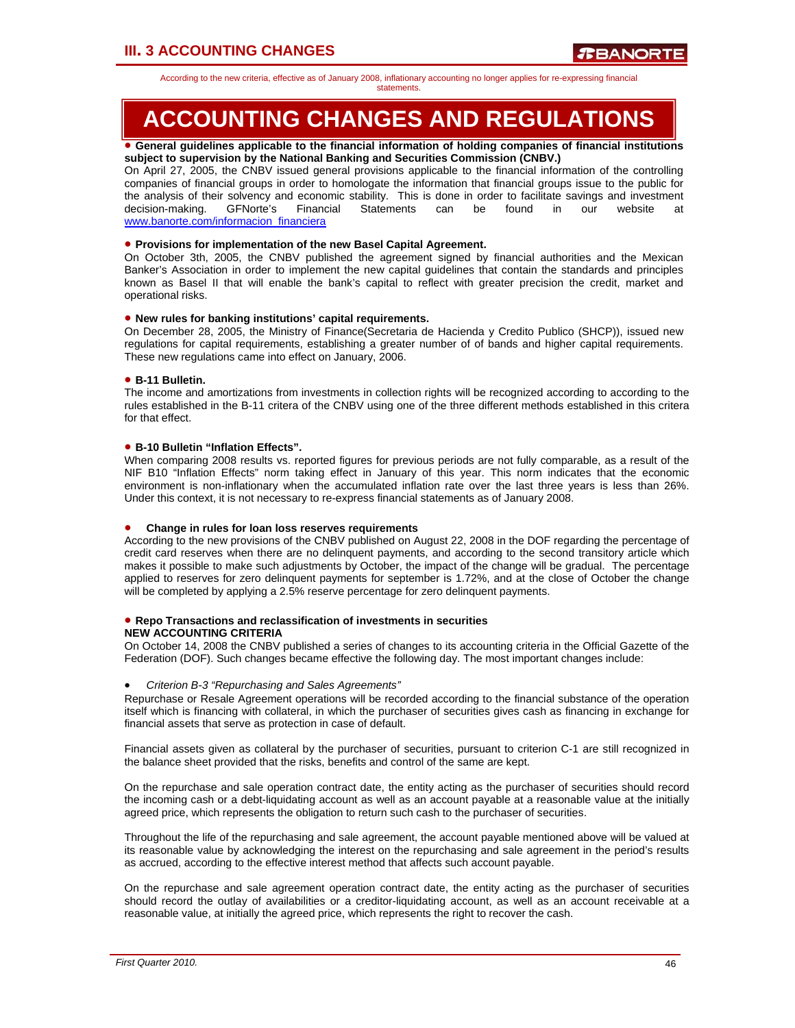According to the new criteria, effective as of January 2008, inflationary accounting no longer applies for re-expressing financial

#### statements.

# **ACCOUNTING CHANGES AND REGULATIONS**

#### • **General guidelines applicable to the financial information of holding companies of financial institutions subject to supervision by the National Banking and Securities Commission (CNBV.)**

On April 27, 2005, the CNBV issued general provisions applicable to the financial information of the controlling companies of financial groups in order to homologate the information that financial groups issue to the public for the analysis of their solvency and economic stability. This is done in order to facilitate savings and investment decision-making. GFNorte's Financial Statements can be found in our website at www.banorte.com/informacion\_financiera

### • **Provisions for implementation of the new Basel Capital Agreement.**

On October 3th, 2005, the CNBV published the agreement signed by financial authorities and the Mexican Banker's Association in order to implement the new capital guidelines that contain the standards and principles known as Basel II that will enable the bank's capital to reflect with greater precision the credit, market and operational risks.

### • **New rules for banking institutions' capital requirements.**

On December 28, 2005, the Ministry of Finance(Secretaria de Hacienda y Credito Publico (SHCP)), issued new regulations for capital requirements, establishing a greater number of of bands and higher capital requirements. These new regulations came into effect on January, 2006.

### • **B-11 Bulletin.**

The income and amortizations from investments in collection rights will be recognized according to according to the rules established in the B-11 critera of the CNBV using one of the three different methods established in this critera for that effect.

### • **B-10 Bulletin "Inflation Effects".**

When comparing 2008 results vs. reported figures for previous periods are not fully comparable, as a result of the NIF B10 "Inflation Effects" norm taking effect in January of this year. This norm indicates that the economic environment is non-inflationary when the accumulated inflation rate over the last three years is less than 26%. Under this context, it is not necessary to re-express financial statements as of January 2008.

#### • **Change in rules for loan loss reserves requirements**

According to the new provisions of the CNBV published on August 22, 2008 in the DOF regarding the percentage of credit card reserves when there are no delinquent payments, and according to the second transitory article which makes it possible to make such adjustments by October, the impact of the change will be gradual. The percentage applied to reserves for zero delinquent payments for september is 1.72%, and at the close of October the change will be completed by applying a 2.5% reserve percentage for zero delinquent payments.

#### • **Repo Transactions and reclassification of investments in securities NEW ACCOUNTING CRITERIA**

On October 14, 2008 the CNBV published a series of changes to its accounting criteria in the Official Gazette of the Federation (DOF). Such changes became effective the following day. The most important changes include:

#### • *Criterion B-3 "Repurchasing and Sales Agreements"*

Repurchase or Resale Agreement operations will be recorded according to the financial substance of the operation itself which is financing with collateral, in which the purchaser of securities gives cash as financing in exchange for financial assets that serve as protection in case of default.

Financial assets given as collateral by the purchaser of securities, pursuant to criterion C-1 are still recognized in the balance sheet provided that the risks, benefits and control of the same are kept.

On the repurchase and sale operation contract date, the entity acting as the purchaser of securities should record the incoming cash or a debt-liquidating account as well as an account payable at a reasonable value at the initially agreed price, which represents the obligation to return such cash to the purchaser of securities.

Throughout the life of the repurchasing and sale agreement, the account payable mentioned above will be valued at its reasonable value by acknowledging the interest on the repurchasing and sale agreement in the period's results as accrued, according to the effective interest method that affects such account payable.

On the repurchase and sale agreement operation contract date, the entity acting as the purchaser of securities should record the outlay of availabilities or a creditor-liquidating account, as well as an account receivable at a reasonable value, at initially the agreed price, which represents the right to recover the cash.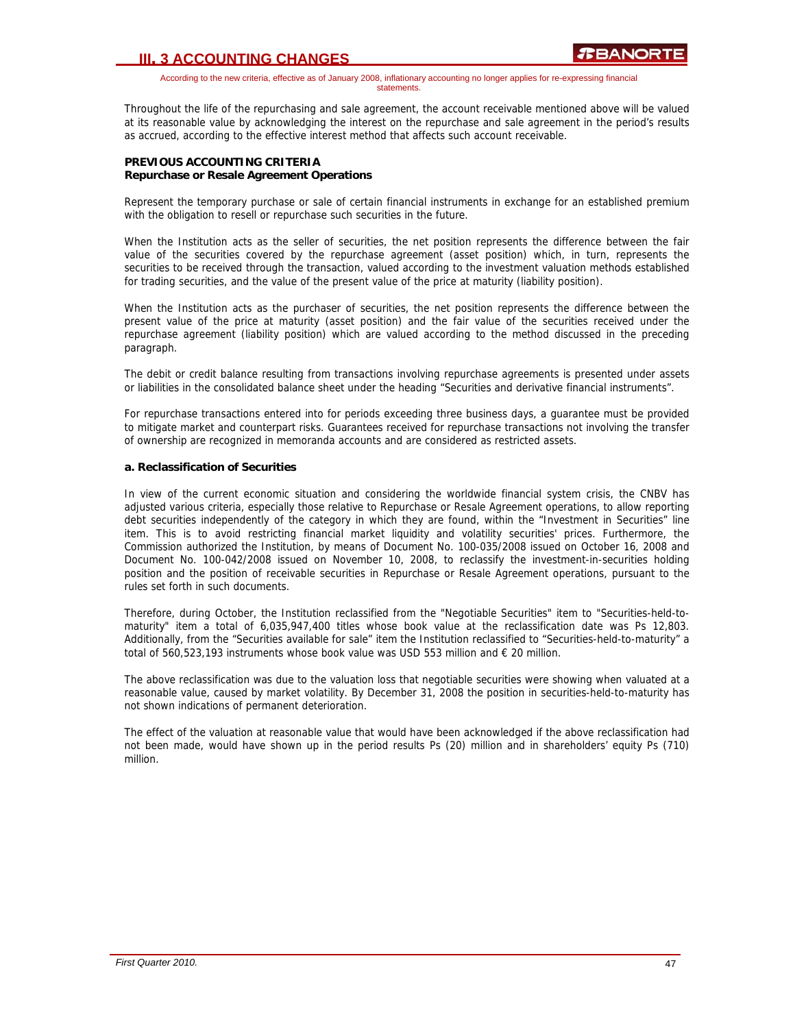According to the new criteria, effective as of January 2008, inflationary accounting no longer applies for re-expressing financial statements.

Throughout the life of the repurchasing and sale agreement, the account receivable mentioned above will be valued at its reasonable value by acknowledging the interest on the repurchase and sale agreement in the period's results as accrued, according to the effective interest method that affects such account receivable.

### **PREVIOUS ACCOUNTING CRITERIA Repurchase or Resale Agreement Operations**

Represent the temporary purchase or sale of certain financial instruments in exchange for an established premium with the obligation to resell or repurchase such securities in the future.

When the Institution acts as the seller of securities, the net position represents the difference between the fair value of the securities covered by the repurchase agreement (asset position) which, in turn, represents the securities to be received through the transaction, valued according to the investment valuation methods established for trading securities, and the value of the present value of the price at maturity (liability position).

When the Institution acts as the purchaser of securities, the net position represents the difference between the present value of the price at maturity (asset position) and the fair value of the securities received under the repurchase agreement (liability position) which are valued according to the method discussed in the preceding paragraph.

The debit or credit balance resulting from transactions involving repurchase agreements is presented under assets or liabilities in the consolidated balance sheet under the heading "Securities and derivative financial instruments".

For repurchase transactions entered into for periods exceeding three business days, a guarantee must be provided to mitigate market and counterpart risks. Guarantees received for repurchase transactions not involving the transfer of ownership are recognized in memoranda accounts and are considered as restricted assets.

### **a. Reclassification of Securities**

In view of the current economic situation and considering the worldwide financial system crisis, the CNBV has adjusted various criteria, especially those relative to Repurchase or Resale Agreement operations, to allow reporting debt securities independently of the category in which they are found, within the "Investment in Securities" line item. This is to avoid restricting financial market liquidity and volatility securities' prices. Furthermore, the Commission authorized the Institution, by means of Document No. 100-035/2008 issued on October 16, 2008 and Document No. 100-042/2008 issued on November 10, 2008, to reclassify the investment-in-securities holding position and the position of receivable securities in Repurchase or Resale Agreement operations, pursuant to the rules set forth in such documents.

Therefore, during October, the Institution reclassified from the "Negotiable Securities" item to "Securities-held-tomaturity" item a total of 6,035,947,400 titles whose book value at the reclassification date was Ps 12,803. Additionally, from the "Securities available for sale" item the Institution reclassified to "Securities-held-to-maturity" a total of 560,523,193 instruments whose book value was USD 553 million and € 20 million.

The above reclassification was due to the valuation loss that negotiable securities were showing when valuated at a reasonable value, caused by market volatility. By December 31, 2008 the position in securities-held-to-maturity has not shown indications of permanent deterioration.

The effect of the valuation at reasonable value that would have been acknowledged if the above reclassification had not been made, would have shown up in the period results Ps (20) million and in shareholders' equity Ps (710) million.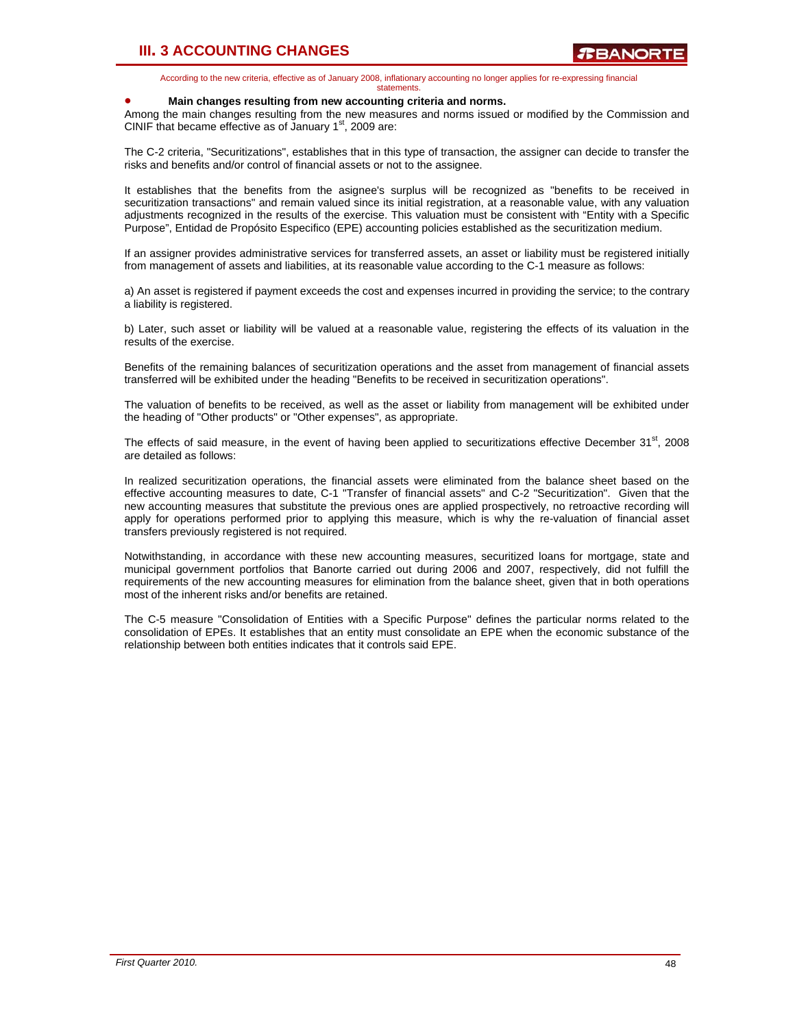According to the new criteria, effective as of January 2008, inflationary accounting no longer applies for re-expressing financial statements.

#### • **Main changes resulting from new accounting criteria and norms.**

Among the main changes resulting from the new measures and norms issued or modified by the Commission and CINIF that became effective as of January  $1<sup>st</sup>$ , 2009 are:

The C-2 criteria, "Securitizations", establishes that in this type of transaction, the assigner can decide to transfer the risks and benefits and/or control of financial assets or not to the assignee.

It establishes that the benefits from the asignee's surplus will be recognized as "benefits to be received in securitization transactions" and remain valued since its initial registration, at a reasonable value, with any valuation adjustments recognized in the results of the exercise. This valuation must be consistent with "Entity with a Specific Purpose", Entidad de Propósito Especifico (EPE) accounting policies established as the securitization medium.

If an assigner provides administrative services for transferred assets, an asset or liability must be registered initially from management of assets and liabilities, at its reasonable value according to the C-1 measure as follows:

a) An asset is registered if payment exceeds the cost and expenses incurred in providing the service; to the contrary a liability is registered.

b) Later, such asset or liability will be valued at a reasonable value, registering the effects of its valuation in the results of the exercise.

Benefits of the remaining balances of securitization operations and the asset from management of financial assets transferred will be exhibited under the heading "Benefits to be received in securitization operations".

The valuation of benefits to be received, as well as the asset or liability from management will be exhibited under the heading of "Other products" or "Other expenses", as appropriate.

The effects of said measure, in the event of having been applied to securitizations effective December 31<sup>st</sup>, 2008 are detailed as follows:

In realized securitization operations, the financial assets were eliminated from the balance sheet based on the effective accounting measures to date, C-1 "Transfer of financial assets" and C-2 "Securitization". Given that the new accounting measures that substitute the previous ones are applied prospectively, no retroactive recording will apply for operations performed prior to applying this measure, which is why the re-valuation of financial asset transfers previously registered is not required.

Notwithstanding, in accordance with these new accounting measures, securitized loans for mortgage, state and municipal government portfolios that Banorte carried out during 2006 and 2007, respectively, did not fulfill the requirements of the new accounting measures for elimination from the balance sheet, given that in both operations most of the inherent risks and/or benefits are retained.

The C-5 measure "Consolidation of Entities with a Specific Purpose" defines the particular norms related to the consolidation of EPEs. It establishes that an entity must consolidate an EPE when the economic substance of the relationship between both entities indicates that it controls said EPE.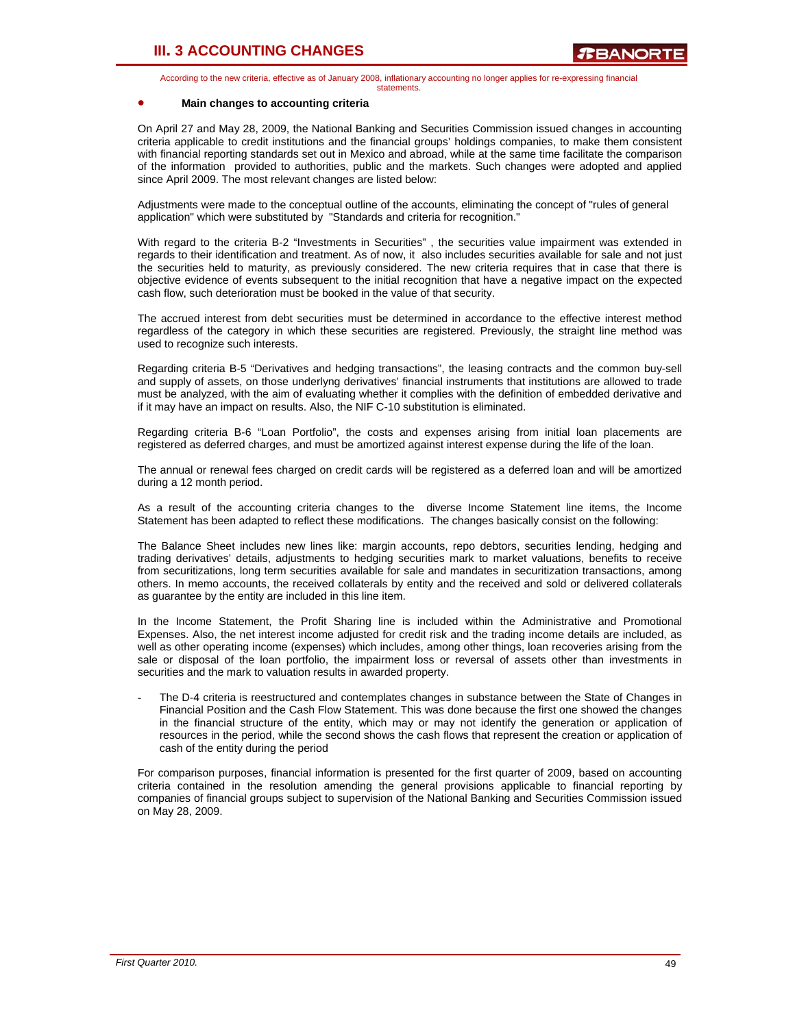According to the new criteria, effective as of January 2008, inflationary accounting no longer applies for re-expressing financial statements.

#### • **Main changes to accounting criteria**

On April 27 and May 28, 2009, the National Banking and Securities Commission issued changes in accounting criteria applicable to credit institutions and the financial groups' holdings companies, to make them consistent with financial reporting standards set out in Mexico and abroad, while at the same time facilitate the comparison of the information provided to authorities, public and the markets. Such changes were adopted and applied since April 2009. The most relevant changes are listed below:

Adjustments were made to the conceptual outline of the accounts, eliminating the concept of "rules of general application" which were substituted by "Standards and criteria for recognition."

With regard to the criteria B-2 "Investments in Securities" , the securities value impairment was extended in regards to their identification and treatment. As of now, it also includes securities available for sale and not just the securities held to maturity, as previously considered. The new criteria requires that in case that there is objective evidence of events subsequent to the initial recognition that have a negative impact on the expected cash flow, such deterioration must be booked in the value of that security.

The accrued interest from debt securities must be determined in accordance to the effective interest method regardless of the category in which these securities are registered. Previously, the straight line method was used to recognize such interests.

Regarding criteria B-5 "Derivatives and hedging transactions", the leasing contracts and the common buy-sell and supply of assets, on those underlyng derivatives' financial instruments that institutions are allowed to trade must be analyzed, with the aim of evaluating whether it complies with the definition of embedded derivative and if it may have an impact on results. Also, the NIF C-10 substitution is eliminated.

Regarding criteria B-6 "Loan Portfolio", the costs and expenses arising from initial loan placements are registered as deferred charges, and must be amortized against interest expense during the life of the loan.

The annual or renewal fees charged on credit cards will be registered as a deferred loan and will be amortized during a 12 month period.

As a result of the accounting criteria changes to the diverse Income Statement line items, the Income Statement has been adapted to reflect these modifications. The changes basically consist on the following:

The Balance Sheet includes new lines like: margin accounts, repo debtors, securities lending, hedging and trading derivatives' details, adjustments to hedging securities mark to market valuations, benefits to receive from securitizations, long term securities available for sale and mandates in securitization transactions, among others. In memo accounts, the received collaterals by entity and the received and sold or delivered collaterals as guarantee by the entity are included in this line item.

In the Income Statement, the Profit Sharing line is included within the Administrative and Promotional Expenses. Also, the net interest income adjusted for credit risk and the trading income details are included, as well as other operating income (expenses) which includes, among other things, loan recoveries arising from the sale or disposal of the loan portfolio, the impairment loss or reversal of assets other than investments in securities and the mark to valuation results in awarded property.

The D-4 criteria is reestructured and contemplates changes in substance between the State of Changes in Financial Position and the Cash Flow Statement. This was done because the first one showed the changes in the financial structure of the entity, which may or may not identify the generation or application of resources in the period, while the second shows the cash flows that represent the creation or application of cash of the entity during the period

For comparison purposes, financial information is presented for the first quarter of 2009, based on accounting criteria contained in the resolution amending the general provisions applicable to financial reporting by companies of financial groups subject to supervision of the National Banking and Securities Commission issued on May 28, 2009.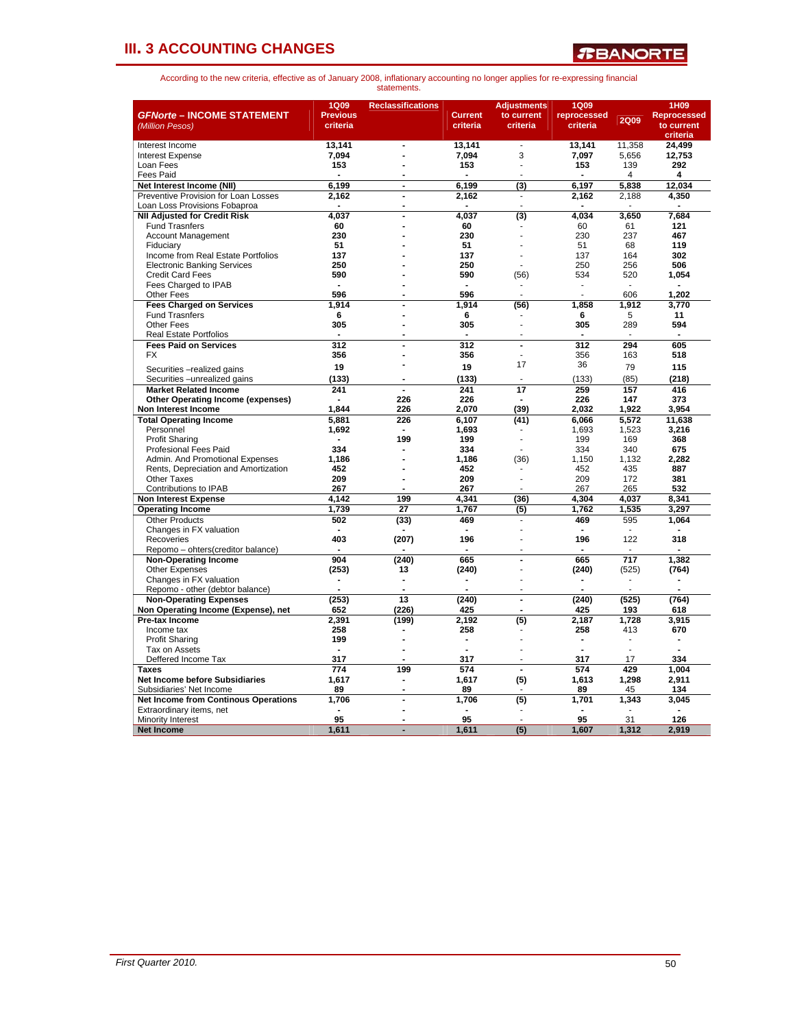

| <b>GFNorte - INCOME STATEMENT</b><br>(Million Pesos) | 1Q09<br><b>Previous</b><br>criteria | <b>Reclassifications</b>     | <b>Current</b><br>criteria | <b>Adjustments</b><br>to current<br>criteria | <b>1Q09</b><br>reprocessed<br>criteria | <b>2Q09</b> | 1H09<br><b>Reprocessed</b><br>to current |
|------------------------------------------------------|-------------------------------------|------------------------------|----------------------------|----------------------------------------------|----------------------------------------|-------------|------------------------------------------|
|                                                      | 13,141                              | $\blacksquare$               | 13,141                     | $\overline{\phantom{a}}$                     | 13,141                                 | 11,358      | criteria<br>24,499                       |
| Interest Income<br>Interest Expense                  | 7.094                               |                              | 7.094                      | 3                                            | 7,097                                  | 5.656       | 12.753                                   |
| Loan Fees                                            | 153                                 |                              | 153                        | $\overline{a}$                               | 153                                    | 139         | 292                                      |
| <b>Fees Paid</b>                                     |                                     |                              |                            |                                              |                                        | 4           | 4                                        |
| Net Interest Income (NII)                            | 6.199                               | $\blacksquare$               | 6,199                      | (3)                                          | 6,197                                  | 5.838       | 12,034                                   |
| Preventive Provision for Loan Losses                 | 2,162                               | $\blacksquare$               | 2,162                      | $\overline{\phantom{a}}$                     | 2,162                                  | 2,188       | 4,350                                    |
| Loan Loss Provisions Fobaproa                        | $\overline{\phantom{a}}$            | $\overline{a}$               | $\overline{\phantom{a}}$   | $\overline{a}$                               |                                        |             |                                          |
| <b>NII Adjusted for Credit Risk</b>                  | 4,037                               | $\overline{a}$               | 4,037                      | (3)                                          | 4,034                                  | 3,650       | 7,684                                    |
| <b>Fund Trasnfers</b>                                | 60                                  |                              | 60                         |                                              | 60                                     | 61          | 121                                      |
| <b>Account Management</b>                            | 230                                 |                              | 230                        |                                              | 230                                    | 237         | 467                                      |
| Fiduciarv                                            | 51                                  |                              | 51                         |                                              | 51                                     | 68          | 119                                      |
| Income from Real Estate Portfolios                   | 137                                 |                              | 137                        |                                              | 137                                    | 164         | 302                                      |
| <b>Electronic Banking Services</b>                   | 250                                 |                              | 250                        |                                              | 250                                    | 256         | 506                                      |
| <b>Credit Card Fees</b>                              | 590                                 |                              | 590                        | (56)                                         | 534                                    | 520         | 1,054                                    |
| Fees Charged to IPAB                                 | $\blacksquare$                      |                              | $\sim$                     | $\overline{\phantom{a}}$                     | ÷,                                     | $\sim$      | $\sim$                                   |
| <b>Other Fees</b>                                    | 596                                 |                              | 596                        |                                              |                                        | 606         | 1,202                                    |
| <b>Fees Charged on Services</b>                      | 1,914                               |                              | 1.914                      | (56)                                         | 1,858                                  | 1,912       | 3,770                                    |
| <b>Fund Trasnfers</b>                                | 6                                   |                              | 6                          |                                              | 6                                      | 5           | 11                                       |
| <b>Other Fees</b>                                    | 305                                 |                              | 305                        | L.                                           | 305                                    | 289         | 594                                      |
| <b>Real Estate Portfolios</b>                        |                                     |                              | $\overline{a}$             | J.                                           | L.                                     | J.          |                                          |
| <b>Fees Paid on Services</b>                         | $\overline{312}$                    | $\overline{a}$               | 312                        | $\ddot{\phantom{a}}$                         | 312                                    | 294         | 605                                      |
| <b>FX</b>                                            | 356                                 |                              | 356                        |                                              | 356                                    | 163         | 518                                      |
| Securities - realized gains                          | 19                                  |                              | 19                         | 17                                           | 36                                     | 79          | 115                                      |
| Securities - unrealized gains                        | (133)                               |                              | (133)                      |                                              | (133)                                  | (85)        | (218)                                    |
| <b>Market Related Income</b>                         | 241                                 | $\overline{a}$               | 241                        | 17                                           | 259                                    | 157         | 416                                      |
| <b>Other Operating Income (expenses)</b>             |                                     | 226                          | 226                        |                                              | 226                                    | 147         | 373                                      |
| Non Interest Income                                  | 1.844                               | 226                          | 2.070                      | (39)                                         | 2.032                                  | 1.922       | 3.954                                    |
| <b>Total Operating Income</b>                        | 5.881                               | 226                          | 6,107                      | (41)                                         | 6,066                                  | 5,572       | 11,638                                   |
| Personnel                                            | 1,692                               |                              | 1.693                      |                                              | 1,693                                  | 1,523       | 3,216                                    |
| <b>Profit Sharing</b>                                | $\blacksquare$                      | 199                          | 199                        |                                              | 199                                    | 169         | 368                                      |
| <b>Profesional Fees Paid</b>                         | 334                                 |                              | 334                        |                                              | 334                                    | 340         | 675                                      |
| Admin, And Promotional Expenses                      | 1.186                               |                              | 1.186                      | (36)                                         | 1.150                                  | 1.132       | 2.282                                    |
| Rents, Depreciation and Amortization                 | 452                                 |                              | 452                        |                                              | 452                                    | 435         | 887                                      |
| <b>Other Taxes</b>                                   | 209                                 | Ĭ.                           | 209                        | l,                                           | 209                                    | 172         | 381                                      |
| Contributions to IPAB                                | 267                                 | $\overline{a}$               | 267                        | ÷                                            | 267                                    | 265         | 532                                      |
| <b>Non Interest Expense</b>                          | 4,142                               | 199                          | 4,341                      | (36)                                         | 4,304                                  | 4,037       | 8,341                                    |
| <b>Operating Income</b>                              | 1,739                               | 27                           | 1,767                      | (5)                                          | 1,762                                  | 1,535       | 3,297                                    |
| <b>Other Products</b>                                | 502                                 | (33)                         | 469                        |                                              | 469                                    | 595         | 1,064                                    |
| Changes in FX valuation                              |                                     |                              |                            |                                              |                                        |             |                                          |
| Recoveries                                           | 403                                 | (207)                        | 196                        |                                              | 196                                    | 122         | 318                                      |
| Repomo - ohters(creditor balance)                    | 904                                 |                              | 665                        | $\overline{a}$                               | 665                                    | 717         |                                          |
| <b>Non-Operating Income</b><br><b>Other Expenses</b> | (253)                               | (240)<br>13                  | (240)                      | L,                                           |                                        |             | 1,382                                    |
| Changes in FX valuation                              |                                     |                              |                            |                                              | (240)                                  | (525)       | (764)                                    |
| Repomo - other (debtor balance)                      |                                     | $\overline{a}$               |                            |                                              |                                        |             |                                          |
| <b>Non-Operating Expenses</b>                        | (253)                               | 13                           | (240)                      | $\blacksquare$                               | (240)                                  | (525)       | (764)                                    |
| Non Operating Income (Expense), net                  | 652                                 | (226)                        | 425                        |                                              | 425                                    | 193         | 618                                      |
| Pre-tax Income                                       | 2,391                               | (199)                        | 2,192                      | (5)                                          | 2,187                                  | 1,728       | 3,915                                    |
| Income tax                                           | 258                                 |                              | 258                        |                                              | 258                                    | 413         | 670                                      |
| <b>Profit Sharing</b>                                | 199                                 |                              | $\blacksquare$             |                                              |                                        | ٠           | ۰                                        |
| Tax on Assets                                        |                                     | $\overline{a}$               |                            |                                              |                                        |             |                                          |
| Deffered Income Tax                                  | 317                                 | L.                           | 317                        | ÷.                                           | 317                                    | 17          | 334                                      |
| <b>Taxes</b>                                         | 774                                 | 199                          | 574                        | ÷.                                           | 574                                    | 429         | 1.004                                    |
| Net Income before Subsidiaries                       | 1,617                               | $\qquad \qquad \blacksquare$ | 1,617                      | (5)                                          | 1,613                                  | 1,298       | 2,911                                    |
| Subsidiaries' Net Income                             | 89                                  | $\blacksquare$               | 89                         |                                              | 89                                     | 45          | 134                                      |
| <b>Net Income from Continous Operations</b>          | 1,706                               | $\overline{a}$               | 1,706                      | (5)                                          | 1,701                                  | 1,343       | 3,045                                    |
| Extraordinary items, net                             |                                     |                              |                            |                                              |                                        |             |                                          |
| <b>Minority Interest</b>                             | 95                                  |                              | 95                         |                                              | 95                                     | 31          | 126                                      |
| <b>Net Income</b>                                    | 1,611                               | L.                           | 1,611                      | (5)                                          | 1,607                                  | 1.312       | 2.919                                    |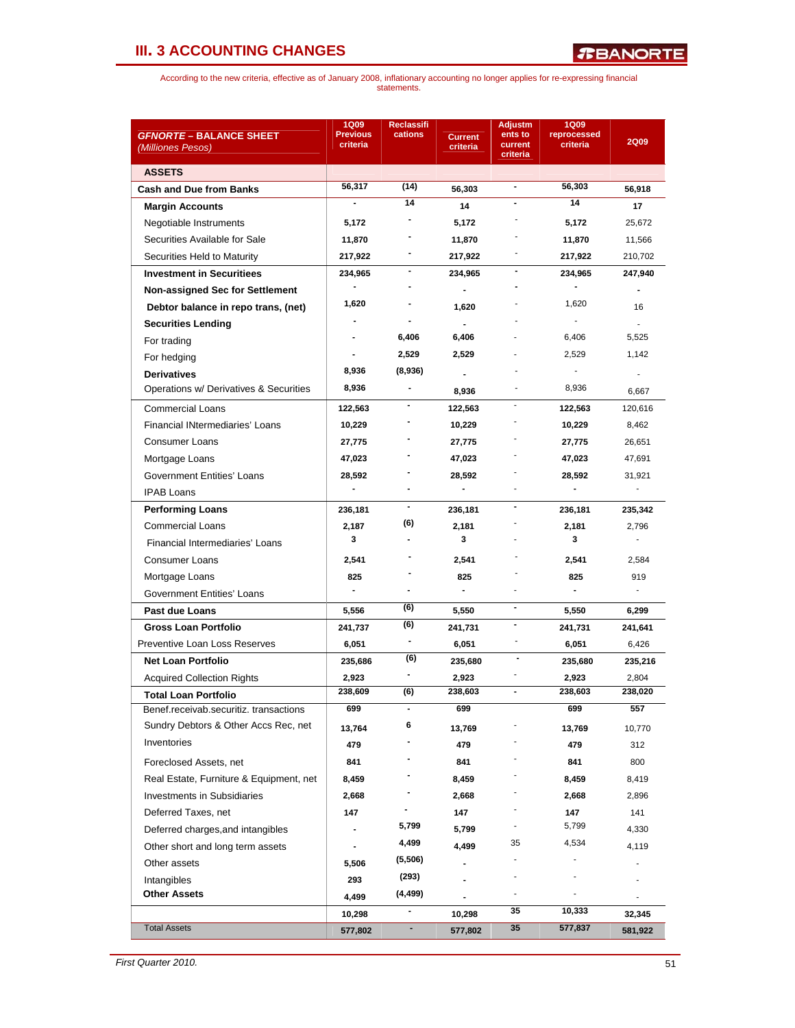| <i><b>GFNORTE – BALANCE SHEET</b></i>   | <b>1Q09</b><br><b>Previous</b> | <b>Reclassifi</b><br>cations | <b>Current</b>           | <b>Adjustm</b><br>ents to | <b>1Q09</b><br>reprocessed | <b>2Q09</b>              |
|-----------------------------------------|--------------------------------|------------------------------|--------------------------|---------------------------|----------------------------|--------------------------|
| (Milliones Pesos)                       | criteria                       |                              | criteria                 | current<br>criteria       | criteria                   |                          |
| <b>ASSETS</b>                           |                                |                              |                          |                           |                            |                          |
| <b>Cash and Due from Banks</b>          | 56,317                         | (14)                         | 56,303                   | $\blacksquare$            | 56,303                     | 56,918                   |
| <b>Margin Accounts</b>                  | -                              | 14                           | 14                       |                           | 14                         | 17                       |
| Negotiable Instruments                  | 5,172                          |                              | 5,172                    |                           | 5,172                      | 25,672                   |
| Securities Available for Sale           | 11,870                         |                              | 11,870                   |                           | 11,870                     | 11,566                   |
| Securities Held to Maturity             | 217,922                        |                              | 217,922                  |                           | 217,922                    | 210,702                  |
| <b>Investment in Securitiees</b>        | 234,965                        | ۰                            | 234,965                  |                           | 234,965                    | 247,940                  |
| Non-assigned Sec for Settlement         |                                |                              | $\blacksquare$           |                           |                            |                          |
| Debtor balance in repo trans, (net)     | 1,620                          |                              | 1,620                    |                           | 1,620                      | 16                       |
| <b>Securities Lending</b>               |                                | $\blacksquare$               | $\blacksquare$           |                           |                            | ÷.                       |
| For trading                             |                                | 6,406                        | 6,406                    |                           | 6,406                      | 5,525                    |
| For hedging                             |                                | 2,529                        | 2,529                    |                           | 2,529                      | 1,142                    |
| <b>Derivatives</b>                      | 8,936                          | (8,936)                      |                          |                           |                            |                          |
| Operations w/ Derivatives & Securities  | 8,936                          | $\qquad \qquad \blacksquare$ | 8,936                    |                           | 8,936                      | 6,667                    |
| <b>Commercial Loans</b>                 | 122,563                        |                              | 122,563                  | $\sim$                    | 122,563                    | 120,616                  |
| <b>Financial INtermediaries' Loans</b>  | 10,229                         |                              | 10,229                   |                           | 10,229                     | 8,462                    |
| Consumer Loans                          | 27,775                         |                              | 27,775                   |                           | 27,775                     | 26,651                   |
| Mortgage Loans                          | 47,023                         |                              | 47,023                   |                           | 47,023                     | 47,691                   |
| Government Entities' Loans              | 28,592                         |                              | 28,592                   |                           | 28,592                     | 31,921                   |
| <b>IPAB Loans</b>                       |                                |                              | $\blacksquare$           |                           |                            | $\overline{\phantom{a}}$ |
| <b>Performing Loans</b>                 | 236,181                        | $\blacksquare$               | 236,181                  | $\blacksquare$            | 236,181                    | 235,342                  |
| <b>Commercial Loans</b>                 | 2,187                          | (6)                          | 2,181                    |                           | 2,181                      | 2,796                    |
| Financial Intermediaries' Loans         | 3                              |                              | 3                        |                           | 3                          | ä,                       |
| Consumer Loans                          | 2,541                          |                              | 2,541                    |                           | 2,541                      | 2,584                    |
| Mortgage Loans                          | 825                            |                              | 825                      |                           | 825                        | 919                      |
| Government Entities' Loans              |                                |                              | $\overline{\phantom{0}}$ |                           |                            | $\mathbf{r}$             |
| <b>Past due Loans</b>                   | 5,556                          | (6)                          | 5,550                    | $\blacksquare$            | 5,550                      | 6,299                    |
| <b>Gross Loan Portfolio</b>             | 241,737                        | (6)                          | 241,731                  | $\blacksquare$            | 241,731                    | 241,641                  |
| Preventive Loan Loss Reserves           | 6,051                          | $\blacksquare$               | 6,051                    |                           | 6,051                      | 6,426                    |
| <b>Net Loan Portfolio</b>               | 235,686                        | (6)                          | 235,680                  |                           | 235,680                    | 235,216                  |
| <b>Acquired Collection Rights</b>       | 2,923                          |                              | 2,923                    |                           | 2,923                      | 2,804                    |
| Total Loan Portfolio                    | 238,609                        | (6)                          | 238,603                  | $\blacksquare$            | 238,603                    | 238,020                  |
| Benef.receivab.securitiz. transactions  | 699                            | $\blacksquare$               | 699                      |                           | 699                        | 557                      |
| Sundry Debtors & Other Accs Rec, net    | 13,764                         | 6                            | 13,769                   |                           | 13,769                     | 10,770                   |
| Inventories                             | 479                            |                              | 479                      |                           | 479                        | 312                      |
| Foreclosed Assets, net                  | 841                            |                              | 841                      |                           | 841                        | 800                      |
| Real Estate, Furniture & Equipment, net | 8,459                          |                              | 8,459                    |                           | 8,459                      | 8,419                    |
| <b>Investments in Subsidiaries</b>      | 2,668                          |                              | 2,668                    |                           | 2,668                      | 2,896                    |
| Deferred Taxes, net                     | 147                            |                              | 147                      |                           | 147                        | 141                      |
| Deferred charges, and intangibles       |                                | 5,799                        | 5,799                    |                           | 5,799                      | 4,330                    |
|                                         |                                | 4,499                        | 4,499                    | 35                        | 4,534                      |                          |
| Other short and long term assets        |                                | (5,506)                      |                          |                           |                            | 4,119<br>$\frac{1}{2}$   |
| Other assets                            | 5,506                          | (293)                        | $\blacksquare$           |                           |                            |                          |
| Intangibles<br><b>Other Assets</b>      | 293                            | (4, 499)                     |                          |                           |                            |                          |
|                                         | 4,499                          | $\qquad \qquad \blacksquare$ |                          | 35                        | 10,333                     |                          |
| <b>Total Assets</b>                     | 10,298<br>577,802              | ۰                            | 10,298<br>577,802        | 35                        | 577,837                    | 32,345<br>581,922        |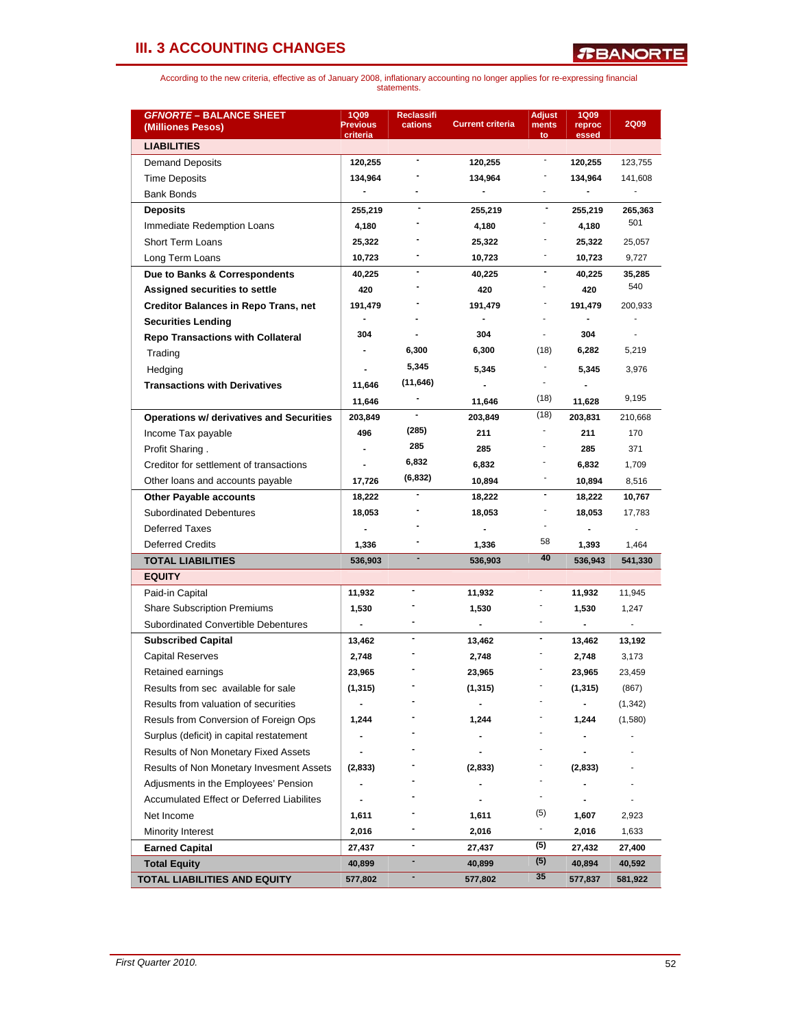| <b>GFNORTE - BALANCE SHEET</b><br>(Milliones Pesos) | <b>1Q09</b><br><b>Previous</b><br>criteria | <b>Reclassifi</b><br>cations | <b>Current criteria</b>      | <b>Adjust</b><br>ments<br>to | <b>1Q09</b><br>reproc<br>essed | <b>2Q09</b> |
|-----------------------------------------------------|--------------------------------------------|------------------------------|------------------------------|------------------------------|--------------------------------|-------------|
| <b>LIABILITIES</b>                                  |                                            |                              |                              |                              |                                |             |
| <b>Demand Deposits</b>                              | 120,255                                    | $\blacksquare$               | 120,255                      | -                            | 120,255                        | 123,755     |
| <b>Time Deposits</b>                                | 134,964                                    |                              | 134,964                      |                              | 134,964                        | 141,608     |
| <b>Bank Bonds</b>                                   |                                            |                              | $\qquad \qquad \blacksquare$ |                              |                                |             |
| <b>Deposits</b>                                     | 255,219                                    |                              | 255,219                      | $\overline{\phantom{a}}$     | 255,219                        | 265,363     |
| Immediate Redemption Loans                          | 4,180                                      |                              | 4,180                        |                              | 4,180                          | 501         |
| <b>Short Term Loans</b>                             | 25,322                                     |                              | 25,322                       |                              | 25,322                         | 25,057      |
| Long Term Loans                                     | 10,723                                     |                              | 10,723                       |                              | 10,723                         | 9,727       |
| Due to Banks & Correspondents                       | 40,225                                     | $\blacksquare$               | 40,225                       | -                            | 40,225                         | 35,285      |
| Assigned securities to settle                       | 420                                        |                              | 420                          |                              | 420                            | 540         |
| <b>Creditor Balances in Repo Trans, net</b>         | 191,479                                    |                              | 191,479                      |                              | 191,479                        | 200,933     |
| <b>Securities Lending</b>                           |                                            |                              |                              |                              |                                |             |
| <b>Repo Transactions with Collateral</b>            | 304                                        |                              | 304                          |                              | 304                            |             |
| Trading                                             |                                            | 6,300                        | 6,300                        | (18)                         | 6,282                          | 5,219       |
| Hedging                                             |                                            | 5,345                        | 5,345                        | -                            | 5,345                          | 3,976       |
| <b>Transactions with Derivatives</b>                | 11,646                                     | (11, 646)                    | $\blacksquare$               |                              |                                |             |
|                                                     | 11,646                                     |                              | 11,646                       | (18)                         | 11,628                         | 9,195       |
| <b>Operations w/ derivatives and Securities</b>     | 203,849                                    |                              | 203,849                      | (18)                         | 203,831                        | 210,668     |
| Income Tax payable                                  | 496                                        | (285)                        | 211                          |                              | 211                            | 170         |
| Profit Sharing.                                     |                                            | 285                          | 285                          |                              | 285                            | 371         |
| Creditor for settlement of transactions             |                                            | 6,832                        | 6,832                        |                              | 6,832                          | 1,709       |
| Other loans and accounts payable                    | 17,726                                     | (6, 832)                     | 10,894                       |                              | 10,894                         | 8,516       |
| <b>Other Payable accounts</b>                       | 18,222                                     |                              | 18,222                       | $\blacksquare$               | 18,222                         | 10,767      |
| <b>Subordinated Debentures</b>                      | 18,053                                     |                              | 18,053                       |                              | 18,053                         | 17,783      |
| <b>Deferred Taxes</b>                               |                                            |                              |                              |                              |                                |             |
| <b>Deferred Credits</b>                             | 1,336                                      |                              | 1,336                        | 58                           | 1,393                          | 1,464       |
| <b>TOTAL LIABILITIES</b>                            | 536,903                                    | $\overline{\phantom{a}}$     | 536,903                      | 40                           | 536,943                        | 541,330     |
| <b>EQUITY</b>                                       |                                            |                              |                              |                              |                                |             |
| Paid-in Capital                                     | 11,932                                     |                              | 11,932                       |                              | 11,932                         | 11,945      |
| <b>Share Subscription Premiums</b>                  | 1,530                                      |                              | 1,530                        |                              | 1,530                          | 1,247       |
| Subordinated Convertible Debentures                 | $\frac{1}{2}$                              |                              | $\overline{\phantom{a}}$     | $\blacksquare$               |                                |             |
| <b>Subscribed Capital</b>                           | 13,462                                     | $\blacksquare$               | 13,462                       | $\qquad \qquad \blacksquare$ | 13,462                         | 13,192      |
| <b>Capital Reserves</b>                             | 2,748                                      |                              | 2,748                        |                              | 2,748                          | 3,173       |
| Retained earnings                                   | 23,965                                     |                              | 23,965                       |                              | 23,965                         | 23,459      |
| Results from sec available for sale                 | (1, 315)                                   |                              | (1, 315)                     |                              | (1, 315)                       | (867)       |
| Results from valuation of securities                |                                            |                              |                              |                              |                                | (1, 342)    |
| Resuls from Conversion of Foreign Ops               | 1,244                                      |                              | 1,244                        |                              | 1,244                          | (1,580)     |
| Surplus (deficit) in capital restatement            |                                            |                              |                              |                              |                                |             |
| Results of Non Monetary Fixed Assets                |                                            |                              |                              |                              |                                |             |
| Results of Non Monetary Invesment Assets            | (2,833)                                    |                              | (2,833)                      |                              | (2,833)                        |             |
| Adjusments in the Employees' Pension                |                                            |                              |                              |                              |                                |             |
| Accumulated Effect or Deferred Liabilites           |                                            |                              |                              | $\overline{\phantom{a}}$     |                                |             |
| Net Income                                          | 1,611                                      |                              | 1,611                        | (5)                          | 1,607                          | 2,923       |
| Minority Interest                                   | 2,016                                      |                              | 2,016                        | ٠                            | 2,016                          | 1,633       |
| Earned Capital                                      | 27,437                                     | ۰                            | 27,437                       | (5)                          | 27,432                         | 27,400      |
| <b>Total Equity</b>                                 | 40,899                                     | ۰                            | 40,899                       | (5)                          | 40,894                         | 40,592      |
| TOTAL LIABILITIES AND EQUITY                        | 577,802                                    |                              | 577,802                      | 35                           | 577,837                        | 581,922     |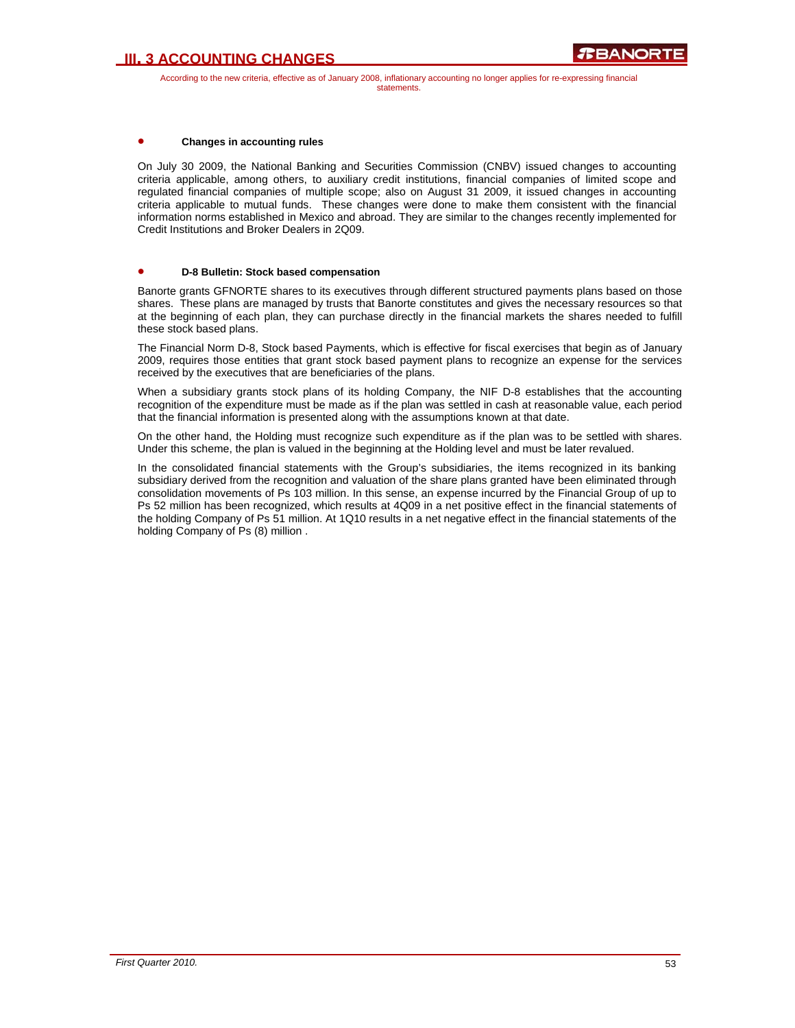According to the new criteria, effective as of January 2008, inflationary accounting no longer applies for re-expressing financial statements.

### • **Changes in accounting rules**

On July 30 2009, the National Banking and Securities Commission (CNBV) issued changes to accounting criteria applicable, among others, to auxiliary credit institutions, financial companies of limited scope and regulated financial companies of multiple scope; also on August 31 2009, it issued changes in accounting criteria applicable to mutual funds. These changes were done to make them consistent with the financial information norms established in Mexico and abroad. They are similar to the changes recently implemented for Credit Institutions and Broker Dealers in 2Q09.

#### • **D-8 Bulletin: Stock based compensation**

Banorte grants GFNORTE shares to its executives through different structured payments plans based on those shares. These plans are managed by trusts that Banorte constitutes and gives the necessary resources so that at the beginning of each plan, they can purchase directly in the financial markets the shares needed to fulfill these stock based plans.

The Financial Norm D-8, Stock based Payments, which is effective for fiscal exercises that begin as of January 2009, requires those entities that grant stock based payment plans to recognize an expense for the services received by the executives that are beneficiaries of the plans.

When a subsidiary grants stock plans of its holding Company, the NIF D-8 establishes that the accounting recognition of the expenditure must be made as if the plan was settled in cash at reasonable value, each period that the financial information is presented along with the assumptions known at that date.

On the other hand, the Holding must recognize such expenditure as if the plan was to be settled with shares. Under this scheme, the plan is valued in the beginning at the Holding level and must be later revalued.

In the consolidated financial statements with the Group's subsidiaries, the items recognized in its banking subsidiary derived from the recognition and valuation of the share plans granted have been eliminated through consolidation movements of Ps 103 million. In this sense, an expense incurred by the Financial Group of up to Ps 52 million has been recognized, which results at 4Q09 in a net positive effect in the financial statements of the holding Company of Ps 51 million. At 1Q10 results in a net negative effect in the financial statements of the holding Company of Ps (8) million .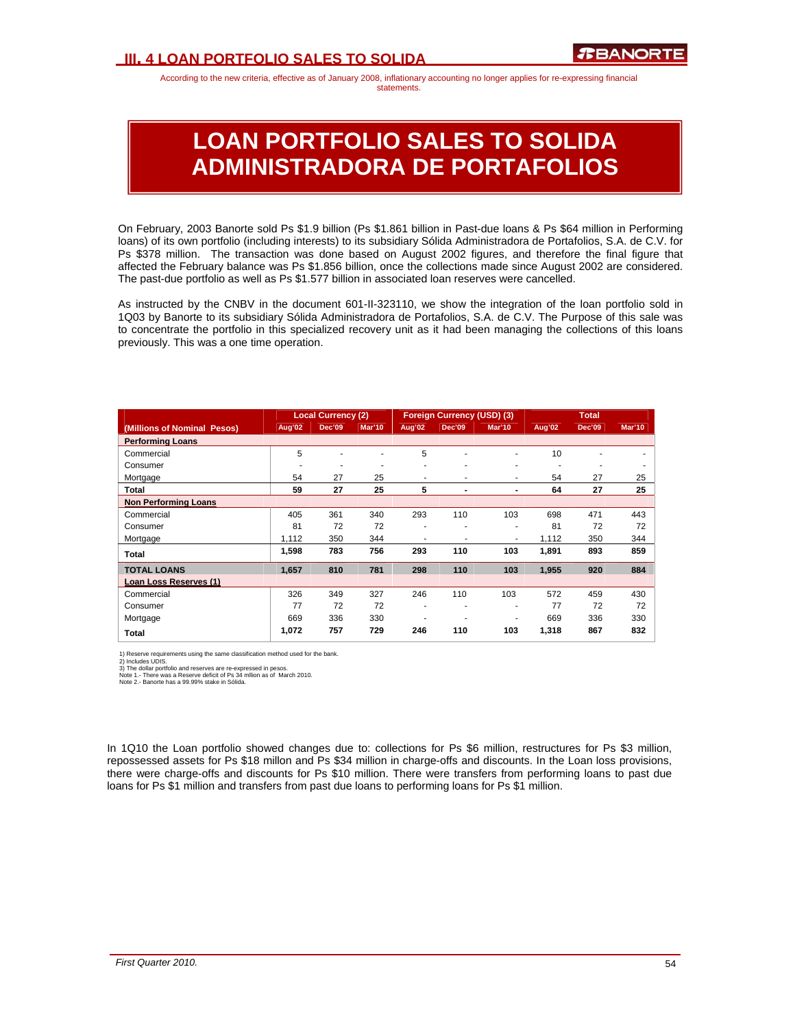### **III. 4 LOAN PORTFOLIO SALES TO SOLIDA**

According to the new criteria, effective as of January 2008, inflationary accounting no longer applies for re-expressing financial statements.

# **LOAN PORTFOLIO SALES TO SOLIDA ADMINISTRADORA DE PORTAFOLIOS**

On February, 2003 Banorte sold Ps \$1.9 billion (Ps \$1.861 billion in Past-due loans & Ps \$64 million in Performing loans) of its own portfolio (including interests) to its subsidiary Sólida Administradora de Portafolios, S.A. de C.V. for Ps \$378 million. The transaction was done based on August 2002 figures, and therefore the final figure that affected the February balance was Ps \$1.856 billion, once the collections made since August 2002 are considered. The past-due portfolio as well as Ps \$1.577 billion in associated loan reserves were cancelled.

As instructed by the CNBV in the document 601-II-323110, we show the integration of the loan portfolio sold in 1Q03 by Banorte to its subsidiary Sólida Administradora de Portafolios, S.A. de C.V. The Purpose of this sale was to concentrate the portfolio in this specialized recovery unit as it had been managing the collections of this loans previously. This was a one time operation.

|                             |        | <b>Local Currency (2)</b> |        |        | Foreign Currency (USD) (3) |               |        | <b>Total</b>  |        |
|-----------------------------|--------|---------------------------|--------|--------|----------------------------|---------------|--------|---------------|--------|
| (Millions of Nominal Pesos) | Aug'02 | <b>Dec'09</b>             | Mar'10 | Aug'02 | Dec'09                     | <b>Mar'10</b> | Aug'02 | <b>Dec'09</b> | Mar'10 |
| <b>Performing Loans</b>     |        |                           |        |        |                            |               |        |               |        |
| Commercial                  | 5      |                           |        | 5      | i.                         | ٠             | 10     |               |        |
| Consumer                    | ٠      | ۰                         | ۰      | ۰      | ٠                          | ٠             | ٠      | ۰             |        |
| Mortgage                    | 54     | 27                        | 25     | ۰      | ٠                          | ۰             | 54     | 27            | 25     |
| Total                       | 59     | 27                        | 25     | 5      | ٠                          |               | 64     | 27            | 25     |
| <b>Non Performing Loans</b> |        |                           |        |        |                            |               |        |               |        |
| Commercial                  | 405    | 361                       | 340    | 293    | 110                        | 103           | 698    | 471           | 443    |
| Consumer                    | 81     | 72                        | 72     | ۰      | ۰                          | ۰             | 81     | 72            | 72     |
| Mortgage                    | 1,112  | 350                       | 344    | ۰      | ٠                          | ٠             | 1,112  | 350           | 344    |
| Total                       | 1,598  | 783                       | 756    | 293    | 110                        | 103           | 1,891  | 893           | 859    |
| <b>TOTAL LOANS</b>          | 1,657  | 810                       | 781    | 298    | 110                        | 103           | 1,955  | 920           | 884    |
| Loan Loss Reserves (1)      |        |                           |        |        |                            |               |        |               |        |
| Commercial                  | 326    | 349                       | 327    | 246    | 110                        | 103           | 572    | 459           | 430    |
| Consumer                    | 77     | 72                        | 72     | ۰      |                            | ۰             | 77     | 72            | 72     |
| Mortgage                    | 669    | 336                       | 330    |        |                            | ۰             | 669    | 336           | 330    |
| Total                       | 1,072  | 757                       | 729    | 246    | 110                        | 103           | 1,318  | 867           | 832    |

1) Reserve requirements using the same classification method used for the bank.

2) Includes UDIS. 3) The dollar portfolio and reserves are re-expressed in pesos. Note 1.- There was a Reserve deficit of Ps 34 mllion as of March 2010. Note 2.- Banorte has a 99.99% stake in Sólida.

In 1Q10 the Loan portfolio showed changes due to: collections for Ps \$6 million, restructures for Ps \$3 million, repossessed assets for Ps \$18 millon and Ps \$34 million in charge-offs and discounts. In the Loan loss provisions, there were charge-offs and discounts for Ps \$10 million. There were transfers from performing loans to past due loans for Ps \$1 million and transfers from past due loans to performing loans for Ps \$1 million.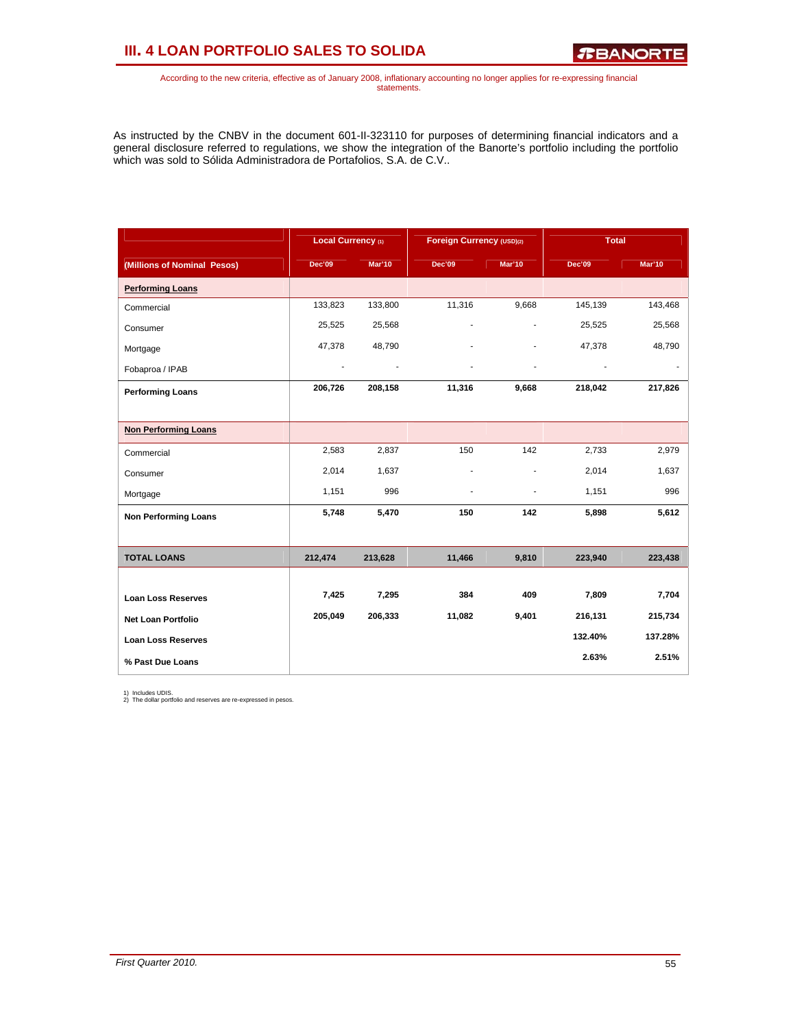# **III. 4 LOAN PORTFOLIO SALES TO SOLIDA**

*R***BANORTE** 

According to the new criteria, effective as of January 2008, inflationary accounting no longer applies for re-expressing financial statements.

As instructed by the CNBV in the document 601-II-323110 for purposes of determining financial indicators and a general disclosure referred to regulations, we show the integration of the Banorte's portfolio including the portfolio which was sold to Sólida Administradora de Portafolios, S.A. de C.V..

|                             | Local Currency (1) |         | Foreign Currency (USD)(2) |        | <b>Total</b>  |               |
|-----------------------------|--------------------|---------|---------------------------|--------|---------------|---------------|
| (Millions of Nominal Pesos) | <b>Dec'09</b>      | Mar'10  | <b>Dec'09</b>             | Mar'10 | <b>Dec'09</b> | <b>Mar'10</b> |
| <b>Performing Loans</b>     |                    |         |                           |        |               |               |
| Commercial                  | 133,823            | 133,800 | 11,316                    | 9,668  | 145,139       | 143,468       |
| Consumer                    | 25,525             | 25,568  |                           |        | 25,525        | 25,568        |
| Mortgage                    | 47,378             | 48,790  |                           |        | 47,378        | 48,790        |
| Fobaproa / IPAB             | ÷,                 |         |                           |        |               |               |
| <b>Performing Loans</b>     | 206,726            | 208,158 | 11,316                    | 9,668  | 218,042       | 217,826       |
|                             |                    |         |                           |        |               |               |
| <b>Non Performing Loans</b> |                    |         |                           |        |               |               |
| Commercial                  | 2,583              | 2,837   | 150                       | 142    | 2,733         | 2,979         |
| Consumer                    | 2,014              | 1,637   | ٠                         |        | 2,014         | 1,637         |
| Mortgage                    | 1,151              | 996     | ٠                         |        | 1,151         | 996           |
| <b>Non Performing Loans</b> | 5,748              | 5,470   | 150                       | 142    | 5,898         | 5,612         |
|                             |                    |         |                           |        |               |               |
| <b>TOTAL LOANS</b>          | 212,474            | 213,628 | 11,466                    | 9,810  | 223,940       | 223,438       |
|                             |                    |         |                           |        |               |               |
| <b>Loan Loss Reserves</b>   | 7,425              | 7,295   | 384                       | 409    | 7,809         | 7,704         |
| <b>Net Loan Portfolio</b>   | 205,049            | 206,333 | 11,082                    | 9,401  | 216,131       | 215,734       |
| <b>Loan Loss Reserves</b>   |                    |         |                           |        | 132.40%       | 137.28%       |
| % Past Due Loans            |                    |         |                           |        | 2.63%         | 2.51%         |

1) Includes UDIS. 2) The dollar portfolio and reserves are re-expressed in pesos.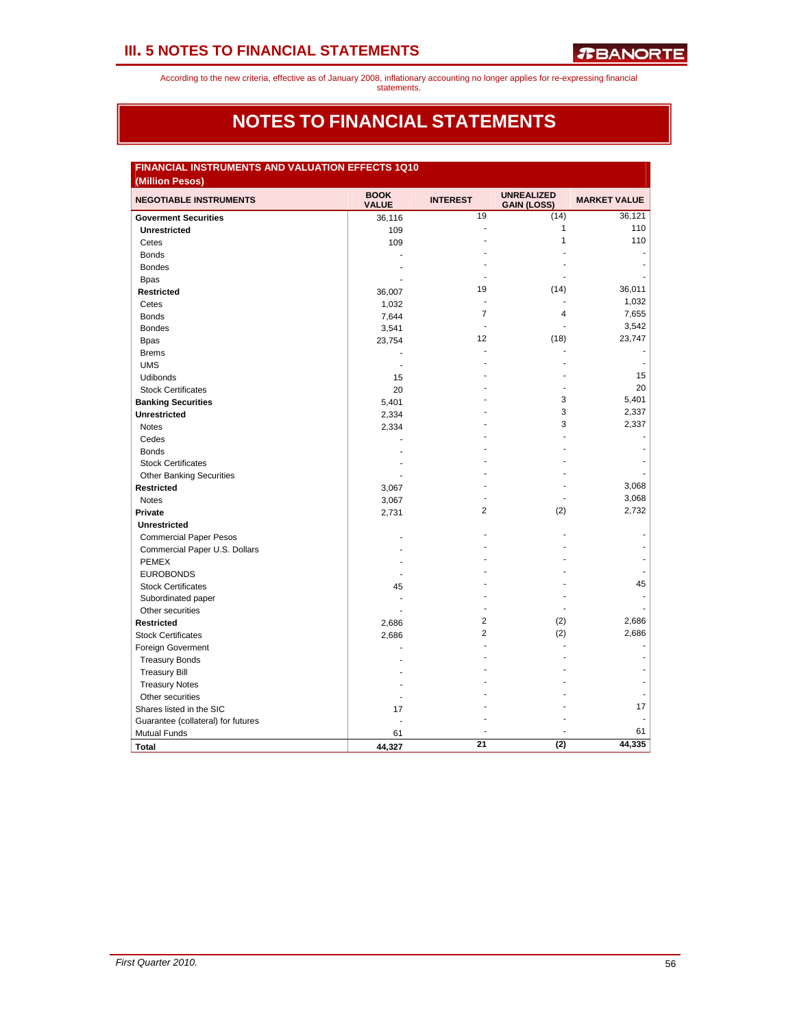According to the new criteria, effective as of January 2008, inflationary accounting no longer applies for re-expressing financial statements.

### **NOTES TO FINANCIAL STATEMENTS**

| <b>FINANCIAL INSTRUMENTS AND VALUATION EFFECTS 1Q10</b><br>(Million Pesos) |                             |                          |                                         |                     |
|----------------------------------------------------------------------------|-----------------------------|--------------------------|-----------------------------------------|---------------------|
| <b>NEGOTIABLE INSTRUMENTS</b>                                              | <b>BOOK</b><br><b>VALUE</b> | <b>INTEREST</b>          | <b>UNREALIZED</b><br><b>GAIN (LOSS)</b> | <b>MARKET VALUE</b> |
| <b>Goverment Securities</b>                                                | 36,116                      | 19                       | (14)                                    | 36,121              |
| <b>Unrestricted</b>                                                        | 109                         | Ĭ.                       | 1                                       | 110                 |
| Cetes                                                                      | 109                         |                          | 1                                       | 110                 |
| <b>Bonds</b>                                                               |                             |                          |                                         |                     |
| <b>Bondes</b>                                                              |                             |                          |                                         |                     |
| <b>Bpas</b>                                                                |                             |                          |                                         |                     |
| Restricted                                                                 | 36,007                      | 19                       | (14)                                    | 36,011              |
| Cetes                                                                      | 1,032                       | $\overline{\phantom{a}}$ |                                         | 1,032               |
| <b>Bonds</b>                                                               | 7,644                       | 7                        | 4                                       | 7,655               |
| <b>Bondes</b>                                                              | 3,541                       |                          |                                         | 3,542               |
| <b>Bpas</b>                                                                | 23,754                      | 12                       | (18)                                    | 23,747              |
| <b>Brems</b>                                                               |                             |                          |                                         |                     |
| <b>UMS</b>                                                                 |                             |                          |                                         |                     |
| <b>Udibonds</b>                                                            | 15                          |                          |                                         | 15                  |
| <b>Stock Certificates</b>                                                  | 20                          |                          |                                         | 20                  |
| <b>Banking Securities</b>                                                  | 5,401                       |                          | 3                                       | 5,401               |
| <b>Unrestricted</b>                                                        | 2,334                       |                          | 3                                       | 2,337               |
| <b>Notes</b>                                                               | 2,334                       |                          | 3                                       | 2,337               |
| Cedes                                                                      |                             |                          |                                         |                     |
| <b>Bonds</b>                                                               |                             |                          |                                         |                     |
| <b>Stock Certificates</b>                                                  |                             |                          |                                         |                     |
| <b>Other Banking Securities</b>                                            |                             |                          |                                         |                     |
| <b>Restricted</b>                                                          | 3,067                       |                          |                                         | 3,068               |
| <b>Notes</b>                                                               | 3,067                       |                          |                                         | 3,068               |
| Private                                                                    | 2,731                       | 2                        | (2)                                     | 2,732               |
| <b>Unrestricted</b>                                                        |                             |                          |                                         |                     |
| <b>Commercial Paper Pesos</b>                                              |                             |                          |                                         |                     |
| Commercial Paper U.S. Dollars                                              |                             |                          |                                         |                     |
| <b>PEMEX</b>                                                               |                             |                          |                                         |                     |
| <b>EUROBONDS</b>                                                           |                             |                          |                                         |                     |
| <b>Stock Certificates</b>                                                  | 45                          |                          |                                         | 45                  |
| Subordinated paper                                                         |                             |                          |                                         |                     |
| Other securities                                                           |                             |                          |                                         |                     |
| <b>Restricted</b>                                                          | 2,686                       | 2                        | (2)                                     | 2,686               |
| <b>Stock Certificates</b>                                                  | 2,686                       | $\overline{2}$           | (2)                                     | 2,686               |
| Foreign Goverment                                                          |                             |                          |                                         |                     |
| <b>Treasury Bonds</b>                                                      |                             |                          |                                         |                     |
| <b>Treasury Bill</b>                                                       |                             |                          |                                         |                     |
| <b>Treasury Notes</b>                                                      |                             |                          |                                         |                     |
| Other securities                                                           |                             |                          |                                         |                     |
| Shares listed in the SIC                                                   | 17                          |                          |                                         | 17                  |
| Guarantee (collateral) for futures                                         |                             |                          |                                         |                     |
| <b>Mutual Funds</b>                                                        | 61                          |                          |                                         | 61                  |
| <b>Total</b>                                                               | 44.327                      | 21                       | (2)                                     | 44,335              |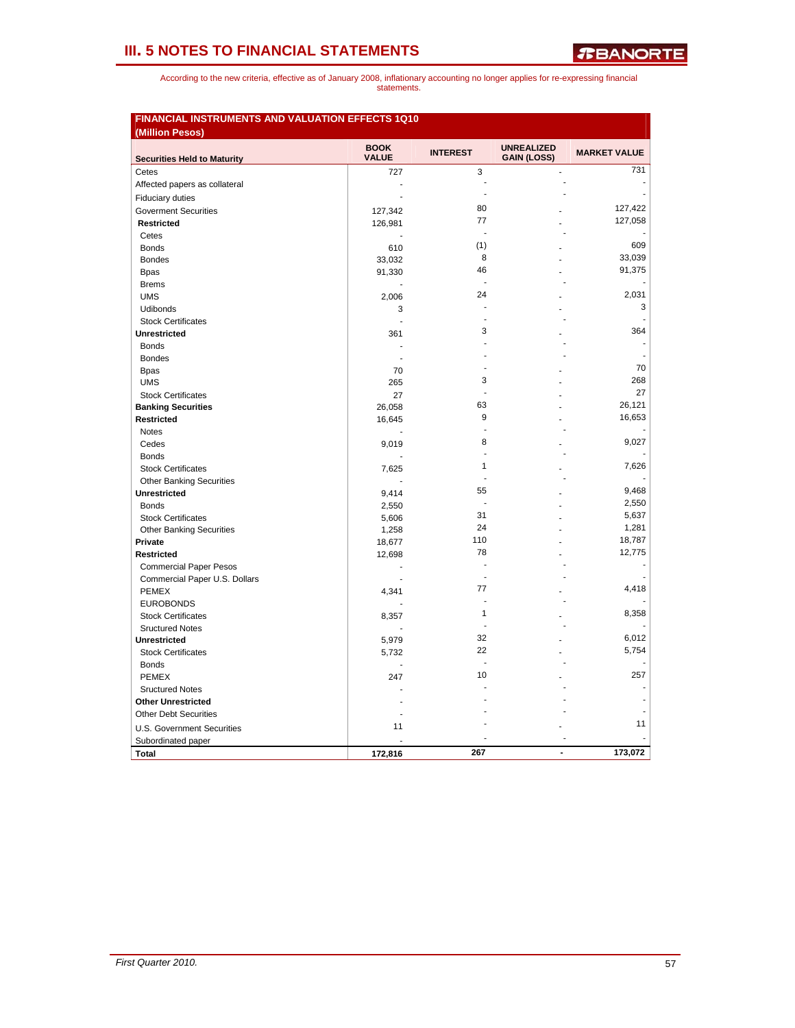|                                    | <b>BOOK</b>    |                 | <b>UNREALIZED</b>  |                     |
|------------------------------------|----------------|-----------------|--------------------|---------------------|
| <b>Securities Held to Maturity</b> | <b>VALUE</b>   | <b>INTEREST</b> | <b>GAIN (LOSS)</b> | <b>MARKET VALUE</b> |
| Cetes                              | 727            | 3               |                    | 731                 |
| Affected papers as collateral      |                |                 |                    |                     |
| <b>Fiduciary duties</b>            | $\overline{a}$ | ä,              |                    |                     |
| <b>Goverment Securities</b>        | 127,342        | 80              |                    | 127,422             |
| <b>Restricted</b>                  | 126,981        | 77              |                    | 127,058             |
| Cetes                              |                |                 |                    |                     |
| <b>Bonds</b>                       | 610            | (1)             |                    | 609                 |
| <b>Bondes</b>                      | 33,032         | 8               |                    | 33,039              |
| <b>Bpas</b>                        | 91,330         | 46              |                    | 91,375              |
| <b>Brems</b>                       |                | ÷.              |                    |                     |
| <b>UMS</b>                         | 2,006          | 24              |                    | 2,031               |
| <b>Udibonds</b>                    | 3              |                 |                    | 3                   |
| <b>Stock Certificates</b>          | ÷.             |                 |                    |                     |
| <b>Unrestricted</b>                | 361            | 3               |                    | 364                 |
| <b>Bonds</b>                       |                |                 |                    |                     |
| <b>Bondes</b>                      |                |                 |                    |                     |
| <b>Bpas</b>                        | 70             |                 |                    | 70                  |
| <b>UMS</b>                         | 265            | 3               |                    | 268                 |
| <b>Stock Certificates</b>          | 27             | L,              |                    | 27                  |
| <b>Banking Securities</b>          | 26,058         | 63              |                    | 26,121              |
| <b>Restricted</b>                  | 16,645         | 9               |                    | 16,653              |
| <b>Notes</b>                       |                |                 |                    |                     |
| Cedes                              | 9,019          | 8               |                    | 9,027               |
| <b>Bonds</b>                       |                |                 |                    |                     |
| <b>Stock Certificates</b>          | 7,625          | 1               |                    | 7,626               |
| <b>Other Banking Securities</b>    |                |                 |                    |                     |
| <b>Unrestricted</b>                | 9,414          | 55              |                    | 9,468               |
| <b>Bonds</b>                       | 2,550          | ä,              |                    | 2,550               |
| <b>Stock Certificates</b>          | 5,606          | 31              |                    | 5,637               |
| <b>Other Banking Securities</b>    | 1,258          | 24              |                    | 1,281               |
| Private                            | 18,677         | 110             |                    | 18,787              |
| <b>Restricted</b>                  | 12,698         | 78              |                    | 12,775              |
| <b>Commercial Paper Pesos</b>      |                |                 |                    |                     |
| Commercial Paper U.S. Dollars      |                |                 |                    |                     |
| <b>PEMEX</b>                       | 4,341          | 77              |                    | 4,418               |
| <b>EUROBONDS</b>                   |                |                 |                    |                     |
| <b>Stock Certificates</b>          | 8,357          | $\mathbf{1}$    |                    | 8,358               |
| <b>Sructured Notes</b>             |                |                 |                    |                     |
| <b>Unrestricted</b>                | 5,979          | 32              |                    | 6,012               |
| <b>Stock Certificates</b>          | 5,732          | 22              |                    | 5,754               |
| <b>Bonds</b>                       |                |                 |                    |                     |
| <b>PEMEX</b>                       | 247            | 10              |                    | 257                 |
| <b>Sructured Notes</b>             |                |                 |                    |                     |
| <b>Other Unrestricted</b>          |                |                 |                    |                     |
| <b>Other Debt Securities</b>       |                |                 |                    |                     |
| <b>U.S. Government Securities</b>  | 11             |                 |                    | 11                  |
| Subordinated paper                 |                |                 |                    |                     |
|                                    |                |                 |                    |                     |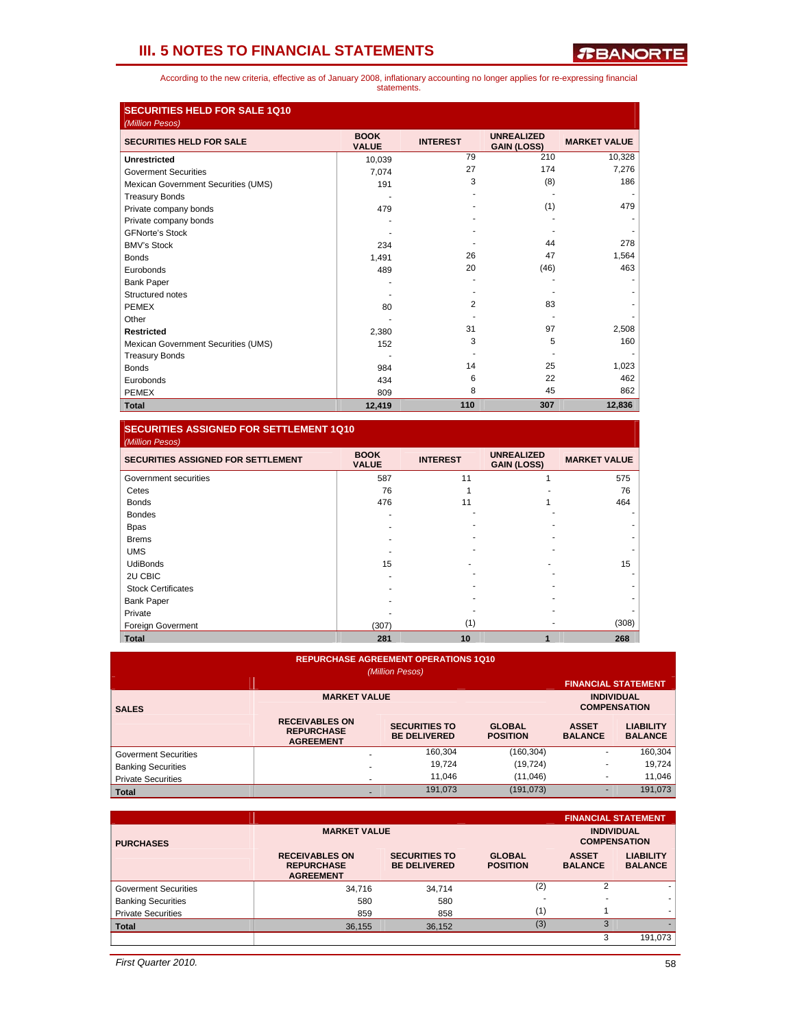According to the new criteria, effective as of January 2008, inflationary accounting no longer applies for re-expressing financial statements.

| <b>SECURITIES HELD FOR SALE 1Q10</b><br>(Million Pesos) |                             |                 |                                         |                     |
|---------------------------------------------------------|-----------------------------|-----------------|-----------------------------------------|---------------------|
| <b>SECURITIES HELD FOR SALE</b>                         | <b>BOOK</b><br><b>VALUE</b> | <b>INTEREST</b> | <b>UNREALIZED</b><br><b>GAIN (LOSS)</b> | <b>MARKET VALUE</b> |
| <b>Unrestricted</b>                                     | 10,039                      | 79              | 210                                     | 10,328              |
| <b>Goverment Securities</b>                             | 7,074                       | 27              | 174                                     | 7,276               |
| Mexican Government Securities (UMS)                     | 191                         | 3               | (8)                                     | 186                 |
| <b>Treasury Bonds</b>                                   |                             |                 |                                         |                     |
| Private company bonds                                   | 479                         |                 | (1)                                     | 479                 |
| Private company bonds                                   |                             |                 |                                         |                     |
| <b>GFNorte's Stock</b>                                  |                             |                 |                                         |                     |
| <b>BMV's Stock</b>                                      | 234                         |                 | 44                                      | 278                 |
| <b>Bonds</b>                                            | 1,491                       | 26              | 47                                      | 1,564               |
| Eurobonds                                               | 489                         | 20              | (46)                                    | 463                 |
| <b>Bank Paper</b>                                       |                             |                 |                                         |                     |
| Structured notes                                        |                             |                 |                                         |                     |
| <b>PEMEX</b>                                            | 80                          | 2               | 83                                      |                     |
| Other                                                   |                             |                 |                                         |                     |
| <b>Restricted</b>                                       | 2,380                       | 31              | 97                                      | 2,508               |
| Mexican Government Securities (UMS)                     | 152                         | 3               | 5                                       | 160                 |
| <b>Treasury Bonds</b>                                   |                             |                 |                                         |                     |
| <b>Bonds</b>                                            | 984                         | 14              | 25                                      | 1,023               |
| Eurobonds                                               | 434                         | 6               | 22                                      | 462                 |
| <b>PEMEX</b>                                            | 809                         | 8               | 45                                      | 862                 |
| <b>Total</b>                                            | 12,419                      | 110             | 307                                     | 12,836              |

### **SECURITIES ASSIGNED FOR SETTLEMENT 1Q10**

| (Million Pesos)                           |                             |                 |                                         |                     |
|-------------------------------------------|-----------------------------|-----------------|-----------------------------------------|---------------------|
| <b>SECURITIES ASSIGNED FOR SETTLEMENT</b> | <b>BOOK</b><br><b>VALUE</b> | <b>INTEREST</b> | <b>UNREALIZED</b><br><b>GAIN (LOSS)</b> | <b>MARKET VALUE</b> |
| Government securities                     | 587                         | 11              |                                         | 575                 |
| Cetes                                     | 76                          |                 |                                         | 76                  |
| <b>Bonds</b>                              | 476                         | 11              |                                         | 464                 |
| <b>Bondes</b>                             |                             |                 |                                         |                     |
| <b>Bpas</b>                               |                             |                 |                                         |                     |
| <b>Brems</b>                              |                             |                 |                                         |                     |
| <b>UMS</b>                                |                             |                 |                                         |                     |
| <b>UdiBonds</b>                           | 15                          |                 |                                         | 15                  |
| 2U CBIC                                   |                             |                 |                                         |                     |
| <b>Stock Certificates</b>                 |                             |                 |                                         |                     |
| <b>Bank Paper</b>                         |                             |                 |                                         |                     |
| Private                                   |                             |                 |                                         |                     |
| <b>Foreign Goverment</b>                  | (307)                       | (1)             |                                         | (308)               |
| <b>Total</b>                              | 281                         | 10              |                                         | 268                 |

### **REPURCHASE AGREEMENT OPERATIONS 1Q10**

|                             |                                                                | (Million Pesos)                             |                                  |                                |                                          |
|-----------------------------|----------------------------------------------------------------|---------------------------------------------|----------------------------------|--------------------------------|------------------------------------------|
|                             |                                                                |                                             |                                  |                                | <b>FINANCIAL STATEMENT</b>               |
| <b>SALES</b>                | <b>MARKET VALUE</b>                                            |                                             |                                  |                                | <b>INDIVIDUAL</b><br><b>COMPENSATION</b> |
|                             | <b>RECEIVABLES ON</b><br><b>REPURCHASE</b><br><b>AGREEMENT</b> | <b>SECURITIES TO</b><br><b>BE DELIVERED</b> | <b>GLOBAL</b><br><b>POSITION</b> | <b>ASSET</b><br><b>BALANCE</b> | <b>LIABILITY</b><br><b>BALANCE</b>       |
| <b>Goverment Securities</b> |                                                                | 160,304                                     | (160, 304)                       | ۰                              | 160,304                                  |
| <b>Banking Securities</b>   | -                                                              | 19.724                                      | (19, 724)                        | ۰                              | 19.724                                   |
| <b>Private Securities</b>   | $\overline{\phantom{a}}$                                       | 11.046                                      | (11, 046)                        | ۰                              | 11.046                                   |
| <b>Total</b>                | $\overline{\phantom{a}}$                                       | 191,073                                     | (191, 073)                       |                                | 191,073                                  |

|                           |                                                                |                                             |                                  |                                | <b>FINANCIAL STATEMENT</b>               |
|---------------------------|----------------------------------------------------------------|---------------------------------------------|----------------------------------|--------------------------------|------------------------------------------|
| <b>PURCHASES</b>          | <b>MARKET VALUE</b>                                            |                                             |                                  |                                | <b>INDIVIDUAL</b><br><b>COMPENSATION</b> |
|                           | <b>RECEIVABLES ON</b><br><b>REPURCHASE</b><br><b>AGREEMENT</b> | <b>SECURITIES TO</b><br><b>BE DELIVERED</b> | <b>GLOBAL</b><br><b>POSITION</b> | <b>ASSET</b><br><b>BALANCE</b> | <b>LIABILITY</b><br><b>BALANCE</b>       |
| Goverment Securities      | 34.716                                                         | 34,714                                      | (2)                              | $\overline{2}$                 |                                          |
| <b>Banking Securities</b> | 580                                                            | 580                                         |                                  |                                |                                          |
| <b>Private Securities</b> | 859                                                            | 858                                         | (1)                              |                                |                                          |
| <b>Total</b>              | 36,155                                                         | 36,152                                      | (3)                              | 3                              |                                          |
|                           |                                                                |                                             |                                  | 3                              | 191,073                                  |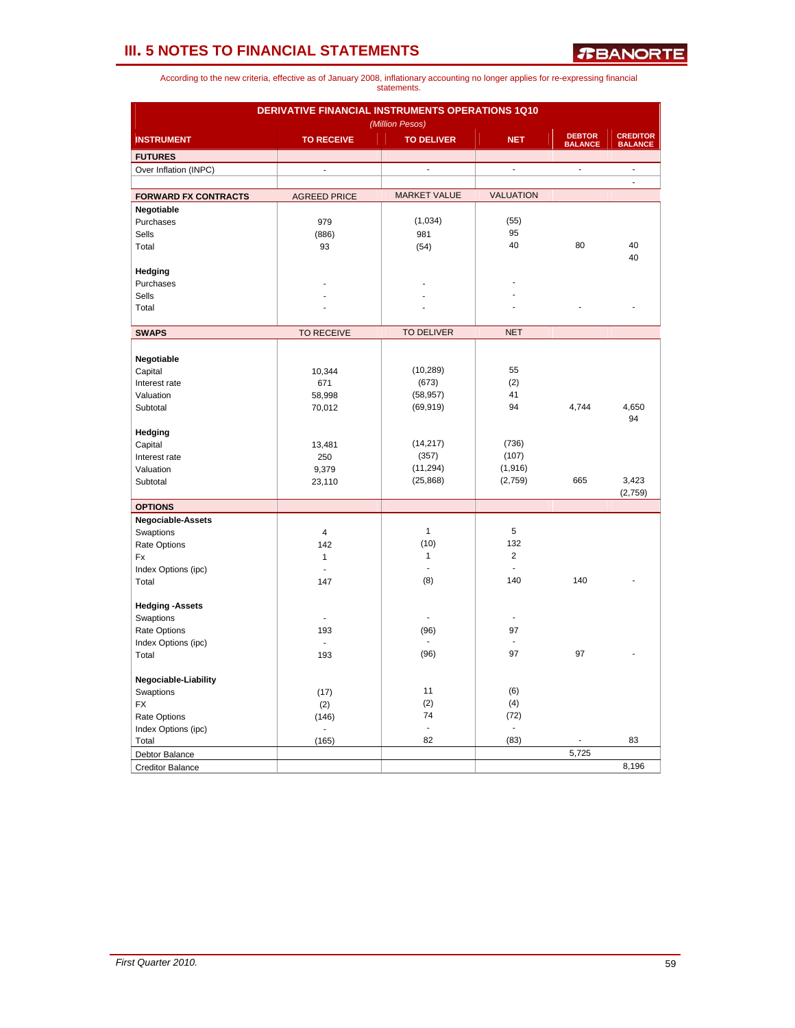|                             | DERIVATIVE FINANCIAL INSTRUMENTS OPERATIONS 1Q10 | (Million Pesos)     |                  |                                 |                                   |
|-----------------------------|--------------------------------------------------|---------------------|------------------|---------------------------------|-----------------------------------|
| <b>INSTRUMENT</b>           | <b>TO RECEIVE</b>                                | <b>TO DELIVER</b>   | <b>NET</b>       | <b>DEBTOR</b><br><b>BALANCE</b> | <b>CREDITOR</b><br><b>BALANCE</b> |
| <b>FUTURES</b>              |                                                  |                     |                  |                                 |                                   |
| Over Inflation (INPC)       | $\overline{a}$                                   | ÷.                  | ä,               | ÷,                              | $\overline{a}$<br>$\blacksquare$  |
| <b>FORWARD FX CONTRACTS</b> | <b>AGREED PRICE</b>                              | <b>MARKET VALUE</b> | <b>VALUATION</b> |                                 |                                   |
| Negotiable                  |                                                  |                     |                  |                                 |                                   |
| Purchases                   | 979                                              | (1,034)             | (55)             |                                 |                                   |
| Sells                       | (886)                                            | 981                 | 95               |                                 |                                   |
| Total                       | 93                                               | (54)                | 40               | 80                              | 40<br>40                          |
| Hedging                     |                                                  |                     |                  |                                 |                                   |
| Purchases                   |                                                  |                     |                  |                                 |                                   |
| <b>Sells</b>                |                                                  |                     |                  |                                 |                                   |
| Total                       |                                                  |                     |                  |                                 |                                   |
| <b>SWAPS</b>                | <b>TO RECEIVE</b>                                | <b>TO DELIVER</b>   | <b>NET</b>       |                                 |                                   |
|                             |                                                  |                     |                  |                                 |                                   |
| Negotiable                  |                                                  |                     |                  |                                 |                                   |
| Capital                     | 10,344                                           | (10, 289)           | 55               |                                 |                                   |
| Interest rate               | 671                                              | (673)               | (2)              |                                 |                                   |
| Valuation                   | 58,998                                           | (58, 957)           | 41               |                                 |                                   |
| Subtotal                    | 70,012                                           | (69, 919)           | 94               | 4,744                           | 4,650                             |
|                             |                                                  |                     |                  |                                 | 94                                |
| Hedging                     |                                                  |                     |                  |                                 |                                   |
| Capital                     | 13,481                                           | (14, 217)           | (736)            |                                 |                                   |
| Interest rate               | 250                                              | (357)               | (107)            |                                 |                                   |
| Valuation                   | 9,379                                            | (11, 294)           | (1,916)          |                                 |                                   |
| Subtotal                    | 23,110                                           | (25, 868)           | (2,759)          | 665                             | 3,423                             |
|                             |                                                  |                     |                  |                                 | (2,759)                           |
| <b>OPTIONS</b>              |                                                  |                     |                  |                                 |                                   |
| <b>Negociable-Assets</b>    |                                                  |                     |                  |                                 |                                   |
| Swaptions                   | $\overline{4}$                                   | $\mathbf{1}$        | 5                |                                 |                                   |
| Rate Options                | 142                                              | (10)                | 132              |                                 |                                   |
| Fx                          | $\mathbf{1}$                                     | 1                   | $\overline{c}$   |                                 |                                   |
| Index Options (ipc)         | $\overline{a}$                                   | ÷                   | ÷                |                                 |                                   |
| Total                       | 147                                              | (8)                 | 140              | 140                             |                                   |
| <b>Hedging -Assets</b>      |                                                  |                     |                  |                                 |                                   |
| Swaptions                   | $\overline{\phantom{a}}$                         | ÷,                  | $\blacksquare$   |                                 |                                   |
| Rate Options                | 193                                              | (96)                | 97               |                                 |                                   |
| Index Options (ipc)         | $\mathbf{r}$                                     | $\blacksquare$      | $\blacksquare$   |                                 |                                   |
| Total                       | 193                                              | (96)                | 97               | 97                              |                                   |
| Negociable-Liability        |                                                  |                     |                  |                                 |                                   |
| Swaptions                   | (17)                                             | 11                  | (6)              |                                 |                                   |
| <b>FX</b>                   | (2)                                              | (2)                 | (4)              |                                 |                                   |
| Rate Options                | (146)                                            | 74                  | (72)             |                                 |                                   |
| Index Options (ipc)         | $\overline{\phantom{a}}$                         | $\Box$              | ÷                |                                 |                                   |
| Total                       | (165)                                            | 82                  | (83)             | $\qquad \qquad \blacksquare$    | 83                                |
| Debtor Balance              |                                                  |                     |                  | 5,725                           |                                   |
| <b>Creditor Balance</b>     |                                                  |                     |                  |                                 | 8,196                             |
|                             |                                                  |                     |                  |                                 |                                   |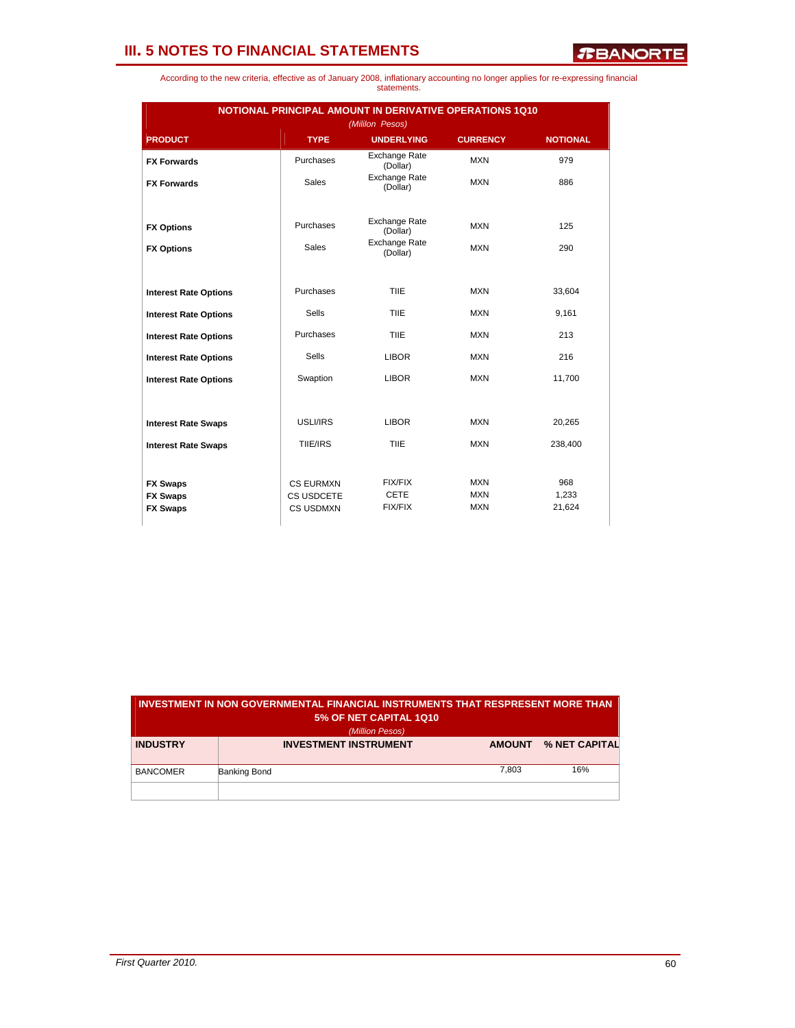| According to the new criteria, effective as of January 2008, inflationary accounting no longer applies for re-expressing financial |             |  |  |  |
|------------------------------------------------------------------------------------------------------------------------------------|-------------|--|--|--|
|                                                                                                                                    | statements. |  |  |  |

| <b>NOTIONAL PRINCIPAL AMOUNT IN DERIVATIVE OPERATIONS 1Q10</b><br>(Mililon Pesos) |                                |                                  |                          |                 |  |  |  |  |
|-----------------------------------------------------------------------------------|--------------------------------|----------------------------------|--------------------------|-----------------|--|--|--|--|
| <b>PRODUCT</b>                                                                    | <b>TYPE</b>                    | <b>UNDERLYING</b>                | <b>CURRENCY</b>          | <b>NOTIONAL</b> |  |  |  |  |
| <b>FX Forwards</b>                                                                | Purchases                      | <b>Exchange Rate</b><br>(Dollar) | <b>MXN</b>               | 979             |  |  |  |  |
| <b>FX Forwards</b>                                                                | <b>Sales</b>                   | <b>Exchange Rate</b><br>(Dollar) | <b>MXN</b>               | 886             |  |  |  |  |
| <b>FX Options</b>                                                                 | Purchases                      | <b>Exchange Rate</b><br>(Dollar) | <b>MXN</b>               | 125             |  |  |  |  |
| <b>FX Options</b>                                                                 | <b>Sales</b>                   | <b>Exchange Rate</b><br>(Dollar) | <b>MXN</b>               | 290             |  |  |  |  |
|                                                                                   |                                |                                  |                          |                 |  |  |  |  |
| <b>Interest Rate Options</b>                                                      | Purchases                      | TIIE                             | <b>MXN</b>               | 33,604          |  |  |  |  |
| <b>Interest Rate Options</b>                                                      | Sells                          | TIIE                             | <b>MXN</b>               | 9,161           |  |  |  |  |
| <b>Interest Rate Options</b>                                                      | Purchases                      | TIIE                             | <b>MXN</b>               | 213             |  |  |  |  |
| <b>Interest Rate Options</b>                                                      | Sells                          | <b>LIBOR</b>                     | <b>MXN</b>               | 216             |  |  |  |  |
| <b>Interest Rate Options</b>                                                      | Swaption                       | <b>LIBOR</b>                     | <b>MXN</b>               | 11,700          |  |  |  |  |
|                                                                                   |                                |                                  |                          |                 |  |  |  |  |
| <b>Interest Rate Swaps</b>                                                        | USLI/IRS                       | <b>LIBOR</b>                     | <b>MXN</b>               | 20,265          |  |  |  |  |
| <b>Interest Rate Swaps</b>                                                        | TIIE/IRS                       | TIIE                             | <b>MXN</b>               | 238,400         |  |  |  |  |
|                                                                                   |                                |                                  |                          |                 |  |  |  |  |
| <b>FX Swaps</b>                                                                   | <b>CS EURMXN</b>               | <b>FIX/FIX</b><br><b>CETE</b>    | <b>MXN</b>               | 968             |  |  |  |  |
| <b>FX Swaps</b><br><b>FX Swaps</b>                                                | CS USDCETE<br><b>CS USDMXN</b> | <b>FIX/FIX</b>                   | <b>MXN</b><br><b>MXN</b> | 1,233<br>21,624 |  |  |  |  |
|                                                                                   |                                |                                  |                          |                 |  |  |  |  |

| INVESTMENT IN NON GOVERNMENTAL FINANCIAL INSTRUMENTS THAT RESPRESENT MORE THAN<br>5% OF NET CAPITAL 1Q10<br>(Million Pesos) |                              |               |               |  |  |  |  |
|-----------------------------------------------------------------------------------------------------------------------------|------------------------------|---------------|---------------|--|--|--|--|
| <b>INDUSTRY</b>                                                                                                             | <b>INVESTMENT INSTRUMENT</b> | <b>AMOUNT</b> | % NET CAPITAL |  |  |  |  |
| <b>BANCOMER</b>                                                                                                             | Banking Bond                 | 7,803         | 16%           |  |  |  |  |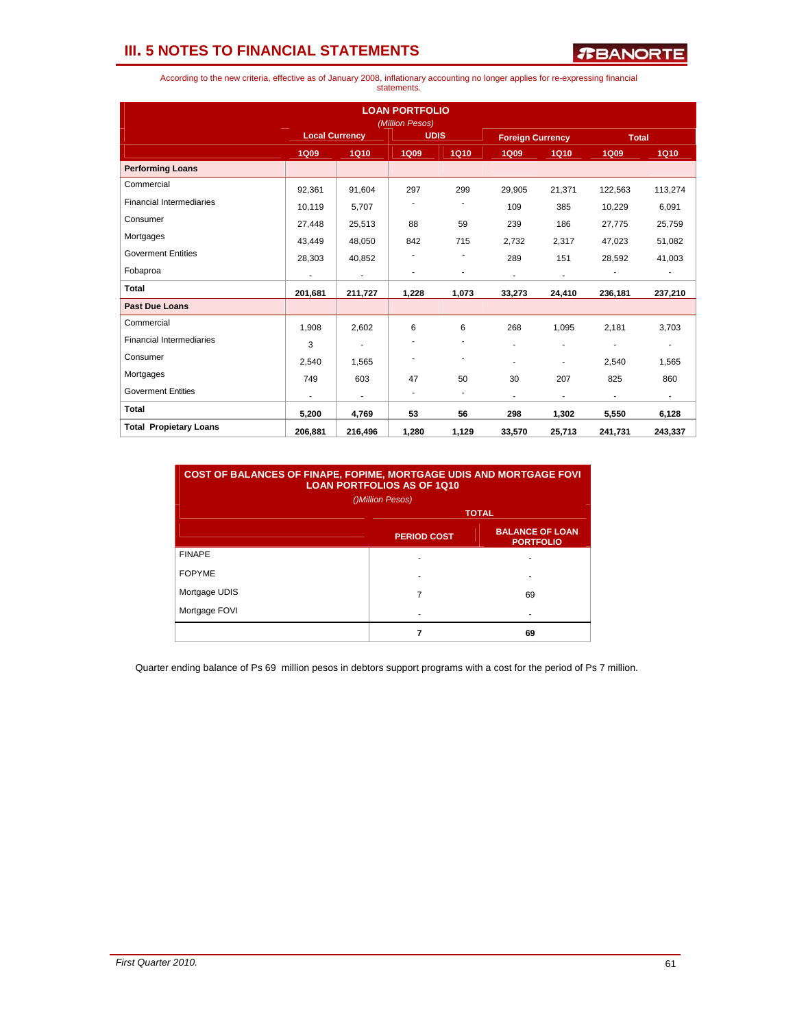*R***BANORTE** 

According to the new criteria, effective as of January 2008, inflationary accounting no longer applies for re-expressing financial statements.

|                                 | <b>LOAN PORTFOLIO</b><br>(Million Pesos) |                       |             |             |                         |                          |                |                          |  |
|---------------------------------|------------------------------------------|-----------------------|-------------|-------------|-------------------------|--------------------------|----------------|--------------------------|--|
|                                 |                                          | <b>Local Currency</b> |             | <b>UDIS</b> | <b>Foreign Currency</b> |                          | <b>Total</b>   |                          |  |
|                                 | <b>1Q09</b>                              | <b>1Q10</b>           | <b>1Q09</b> | <b>1Q10</b> | <b>1Q09</b>             | <b>1Q10</b>              | <b>1Q09</b>    | <b>1Q10</b>              |  |
| <b>Performing Loans</b>         |                                          |                       |             |             |                         |                          |                |                          |  |
| Commercial                      | 92.361                                   | 91,604                | 297         | 299         | 29.905                  | 21.371                   | 122,563        | 113,274                  |  |
| <b>Financial Intermediaries</b> | 10,119                                   | 5,707                 |             |             | 109                     | 385                      | 10,229         | 6,091                    |  |
| Consumer                        | 27,448                                   | 25,513                | 88          | 59          | 239                     | 186                      | 27,775         | 25,759                   |  |
| Mortgages                       | 43,449                                   | 48,050                | 842         | 715         | 2,732                   | 2,317                    | 47,023         | 51,082                   |  |
| <b>Goverment Entities</b>       | 28,303                                   | 40,852                | ۰           | ٠           | 289                     | 151                      | 28,592         | 41,003                   |  |
| Fobaproa                        | $\blacksquare$                           | $\blacksquare$        |             | ٠           | $\blacksquare$          | $\overline{a}$           |                | ٠                        |  |
| Total                           | 201,681                                  | 211,727               | 1,228       | 1,073       | 33,273                  | 24,410                   | 236,181        | 237,210                  |  |
| <b>Past Due Loans</b>           |                                          |                       |             |             |                         |                          |                |                          |  |
| Commercial                      | 1,908                                    | 2,602                 | 6           | 6           | 268                     | 1,095                    | 2.181          | 3,703                    |  |
| <b>Financial Intermediaries</b> | 3                                        | ٠                     |             |             | ٠                       | ٠                        | ٠              | $\overline{\phantom{a}}$ |  |
| Consumer                        | 2.540                                    | 1,565                 |             | ٠           | ۰                       | ٠                        | 2.540          | 1,565                    |  |
| Mortgages                       | 749                                      | 603                   | 47          | 50          | 30                      | 207                      | 825            | 860                      |  |
| <b>Goverment Entities</b>       | ٠                                        | ٠                     | ٠           | ٠           | $\blacksquare$          | $\overline{\phantom{a}}$ | $\blacksquare$ | $\blacksquare$           |  |
| <b>Total</b>                    | 5,200                                    | 4,769                 | 53          | 56          | 298                     | 1,302                    | 5,550          | 6,128                    |  |
| <b>Total Propietary Loans</b>   | 206,881                                  | 216,496               | 1,280       | 1,129       | 33,570                  | 25,713                   | 241,731        | 243,337                  |  |

| <b>COST OF BALANCES OF FINAPE, FOPIME, MORTGAGE UDIS AND MORTGAGE FOVI</b><br><b>LOAN PORTFOLIOS AS OF 1Q10</b><br>()Million Pesos) |                                                                  |    |  |  |  |  |  |
|-------------------------------------------------------------------------------------------------------------------------------------|------------------------------------------------------------------|----|--|--|--|--|--|
|                                                                                                                                     | <b>TOTAL</b>                                                     |    |  |  |  |  |  |
|                                                                                                                                     | <b>BALANCE OF LOAN</b><br><b>PERIOD COST</b><br><b>PORTFOLIO</b> |    |  |  |  |  |  |
| <b>FINAPE</b>                                                                                                                       |                                                                  |    |  |  |  |  |  |
| <b>FOPYME</b>                                                                                                                       |                                                                  | ۰  |  |  |  |  |  |
| Mortgage UDIS                                                                                                                       | 7                                                                | 69 |  |  |  |  |  |
| Mortgage FOVI                                                                                                                       |                                                                  |    |  |  |  |  |  |
|                                                                                                                                     | 7                                                                | 69 |  |  |  |  |  |

Quarter ending balance of Ps 69 million pesos in debtors support programs with a cost for the period of Ps 7 million.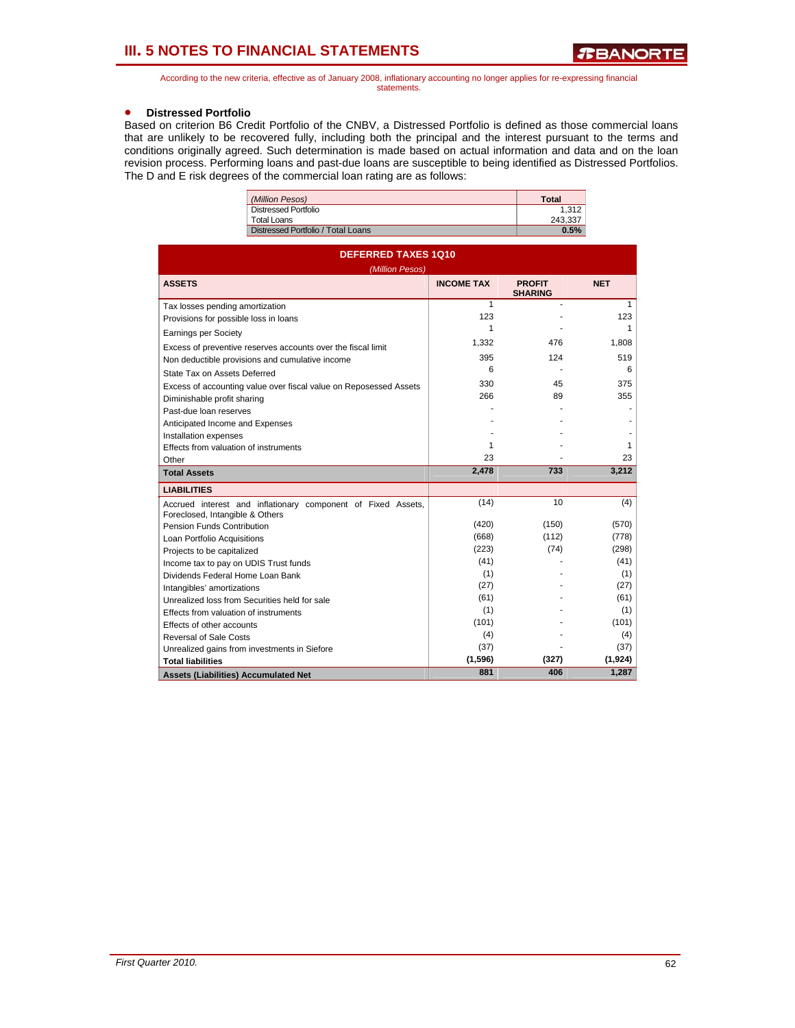According to the new criteria, effective as of January 2008, inflationary accounting no longer applies for re-expressing financial statements.

### • **Distressed Portfolio**

Based on criterion B6 Credit Portfolio of the CNBV, a Distressed Portfolio is defined as those commercial loans that are unlikely to be recovered fully, including both the principal and the interest pursuant to the terms and conditions originally agreed. Such determination is made based on actual information and data and on the loan revision process. Performing loans and past-due loans are susceptible to being identified as Distressed Portfolios. The D and E risk degrees of the commercial loan rating are as follows:

| (Million Pesos)                    | <b>Total</b> |
|------------------------------------|--------------|
| Distressed Portfolio               | 1.312        |
| Total Loans                        | 243.337      |
| Distressed Portfolio / Total Loans | 0.5%         |

| <b>DEFERRED TAXES 1Q10</b><br>(Million Pesos)                                                   |                   |                                 |            |  |  |  |  |
|-------------------------------------------------------------------------------------------------|-------------------|---------------------------------|------------|--|--|--|--|
| <b>ASSETS</b>                                                                                   | <b>INCOME TAX</b> | <b>PROFIT</b><br><b>SHARING</b> | <b>NET</b> |  |  |  |  |
| Tax losses pending amortization                                                                 | 1                 |                                 | 1          |  |  |  |  |
| Provisions for possible loss in loans                                                           | 123               |                                 | 123        |  |  |  |  |
| <b>Earnings per Society</b>                                                                     | 1                 |                                 | 1          |  |  |  |  |
| Excess of preventive reserves accounts over the fiscal limit                                    | 1,332             | 476                             | 1,808      |  |  |  |  |
| Non deductible provisions and cumulative income                                                 | 395               | 124                             | 519        |  |  |  |  |
| State Tax on Assets Deferred                                                                    | 6                 |                                 | 6          |  |  |  |  |
| Excess of accounting value over fiscal value on Reposessed Assets                               | 330               | 45                              | 375        |  |  |  |  |
| Diminishable profit sharing                                                                     | 266               | 89                              | 355        |  |  |  |  |
| Past-due loan reserves                                                                          |                   |                                 |            |  |  |  |  |
| Anticipated Income and Expenses                                                                 |                   |                                 |            |  |  |  |  |
| Installation expenses                                                                           |                   |                                 |            |  |  |  |  |
| Effects from valuation of instruments                                                           | 1                 |                                 | 1          |  |  |  |  |
| Other                                                                                           | 23                |                                 | 23         |  |  |  |  |
| <b>Total Assets</b>                                                                             | 2,478             | 733                             | 3,212      |  |  |  |  |
| <b>LIABILITIES</b>                                                                              |                   |                                 |            |  |  |  |  |
| Accrued interest and inflationary component of Fixed Assets,<br>Foreclosed, Intangible & Others | (14)              | 10                              | (4)        |  |  |  |  |
| Pension Funds Contribution                                                                      | (420)             | (150)                           | (570)      |  |  |  |  |
| Loan Portfolio Acquisitions                                                                     | (668)             | (112)                           | (778)      |  |  |  |  |
| Projects to be capitalized                                                                      | (223)             | (74)                            | (298)      |  |  |  |  |
| Income tax to pay on UDIS Trust funds                                                           | (41)              |                                 | (41)       |  |  |  |  |
| Dividends Federal Home Loan Bank                                                                | (1)               |                                 | (1)        |  |  |  |  |
| Intangibles' amortizations                                                                      | (27)              |                                 | (27)       |  |  |  |  |
| Unrealized loss from Securities held for sale                                                   | (61)              |                                 | (61)       |  |  |  |  |
| Effects from valuation of instruments                                                           | (1)               |                                 | (1)        |  |  |  |  |
| Effects of other accounts                                                                       | (101)             |                                 | (101)      |  |  |  |  |
| Reversal of Sale Costs                                                                          | (4)               |                                 | (4)        |  |  |  |  |
| Unrealized gains from investments in Siefore                                                    | (37)              |                                 | (37)       |  |  |  |  |
| <b>Total liabilities</b>                                                                        | (1,596)           | (327)                           | (1, 924)   |  |  |  |  |
| <b>Assets (Liabilities) Accumulated Net</b>                                                     | 881               | 406                             | 1,287      |  |  |  |  |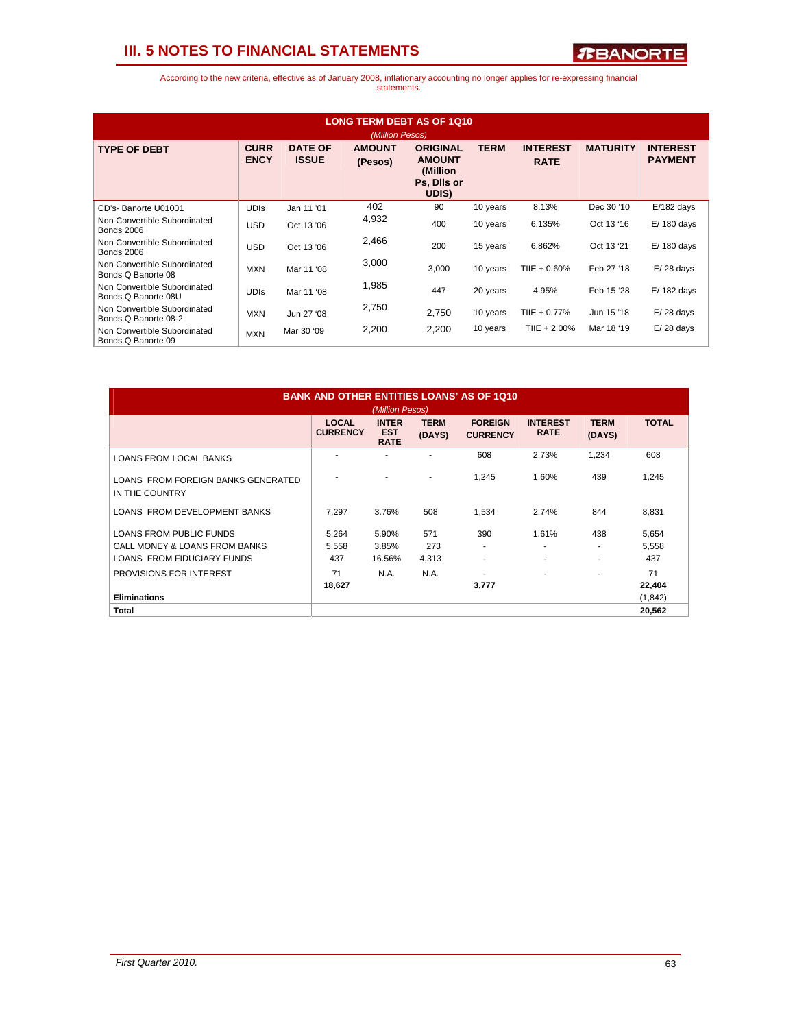

| <b>LONG TERM DEBT AS OF 1010</b><br>(Million Pesos)  |                            |                                |                          |                                                                       |             |                                |                 |                                   |  |
|------------------------------------------------------|----------------------------|--------------------------------|--------------------------|-----------------------------------------------------------------------|-------------|--------------------------------|-----------------|-----------------------------------|--|
| <b>TYPE OF DEBT</b>                                  | <b>CURR</b><br><b>ENCY</b> | <b>DATE OF</b><br><b>ISSUE</b> | <b>AMOUNT</b><br>(Pesos) | <b>ORIGINAL</b><br><b>AMOUNT</b><br>(Million)<br>Ps, Dils or<br>UDIS) | <b>TERM</b> | <b>INTEREST</b><br><b>RATE</b> | <b>MATURITY</b> | <b>INTEREST</b><br><b>PAYMENT</b> |  |
| CD's- Banorte U01001                                 | <b>UDIS</b>                | Jan 11 '01                     | 402                      | 90                                                                    | 10 years    | 8.13%                          | Dec 30 '10      | $E/182$ days                      |  |
| Non Convertible Subordinated<br><b>Bonds 2006</b>    | <b>USD</b>                 | Oct 13 '06                     | 4,932                    | 400                                                                   | 10 years    | 6.135%                         | Oct 13 '16      | $E/180$ days                      |  |
| Non Convertible Subordinated<br><b>Bonds 2006</b>    | <b>USD</b>                 | Oct 13 '06                     | 2,466                    | 200                                                                   | 15 years    | 6.862%                         | Oct 13 '21      | $E/180$ days                      |  |
| Non Convertible Subordinated<br>Bonds Q Banorte 08   | <b>MXN</b>                 | Mar 11 '08                     | 3,000                    | 3,000                                                                 | 10 years    | $T IIE + 0.60\%$               | Feb 27 '18      | $E/28$ days                       |  |
| Non Convertible Subordinated<br>Bonds Q Banorte 08U  | <b>UDIS</b>                | Mar 11 '08                     | 1,985                    | 447                                                                   | 20 years    | 4.95%                          | Feb 15 '28      | $E/182$ days                      |  |
| Non Convertible Subordinated<br>Bonds Q Banorte 08-2 | <b>MXN</b>                 | Jun 27 '08                     | 2,750                    | 2,750                                                                 | 10 years    | TIIE + 0.77%                   | Jun 15 '18      | $E/28$ days                       |  |
| Non Convertible Subordinated<br>Bonds Q Banorte 09   | <b>MXN</b>                 | Mar 30 '09                     | 2,200                    | 2,200                                                                 | 10 years    | $T IIE + 2.00\%$               | Mar 18 '19      | $E/28$ days                       |  |

| <b>BANK AND OTHER ENTITIES LOANS' AS OF 1Q10</b><br>(Million Pesos) |                                 |                                           |                       |                                   |                                |                          |              |  |
|---------------------------------------------------------------------|---------------------------------|-------------------------------------------|-----------------------|-----------------------------------|--------------------------------|--------------------------|--------------|--|
|                                                                     | <b>LOCAL</b><br><b>CURRENCY</b> | <b>INTER</b><br><b>EST</b><br><b>RATE</b> | <b>TERM</b><br>(DAYS) | <b>FOREIGN</b><br><b>CURRENCY</b> | <b>INTEREST</b><br><b>RATE</b> | <b>TERM</b><br>(DAYS)    | <b>TOTAL</b> |  |
| <b>LOANS FROM LOCAL BANKS</b>                                       |                                 |                                           |                       | 608                               | 2.73%                          | 1,234                    | 608          |  |
| LOANS FROM FOREIGN BANKS GENERATED<br>IN THE COUNTRY                |                                 |                                           |                       | 1.245                             | 1.60%                          | 439                      | 1,245        |  |
| LOANS FROM DEVELOPMENT BANKS                                        | 7.297                           | 3.76%                                     | 508                   | 1,534                             | 2.74%                          | 844                      | 8,831        |  |
| <b>LOANS FROM PUBLIC FUNDS</b>                                      | 5,264                           | 5.90%                                     | 571                   | 390                               | 1.61%                          | 438                      | 5,654        |  |
| CALL MONEY & LOANS FROM BANKS                                       | 5,558                           | 3.85%                                     | 273                   |                                   | ٠                              | $\overline{\phantom{a}}$ | 5,558        |  |
| LOANS FROM FIDUCIARY FUNDS                                          | 437                             | 16.56%                                    | 4,313                 | ٠                                 | ٠                              | $\overline{\phantom{a}}$ | 437          |  |
| PROVISIONS FOR INTEREST                                             | 71                              | N.A.                                      | N.A.                  |                                   | $\overline{\phantom{a}}$       | ٠                        | 71           |  |
|                                                                     | 18,627                          |                                           |                       | 3,777                             |                                |                          | 22,404       |  |
| <b>Eliminations</b>                                                 |                                 |                                           |                       |                                   |                                |                          | (1, 842)     |  |
| Total                                                               |                                 |                                           |                       |                                   |                                |                          | 20,562       |  |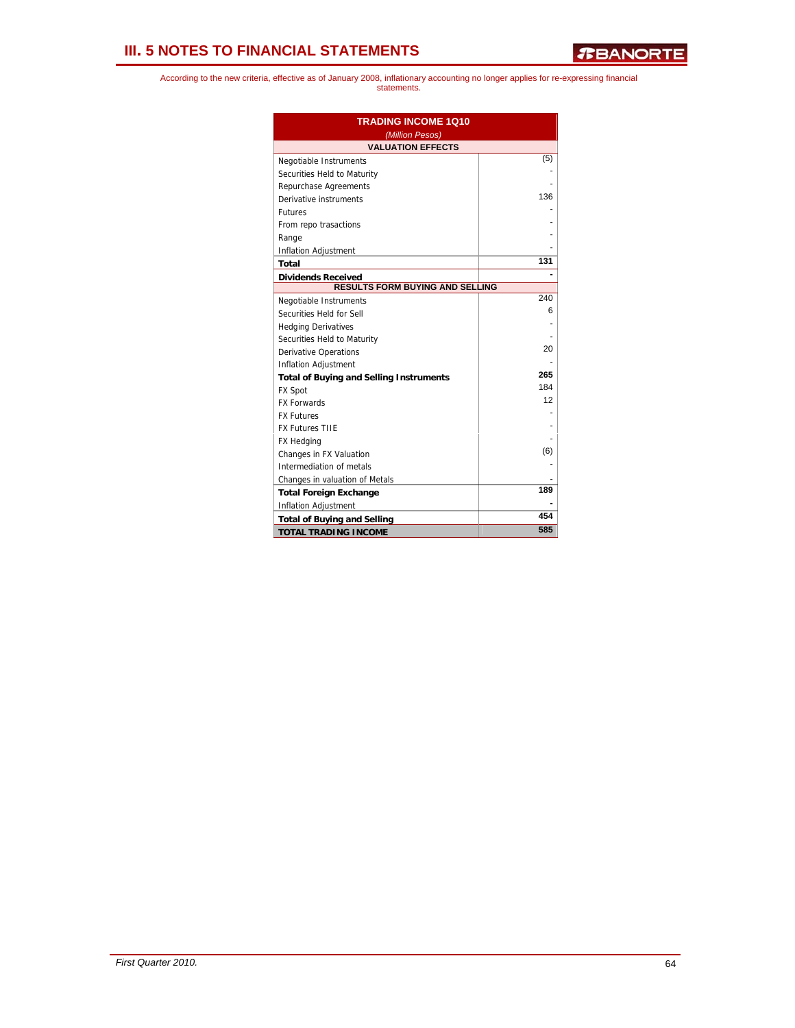| <b>TRADING INCOME 1Q10</b><br>(Million Pesos)  |     |  |  |
|------------------------------------------------|-----|--|--|
| <b>VALUATION EFFECTS</b>                       |     |  |  |
| Negotiable Instruments                         | (5) |  |  |
| Securities Held to Maturity                    |     |  |  |
| Repurchase Agreements                          |     |  |  |
| Derivative instruments                         | 136 |  |  |
| <b>Futures</b>                                 |     |  |  |
| From repo trasactions                          |     |  |  |
| Range                                          |     |  |  |
| Inflation Adjustment                           |     |  |  |
| Total                                          | 131 |  |  |
| <b>Dividends Received</b>                      |     |  |  |
| RESULTS FORM BUYING AND SELLING                |     |  |  |
| Negotiable Instruments                         | 240 |  |  |
| Securities Held for Sell                       | 6   |  |  |
| <b>Hedging Derivatives</b>                     |     |  |  |
| Securities Held to Maturity                    |     |  |  |
| <b>Derivative Operations</b>                   | 20  |  |  |
| <b>Inflation Adjustment</b>                    |     |  |  |
| <b>Total of Buying and Selling Instruments</b> | 265 |  |  |
| <b>FX Spot</b>                                 | 184 |  |  |
| <b>FX Forwards</b>                             | 12  |  |  |
| <b>FX Futures</b>                              |     |  |  |
| <b>FX Futures TIIE</b>                         |     |  |  |
| <b>FX Hedging</b>                              |     |  |  |
| Changes in FX Valuation                        | (6) |  |  |
| Intermediation of metals                       |     |  |  |
| Changes in valuation of Metals                 |     |  |  |
| <b>Total Foreign Exchange</b>                  | 189 |  |  |
| <b>Inflation Adjustment</b>                    |     |  |  |
| <b>Total of Buying and Selling</b>             | 454 |  |  |
| <b>TOTAL TRADING INCOME</b>                    | 585 |  |  |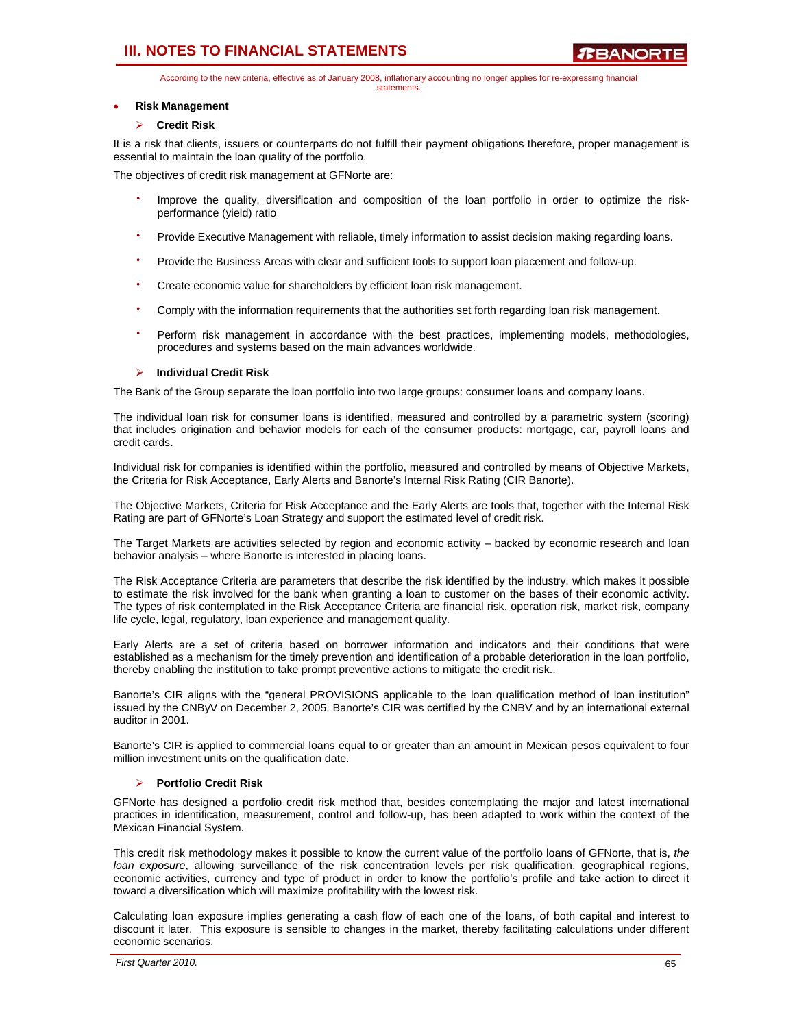According to the new criteria, effective as of January 2008, inflationary accounting no longer applies for re-expressing financial statements.

#### • **Risk Management**

### ¾ **Credit Risk**

It is a risk that clients, issuers or counterparts do not fulfill their payment obligations therefore, proper management is essential to maintain the loan quality of the portfolio.

The objectives of credit risk management at GFNorte are:

- Improve the quality, diversification and composition of the loan portfolio in order to optimize the riskperformance (yield) ratio
- Provide Executive Management with reliable, timely information to assist decision making regarding loans.
- Provide the Business Areas with clear and sufficient tools to support loan placement and follow-up.
- Create economic value for shareholders by efficient loan risk management.
- Comply with the information requirements that the authorities set forth regarding loan risk management.
- Perform risk management in accordance with the best practices, implementing models, methodologies, procedures and systems based on the main advances worldwide.

### ¾ **Individual Credit Risk**

The Bank of the Group separate the loan portfolio into two large groups: consumer loans and company loans.

The individual loan risk for consumer loans is identified, measured and controlled by a parametric system (scoring) that includes origination and behavior models for each of the consumer products: mortgage, car, payroll loans and credit cards.

Individual risk for companies is identified within the portfolio, measured and controlled by means of Objective Markets, the Criteria for Risk Acceptance, Early Alerts and Banorte's Internal Risk Rating (CIR Banorte).

The Objective Markets, Criteria for Risk Acceptance and the Early Alerts are tools that, together with the Internal Risk Rating are part of GFNorte's Loan Strategy and support the estimated level of credit risk.

The Target Markets are activities selected by region and economic activity – backed by economic research and loan behavior analysis – where Banorte is interested in placing loans.

The Risk Acceptance Criteria are parameters that describe the risk identified by the industry, which makes it possible to estimate the risk involved for the bank when granting a loan to customer on the bases of their economic activity. The types of risk contemplated in the Risk Acceptance Criteria are financial risk, operation risk, market risk, company life cycle, legal, regulatory, loan experience and management quality.

Early Alerts are a set of criteria based on borrower information and indicators and their conditions that were established as a mechanism for the timely prevention and identification of a probable deterioration in the loan portfolio, thereby enabling the institution to take prompt preventive actions to mitigate the credit risk..

Banorte's CIR aligns with the "general PROVISIONS applicable to the loan qualification method of loan institution" issued by the CNByV on December 2, 2005. Banorte's CIR was certified by the CNBV and by an international external auditor in 2001.

Banorte's CIR is applied to commercial loans equal to or greater than an amount in Mexican pesos equivalent to four million investment units on the qualification date.

#### ¾ **Portfolio Credit Risk**

GFNorte has designed a portfolio credit risk method that, besides contemplating the major and latest international practices in identification, measurement, control and follow-up, has been adapted to work within the context of the Mexican Financial System.

This credit risk methodology makes it possible to know the current value of the portfolio loans of GFNorte, that is, *the loan exposure*, allowing surveillance of the risk concentration levels per risk qualification, geographical regions, economic activities, currency and type of product in order to know the portfolio's profile and take action to direct it toward a diversification which will maximize profitability with the lowest risk.

Calculating loan exposure implies generating a cash flow of each one of the loans, of both capital and interest to discount it later. This exposure is sensible to changes in the market, thereby facilitating calculations under different economic scenarios.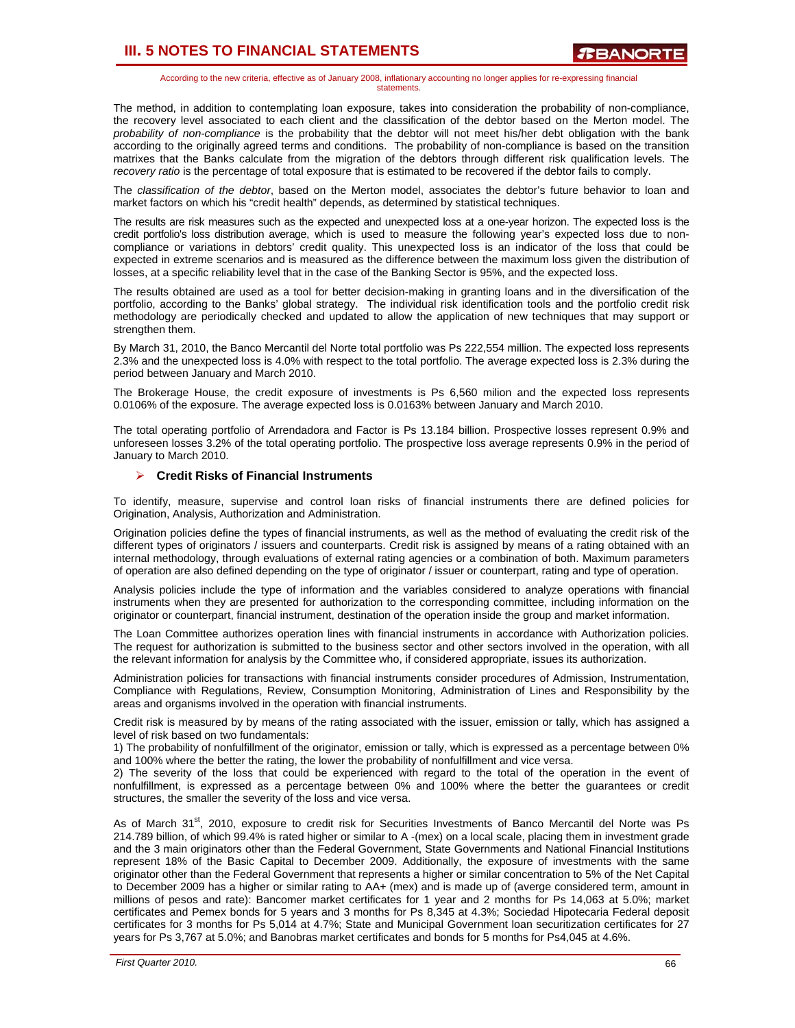According to the new criteria, effective as of January 2008, inflationary accounting no longer applies for re-expressing financial statements.

The method, in addition to contemplating loan exposure, takes into consideration the probability of non-compliance, the recovery level associated to each client and the classification of the debtor based on the Merton model. The *probability of non-compliance* is the probability that the debtor will not meet his/her debt obligation with the bank according to the originally agreed terms and conditions. The probability of non-compliance is based on the transition matrixes that the Banks calculate from the migration of the debtors through different risk qualification levels. The *recovery ratio* is the percentage of total exposure that is estimated to be recovered if the debtor fails to comply.

The *classification of the debtor*, based on the Merton model, associates the debtor's future behavior to loan and market factors on which his "credit health" depends, as determined by statistical techniques.

The results are risk measures such as the expected and unexpected loss at a one-year horizon. The expected loss is the credit portfolio's loss distribution average, which is used to measure the following year's expected loss due to noncompliance or variations in debtors' credit quality. This unexpected loss is an indicator of the loss that could be expected in extreme scenarios and is measured as the difference between the maximum loss given the distribution of losses, at a specific reliability level that in the case of the Banking Sector is 95%, and the expected loss.

The results obtained are used as a tool for better decision-making in granting loans and in the diversification of the portfolio, according to the Banks' global strategy. The individual risk identification tools and the portfolio credit risk methodology are periodically checked and updated to allow the application of new techniques that may support or strengthen them.

By March 31, 2010, the Banco Mercantil del Norte total portfolio was Ps 222,554 million. The expected loss represents 2.3% and the unexpected loss is 4.0% with respect to the total portfolio. The average expected loss is 2.3% during the period between January and March 2010.

The Brokerage House, the credit exposure of investments is Ps 6,560 milion and the expected loss represents 0.0106% of the exposure. The average expected loss is 0.0163% between January and March 2010.

The total operating portfolio of Arrendadora and Factor is Ps 13.184 billion. Prospective losses represent 0.9% and unforeseen losses 3.2% of the total operating portfolio. The prospective loss average represents 0.9% in the period of January to March 2010.

### ¾ **Credit Risks of Financial Instruments**

To identify, measure, supervise and control loan risks of financial instruments there are defined policies for Origination, Analysis, Authorization and Administration.

Origination policies define the types of financial instruments, as well as the method of evaluating the credit risk of the different types of originators / issuers and counterparts. Credit risk is assigned by means of a rating obtained with an internal methodology, through evaluations of external rating agencies or a combination of both. Maximum parameters of operation are also defined depending on the type of originator / issuer or counterpart, rating and type of operation.

Analysis policies include the type of information and the variables considered to analyze operations with financial instruments when they are presented for authorization to the corresponding committee, including information on the originator or counterpart, financial instrument, destination of the operation inside the group and market information.

The Loan Committee authorizes operation lines with financial instruments in accordance with Authorization policies. The request for authorization is submitted to the business sector and other sectors involved in the operation, with all the relevant information for analysis by the Committee who, if considered appropriate, issues its authorization.

Administration policies for transactions with financial instruments consider procedures of Admission, Instrumentation, Compliance with Regulations, Review, Consumption Monitoring, Administration of Lines and Responsibility by the areas and organisms involved in the operation with financial instruments.

Credit risk is measured by by means of the rating associated with the issuer, emission or tally, which has assigned a level of risk based on two fundamentals:

1) The probability of nonfulfillment of the originator, emission or tally, which is expressed as a percentage between 0% and 100% where the better the rating, the lower the probability of nonfulfillment and vice versa.

2) The severity of the loss that could be experienced with regard to the total of the operation in the event of nonfulfillment, is expressed as a percentage between 0% and 100% where the better the guarantees or credit structures, the smaller the severity of the loss and vice versa.

As of March 31<sup>st</sup>, 2010, exposure to credit risk for Securities Investments of Banco Mercantil del Norte was Ps 214.789 billion, of which 99.4% is rated higher or similar to A -(mex) on a local scale, placing them in investment grade and the 3 main originators other than the Federal Government, State Governments and National Financial Institutions represent 18% of the Basic Capital to December 2009. Additionally, the exposure of investments with the same originator other than the Federal Government that represents a higher or similar concentration to 5% of the Net Capital to December 2009 has a higher or similar rating to AA+ (mex) and is made up of (averge considered term, amount in millions of pesos and rate): Bancomer market certificates for 1 year and 2 months for Ps 14,063 at 5.0%; market certificates and Pemex bonds for 5 years and 3 months for Ps 8,345 at 4.3%; Sociedad Hipotecaria Federal deposit certificates for 3 months for Ps 5,014 at 4.7%; State and Municipal Government loan securitization certificates for 27 years for Ps 3,767 at 5.0%; and Banobras market certificates and bonds for 5 months for Ps4,045 at 4.6%.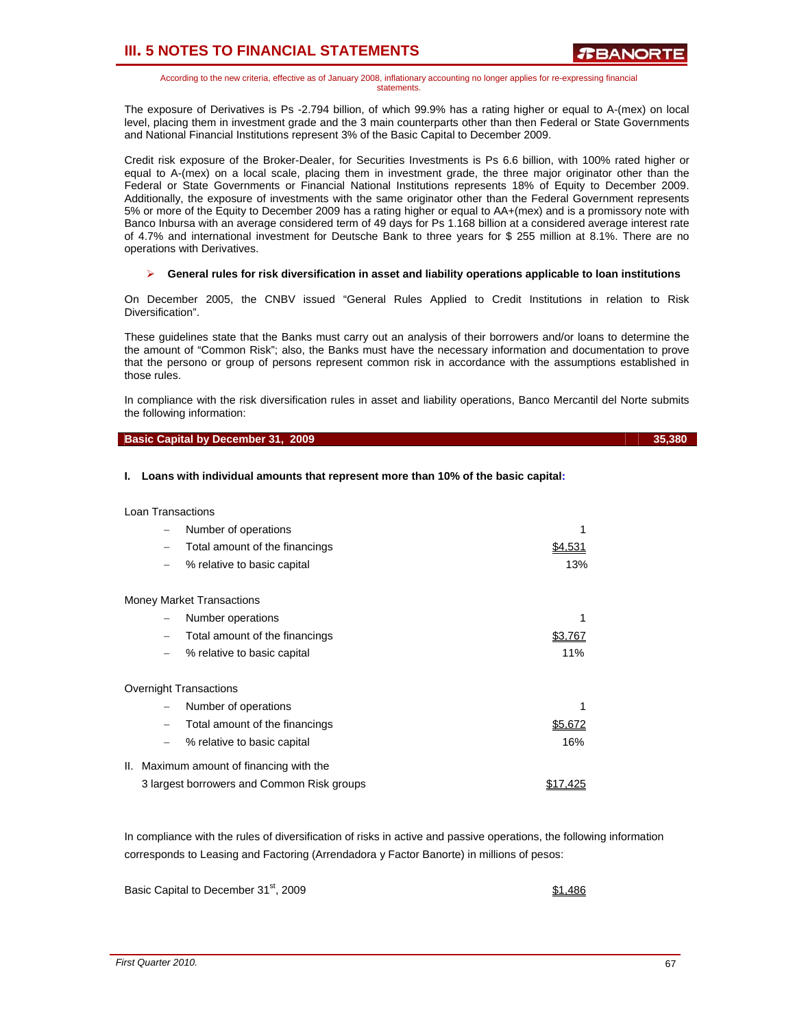According to the new criteria, effective as of January 2008, inflationary accounting no longer applies for re-expressing financial statements.

The exposure of Derivatives is Ps -2.794 billion, of which 99.9% has a rating higher or equal to A-(mex) on local level, placing them in investment grade and the 3 main counterparts other than then Federal or State Governments and National Financial Institutions represent 3% of the Basic Capital to December 2009.

Credit risk exposure of the Broker-Dealer, for Securities Investments is Ps 6.6 billion, with 100% rated higher or equal to A-(mex) on a local scale, placing them in investment grade, the three major originator other than the Federal or State Governments or Financial National Institutions represents 18% of Equity to December 2009. Additionally, the exposure of investments with the same originator other than the Federal Government represents 5% or more of the Equity to December 2009 has a rating higher or equal to AA+(mex) and is a promissory note with Banco Inbursa with an average considered term of 49 days for Ps 1.168 billion at a considered average interest rate of 4.7% and international investment for Deutsche Bank to three years for \$ 255 million at 8.1%. There are no operations with Derivatives.

#### ¾ **General rules for risk diversification in asset and liability operations applicable to loan institutions**

On December 2005, the CNBV issued "General Rules Applied to Credit Institutions in relation to Risk Diversification".

These guidelines state that the Banks must carry out an analysis of their borrowers and/or loans to determine the the amount of "Common Risk"; also, the Banks must have the necessary information and documentation to prove that the persono or group of persons represent common risk in accordance with the assumptions established in those rules.

In compliance with the risk diversification rules in asset and liability operations, Banco Mercantil del Norte submits the following information:

#### **Basic Capital by December 31, 2009** 35,380 35,380

#### **I. Loans with individual amounts that represent more than 10% of the basic capital:**

| <b>Loan Transactions</b> |
|--------------------------|
|                          |

Ov

| -               | Number of operations                       |         |
|-----------------|--------------------------------------------|---------|
| -               | Total amount of the financings             | \$4,531 |
| $\qquad \qquad$ | % relative to basic capital                | 13%     |
|                 | <b>Money Market Transactions</b>           |         |
|                 | Number operations                          |         |
| -               | Total amount of the financings             | \$3.767 |
|                 | % relative to basic capital                | 11%     |
|                 | Overnight Transactions                     |         |
|                 | Number of operations                       |         |
| -               | Total amount of the financings             | \$5.672 |
|                 | % relative to basic capital                | 16%     |
|                 | II. Maximum amount of financing with the   |         |
|                 | 3 largest borrowers and Common Risk groups |         |

In compliance with the rules of diversification of risks in active and passive operations, the following information corresponds to Leasing and Factoring (Arrendadora y Factor Banorte) in millions of pesos:

Basic Capital to December 31<sup>st</sup>, 2009 **\$1,486 \$1,486**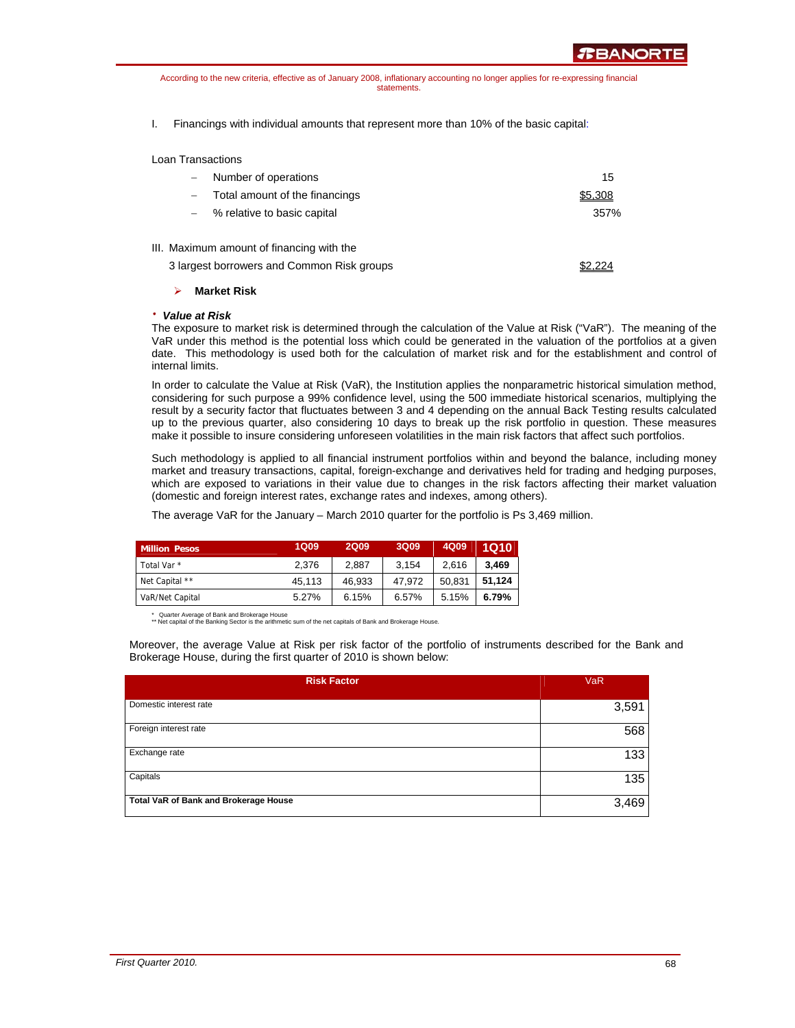According to the new criteria, effective as of January 2008, inflationary accounting no longer applies for re-expressing financial statements.

I. Financings with individual amounts that represent more than 10% of the basic capital:

Loan Transactions

| $\overline{\phantom{0}}$ | Number of operations                       | 15      |
|--------------------------|--------------------------------------------|---------|
|                          | Total amount of the financings             | \$5,308 |
| $-$                      | % relative to basic capital                | 357%    |
|                          | III. Maximum amount of financing with the  |         |
|                          | 3 largest borrowers and Common Risk groups |         |

#### ¾ **Market Risk**

#### ⋅ *Value at Risk*

The exposure to market risk is determined through the calculation of the Value at Risk ("VaR"). The meaning of the VaR under this method is the potential loss which could be generated in the valuation of the portfolios at a given date. This methodology is used both for the calculation of market risk and for the establishment and control of internal limits.

In order to calculate the Value at Risk (VaR), the Institution applies the nonparametric historical simulation method, considering for such purpose a 99% confidence level, using the 500 immediate historical scenarios, multiplying the result by a security factor that fluctuates between 3 and 4 depending on the annual Back Testing results calculated up to the previous quarter, also considering 10 days to break up the risk portfolio in question. These measures make it possible to insure considering unforeseen volatilities in the main risk factors that affect such portfolios.

Such methodology is applied to all financial instrument portfolios within and beyond the balance, including money market and treasury transactions, capital, foreign-exchange and derivatives held for trading and hedging purposes, which are exposed to variations in their value due to changes in the risk factors affecting their market valuation (domestic and foreign interest rates, exchange rates and indexes, among others).

The average VaR for the January – March 2010 quarter for the portfolio is Ps 3,469 million.

| <b>Million Pesos</b> | <b>1Q09</b> | <b>2Q09</b> | 3Q09   | 4Q09   | <b>1Q10</b> |
|----------------------|-------------|-------------|--------|--------|-------------|
| Total Var *          | 2.376       | 2.887       | 3,154  | 2.616  | 3.469       |
| Net Capital **       | 45,113      | 46.933      | 47.972 | 50,831 | 51.124      |
| VaR/Net Capital      | 5.27%       | 6.15%       | 6.57%  | 5.15%  | 6.79%       |

\* Quarter Average of Bank and Brokerage House \*\* Net capital of the Banking Sector is the arithmetic sum of the net capitals of Bank and Brokerage House.

Moreover, the average Value at Risk per risk factor of the portfolio of instruments described for the Bank and Brokerage House, during the first quarter of 2010 is shown below:

| <b>Risk Factor</b>                    | <b>VaR</b> |
|---------------------------------------|------------|
| Domestic interest rate                | 3,591      |
| Foreign interest rate                 | 568        |
| Exchange rate                         | 133        |
| Capitals                              | 135        |
| Total VaR of Bank and Brokerage House | 3,469      |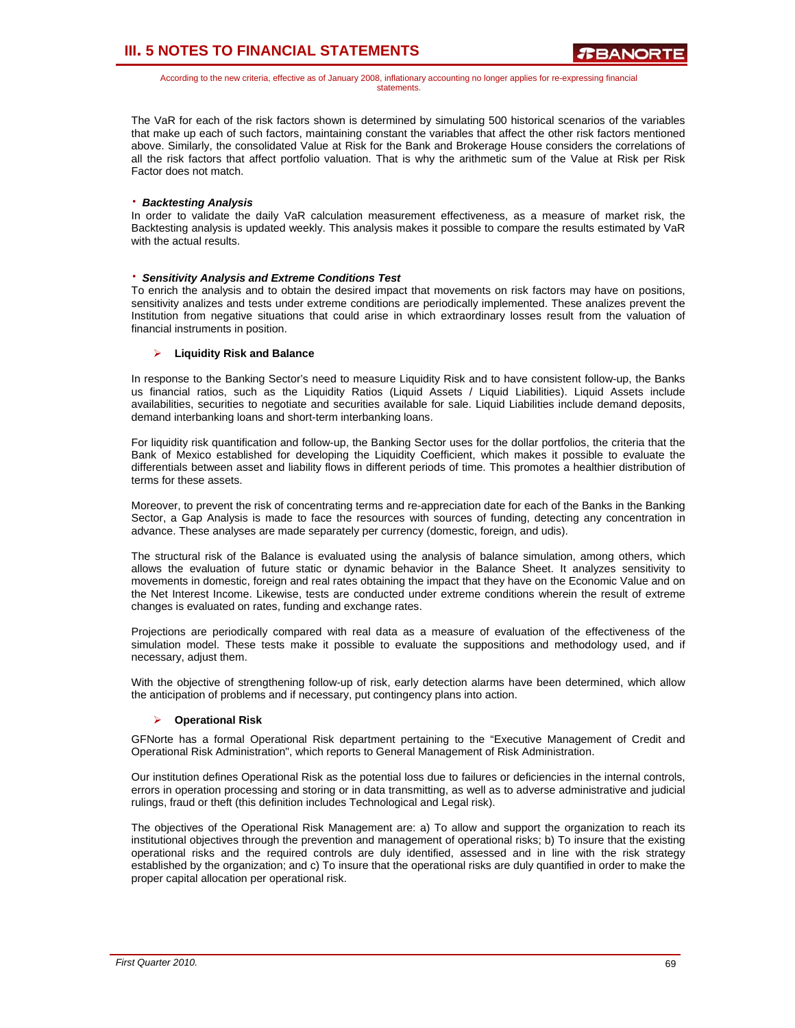According to the new criteria, effective as of January 2008, inflationary accounting no longer applies for re-expressing financial statements.

The VaR for each of the risk factors shown is determined by simulating 500 historical scenarios of the variables that make up each of such factors, maintaining constant the variables that affect the other risk factors mentioned above. Similarly, the consolidated Value at Risk for the Bank and Brokerage House considers the correlations of all the risk factors that affect portfolio valuation. That is why the arithmetic sum of the Value at Risk per Risk Factor does not match.

### ⋅ *Backtesting Analysis*

In order to validate the daily VaR calculation measurement effectiveness, as a measure of market risk, the Backtesting analysis is updated weekly. This analysis makes it possible to compare the results estimated by VaR with the actual results.

### ⋅ *Sensitivity Analysis and Extreme Conditions Test*

To enrich the analysis and to obtain the desired impact that movements on risk factors may have on positions, sensitivity analizes and tests under extreme conditions are periodically implemented. These analizes prevent the Institution from negative situations that could arise in which extraordinary losses result from the valuation of financial instruments in position.

### ¾ **Liquidity Risk and Balance**

In response to the Banking Sector's need to measure Liquidity Risk and to have consistent follow-up, the Banks us financial ratios, such as the Liquidity Ratios (Liquid Assets / Liquid Liabilities). Liquid Assets include availabilities, securities to negotiate and securities available for sale. Liquid Liabilities include demand deposits, demand interbanking loans and short-term interbanking loans.

For liquidity risk quantification and follow-up, the Banking Sector uses for the dollar portfolios, the criteria that the Bank of Mexico established for developing the Liquidity Coefficient, which makes it possible to evaluate the differentials between asset and liability flows in different periods of time. This promotes a healthier distribution of terms for these assets.

Moreover, to prevent the risk of concentrating terms and re-appreciation date for each of the Banks in the Banking Sector, a Gap Analysis is made to face the resources with sources of funding, detecting any concentration in advance. These analyses are made separately per currency (domestic, foreign, and udis).

The structural risk of the Balance is evaluated using the analysis of balance simulation, among others, which allows the evaluation of future static or dynamic behavior in the Balance Sheet. It analyzes sensitivity to movements in domestic, foreign and real rates obtaining the impact that they have on the Economic Value and on the Net Interest Income. Likewise, tests are conducted under extreme conditions wherein the result of extreme changes is evaluated on rates, funding and exchange rates.

Projections are periodically compared with real data as a measure of evaluation of the effectiveness of the simulation model. These tests make it possible to evaluate the suppositions and methodology used, and if necessary, adjust them.

With the objective of strengthening follow-up of risk, early detection alarms have been determined, which allow the anticipation of problems and if necessary, put contingency plans into action.

#### ¾ **Operational Risk**

GFNorte has a formal Operational Risk department pertaining to the "Executive Management of Credit and Operational Risk Administration", which reports to General Management of Risk Administration.

Our institution defines Operational Risk as the potential loss due to failures or deficiencies in the internal controls, errors in operation processing and storing or in data transmitting, as well as to adverse administrative and judicial rulings, fraud or theft (this definition includes Technological and Legal risk).

The objectives of the Operational Risk Management are: a) To allow and support the organization to reach its institutional objectives through the prevention and management of operational risks; b) To insure that the existing operational risks and the required controls are duly identified, assessed and in line with the risk strategy established by the organization; and c) To insure that the operational risks are duly quantified in order to make the proper capital allocation per operational risk.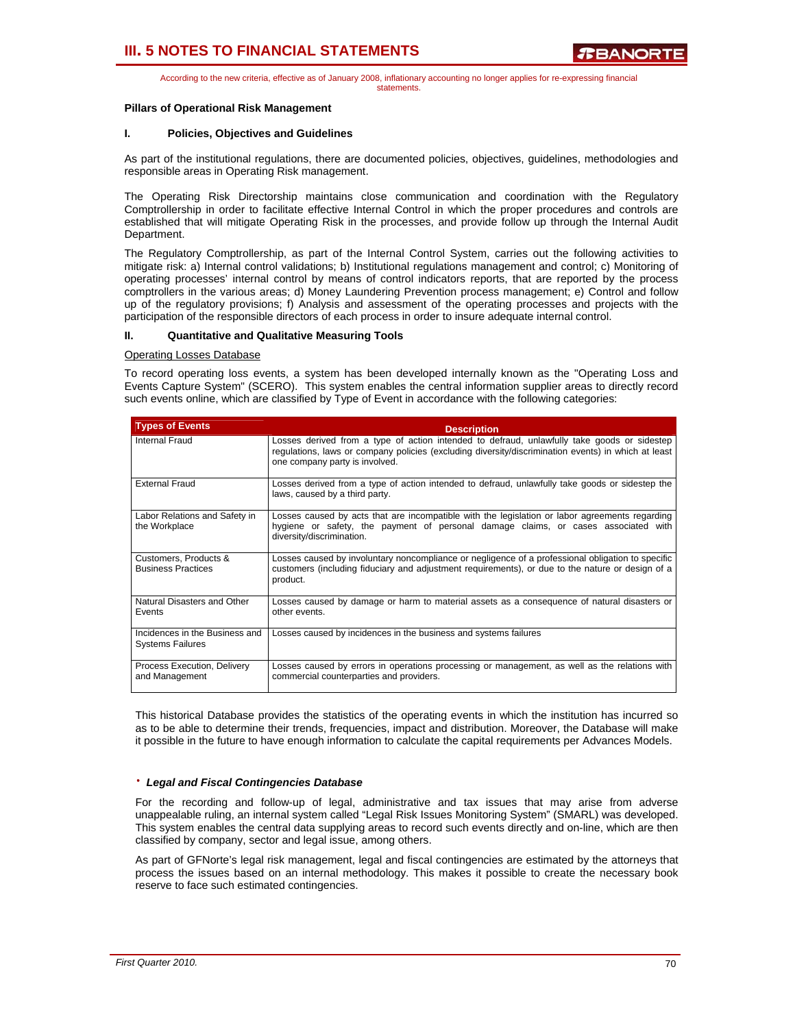According to the new criteria, effective as of January 2008, inflationary accounting no longer applies for re-expressing financial statements.

#### **Pillars of Operational Risk Management**

### **I. Policies, Objectives and Guidelines**

As part of the institutional regulations, there are documented policies, objectives, guidelines, methodologies and responsible areas in Operating Risk management.

The Operating Risk Directorship maintains close communication and coordination with the Regulatory Comptrollership in order to facilitate effective Internal Control in which the proper procedures and controls are established that will mitigate Operating Risk in the processes, and provide follow up through the Internal Audit Department.

The Regulatory Comptrollership, as part of the Internal Control System, carries out the following activities to mitigate risk: a) Internal control validations; b) Institutional regulations management and control; c) Monitoring of operating processes' internal control by means of control indicators reports, that are reported by the process comptrollers in the various areas; d) Money Laundering Prevention process management; e) Control and follow up of the regulatory provisions; f) Analysis and assessment of the operating processes and projects with the participation of the responsible directors of each process in order to insure adequate internal control.

#### **II. Quantitative and Qualitative Measuring Tools**

#### Operating Losses Database

To record operating loss events, a system has been developed internally known as the "Operating Loss and Events Capture System" (SCERO). This system enables the central information supplier areas to directly record such events online, which are classified by Type of Event in accordance with the following categories:

| <b>Types of Events</b>                                    | <b>Description</b>                                                                                                                                                                                                                   |
|-----------------------------------------------------------|--------------------------------------------------------------------------------------------------------------------------------------------------------------------------------------------------------------------------------------|
| Internal Fraud                                            | Losses derived from a type of action intended to defraud, unlawfully take goods or sidestep<br>regulations, laws or company policies (excluding diversity/discrimination events) in which at least<br>one company party is involved. |
| <b>External Fraud</b>                                     | Losses derived from a type of action intended to defraud, unlawfully take goods or sidestep the<br>laws, caused by a third party.                                                                                                    |
| Labor Relations and Safety in<br>the Workplace            | Losses caused by acts that are incompatible with the legislation or labor agreements regarding<br>hygiene or safety, the payment of personal damage claims, or cases associated with<br>diversity/discrimination.                    |
| Customers, Products &<br><b>Business Practices</b>        | Losses caused by involuntary noncompliance or negligence of a professional obligation to specific<br>customers (including fiduciary and adjustment requirements), or due to the nature or design of a<br>product.                    |
| Natural Disasters and Other<br>Events                     | Losses caused by damage or harm to material assets as a consequence of natural disasters or<br>other events.                                                                                                                         |
| Incidences in the Business and<br><b>Systems Failures</b> | Losses caused by incidences in the business and systems failures                                                                                                                                                                     |
| Process Execution, Delivery<br>and Management             | Losses caused by errors in operations processing or management, as well as the relations with<br>commercial counterparties and providers.                                                                                            |

This historical Database provides the statistics of the operating events in which the institution has incurred so as to be able to determine their trends, frequencies, impact and distribution. Moreover, the Database will make it possible in the future to have enough information to calculate the capital requirements per Advances Models.

#### ⋅ *Legal and Fiscal Contingencies Database*

For the recording and follow-up of legal, administrative and tax issues that may arise from adverse unappealable ruling, an internal system called "Legal Risk Issues Monitoring System" (SMARL) was developed. This system enables the central data supplying areas to record such events directly and on-line, which are then classified by company, sector and legal issue, among others.

As part of GFNorte's legal risk management, legal and fiscal contingencies are estimated by the attorneys that process the issues based on an internal methodology. This makes it possible to create the necessary book reserve to face such estimated contingencies.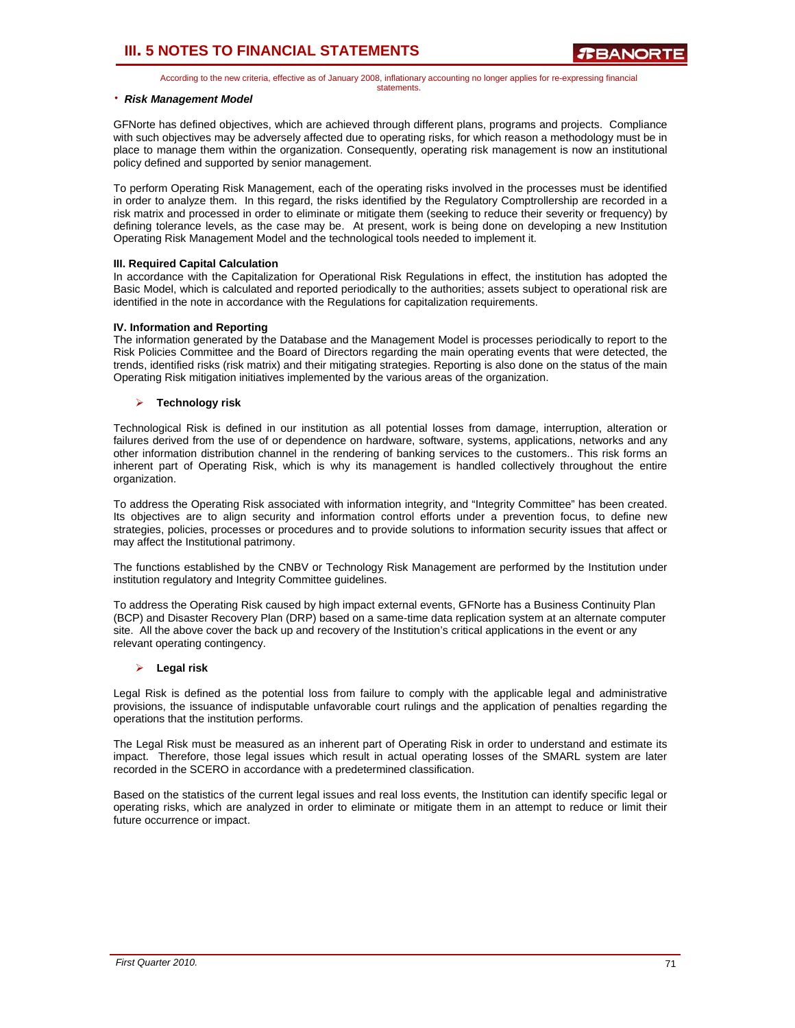According to the new criteria, effective as of January 2008, inflationary accounting no longer applies for re-expressing financial statements.

#### ⋅ *Risk Management Model*

GFNorte has defined objectives, which are achieved through different plans, programs and projects. Compliance with such objectives may be adversely affected due to operating risks, for which reason a methodology must be in place to manage them within the organization. Consequently, operating risk management is now an institutional policy defined and supported by senior management.

To perform Operating Risk Management, each of the operating risks involved in the processes must be identified in order to analyze them. In this regard, the risks identified by the Regulatory Comptrollership are recorded in a risk matrix and processed in order to eliminate or mitigate them (seeking to reduce their severity or frequency) by defining tolerance levels, as the case may be. At present, work is being done on developing a new Institution Operating Risk Management Model and the technological tools needed to implement it.

#### **III. Required Capital Calculation**

In accordance with the Capitalization for Operational Risk Regulations in effect, the institution has adopted the Basic Model, which is calculated and reported periodically to the authorities; assets subject to operational risk are identified in the note in accordance with the Regulations for capitalization requirements.

#### **IV. Information and Reporting**

The information generated by the Database and the Management Model is processes periodically to report to the Risk Policies Committee and the Board of Directors regarding the main operating events that were detected, the trends, identified risks (risk matrix) and their mitigating strategies. Reporting is also done on the status of the main Operating Risk mitigation initiatives implemented by the various areas of the organization.

#### ¾ **Technology risk**

Technological Risk is defined in our institution as all potential losses from damage, interruption, alteration or failures derived from the use of or dependence on hardware, software, systems, applications, networks and any other information distribution channel in the rendering of banking services to the customers.. This risk forms an inherent part of Operating Risk, which is why its management is handled collectively throughout the entire organization.

To address the Operating Risk associated with information integrity, and "Integrity Committee" has been created. Its objectives are to align security and information control efforts under a prevention focus, to define new strategies, policies, processes or procedures and to provide solutions to information security issues that affect or may affect the Institutional patrimony.

The functions established by the CNBV or Technology Risk Management are performed by the Institution under institution regulatory and Integrity Committee guidelines.

To address the Operating Risk caused by high impact external events, GFNorte has a Business Continuity Plan (BCP) and Disaster Recovery Plan (DRP) based on a same-time data replication system at an alternate computer site. All the above cover the back up and recovery of the Institution's critical applications in the event or any relevant operating contingency.

#### ¾ **Legal risk**

Legal Risk is defined as the potential loss from failure to comply with the applicable legal and administrative provisions, the issuance of indisputable unfavorable court rulings and the application of penalties regarding the operations that the institution performs.

The Legal Risk must be measured as an inherent part of Operating Risk in order to understand and estimate its impact. Therefore, those legal issues which result in actual operating losses of the SMARL system are later recorded in the SCERO in accordance with a predetermined classification.

Based on the statistics of the current legal issues and real loss events, the Institution can identify specific legal or operating risks, which are analyzed in order to eliminate or mitigate them in an attempt to reduce or limit their future occurrence or impact.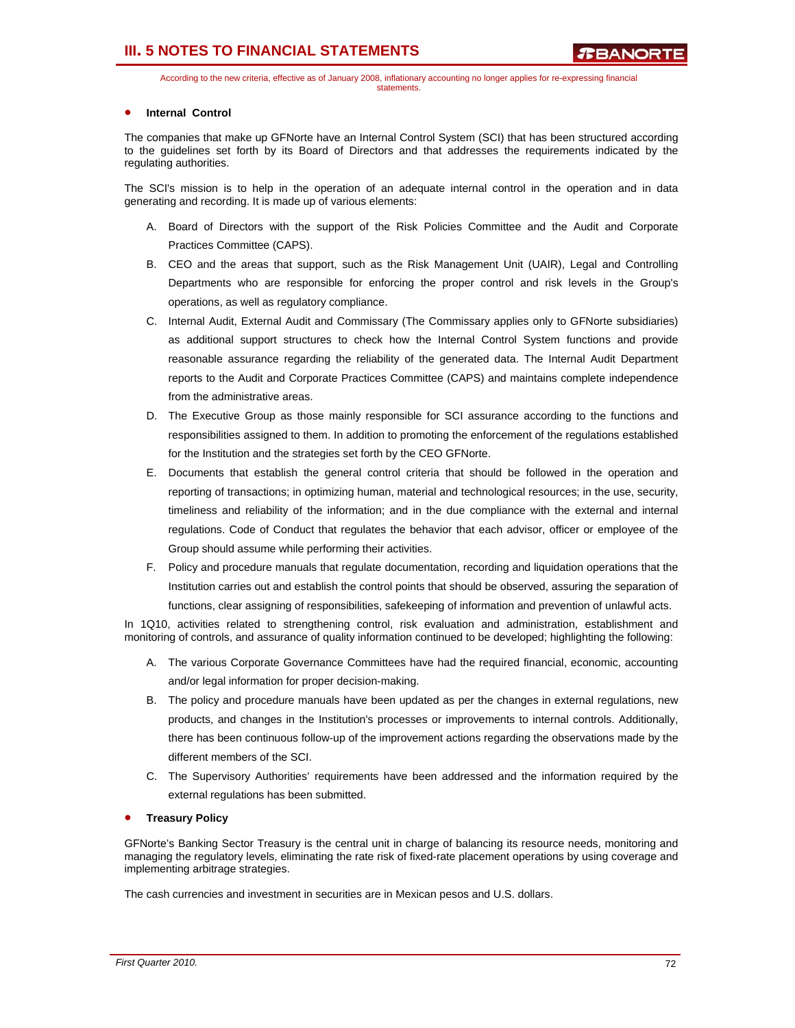According to the new criteria, effective as of January 2008, inflationary accounting no longer applies for re-expressing financial statements.

### • **Internal Control**

The companies that make up GFNorte have an Internal Control System (SCI) that has been structured according to the guidelines set forth by its Board of Directors and that addresses the requirements indicated by the regulating authorities.

The SCI's mission is to help in the operation of an adequate internal control in the operation and in data generating and recording. It is made up of various elements:

- A. Board of Directors with the support of the Risk Policies Committee and the Audit and Corporate Practices Committee (CAPS).
- B. CEO and the areas that support, such as the Risk Management Unit (UAIR), Legal and Controlling Departments who are responsible for enforcing the proper control and risk levels in the Group's operations, as well as regulatory compliance.
- C. Internal Audit, External Audit and Commissary (The Commissary applies only to GFNorte subsidiaries) as additional support structures to check how the Internal Control System functions and provide reasonable assurance regarding the reliability of the generated data. The Internal Audit Department reports to the Audit and Corporate Practices Committee (CAPS) and maintains complete independence from the administrative areas.
- D. The Executive Group as those mainly responsible for SCI assurance according to the functions and responsibilities assigned to them. In addition to promoting the enforcement of the regulations established for the Institution and the strategies set forth by the CEO GFNorte.
- E. Documents that establish the general control criteria that should be followed in the operation and reporting of transactions; in optimizing human, material and technological resources; in the use, security, timeliness and reliability of the information; and in the due compliance with the external and internal regulations. Code of Conduct that regulates the behavior that each advisor, officer or employee of the Group should assume while performing their activities.
- F. Policy and procedure manuals that regulate documentation, recording and liquidation operations that the Institution carries out and establish the control points that should be observed, assuring the separation of functions, clear assigning of responsibilities, safekeeping of information and prevention of unlawful acts.

In 1Q10, activities related to strengthening control, risk evaluation and administration, establishment and monitoring of controls, and assurance of quality information continued to be developed; highlighting the following:

- A. The various Corporate Governance Committees have had the required financial, economic, accounting and/or legal information for proper decision-making.
- B. The policy and procedure manuals have been updated as per the changes in external regulations, new products, and changes in the Institution's processes or improvements to internal controls. Additionally, there has been continuous follow-up of the improvement actions regarding the observations made by the different members of the SCI.
- C. The Supervisory Authorities' requirements have been addressed and the information required by the external regulations has been submitted.

### • **Treasury Policy**

GFNorte's Banking Sector Treasury is the central unit in charge of balancing its resource needs, monitoring and managing the regulatory levels, eliminating the rate risk of fixed-rate placement operations by using coverage and implementing arbitrage strategies.

The cash currencies and investment in securities are in Mexican pesos and U.S. dollars.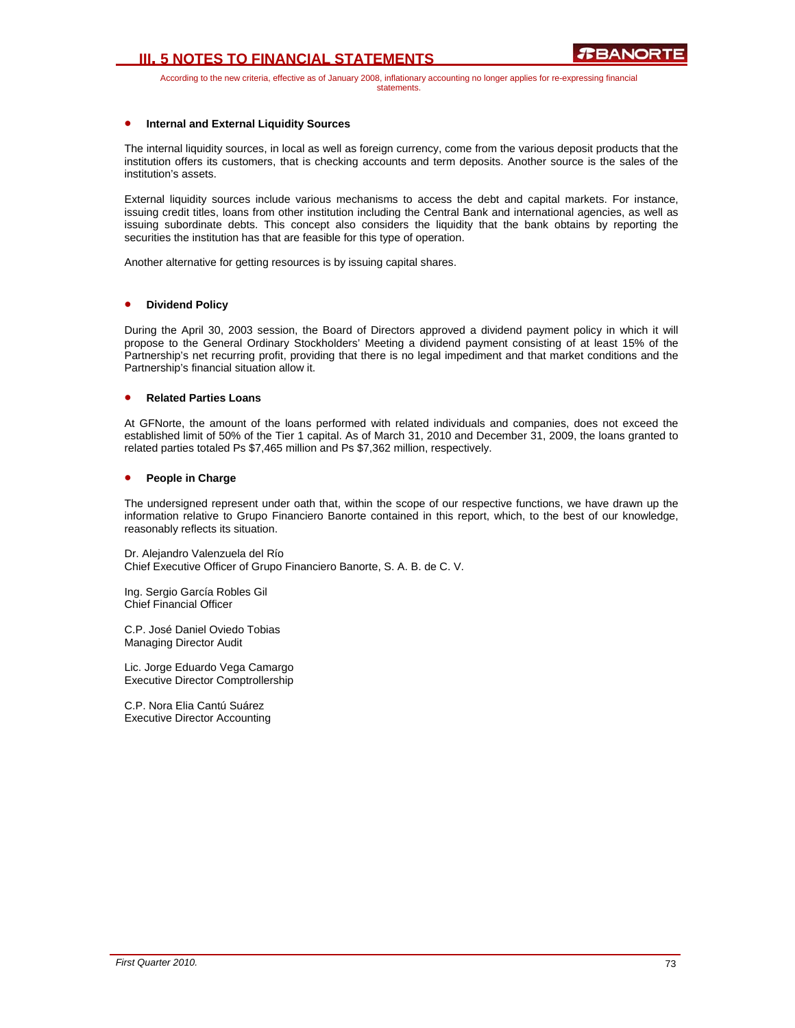# **III. 5 NOTES TO FINANCIAL STATEMENTS**

According to the new criteria, effective as of January 2008, inflationary accounting no longer applies for re-expressing financial statements.

### • **Internal and External Liquidity Sources**

The internal liquidity sources, in local as well as foreign currency, come from the various deposit products that the institution offers its customers, that is checking accounts and term deposits. Another source is the sales of the institution's assets.

External liquidity sources include various mechanisms to access the debt and capital markets. For instance, issuing credit titles, loans from other institution including the Central Bank and international agencies, as well as issuing subordinate debts. This concept also considers the liquidity that the bank obtains by reporting the securities the institution has that are feasible for this type of operation.

Another alternative for getting resources is by issuing capital shares.

#### • **Dividend Policy**

During the April 30, 2003 session, the Board of Directors approved a dividend payment policy in which it will propose to the General Ordinary Stockholders' Meeting a dividend payment consisting of at least 15% of the Partnership's net recurring profit, providing that there is no legal impediment and that market conditions and the Partnership's financial situation allow it.

#### • **Related Parties Loans**

At GFNorte, the amount of the loans performed with related individuals and companies, does not exceed the established limit of 50% of the Tier 1 capital. As of March 31, 2010 and December 31, 2009, the loans granted to related parties totaled Ps \$7,465 million and Ps \$7,362 million, respectively.

#### • **People in Charge**

The undersigned represent under oath that, within the scope of our respective functions, we have drawn up the information relative to Grupo Financiero Banorte contained in this report, which, to the best of our knowledge, reasonably reflects its situation.

Dr. Alejandro Valenzuela del Río Chief Executive Officer of Grupo Financiero Banorte, S. A. B. de C. V.

Ing. Sergio García Robles Gil Chief Financial Officer

C.P. José Daniel Oviedo Tobias Managing Director Audit

Lic. Jorge Eduardo Vega Camargo Executive Director Comptrollership

C.P. Nora Elia Cantú Suárez Executive Director Accounting